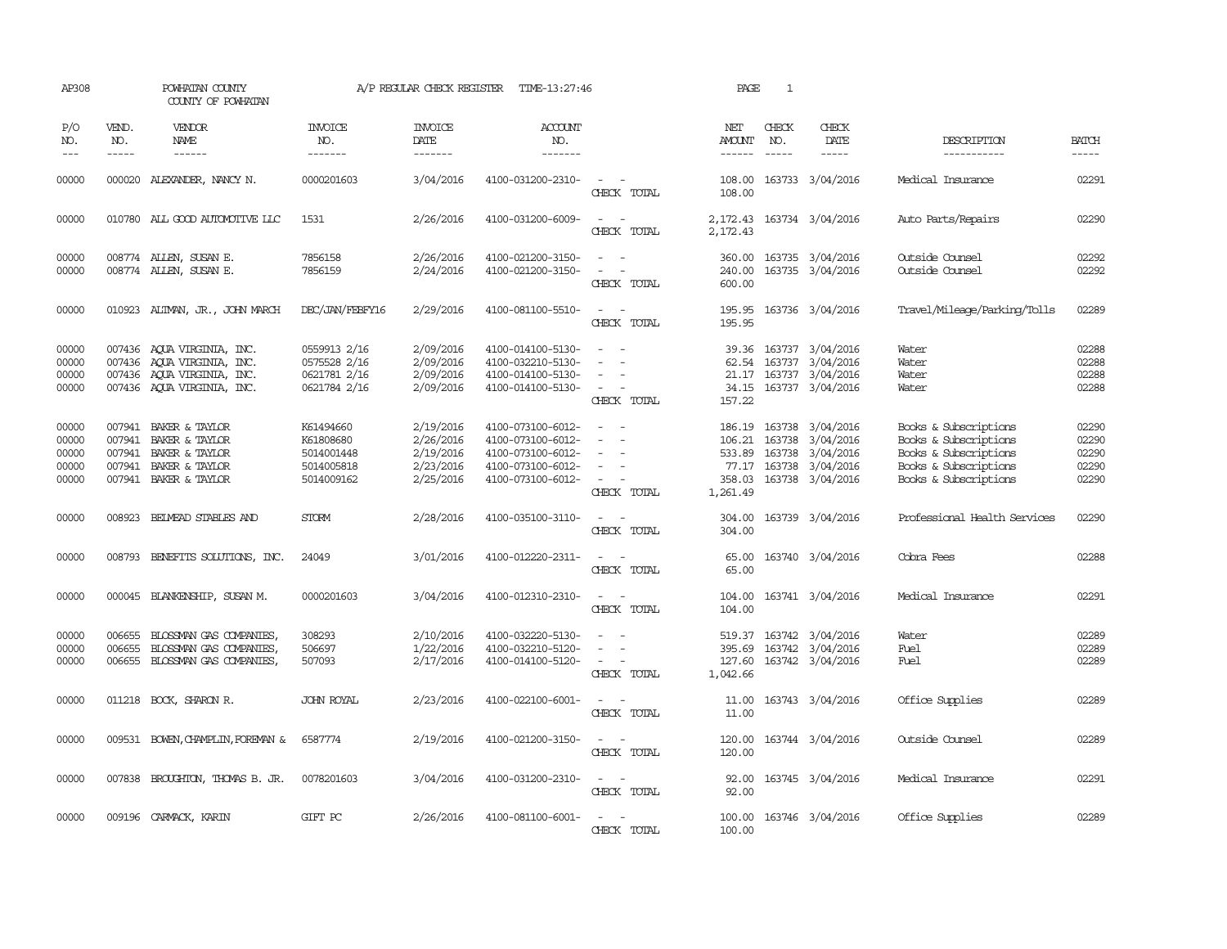| AP308                                     |                                                                                                                                                                                                                                                                                                                                                                                                                                                                                                     | POWHATAN COUNTY<br>COUNTY OF POWHATAN                                                                                |                                                                  | A/P REGULAR CHECK REGISTER                                    | TIME-13:27:46                                                                                         |                                                                                                                             | PAGE                                  | $\mathbf{1}$                  |                                                                                                         |                                                                                                                           |                                           |
|-------------------------------------------|-----------------------------------------------------------------------------------------------------------------------------------------------------------------------------------------------------------------------------------------------------------------------------------------------------------------------------------------------------------------------------------------------------------------------------------------------------------------------------------------------------|----------------------------------------------------------------------------------------------------------------------|------------------------------------------------------------------|---------------------------------------------------------------|-------------------------------------------------------------------------------------------------------|-----------------------------------------------------------------------------------------------------------------------------|---------------------------------------|-------------------------------|---------------------------------------------------------------------------------------------------------|---------------------------------------------------------------------------------------------------------------------------|-------------------------------------------|
| P/O<br>NO.<br>$---$                       | VEND.<br>NO.<br>$\begin{tabular}{ccccc} \multicolumn{2}{c}{} & \multicolumn{2}{c}{} & \multicolumn{2}{c}{} & \multicolumn{2}{c}{} & \multicolumn{2}{c}{} & \multicolumn{2}{c}{} & \multicolumn{2}{c}{} & \multicolumn{2}{c}{} & \multicolumn{2}{c}{} & \multicolumn{2}{c}{} & \multicolumn{2}{c}{} & \multicolumn{2}{c}{} & \multicolumn{2}{c}{} & \multicolumn{2}{c}{} & \multicolumn{2}{c}{} & \multicolumn{2}{c}{} & \multicolumn{2}{c}{} & \multicolumn{2}{c}{} & \multicolumn{2}{c}{} & \mult$ | <b>VENDOR</b><br>NAME                                                                                                | <b>INVOICE</b><br>NO.<br>-------                                 | <b>INVOICE</b><br>DATE<br>-------                             | ACCOUNT<br>NO.<br>-------                                                                             |                                                                                                                             | NET<br>AMOUNT<br>------               | CHECK<br>NO.<br>$\frac{1}{2}$ | CHECK<br>DATE<br>$\cdots \cdots \cdots$                                                                 | DESCRIPTION<br>-----------                                                                                                | <b>BATCH</b><br>-----                     |
| 00000                                     |                                                                                                                                                                                                                                                                                                                                                                                                                                                                                                     | 000020 ALEXANDER, NANCY N.                                                                                           | 0000201603                                                       | 3/04/2016                                                     | 4100-031200-2310-                                                                                     | $\sim$ $\sim$<br>CHECK TOTAL                                                                                                | 108.00<br>108.00                      |                               | 163733 3/04/2016                                                                                        | Medical Insurance                                                                                                         | 02291                                     |
| 00000                                     |                                                                                                                                                                                                                                                                                                                                                                                                                                                                                                     | 010780 ALL GOOD AUTOMOTTVE LLC                                                                                       | 1531                                                             | 2/26/2016                                                     | 4100-031200-6009-                                                                                     | $\frac{1}{2} \left( \frac{1}{2} \right) \left( \frac{1}{2} \right) = \frac{1}{2} \left( \frac{1}{2} \right)$<br>CHECK TOTAL | 2,172.43                              |                               | 2, 172.43 163734 3/04/2016                                                                              | Auto Parts/Repairs                                                                                                        | 02290                                     |
| 00000<br>00000                            |                                                                                                                                                                                                                                                                                                                                                                                                                                                                                                     | 008774 ALLEN, SUSAN E.<br>008774 ALLEN, SUSAN E.                                                                     | 7856158<br>7856159                                               | 2/26/2016<br>2/24/2016                                        | 4100-021200-3150-<br>4100-021200-3150-                                                                | $\sim$ 100 $\sim$<br>$\sim$<br>CHECK TOTAL                                                                                  | 360.00<br>240.00<br>600.00            |                               | 163735 3/04/2016<br>163735 3/04/2016                                                                    | Outside Counsel<br>Outside Counsel                                                                                        | 02292<br>02292                            |
| 00000                                     |                                                                                                                                                                                                                                                                                                                                                                                                                                                                                                     | 010923 ALIMAN, JR., JOHN MARCH                                                                                       | DEC/JAN/FEBFY16                                                  | 2/29/2016                                                     | 4100-081100-5510-                                                                                     | $\frac{1}{2} \left( \frac{1}{2} \right) \left( \frac{1}{2} \right) = \frac{1}{2} \left( \frac{1}{2} \right)$<br>CHECK TOTAL | 195.95                                |                               | 195.95 163736 3/04/2016                                                                                 | Travel/Mileage/Parking/Tolls                                                                                              | 02289                                     |
| 00000<br>00000<br>00000<br>00000          |                                                                                                                                                                                                                                                                                                                                                                                                                                                                                                     | 007436 AQUA VIRGINIA, INC.<br>007436 AQUA VIRGINIA, INC.<br>007436 AQUA VIRGINIA, INC.<br>007436 AQUA VIRGINIA, INC. | 0559913 2/16<br>0575528 2/16<br>0621781 2/16<br>0621784 2/16     | 2/09/2016<br>2/09/2016<br>2/09/2016<br>2/09/2016              | 4100-014100-5130-<br>4100-032210-5130-<br>4100-014100-5130-<br>4100-014100-5130-                      | $\equiv$<br>$\sim$<br>CHECK TOTAL                                                                                           | 39.36<br>157.22                       |                               | 163737 3/04/2016<br>62.54 163737 3/04/2016<br>21.17 163737 3/04/2016<br>34.15 163737 3/04/2016          | Water<br>Water<br>Water<br>Water                                                                                          | 02288<br>02288<br>02288<br>02288          |
| 00000<br>00000<br>00000<br>00000<br>00000 | 007941<br>007941                                                                                                                                                                                                                                                                                                                                                                                                                                                                                    | 007941 BAKER & TAYLOR<br>BAKER & TAYLOR<br>BAKER & TAYLOR<br>007941 BAKER & TAYLOR<br>007941 BAKER & TAYLOR          | K61494660<br>K61808680<br>5014001448<br>5014005818<br>5014009162 | 2/19/2016<br>2/26/2016<br>2/19/2016<br>2/23/2016<br>2/25/2016 | 4100-073100-6012-<br>4100-073100-6012-<br>4100-073100-6012-<br>4100-073100-6012-<br>4100-073100-6012- | $\sim$<br>$\sim$<br>$\sim$ $ -$<br>CHECK TOTAL                                                                              | 106.21<br>77.17<br>358.03<br>1,261.49 | 163738                        | 186.19 163738 3/04/2016<br>3/04/2016<br>533.89 163738 3/04/2016<br>163738 3/04/2016<br>163738 3/04/2016 | Books & Subscriptions<br>Books & Subscriptions<br>Books & Subscriptions<br>Books & Subscriptions<br>Books & Subscriptions | 02290<br>02290<br>02290<br>02290<br>02290 |
| 00000                                     |                                                                                                                                                                                                                                                                                                                                                                                                                                                                                                     | 008923 BEIMEAD STABLES AND                                                                                           | <b>STORM</b>                                                     | 2/28/2016                                                     | 4100-035100-3110-                                                                                     | $\sim$ $ \sim$<br>CHECK TOTAL                                                                                               | 304.00<br>304.00                      |                               | 163739 3/04/2016                                                                                        | Professional Health Services                                                                                              | 02290                                     |
| 00000                                     |                                                                                                                                                                                                                                                                                                                                                                                                                                                                                                     | 008793 BENEFITS SOLUTIONS, INC.                                                                                      | 24049                                                            | 3/01/2016                                                     | 4100-012220-2311-                                                                                     | $\frac{1}{2} \left( \frac{1}{2} \right) \left( \frac{1}{2} \right) = \frac{1}{2} \left( \frac{1}{2} \right)$<br>CHECK TOTAL | 65.00<br>65.00                        |                               | 163740 3/04/2016                                                                                        | Cobra Fees                                                                                                                | 02288                                     |
| 00000                                     |                                                                                                                                                                                                                                                                                                                                                                                                                                                                                                     | 000045 BLANKENSHIP, SUSAN M.                                                                                         | 0000201603                                                       | 3/04/2016                                                     | 4100-012310-2310-                                                                                     | $\sim$<br>$\sim$<br>CHECK TOTAL                                                                                             | 104.00<br>104.00                      |                               | 163741 3/04/2016                                                                                        | Medical Insurance                                                                                                         | 02291                                     |
| 00000<br>00000<br>00000                   | 006655<br>006655                                                                                                                                                                                                                                                                                                                                                                                                                                                                                    | BLOSSMAN GAS COMPANIES,<br>BLOSSMAN GAS COMPANIES,<br>006655 BLOSSMAN GAS COMPANIES,                                 | 308293<br>506697<br>507093                                       | 2/10/2016<br>1/22/2016<br>2/17/2016                           | 4100-032220-5130-<br>4100-032210-5120-<br>4100-014100-5120-                                           | $\sim$<br>$\sim$<br>$\sim$ $ \sim$<br>CHECK TOTAL                                                                           | 395.69<br>1,042.66                    |                               | 519.37 163742 3/04/2016<br>163742 3/04/2016<br>127.60 163742 3/04/2016                                  | Water<br>Fuel<br>Fuel                                                                                                     | 02289<br>02289<br>02289                   |
| 00000                                     |                                                                                                                                                                                                                                                                                                                                                                                                                                                                                                     | 011218 BOCK, SHARON R.                                                                                               | <b>JOHN ROYAL</b>                                                | 2/23/2016                                                     | 4100-022100-6001-                                                                                     | $\sim$<br>$\overline{\phantom{a}}$<br>CHECK TOTAL                                                                           | 11.00<br>11.00                        |                               | 163743 3/04/2016                                                                                        | Office Supplies                                                                                                           | 02289                                     |
| 00000                                     |                                                                                                                                                                                                                                                                                                                                                                                                                                                                                                     | 009531 BOWEN, CHAMPLIN, FOREMAN &                                                                                    | 6587774                                                          | 2/19/2016                                                     | 4100-021200-3150-                                                                                     | $\sim$<br>CHECK TOTAL                                                                                                       | 120.00<br>120.00                      |                               | 163744 3/04/2016                                                                                        | Outside Counsel                                                                                                           | 02289                                     |
| 00000                                     |                                                                                                                                                                                                                                                                                                                                                                                                                                                                                                     | 007838 BROUGHTON, THOMAS B. JR.                                                                                      | 0078201603                                                       | 3/04/2016                                                     | 4100-031200-2310-                                                                                     | $\frac{1}{2} \left( \frac{1}{2} \right) \left( \frac{1}{2} \right) = \frac{1}{2} \left( \frac{1}{2} \right)$<br>CHECK TOTAL | 92.00<br>92.00                        |                               | 163745 3/04/2016                                                                                        | Medical Insurance                                                                                                         | 02291                                     |
| 00000                                     |                                                                                                                                                                                                                                                                                                                                                                                                                                                                                                     | 009196 CARMACK, KARIN                                                                                                | GIFT PC                                                          | 2/26/2016                                                     | 4100-081100-6001-                                                                                     | $\frac{1}{2} \left( \frac{1}{2} \right) \left( \frac{1}{2} \right) = \frac{1}{2} \left( \frac{1}{2} \right)$<br>CHECK TOTAL | 100.00<br>100.00                      |                               | 163746 3/04/2016                                                                                        | Office Supplies                                                                                                           | 02289                                     |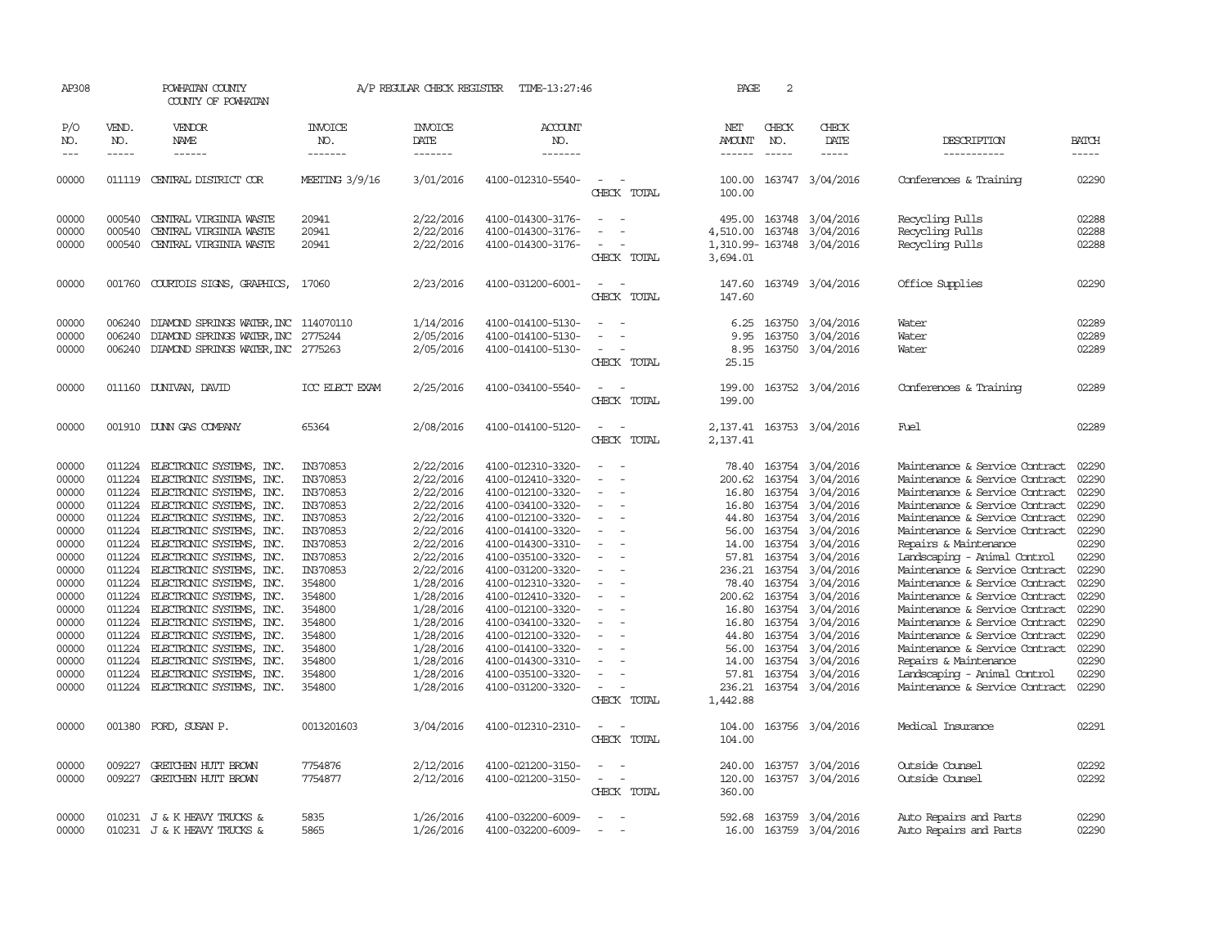| AP308               |                               | POWHATAN COUNTY<br>COUNTY OF POWHATAN                |                                   | A/P REGULAR CHECK REGISTER        | TIME-13:27:46                          |                                    | PAGE                    | 2                             |                                      |                                                                  |                       |
|---------------------|-------------------------------|------------------------------------------------------|-----------------------------------|-----------------------------------|----------------------------------------|------------------------------------|-------------------------|-------------------------------|--------------------------------------|------------------------------------------------------------------|-----------------------|
| P/O<br>NO.<br>$---$ | VEND.<br>NO.<br>$\frac{1}{2}$ | VENDOR<br>NAME<br>------                             | <b>INVOICE</b><br>NO.<br>-------- | <b>INVOICE</b><br>DATE<br>------- | <b>ACCOUNT</b><br>NO.<br>-------       |                                    | NET<br>AMOUNT<br>------ | CHECK<br>NO.<br>$\frac{1}{2}$ | CHECK<br>DATE<br>$- - - - -$         | DESCRIPTION<br>-----------                                       | <b>BATCH</b><br>----- |
| 00000               |                               | 011119 CENTRAL DISTRICT COR                          | MEETING 3/9/16                    | 3/01/2016                         | 4100-012310-5540-                      | $\overline{\phantom{a}}$           | 100.00                  |                               | 163747 3/04/2016                     | Conferences & Training                                           | 02290                 |
|                     |                               |                                                      |                                   |                                   |                                        | CHECK TOTAL                        | 100.00                  |                               |                                      |                                                                  |                       |
| 00000               | 000540                        | CENTRAL VIRGINIA WASTE                               | 20941                             | 2/22/2016                         | 4100-014300-3176-                      | $\equiv$                           |                         |                               | 495.00 163748 3/04/2016              | Recycling Pulls                                                  | 02288                 |
| 00000               | 000540                        | CENTRAL VIRGINIA WASTE                               | 20941                             | 2/22/2016                         | 4100-014300-3176-                      |                                    | 4,510.00                |                               | 163748 3/04/2016                     | Recycling Pulls                                                  | 02288                 |
| 00000               | 000540                        | CENTRAL VIRGINIA WASTE                               | 20941                             | 2/22/2016                         | 4100-014300-3176-                      | $\equiv$<br>CHECK TOTAL            | 3,694.01                |                               | 1,310.99-163748 3/04/2016            | Recycling Pulls                                                  | 02288                 |
| 00000               | 001760                        | COURTOIS SIGNS, GRAPHICS,                            | 17060                             | 2/23/2016                         | 4100-031200-6001-                      | CHECK TOTAL                        | 147.60<br>147.60        |                               | 163749 3/04/2016                     | Office Supplies                                                  | 02290                 |
| 00000               | 006240                        | DIAMOND SPRINGS WATER, INC 114070110                 |                                   | 1/14/2016                         | 4100-014100-5130-                      |                                    | 6.25                    |                               | 163750 3/04/2016                     | Water                                                            | 02289                 |
| 00000               | 006240                        | DIAMOND SPRINGS WATER, INC                           | 2775244                           | 2/05/2016                         | 4100-014100-5130-                      |                                    | 9.95                    |                               | 163750 3/04/2016                     | Water                                                            | 02289                 |
| 00000               |                               | 006240 DIAMOND SPRINGS WATER, INC 2775263            |                                   | 2/05/2016                         | 4100-014100-5130-                      | $\overline{\phantom{a}}$           | 8.95                    |                               | 163750 3/04/2016                     | Water                                                            | 02289                 |
|                     |                               |                                                      |                                   |                                   |                                        | CHECK TOTAL                        | 25.15                   |                               |                                      |                                                                  |                       |
| 00000               |                               | 011160 DUNIVAN, DAVID                                | ICC ELECT EXAM                    | 2/25/2016                         | 4100-034100-5540-                      |                                    | 199.00                  |                               | 163752 3/04/2016                     | Conferences & Training                                           | 02289                 |
|                     |                               |                                                      |                                   |                                   |                                        | CHECK TOTAL                        | 199.00                  |                               |                                      |                                                                  |                       |
| 00000               |                               | 001910 DUNN GAS COMPANY                              | 65364                             | 2/08/2016                         | 4100-014100-5120-                      |                                    |                         |                               | 2, 137.41 163753 3/04/2016           | Fuel                                                             | 02289                 |
|                     |                               |                                                      |                                   |                                   |                                        | CHECK TOTAL                        | 2,137.41                |                               |                                      |                                                                  |                       |
| 00000               | 011224                        | ELECTRONIC SYSTEMS, INC.                             | IN370853                          | 2/22/2016                         | 4100-012310-3320-                      |                                    |                         |                               | 78.40 163754 3/04/2016               | Maintenance & Service Contract                                   | 02290                 |
| 00000               | 011224                        | ELECTRONIC SYSTEMS,<br>INC.                          | IN370853                          | 2/22/2016                         | 4100-012410-3320-                      |                                    | 200.62                  |                               | 163754 3/04/2016                     | Maintenance & Service Contract                                   | 02290                 |
| 00000               | 011224                        | ELECTRONIC SYSTEMS, INC.                             | IN370853                          | 2/22/2016                         | 4100-012100-3320-                      | $\overline{\phantom{a}}$           | 16.80                   |                               | 163754 3/04/2016                     | Maintenance & Service Contract                                   | 02290                 |
| 00000<br>00000      | 011224<br>011224              | ELECTRONIC SYSTEMS, INC.<br>ELECTRONIC SYSTEMS, INC. | IN370853<br>IN370853              | 2/22/2016                         | 4100-034100-3320-<br>4100-012100-3320- | $\sim$                             | 16.80<br>44.80          | 163754                        | 3/04/2016                            | Maintenance & Service Contract<br>Maintenance & Service Contract | 02290<br>02290        |
| 00000               | 011224                        | ELECTRONIC SYSTEMS, INC.                             | IN370853                          | 2/22/2016<br>2/22/2016            | 4100-014100-3320-                      | $\overline{\phantom{a}}$           | 56.00                   |                               | 163754 3/04/2016<br>163754 3/04/2016 | Maintenance & Service Contract                                   | 02290                 |
| 00000               | 011224                        | ELECTRONIC SYSTEMS, INC.                             | IN370853                          | 2/22/2016                         | 4100-014300-3310-                      | $\overline{\phantom{a}}$           | 14.00                   |                               | 163754 3/04/2016                     | Repairs & Maintenance                                            | 02290                 |
| 00000               | 011224                        | ELECTRONIC SYSTEMS, INC.                             | IN370853                          | 2/22/2016                         | 4100-035100-3320-                      |                                    | 57.81                   | 163754                        | 3/04/2016                            | Landscaping - Animal Control                                     | 02290                 |
| 00000               | 011224                        | ELECTRONIC SYSTEMS, INC.                             | IN370853                          | 2/22/2016                         | 4100-031200-3320-                      | $\overline{\phantom{a}}$           | 236.21                  | 163754                        | 3/04/2016                            | Maintenance & Service Contract                                   | 02290                 |
| 00000               |                               | 011224 ELECTRONIC SYSTEMS, INC.                      | 354800                            | 1/28/2016                         | 4100-012310-3320-                      |                                    | 78.40                   |                               | 163754 3/04/2016                     | Maintenance & Service Contract                                   | 02290                 |
| 00000               |                               | 011224 ELECTRONIC SYSTEMS, INC.                      | 354800                            | 1/28/2016                         | 4100-012410-3320-                      | $\overline{\phantom{a}}$           |                         |                               | 200.62 163754 3/04/2016              | Maintenance & Service Contract                                   | 02290                 |
| 00000               |                               | 011224 ELECTRONIC SYSTEMS, INC.                      | 354800                            | 1/28/2016                         | 4100-012100-3320-                      |                                    | 16.80                   |                               | 163754 3/04/2016                     | Maintenance & Service Contract                                   | 02290                 |
| 00000               |                               | 011224 ELECTRONIC SYSTEMS, INC.                      | 354800                            | 1/28/2016                         | 4100-034100-3320-                      | $\overline{\phantom{a}}$           |                         |                               | 16.80 163754 3/04/2016               | Maintenance & Service Contract                                   | 02290                 |
| 00000               | 011224                        | ELECTRONIC SYSTEMS, INC.                             | 354800                            | 1/28/2016                         | 4100-012100-3320-                      | $\overline{\phantom{a}}$           | 44.80                   |                               | 163754 3/04/2016                     | Maintenance & Service Contract                                   | 02290                 |
| 00000               | 011224                        | ELECTRONIC SYSTEMS, INC.                             | 354800                            | 1/28/2016                         | 4100-014100-3320-                      |                                    | 56.00                   |                               | 163754 3/04/2016                     | Maintenance & Service Contract                                   | 02290                 |
| 00000               |                               | 011224 ELECTRONIC SYSTEMS, INC.                      | 354800                            | 1/28/2016                         | 4100-014300-3310-                      | $\equiv$                           |                         |                               | 14.00 163754 3/04/2016               | Repairs & Maintenance                                            | 02290                 |
| 00000               | 011224                        | ELECTRONIC SYSTEMS, INC.                             | 354800                            | 1/28/2016                         | 4100-035100-3320-                      |                                    | 57.81                   |                               | 163754 3/04/2016                     | Landscaping - Animal Control                                     | 02290                 |
| 00000               |                               | 011224 ELECTRONIC SYSTEMS, INC.                      | 354800                            | 1/28/2016                         | 4100-031200-3320-                      | $\sim$                             |                         |                               | 236.21 163754 3/04/2016              | Maintenance & Service Contract                                   | 02290                 |
|                     |                               |                                                      |                                   |                                   |                                        | CHECK TOTAL                        | 1,442.88                |                               |                                      |                                                                  |                       |
| 00000               | 001380                        | FORD, SUSAN P.                                       | 0013201603                        | 3/04/2016                         | 4100-012310-2310-                      |                                    | 104.00                  |                               | 163756 3/04/2016                     | Medical Insurance                                                | 02291                 |
|                     |                               |                                                      |                                   |                                   |                                        | CHECK TOTAL                        | 104.00                  |                               |                                      |                                                                  |                       |
| 00000               | 009227                        | GRETCHEN HUTT BROWN                                  | 7754876                           | 2/12/2016                         | 4100-021200-3150-                      |                                    | 240.00                  |                               | 163757 3/04/2016                     | Outside Counsel                                                  | 02292                 |
| 00000               | 009227                        | GRETCHEN HUTT BROWN                                  | 7754877                           | 2/12/2016                         | 4100-021200-3150-                      | $\overline{\phantom{a}}$<br>$\sim$ | 120.00                  |                               | 163757 3/04/2016                     | Outside Counsel                                                  | 02292                 |
|                     |                               |                                                      |                                   |                                   |                                        | CHECK TOTAL                        | 360.00                  |                               |                                      |                                                                  |                       |
| 00000               |                               | 010231 J & K HEAVY TRUCKS &                          | 5835                              | 1/26/2016                         | 4100-032200-6009-                      | $\overline{\phantom{a}}$           |                         |                               | 592.68 163759 3/04/2016              | Auto Repairs and Parts                                           | 02290                 |
| 00000               |                               | 010231 J & K HEAVY TRUCKS &                          | 5865                              | 1/26/2016                         | 4100-032200-6009-                      | $\sim$                             |                         |                               | 16.00 163759 3/04/2016               | Auto Repairs and Parts                                           | 02290                 |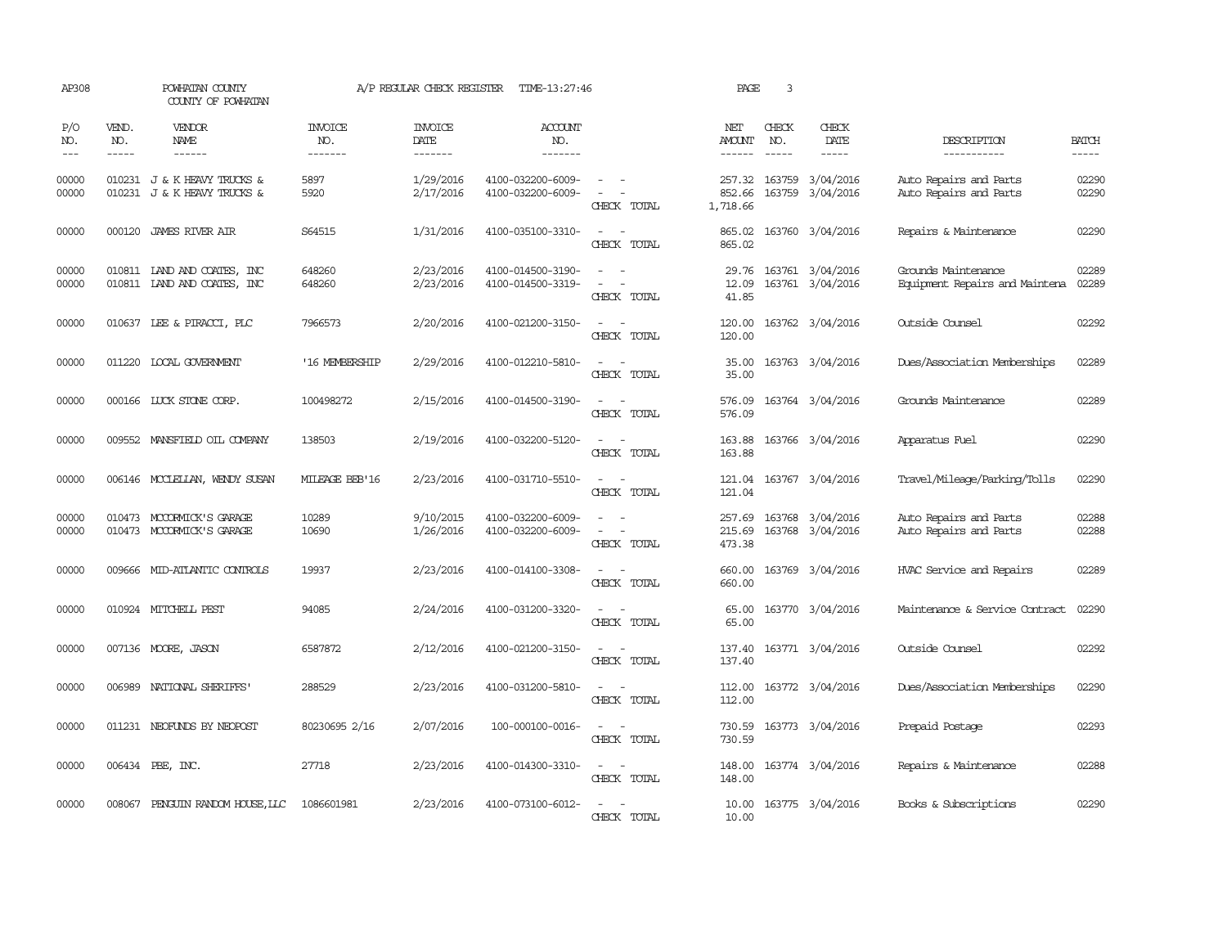| AP308               |                             | POWHATAN COUNTY<br>COUNTY OF POWHATAN                      |                                  | A/P REGULAR CHECK REGISTER               | TIME-13:27:46                          |                                                               | PAGE                         | 3                             |                                      |                                                       |                       |
|---------------------|-----------------------------|------------------------------------------------------------|----------------------------------|------------------------------------------|----------------------------------------|---------------------------------------------------------------|------------------------------|-------------------------------|--------------------------------------|-------------------------------------------------------|-----------------------|
| P/O<br>NO.<br>$---$ | VEND.<br>NO.<br>$- - - - -$ | <b>VENDOR</b><br>NAME<br>------                            | <b>INVOICE</b><br>NO.<br>------- | <b>INVOICE</b><br><b>DATE</b><br>------- | <b>ACCOUNT</b><br>NO.<br>-------       |                                                               | NET<br>AMOUNT<br>------      | CHECK<br>NO.<br>$\frac{1}{2}$ | CHECK<br>DATE<br>$- - - - -$         | DESCRIPTION<br>-----------                            | <b>BATCH</b><br>----- |
| 00000<br>00000      |                             | 010231 J & K HEAVY TRUCKS &<br>010231 J & K HEAVY TRUCKS & | 5897<br>5920                     | 1/29/2016<br>2/17/2016                   | 4100-032200-6009-<br>4100-032200-6009- | $\sim$<br>$\overline{\phantom{a}}$<br>CHECK TOTAL             | 257.32<br>852.66<br>1,718.66 | 163759                        | 3/04/2016<br>163759 3/04/2016        | Auto Repairs and Parts<br>Auto Repairs and Parts      | 02290<br>02290        |
| 00000               |                             | 000120 JAMES RIVER AIR                                     | S64515                           | 1/31/2016                                | 4100-035100-3310-                      | $\equiv$<br>$\sim$<br>CHECK TOTAL                             | 865.02<br>865.02             |                               | 163760 3/04/2016                     | Repairs & Maintenance                                 | 02290                 |
| 00000<br>00000      |                             | 010811 IAND AND COATES, INC<br>010811 IAND AND COATES, INC | 648260<br>648260                 | 2/23/2016<br>2/23/2016                   | 4100-014500-3190-<br>4100-014500-3319- | CHECK TOTAL                                                   | 29.76<br>12.09<br>41.85      |                               | 163761 3/04/2016<br>163761 3/04/2016 | Grounds Maintenance<br>Equipment Repairs and Maintena | 02289<br>02289        |
| 00000               |                             | 010637 LEE & PIRACCI, PLC                                  | 7966573                          | 2/20/2016                                | 4100-021200-3150-                      | CHECK TOTAL                                                   | 120.00<br>120.00             |                               | 163762 3/04/2016                     | Outside Counsel                                       | 02292                 |
| 00000               |                             | 011220 LOCAL GOVERNMENT                                    | '16 MEMBERSHIP                   | 2/29/2016                                | 4100-012210-5810-                      | CHECK TOTAL                                                   | 35.00<br>35.00               |                               | 163763 3/04/2016                     | Dues/Association Memberships                          | 02289                 |
| 00000               |                             | 000166 LUCK STONE CORP.                                    | 100498272                        | 2/15/2016                                | 4100-014500-3190-                      | CHECK TOTAL                                                   | 576.09<br>576.09             |                               | 163764 3/04/2016                     | Grounds Maintenance                                   | 02289                 |
| 00000               |                             | 009552 MANSFIELD OIL COMPANY                               | 138503                           | 2/19/2016                                | 4100-032200-5120-                      | CHECK TOTAL                                                   | 163.88<br>163.88             |                               | 163766 3/04/2016                     | Apparatus Fuel                                        | 02290                 |
| 00000               |                             | 006146 MCCLELLAN, WENDY SUSAN                              | MILEAGE BEB'16                   | 2/23/2016                                | 4100-031710-5510-                      | $\overline{\phantom{a}}$<br>CHECK TOTAL                       | 121.04<br>121.04             |                               | 163767 3/04/2016                     | Travel/Mileage/Parking/Tolls                          | 02290                 |
| 00000<br>00000      |                             | 010473 MCCORMICK'S GARAGE<br>010473 MCCORMICK'S GARAGE     | 10289<br>10690                   | 9/10/2015<br>1/26/2016                   | 4100-032200-6009-<br>4100-032200-6009- | $\equiv$<br>$\sim$<br>$\overline{\phantom{a}}$<br>CHECK TOTAL | 257.69<br>215.69<br>473.38   |                               | 163768 3/04/2016<br>163768 3/04/2016 | Auto Repairs and Parts<br>Auto Repairs and Parts      | 02288<br>02288        |
| 00000               |                             | 009666 MID-ATLANTIC CONTROLS                               | 19937                            | 2/23/2016                                | 4100-014100-3308-                      | CHECK TOTAL                                                   | 660.00<br>660.00             |                               | 163769 3/04/2016                     | HVAC Service and Repairs                              | 02289                 |
| 00000               |                             | 010924 MITCHELL PEST                                       | 94085                            | 2/24/2016                                | 4100-031200-3320-                      | $\overline{\phantom{a}}$<br>$\sim$<br>CHECK TOTAL             | 65.00<br>65.00               |                               | 163770 3/04/2016                     | Maintenance & Service Contract                        | 02290                 |
| 00000               |                             | 007136 MOORE, JASON                                        | 6587872                          | 2/12/2016                                | 4100-021200-3150-                      | $\sim$<br>$\sim$<br>CHECK TOTAL                               | 137.40<br>137.40             |                               | 163771 3/04/2016                     | Outside Counsel                                       | 02292                 |
| 00000               |                             | 006989 NATIONAL SHERIFFS                                   | 288529                           | 2/23/2016                                | 4100-031200-5810-                      | $\sim$<br>$\sim$<br>CHECK TOTAL                               | 112.00<br>112.00             |                               | 163772 3/04/2016                     | Dues/Association Memberships                          | 02290                 |
| 00000               |                             | 011231 NEOFUNDS BY NEOPOST                                 | 80230695 2/16                    | 2/07/2016                                | 100-000100-0016-                       | $\sim$ 100 $\sim$<br>CHECK TOTAL                              | 730.59<br>730.59             |                               | 163773 3/04/2016                     | Prepaid Postage                                       | 02293                 |
| 00000               |                             | 006434 PBE, INC.                                           | 27718                            | 2/23/2016                                | 4100-014300-3310-                      | $\sim$ 100 $\sim$ 100 $\sim$<br>CHECK TOTAL                   | 148.00<br>148.00             |                               | 163774 3/04/2016                     | Repairs & Maintenance                                 | 02288                 |
| 00000               | 008067                      | PENGUIN RANDOM HOUSE, LLC                                  | 1086601981                       | 2/23/2016                                | 4100-073100-6012-                      | CHECK TOTAL                                                   | 10.00<br>10.00               |                               | 163775 3/04/2016                     | Books & Subscriptions                                 | 02290                 |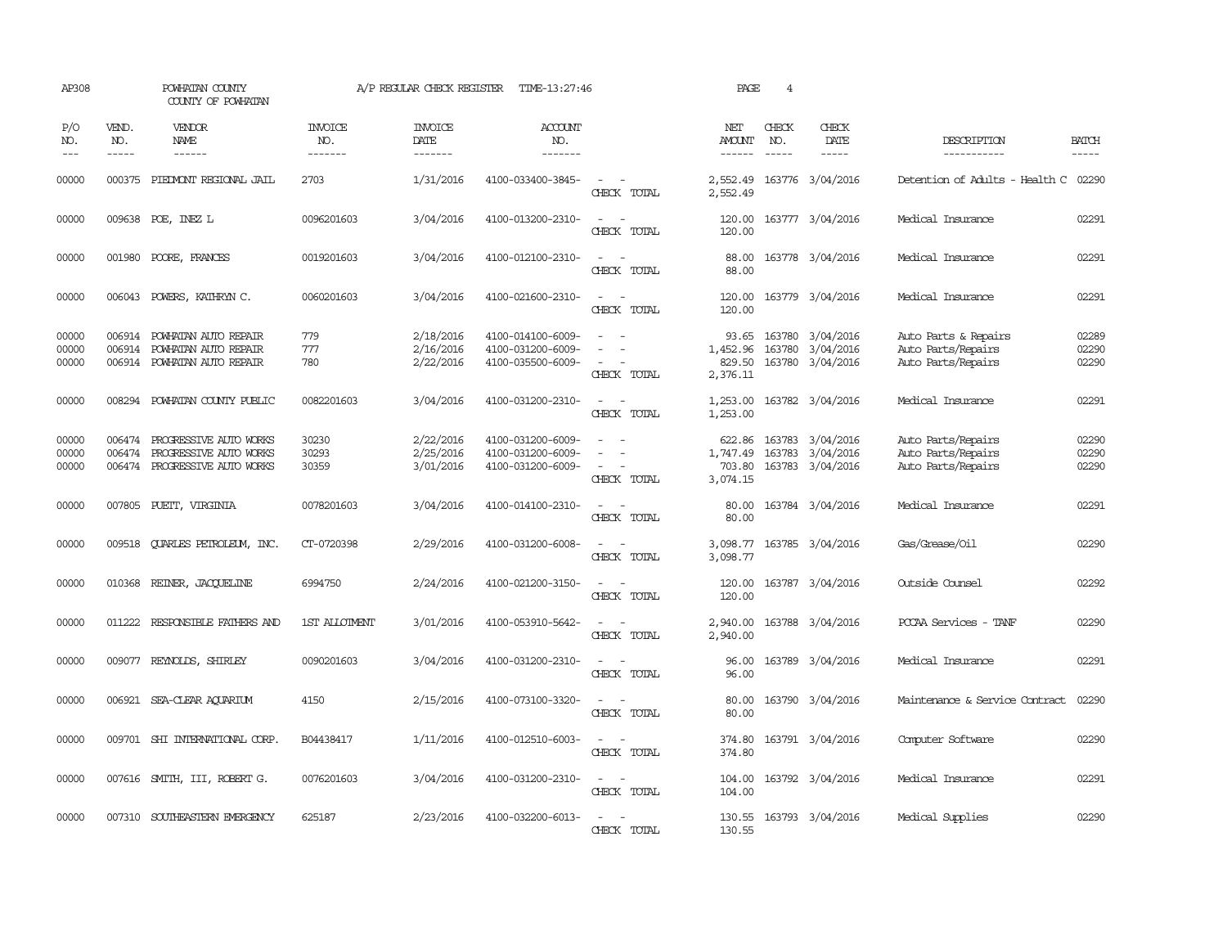| AP308                   |                             | POWHATAN COUNTY<br>COUNTY OF POWHATAN                                             |                                  | A/P REGULAR CHECK REGISTER          | TIME-13:27:46                                               |                                                            | PAGE                                     | $\overline{4}$                |                                                          |                                                                  |                         |
|-------------------------|-----------------------------|-----------------------------------------------------------------------------------|----------------------------------|-------------------------------------|-------------------------------------------------------------|------------------------------------------------------------|------------------------------------------|-------------------------------|----------------------------------------------------------|------------------------------------------------------------------|-------------------------|
| P/O<br>NO.<br>$---$     | VEND.<br>NO.<br>$- - - - -$ | <b>VENDOR</b><br>NAME<br>$- - - - - -$                                            | <b>INVOICE</b><br>NO.<br>------- | <b>INVOICE</b><br>DATE<br>--------  | <b>ACCOUNT</b><br>NO.<br>-------                            |                                                            | NET<br>AMOUNT<br>------                  | CHECK<br>NO.<br>$\frac{1}{2}$ | CHECK<br>DATE<br>$- - - - -$                             | DESCRIPTION<br>-----------                                       | <b>BATCH</b><br>-----   |
| 00000                   | 000375                      | PIEDMONT REGIONAL JAIL                                                            | 2703                             | 1/31/2016                           | 4100-033400-3845-                                           | $ -$<br>CHECK TOTAL                                        | 2,552.49<br>2,552.49                     |                               | 163776 3/04/2016                                         | Detention of Adults - Health C                                   | 02290                   |
| 00000                   |                             | 009638 POE, INEZ L                                                                | 0096201603                       | 3/04/2016                           | 4100-013200-2310-                                           | $\sim$<br>$\overline{\phantom{a}}$<br>CHECK TOTAL          | 120.00<br>120.00                         |                               | 163777 3/04/2016                                         | Medical Insurance                                                | 02291                   |
| 00000                   |                             | 001980 POORE, FRANCES                                                             | 0019201603                       | 3/04/2016                           | 4100-012100-2310-                                           | $\equiv$<br>$\sim$<br>CHECK TOTAL                          | 88.00<br>88.00                           |                               | 163778 3/04/2016                                         | Medical Insurance                                                | 02291                   |
| 00000                   |                             | 006043 POWERS, KATHRYN C.                                                         | 0060201603                       | 3/04/2016                           | 4100-021600-2310-                                           | $\sim$ $\sim$<br>CHECK TOTAL                               | 120.00<br>120.00                         |                               | 163779 3/04/2016                                         | Medical Insurance                                                | 02291                   |
| 00000<br>00000<br>00000 | 006914<br>006914            | POWHATAN AUTO REPAIR<br>POWHATAN AUTO REPAIR<br>006914 POWHATAN AUTO REPAIR       | 779<br>777<br>780                | 2/18/2016<br>2/16/2016<br>2/22/2016 | 4100-014100-6009-<br>4100-031200-6009-<br>4100-035500-6009- | $\equiv$<br>$\equiv$<br>$\equiv$<br>CHECK TOTAL            | 93.65<br>1,452.96<br>829.50<br>2,376.11  |                               | 163780 3/04/2016<br>163780 3/04/2016<br>163780 3/04/2016 | Auto Parts & Repairs<br>Auto Parts/Repairs<br>Auto Parts/Repairs | 02289<br>02290<br>02290 |
| 00000                   |                             | 008294 POWHATAN COUNTY PUBLIC                                                     | 0082201603                       | 3/04/2016                           | 4100-031200-2310-                                           | $\omega_{\rm{max}}$ and $\omega_{\rm{max}}$<br>CHECK TOTAL | 1,253.00                                 |                               | 1,253.00 163782 3/04/2016                                | Medical Insurance                                                | 02291                   |
| 00000<br>00000<br>00000 | 006474<br>006474            | PROGRESSIVE AUTO WORKS<br>PROGRESSIVE AUTO WORKS<br>006474 PROGRESSIVE AUTO WORKS | 30230<br>30293<br>30359          | 2/22/2016<br>2/25/2016<br>3/01/2016 | 4100-031200-6009-<br>4100-031200-6009-<br>4100-031200-6009- | $\overline{\phantom{a}}$<br>$\sim$<br>CHECK TOTAL          | 622.86<br>1,747.49<br>703.80<br>3,074.15 |                               | 163783 3/04/2016<br>163783 3/04/2016<br>163783 3/04/2016 | Auto Parts/Repairs<br>Auto Parts/Repairs<br>Auto Parts/Repairs   | 02290<br>02290<br>02290 |
| 00000                   | 007805                      | PUEIT, VIRGINIA                                                                   | 0078201603                       | 3/04/2016                           | 4100-014100-2310-                                           | $\equiv$<br>CHECK TOTAL                                    | 80.00<br>80.00                           |                               | 163784 3/04/2016                                         | Medical Insurance                                                | 02291                   |
| 00000                   | 009518                      | <b>OUARLES PETROLEUM, INC.</b>                                                    | CT-0720398                       | 2/29/2016                           | 4100-031200-6008-                                           | $\equiv$<br>CHECK TOTAL                                    | 3,098.77<br>3,098.77                     |                               | 163785 3/04/2016                                         | Gas/Grease/Oil                                                   | 02290                   |
| 00000                   |                             | 010368 REINER, JACOUELINE                                                         | 6994750                          | 2/24/2016                           | 4100-021200-3150-                                           | $\sim$<br>CHECK TOTAL                                      | 120.00<br>120.00                         |                               | 163787 3/04/2016                                         | Outside Counsel                                                  | 02292                   |
| 00000                   |                             | 011222 RESPONSIBLE FAIHERS AND                                                    | 1ST ALLOTMENT                    | 3/01/2016                           | 4100-053910-5642-                                           | $\sim$<br>$\equiv$<br>CHECK TOTAL                          | 2,940.00<br>2,940.00                     |                               | 163788 3/04/2016                                         | PCCAA Services - TANF                                            | 02290                   |
| 00000                   |                             | 009077 REYNOLDS, SHIRLEY                                                          | 0090201603                       | 3/04/2016                           | 4100-031200-2310-                                           | $ -$<br>CHECK TOTAL                                        | 96.00<br>96.00                           |                               | 163789 3/04/2016                                         | Medical Insurance                                                | 02291                   |
| 00000                   |                             | 006921 SEA-CLEAR AQUARIUM                                                         | 4150                             | 2/15/2016                           | 4100-073100-3320-                                           | $\sim$<br>$\sim$<br>CHECK TOTAL                            | 80.00<br>80.00                           |                               | 163790 3/04/2016                                         | Maintenance & Service Contract                                   | 02290                   |
| 00000                   |                             | 009701 SHI INTERNATIONAL CORP.                                                    | B04438417                        | 1/11/2016                           | 4100-012510-6003-                                           | $\sim$<br>CHECK TOTAL                                      | 374.80<br>374.80                         |                               | 163791 3/04/2016                                         | Computer Software                                                | 02290                   |
| 00000                   |                             | 007616 SMITH, III, ROBERT G.                                                      | 0076201603                       | 3/04/2016                           | 4100-031200-2310-                                           | $\sim$<br>$\sim$<br>CHECK TOTAL                            | 104.00<br>104.00                         |                               | 163792 3/04/2016                                         | Medical Insurance                                                | 02291                   |
| 00000                   |                             | 007310 SOUTHEASTERN EMERGENCY                                                     | 625187                           | 2/23/2016                           | 4100-032200-6013-                                           | $\equiv$<br>CHECK TOTAL                                    | 130.55<br>130.55                         |                               | 163793 3/04/2016                                         | Medical Supplies                                                 | 02290                   |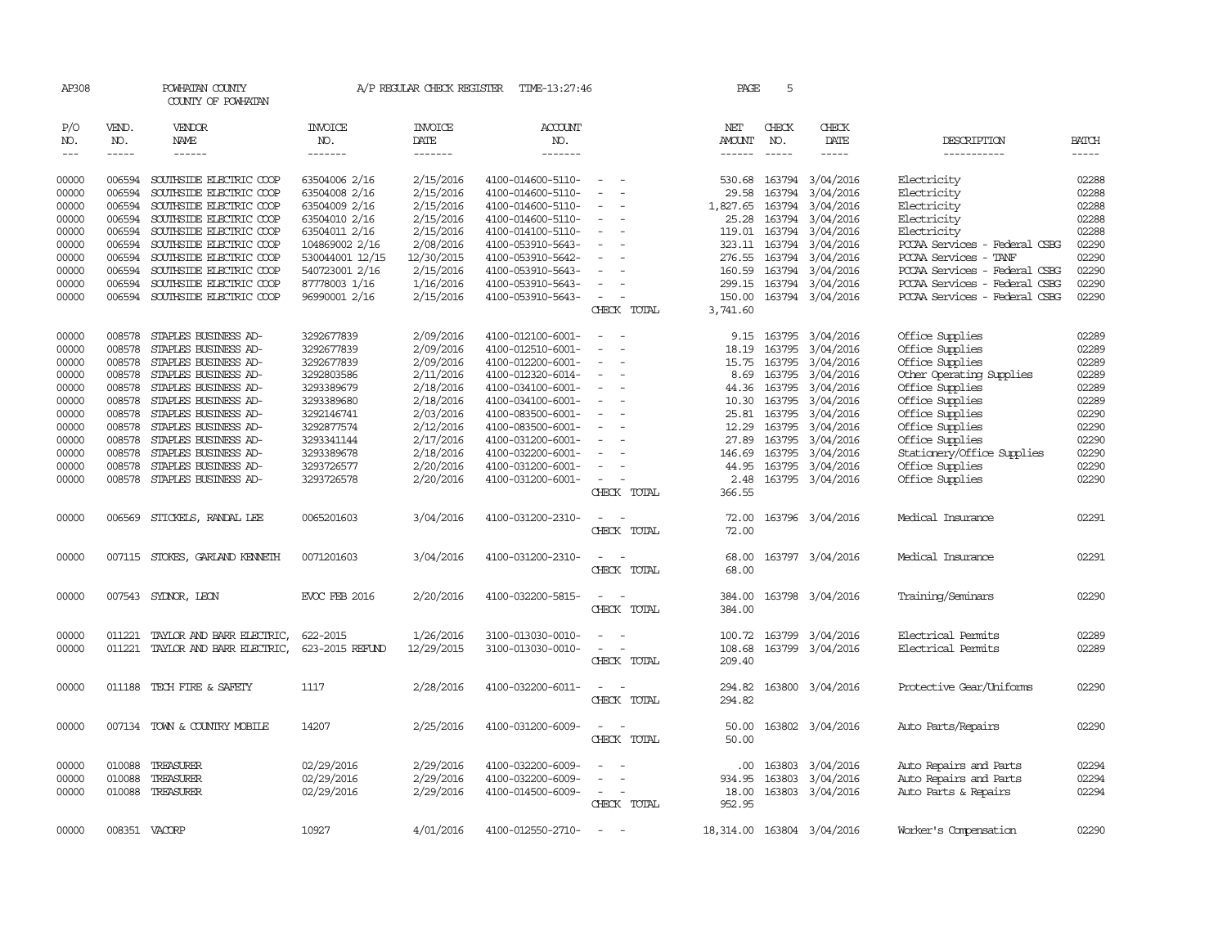| AP308                       |                             | POWHATAN COUNTY<br>COUNTY OF POWHATAN |                                  | A/P REGULAR CHECK REGISTER                | TIME-13:27:46                     |                                         | PAGE                    | 5            |                            |                               |                             |
|-----------------------------|-----------------------------|---------------------------------------|----------------------------------|-------------------------------------------|-----------------------------------|-----------------------------------------|-------------------------|--------------|----------------------------|-------------------------------|-----------------------------|
| P/O<br>NO.<br>$\frac{1}{2}$ | VEND.<br>NO.<br>$- - - - -$ | <b>VENDOR</b><br>NAME<br>------       | <b>INVOICE</b><br>NO.<br>------- | <b>INVOICE</b><br>DATE<br>$- - - - - - -$ | ACCOUNT<br>NO.<br>$- - - - - - -$ |                                         | NET<br>AMOUNT<br>------ | CHECK<br>NO. | CHECK<br>DATE<br>-----     | DESCRIPTION<br>-----------    | <b>BATCH</b><br>$- - - - -$ |
| 00000                       | 006594                      | SOUTHSIDE ELECTRIC COOP               | 63504006 2/16                    | 2/15/2016                                 | 4100-014600-5110-                 | $\overline{\phantom{a}}$                | 530.68                  |              | 163794 3/04/2016           | Electricity                   | 02288                       |
| 00000                       | 006594                      | SOUTHSIDE ELECTRIC COOP               | 63504008 2/16                    | 2/15/2016                                 | 4100-014600-5110-                 | $\sim$                                  | 29.58                   | 163794       | 3/04/2016                  | Electricity                   | 02288                       |
| 00000                       | 006594                      | SOUTHSIDE ELECTRIC COOP               | 63504009 2/16                    | 2/15/2016                                 | 4100-014600-5110-                 |                                         | 1,827.65                |              | 163794 3/04/2016           | Electricity                   | 02288                       |
| 00000                       | 006594                      | SOUTHSIDE ELECTRIC COOP               | 63504010 2/16                    | 2/15/2016                                 | 4100-014600-5110-                 |                                         | 25.28                   | 163794       | 3/04/2016                  | Electricity                   | 02288                       |
| 00000                       | 006594                      | SOUTHSIDE ELECTRIC COOP               | 63504011 2/16                    | 2/15/2016                                 | 4100-014100-5110-                 |                                         | 119.01                  |              | 163794 3/04/2016           | Electricity                   | 02288                       |
| 00000                       | 006594                      | SOUTHSIDE ELECTRIC COOP               | 104869002 2/16                   | 2/08/2016                                 | 4100-053910-5643-                 | $\sim$                                  |                         |              | 323.11 163794 3/04/2016    | PCCAA Services - Federal CSBG | 02290                       |
| 00000                       | 006594                      | SOUTHSIDE ELECTRIC COOP               | 530044001 12/15                  | 12/30/2015                                | 4100-053910-5642-                 |                                         | 276.55                  | 163794       | 3/04/2016                  | PCCAA Services - TANF         | 02290                       |
| 00000                       | 006594                      | SOUTHSIDE ELECTRIC COOP               | 540723001 2/16                   | 2/15/2016                                 | 4100-053910-5643-                 |                                         | 160.59                  |              | 163794 3/04/2016           | PCCAA Services - Federal CSBG | 02290                       |
| 00000                       | 006594                      | SOUTHSIDE ELECTRIC COOP               | 87778003 1/16                    | 1/16/2016                                 | 4100-053910-5643-                 | $\equiv$                                | 299.15                  |              | 163794 3/04/2016           | PCCAA Services - Federal CSBG | 02290                       |
| 00000                       | 006594                      | SOUTHSIDE ELECTRIC COOP               | 96990001 2/16                    | 2/15/2016                                 | 4100-053910-5643-                 | $\overline{\phantom{a}}$                | 150.00                  |              | 163794 3/04/2016           | PCCAA Services - Federal CSBG | 02290                       |
|                             |                             |                                       |                                  |                                           |                                   | CHECK TOTAL                             | 3,741.60                |              |                            |                               |                             |
| 00000                       | 008578                      | STAPLES BUSINESS AD-                  | 3292677839                       | 2/09/2016                                 | 4100-012100-6001-                 | $\sim$<br>$\sim$                        |                         |              | 9.15 163795 3/04/2016      | Office Supplies               | 02289                       |
| 00000                       | 008578                      | STAPLES BUSINESS AD-                  | 3292677839                       | 2/09/2016                                 | 4100-012510-6001-                 |                                         | 18.19                   | 163795       | 3/04/2016                  | Office Supplies               | 02289                       |
| 00000                       | 008578                      | STAPLES BUSINESS AD-                  | 3292677839                       | 2/09/2016                                 | 4100-012200-6001-                 | $\overline{\phantom{a}}$                | 15.75                   |              | 163795 3/04/2016           | Office Supplies               | 02289                       |
| 00000                       | 008578                      | STAPLES BUSINESS AD-                  | 3292803586                       | 2/11/2016                                 | 4100-012320-6014-                 | $\overline{\phantom{a}}$                | 8.69                    |              | 163795 3/04/2016           | Other Operating Supplies      | 02289                       |
| 00000                       | 008578                      | STAPLES BUSINESS AD-                  | 3293389679                       | 2/18/2016                                 | 4100-034100-6001-                 | $\overline{\phantom{a}}$                | 44.36                   |              | 163795 3/04/2016           | Office Supplies               | 02289                       |
| 00000                       | 008578                      | STAPLES BUSINESS AD-                  | 3293389680                       | 2/18/2016                                 | 4100-034100-6001-                 | $\sim$                                  | 10.30                   | 163795       | 3/04/2016                  | Office Supplies               | 02289                       |
| 00000                       | 008578                      | STAPLES BUSINESS AD-                  | 3292146741                       | 2/03/2016                                 | 4100-083500-6001-                 |                                         | 25.81                   |              | 163795 3/04/2016           | Office Supplies               | 02290                       |
| 00000                       | 008578                      | STAPLES BUSINESS AD-                  | 3292877574                       | 2/12/2016                                 | 4100-083500-6001-                 | $\overline{\phantom{a}}$                | 12.29                   |              | 163795 3/04/2016           | Office Supplies               | 02290                       |
| 00000                       | 008578                      | STAPLES BUSINESS AD-                  | 3293341144                       | 2/17/2016                                 | 4100-031200-6001-                 |                                         | 27.89                   | 163795       | 3/04/2016                  | Office Supplies               | 02290                       |
| 00000                       | 008578                      | STAPLES BUSINESS AD-                  | 3293389678                       | 2/18/2016                                 | 4100-032200-6001-                 |                                         | 146.69                  |              | 163795 3/04/2016           | Stationery/Office Supplies    | 02290                       |
| 00000                       | 008578                      | STAPLES BUSINESS AD-                  | 3293726577                       | 2/20/2016                                 | 4100-031200-6001-                 | $\equiv$                                | 44.95                   |              | 163795 3/04/2016           | Office Supplies               | 02290                       |
| 00000                       | 008578                      | STAPLES BUSINESS AD-                  | 3293726578                       | 2/20/2016                                 | 4100-031200-6001-                 | $\overline{\phantom{a}}$<br>CHECK TOTAL | 2.48<br>366.55          |              | 163795 3/04/2016           | Office Supplies               | 02290                       |
| 00000                       |                             | 006569 STICKELS, RANDAL LEE           | 0065201603                       | 3/04/2016                                 | 4100-031200-2310-                 |                                         | 72.00                   |              | 163796 3/04/2016           | Medical Insurance             | 02291                       |
|                             |                             |                                       |                                  |                                           |                                   | CHECK TOTAL                             | 72.00                   |              |                            |                               |                             |
| 00000                       |                             | 007115 STOKES, GARLAND KENNETH        | 0071201603                       | 3/04/2016                                 | 4100-031200-2310-                 | $\sim$ $  -$                            | 68.00                   |              | 163797 3/04/2016           | Medical Insurance             | 02291                       |
|                             |                             |                                       |                                  |                                           |                                   | CHECK TOTAL                             | 68.00                   |              |                            |                               |                             |
| 00000                       |                             | 007543 SYDNOR, LEON                   | <b>EVCC FEB 2016</b>             | 2/20/2016                                 | 4100-032200-5815-                 |                                         | 384.00                  |              | 163798 3/04/2016           | Training/Seminars             | 02290                       |
|                             |                             |                                       |                                  |                                           |                                   | CHECK TOTAL                             | 384.00                  |              |                            |                               |                             |
| 00000                       | 011221                      | TAYLOR AND BARR ELECTRIC,             | 622-2015                         | 1/26/2016                                 | 3100-013030-0010-                 |                                         | 100.72                  |              | 163799 3/04/2016           | Electrical Permits            | 02289                       |
| 00000                       | 011221                      | TAYLOR AND BARR ELECTRIC,             | 623-2015 REFUND                  | 12/29/2015                                | 3100-013030-0010-                 |                                         | 108.68                  |              | 163799 3/04/2016           | Electrical Permits            | 02289                       |
|                             |                             |                                       |                                  |                                           |                                   | CHECK TOTAL                             | 209.40                  |              |                            |                               |                             |
| 00000                       | 011188                      | TECH FIRE & SAFETY                    | 1117                             | 2/28/2016                                 | 4100-032200-6011-                 |                                         | 294.82                  |              | 163800 3/04/2016           | Protective Gear/Uniforms      | 02290                       |
|                             |                             |                                       |                                  |                                           |                                   | CHECK TOTAL                             | 294.82                  |              |                            |                               |                             |
| 00000                       |                             | 007134 TOWN & COUNTRY MOBILE          | 14207                            | 2/25/2016                                 | 4100-031200-6009-                 |                                         | 50.00                   |              | 163802 3/04/2016           | Auto Parts/Repairs            | 02290                       |
|                             |                             |                                       |                                  |                                           |                                   | CHECK TOTAL                             | 50.00                   |              |                            |                               |                             |
| 00000                       | 010088                      | TREASURER                             | 02/29/2016                       | 2/29/2016                                 | 4100-032200-6009-                 |                                         | .00                     | 163803       | 3/04/2016                  | Auto Repairs and Parts        | 02294                       |
| 00000                       | 010088                      | TREASURER                             | 02/29/2016                       | 2/29/2016                                 | 4100-032200-6009-                 |                                         | 934.95                  | 163803       | 3/04/2016                  | Auto Repairs and Parts        | 02294                       |
| 00000                       |                             | 010088 TREASURER                      | 02/29/2016                       | 2/29/2016                                 | 4100-014500-6009-                 | $\sim$                                  | 18.00                   |              | 163803 3/04/2016           | Auto Parts & Repairs          | 02294                       |
|                             |                             |                                       |                                  |                                           |                                   | CHECK TOTAL                             | 952.95                  |              |                            |                               |                             |
| 00000                       | 008351 VACORP               |                                       | 10927                            | 4/01/2016                                 | 4100-012550-2710-                 | $\sim$                                  |                         |              | 18,314.00 163804 3/04/2016 | Worker's Compensation         | 02290                       |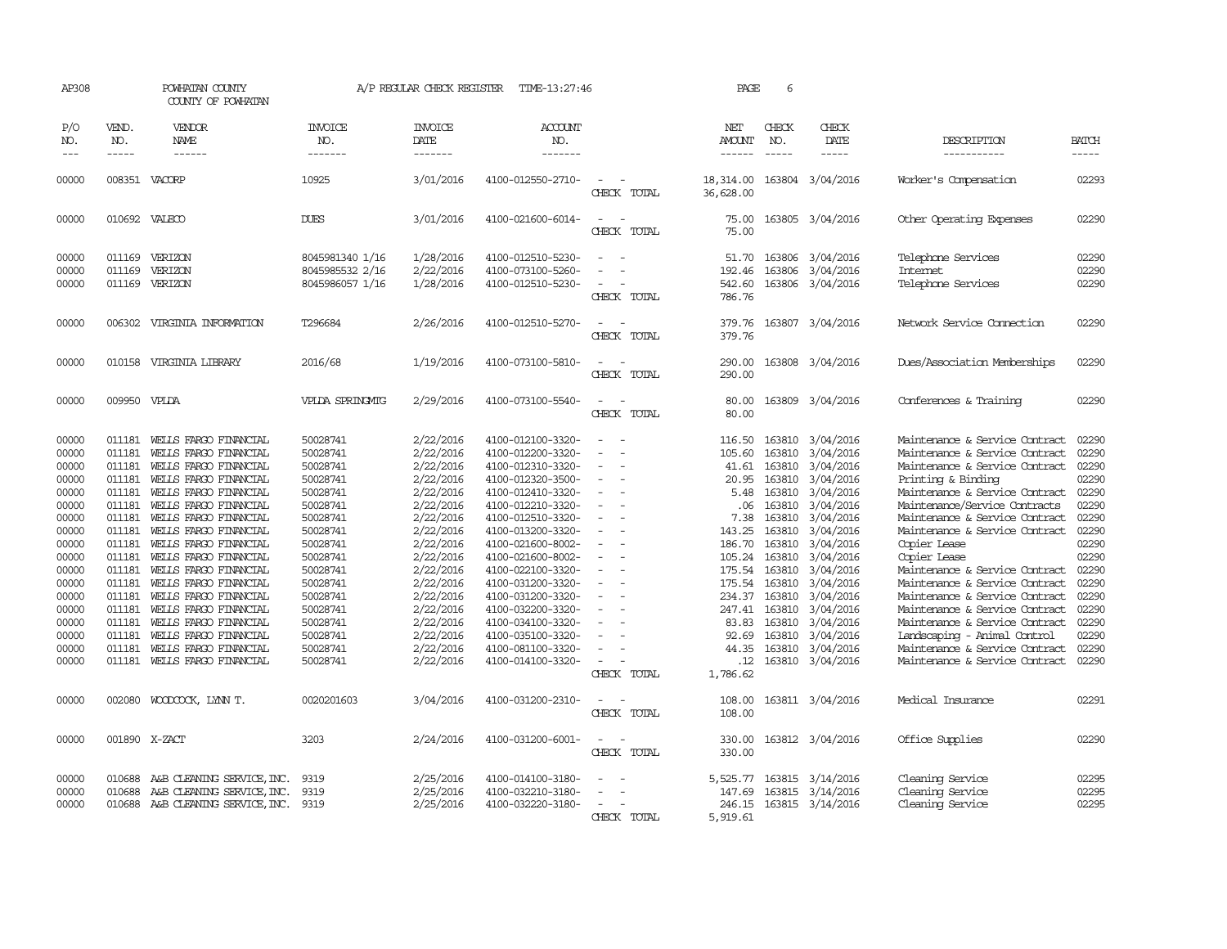| AP308                                                                                                                                                          |                                                                                                                                                                        | POWHATAN COUNTY<br>COUNTY OF POWHATAN                                                                                                                                                                                                                                                                                                                                                                                                                                 |                                                                                                                                                                                                                      | A/P REGULAR CHECK REGISTER                                                                                                                                                                                                             | TIME-13:27:46                                                                                                                                                                                                                                                                                                                                                                          |                                                                                                                                                     | PAGE                                                                                                                                                                | 6                                                                                                                                                                   |                                                                                                                                                                                                                                                      |                                                                                                                                                                                                                                                                                                                                                                                                                                                                                                                                                                               |                                                                                                                                                                |
|----------------------------------------------------------------------------------------------------------------------------------------------------------------|------------------------------------------------------------------------------------------------------------------------------------------------------------------------|-----------------------------------------------------------------------------------------------------------------------------------------------------------------------------------------------------------------------------------------------------------------------------------------------------------------------------------------------------------------------------------------------------------------------------------------------------------------------|----------------------------------------------------------------------------------------------------------------------------------------------------------------------------------------------------------------------|----------------------------------------------------------------------------------------------------------------------------------------------------------------------------------------------------------------------------------------|----------------------------------------------------------------------------------------------------------------------------------------------------------------------------------------------------------------------------------------------------------------------------------------------------------------------------------------------------------------------------------------|-----------------------------------------------------------------------------------------------------------------------------------------------------|---------------------------------------------------------------------------------------------------------------------------------------------------------------------|---------------------------------------------------------------------------------------------------------------------------------------------------------------------|------------------------------------------------------------------------------------------------------------------------------------------------------------------------------------------------------------------------------------------------------|-------------------------------------------------------------------------------------------------------------------------------------------------------------------------------------------------------------------------------------------------------------------------------------------------------------------------------------------------------------------------------------------------------------------------------------------------------------------------------------------------------------------------------------------------------------------------------|----------------------------------------------------------------------------------------------------------------------------------------------------------------|
| P/O<br>NO.<br>$---$                                                                                                                                            | VEND.<br>NO.<br>$- - - - -$                                                                                                                                            | VENDOR<br>NAME<br>$- - - - - -$                                                                                                                                                                                                                                                                                                                                                                                                                                       | <b>INVOICE</b><br>NO.<br>-------                                                                                                                                                                                     | <b>INVOICE</b><br>DATE<br>-------                                                                                                                                                                                                      | <b>ACCOUNT</b><br>NO.<br>-------                                                                                                                                                                                                                                                                                                                                                       |                                                                                                                                                     | NET<br><b>AMOUNT</b><br>$- - - - - -$                                                                                                                               | CHECK<br>NO.<br>$\frac{1}{2}$                                                                                                                                       | CHECK<br>DATE<br>$- - - - -$                                                                                                                                                                                                                         | DESCRIPTION<br>-----------                                                                                                                                                                                                                                                                                                                                                                                                                                                                                                                                                    | <b>BATCH</b><br>-----                                                                                                                                          |
| 00000                                                                                                                                                          |                                                                                                                                                                        | 008351 VACORP                                                                                                                                                                                                                                                                                                                                                                                                                                                         | 10925                                                                                                                                                                                                                | 3/01/2016                                                                                                                                                                                                                              | 4100-012550-2710-                                                                                                                                                                                                                                                                                                                                                                      | CHECK TOTAL                                                                                                                                         | 18,314.00<br>36,628.00                                                                                                                                              |                                                                                                                                                                     | 163804 3/04/2016                                                                                                                                                                                                                                     | Worker's Compensation                                                                                                                                                                                                                                                                                                                                                                                                                                                                                                                                                         | 02293                                                                                                                                                          |
| 00000                                                                                                                                                          | 010692 VALECO                                                                                                                                                          |                                                                                                                                                                                                                                                                                                                                                                                                                                                                       | <b>DUES</b>                                                                                                                                                                                                          | 3/01/2016                                                                                                                                                                                                                              | 4100-021600-6014-                                                                                                                                                                                                                                                                                                                                                                      | $\overline{\phantom{a}}$<br>CHECK TOTAL                                                                                                             | 75.00<br>75.00                                                                                                                                                      |                                                                                                                                                                     | 163805 3/04/2016                                                                                                                                                                                                                                     | Other Operating Expenses                                                                                                                                                                                                                                                                                                                                                                                                                                                                                                                                                      | 02290                                                                                                                                                          |
| 00000<br>00000<br>00000                                                                                                                                        | 011169                                                                                                                                                                 | 011169 VERIZON<br>VERIZON<br>011169 VERIZON                                                                                                                                                                                                                                                                                                                                                                                                                           | 8045981340 1/16<br>8045985532 2/16<br>8045986057 1/16                                                                                                                                                                | 1/28/2016<br>2/22/2016<br>1/28/2016                                                                                                                                                                                                    | 4100-012510-5230-<br>4100-073100-5260-<br>4100-012510-5230-                                                                                                                                                                                                                                                                                                                            | $\overline{\phantom{a}}$<br>CHECK TOTAL                                                                                                             | 51.70<br>192.46<br>542.60<br>786.76                                                                                                                                 |                                                                                                                                                                     | 163806 3/04/2016<br>163806 3/04/2016<br>163806 3/04/2016                                                                                                                                                                                             | Telephone Services<br>Internet<br>Telephone Services                                                                                                                                                                                                                                                                                                                                                                                                                                                                                                                          | 02290<br>02290<br>02290                                                                                                                                        |
| 00000                                                                                                                                                          |                                                                                                                                                                        | 006302 VIRGINIA INFORMATION                                                                                                                                                                                                                                                                                                                                                                                                                                           | T296684                                                                                                                                                                                                              | 2/26/2016                                                                                                                                                                                                                              | 4100-012510-5270-                                                                                                                                                                                                                                                                                                                                                                      | $\sim 100$<br>CHECK TOTAL                                                                                                                           | 379.76<br>379.76                                                                                                                                                    |                                                                                                                                                                     | 163807 3/04/2016                                                                                                                                                                                                                                     | Network Service Connection                                                                                                                                                                                                                                                                                                                                                                                                                                                                                                                                                    | 02290                                                                                                                                                          |
| 00000                                                                                                                                                          |                                                                                                                                                                        | 010158 VIRGINIA LIBRARY                                                                                                                                                                                                                                                                                                                                                                                                                                               | 2016/68                                                                                                                                                                                                              | 1/19/2016                                                                                                                                                                                                                              | 4100-073100-5810-                                                                                                                                                                                                                                                                                                                                                                      | CHECK TOTAL                                                                                                                                         | 290.00<br>290.00                                                                                                                                                    |                                                                                                                                                                     | 163808 3/04/2016                                                                                                                                                                                                                                     | Dues/Association Memberships                                                                                                                                                                                                                                                                                                                                                                                                                                                                                                                                                  | 02290                                                                                                                                                          |
| 00000                                                                                                                                                          | 009950 VPLDA                                                                                                                                                           |                                                                                                                                                                                                                                                                                                                                                                                                                                                                       | VPLDA SPRINGMIG                                                                                                                                                                                                      | 2/29/2016                                                                                                                                                                                                                              | 4100-073100-5540-                                                                                                                                                                                                                                                                                                                                                                      | CHECK TOTAL                                                                                                                                         | 80.00<br>80.00                                                                                                                                                      |                                                                                                                                                                     | 163809 3/04/2016                                                                                                                                                                                                                                     | Conferences & Training                                                                                                                                                                                                                                                                                                                                                                                                                                                                                                                                                        | 02290                                                                                                                                                          |
| 00000<br>00000<br>00000<br>00000<br>00000<br>00000<br>00000<br>00000<br>00000<br>00000<br>00000<br>00000<br>00000<br>00000<br>00000<br>00000<br>00000<br>00000 | 011181<br>011181<br>011181<br>011181<br>011181<br>011181<br>011181<br>011181<br>011181<br>011181<br>011181<br>011181<br>011181<br>011181<br>011181<br>011181<br>011181 | WELLS FARGO FINANCIAL<br>WELLS FARGO FINANCIAL<br>WELLS FARGO FINANCIAL<br>WEILS FARGO FINANCIAL<br>WELLS FARGO FINANCIAL<br>WELLS FARGO FINANCIAL<br>WELLS FARGO FINANCIAL<br>WELLS FARGO FINANCIAL<br>WELLS FARGO FINANCIAL<br>WELLS FARGO FINANCIAL<br>WELLS FARGO FINANCIAL<br>WELLS FARGO FINANCIAL<br>WEILS FARGO FINANCIAL<br>WELLS FARGO FINANCIAL<br>WELLS FARGO FINANCIAL<br>WELLS FARGO FINANCIAL<br>WELLS FARGO FINANCIAL<br>011181 WELLS FARGO FINANCIAL | 50028741<br>50028741<br>50028741<br>50028741<br>50028741<br>50028741<br>50028741<br>50028741<br>50028741<br>50028741<br>50028741<br>50028741<br>50028741<br>50028741<br>50028741<br>50028741<br>50028741<br>50028741 | 2/22/2016<br>2/22/2016<br>2/22/2016<br>2/22/2016<br>2/22/2016<br>2/22/2016<br>2/22/2016<br>2/22/2016<br>2/22/2016<br>2/22/2016<br>2/22/2016<br>2/22/2016<br>2/22/2016<br>2/22/2016<br>2/22/2016<br>2/22/2016<br>2/22/2016<br>2/22/2016 | 4100-012100-3320-<br>4100-012200-3320-<br>4100-012310-3320-<br>4100-012320-3500-<br>4100-012410-3320-<br>4100-012210-3320-<br>4100-012510-3320-<br>4100-013200-3320-<br>4100-021600-8002-<br>4100-021600-8002-<br>4100-022100-3320-<br>4100-031200-3320-<br>4100-031200-3320-<br>4100-032200-3320-<br>4100-034100-3320-<br>4100-035100-3320-<br>4100-081100-3320-<br>4100-014100-3320- | $\overline{\phantom{a}}$<br>$\overline{\phantom{a}}$<br>$\equiv$<br>$\sim$<br>$\overline{\phantom{a}}$<br>$\equiv$<br>$\overline{a}$<br>CHECK TOTAL | 116.50<br>105.60<br>41.61<br>20.95<br>5.48<br>.06<br>7.38<br>143.25<br>186.70<br>105.24<br>175.54<br>234.37<br>247.41<br>83.83<br>92.69<br>44.35<br>.12<br>1,786.62 | 163810<br>163810<br>163810<br>163810<br>163810<br>163810<br>163810<br>163810<br>163810<br>163810<br>175.54 163810<br>163810<br>163810<br>163810<br>163810<br>163810 | 163810 3/04/2016<br>3/04/2016<br>3/04/2016<br>3/04/2016<br>3/04/2016<br>3/04/2016<br>3/04/2016<br>3/04/2016<br>3/04/2016<br>3/04/2016<br>3/04/2016<br>3/04/2016<br>3/04/2016<br>3/04/2016<br>3/04/2016<br>3/04/2016<br>3/04/2016<br>163810 3/04/2016 | Maintenance & Service Contract<br>Maintenance & Service Contract<br>Maintenance & Service Contract<br>Printing & Binding<br>Maintenance & Service Contract<br>Maintenance/Service Contracts<br>Maintenance & Service Contract<br>Maintenance & Service Contract<br>Copier Lease<br>Copier Lease<br>Maintenance & Service Contract<br>Maintenance & Service Contract<br>Maintenance & Service Contract<br>Maintenance & Service Contract<br>Maintenance & Service Contract<br>Landscaping - Animal Control<br>Maintenance & Service Contract<br>Maintenance & Service Contract | 02290<br>02290<br>02290<br>02290<br>02290<br>02290<br>02290<br>02290<br>02290<br>02290<br>02290<br>02290<br>02290<br>02290<br>02290<br>02290<br>02290<br>02290 |
| 00000                                                                                                                                                          |                                                                                                                                                                        | 002080 WOODCOCK, LYNN T.                                                                                                                                                                                                                                                                                                                                                                                                                                              | 0020201603                                                                                                                                                                                                           | 3/04/2016                                                                                                                                                                                                                              | 4100-031200-2310-                                                                                                                                                                                                                                                                                                                                                                      | CHECK TOTAL                                                                                                                                         | 108.00<br>108.00                                                                                                                                                    |                                                                                                                                                                     | 163811 3/04/2016                                                                                                                                                                                                                                     | Medical Insurance                                                                                                                                                                                                                                                                                                                                                                                                                                                                                                                                                             | 02291                                                                                                                                                          |
| 00000                                                                                                                                                          |                                                                                                                                                                        | 001890 X-ZACT                                                                                                                                                                                                                                                                                                                                                                                                                                                         | 3203                                                                                                                                                                                                                 | 2/24/2016                                                                                                                                                                                                                              | 4100-031200-6001-                                                                                                                                                                                                                                                                                                                                                                      | CHECK TOTAL                                                                                                                                         | 330.00<br>330.00                                                                                                                                                    |                                                                                                                                                                     | 163812 3/04/2016                                                                                                                                                                                                                                     | Office Supplies                                                                                                                                                                                                                                                                                                                                                                                                                                                                                                                                                               | 02290                                                                                                                                                          |
| 00000<br>00000<br>00000                                                                                                                                        | 010688<br>010688                                                                                                                                                       | A&B CLEANING SERVICE, INC.<br>A&B CLEANING SERVICE, INC.<br>010688 A&B CLEANING SERVICE, INC. 9319                                                                                                                                                                                                                                                                                                                                                                    | 9319<br>9319                                                                                                                                                                                                         | 2/25/2016<br>2/25/2016<br>2/25/2016                                                                                                                                                                                                    | 4100-014100-3180-<br>4100-032210-3180-<br>4100-032220-3180-                                                                                                                                                                                                                                                                                                                            | $\equiv$<br>CHECK TOTAL                                                                                                                             | 5,525.77<br>147.69<br>246.15<br>5,919.61                                                                                                                            |                                                                                                                                                                     | 163815 3/14/2016<br>163815 3/14/2016<br>163815 3/14/2016                                                                                                                                                                                             | Cleaning Service<br>Cleaning Service<br>Cleaning Service                                                                                                                                                                                                                                                                                                                                                                                                                                                                                                                      | 02295<br>02295<br>02295                                                                                                                                        |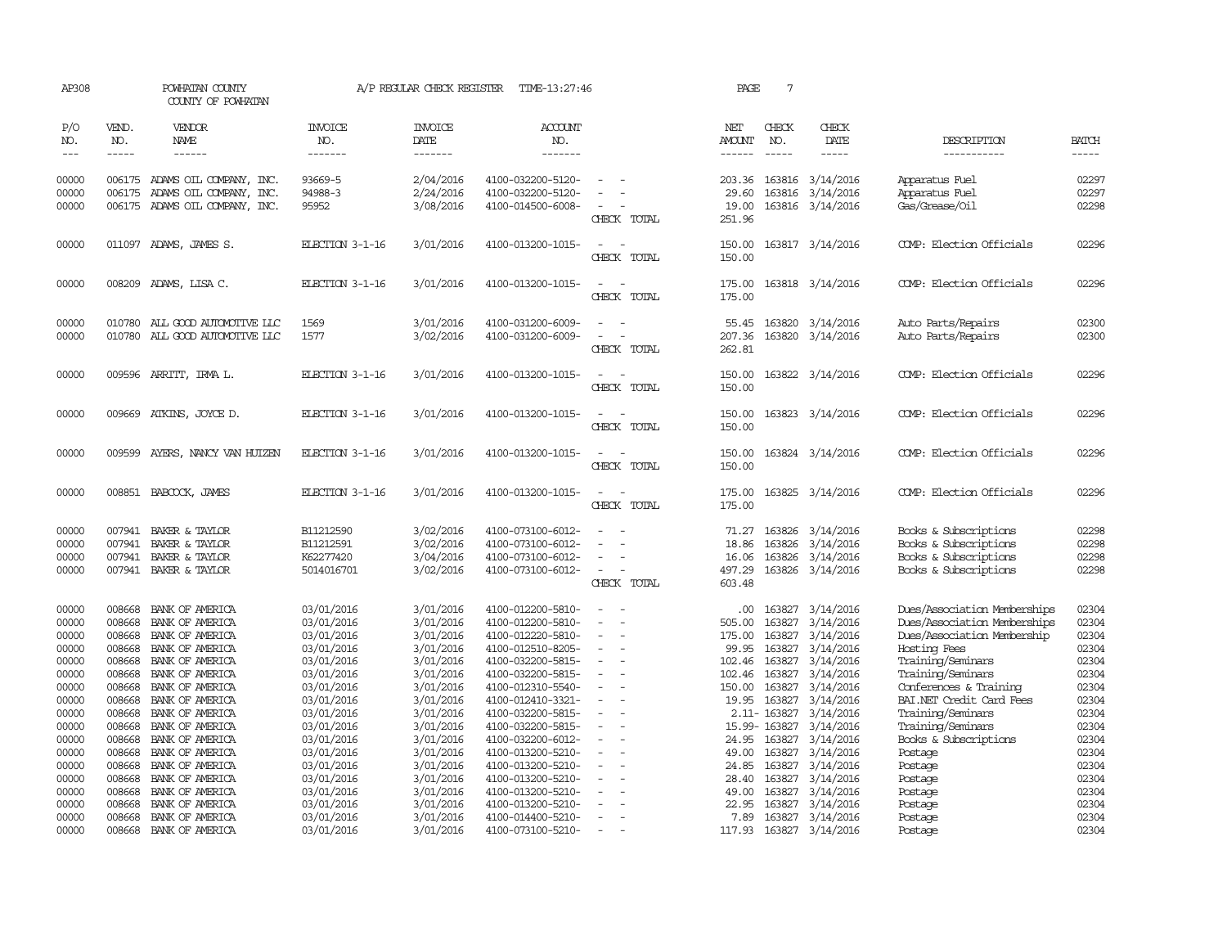| AP308                                              |                                                          | POWHATAN COUNTY<br>COUNTY OF POWHATAN                                                                          |                                                                                  | A/P REGULAR CHECK REGISTER                                                 | TIME-13:27:46                                                                                                              |                                         | PAGE                                                         | $7\phantom{.0}$                                           |                                                                            |                                                                                                                                                       |                                                    |
|----------------------------------------------------|----------------------------------------------------------|----------------------------------------------------------------------------------------------------------------|----------------------------------------------------------------------------------|----------------------------------------------------------------------------|----------------------------------------------------------------------------------------------------------------------------|-----------------------------------------|--------------------------------------------------------------|-----------------------------------------------------------|----------------------------------------------------------------------------|-------------------------------------------------------------------------------------------------------------------------------------------------------|----------------------------------------------------|
| P/O<br>NO.<br>$- - -$                              | VEND.<br>NO.<br>$- - - - -$                              | <b>VENDOR</b><br>NAME<br>------                                                                                | <b>INVOICE</b><br>NO.<br>-------                                                 | <b>INVOICE</b><br>DATE<br>--------                                         | ACCOUNT<br>NO.<br>-------                                                                                                  |                                         | NET<br>AMOUNT<br>$- - - - - -$                               | CHECK<br>NO.<br>$\frac{1}{2}$                             | CHECK<br>DATE<br>-----                                                     | DESCRIPTION<br>-----------                                                                                                                            | <b>BATCH</b><br>$- - - - -$                        |
| 00000<br>00000<br>00000                            | 006175<br>006175                                         | ADAMS OIL COMPANY, INC.<br>ADAMS OIL COMPANY, INC.<br>006175 ADAMS OIL COMPANY, INC.                           | 93669-5<br>94988-3<br>95952                                                      | 2/04/2016<br>2/24/2016<br>3/08/2016                                        | 4100-032200-5120-<br>4100-032200-5120-<br>4100-014500-6008-                                                                | CHECK TOTAL                             | 203.36<br>29.60<br>19.00<br>251.96                           | 163816                                                    | 163816 3/14/2016<br>3/14/2016<br>163816 3/14/2016                          | Apparatus Fuel<br>Apparatus Fuel<br>Gas/Grease/Oil                                                                                                    | 02297<br>02297<br>02298                            |
| 00000                                              |                                                          | 011097 ADAMS, JAMES S.                                                                                         | ELECTION 3-1-16                                                                  | 3/01/2016                                                                  | 4100-013200-1015-                                                                                                          | $\overline{\phantom{a}}$<br>CHECK TOTAL | 150.00<br>150.00                                             |                                                           | 163817 3/14/2016                                                           | COMP: Election Officials                                                                                                                              | 02296                                              |
| 00000                                              |                                                          | 008209 ADAMS, LISA C.                                                                                          | ELECTION 3-1-16                                                                  | 3/01/2016                                                                  | 4100-013200-1015-                                                                                                          | CHECK TOTAL                             | 175.00<br>175.00                                             |                                                           | 163818 3/14/2016                                                           | COMP: Election Officials                                                                                                                              | 02296                                              |
| 00000<br>00000                                     | 010780                                                   | ALL GOOD AUTOMOTTVE LLC<br>010780 ALL GOOD AUTOMOTIVE LLC                                                      | 1569<br>1577                                                                     | 3/01/2016<br>3/02/2016                                                     | 4100-031200-6009-<br>4100-031200-6009-                                                                                     | CHECK TOTAL                             | 55.45<br>207.36<br>262.81                                    |                                                           | 163820 3/14/2016<br>163820 3/14/2016                                       | Auto Parts/Repairs<br>Auto Parts/Repairs                                                                                                              | 02300<br>02300                                     |
| 00000                                              |                                                          | 009596 ARRITT, IRMA L.                                                                                         | ELECTION 3-1-16                                                                  | 3/01/2016                                                                  | 4100-013200-1015-                                                                                                          | $\sim$<br>CHECK TOTAL                   | 150.00<br>150.00                                             |                                                           | 163822 3/14/2016                                                           | COMP: Election Officials                                                                                                                              | 02296                                              |
| 00000                                              |                                                          | 009669 ATKINS, JOYCE D.                                                                                        | ELECTION 3-1-16                                                                  | 3/01/2016                                                                  | 4100-013200-1015-                                                                                                          | CHECK TOTAL                             | 150.00<br>150.00                                             |                                                           | 163823 3/14/2016                                                           | COMP: Election Officials                                                                                                                              | 02296                                              |
| 00000                                              | 009599                                                   | AYERS, NANCY VAN HUIZEN                                                                                        | ELECTION 3-1-16                                                                  | 3/01/2016                                                                  | 4100-013200-1015-                                                                                                          | CHECK TOTAL                             | 150.00<br>150.00                                             |                                                           | 163824 3/14/2016                                                           | COMP: Election Officials                                                                                                                              | 02296                                              |
| 00000                                              |                                                          | 008851 BABCOCK, JAMES                                                                                          | ELECTION 3-1-16                                                                  | 3/01/2016                                                                  | 4100-013200-1015-                                                                                                          | CHECK TOTAL                             | 175.00<br>175.00                                             |                                                           | 163825 3/14/2016                                                           | COMP: Election Officials                                                                                                                              | 02296                                              |
| 00000<br>00000<br>00000<br>00000                   | 007941<br>007941                                         | BAKER & TAYLOR<br>BAKER & TAYLOR<br>007941 BAKER & TAYLOR<br>007941 BAKER & TAYLOR                             | B11212590<br>B11212591<br>K62277420<br>5014016701                                | 3/02/2016<br>3/02/2016<br>3/04/2016<br>3/02/2016                           | 4100-073100-6012-<br>4100-073100-6012-<br>4100-073100-6012-<br>4100-073100-6012-                                           | CHECK TOTAL                             | 71.27<br>18.86<br>16.06<br>497.29<br>603.48                  | 163826<br>163826                                          | 3/14/2016<br>3/14/2016<br>163826 3/14/2016<br>163826 3/14/2016             | Books & Subscriptions<br>Books & Subscriptions<br>Books & Subscriptions<br>Books & Subscriptions                                                      | 02298<br>02298<br>02298<br>02298                   |
| 00000<br>00000<br>00000<br>00000<br>00000<br>00000 | 008668<br>008668<br>008668<br>008668<br>008668<br>008668 | BANK OF AMERICA<br>BANK OF AMERICA<br>BANK OF AMERICA<br>BANK OF AMERICA<br>BANK OF AMERICA<br>BANK OF AMERICA | 03/01/2016<br>03/01/2016<br>03/01/2016<br>03/01/2016<br>03/01/2016<br>03/01/2016 | 3/01/2016<br>3/01/2016<br>3/01/2016<br>3/01/2016<br>3/01/2016<br>3/01/2016 | 4100-012200-5810-<br>4100-012200-5810-<br>4100-012220-5810-<br>4100-012510-8205-<br>4100-032200-5815-<br>4100-032200-5815- | $\overline{\phantom{a}}$<br>$\equiv$    | $.00 \cdot$<br>505.00<br>175.00<br>99.95<br>102.46<br>102.46 | 163827<br>163827<br>163827<br>163827<br>163827<br>163827  | 3/14/2016<br>3/14/2016<br>3/14/2016<br>3/14/2016<br>3/14/2016<br>3/14/2016 | Dues/Association Memberships<br>Dues/Association Memberships<br>Dues/Association Membership<br>Hosting Fees<br>Training/Seminars<br>Training/Seminars | 02304<br>02304<br>02304<br>02304<br>02304<br>02304 |
| 00000<br>00000<br>00000<br>00000<br>00000          | 008668<br>008668<br>008668<br>008668<br>008668           | BANK OF AMERICA<br>BANK OF AMERICA<br>BANK OF AMERICA<br>BANK OF AMERICA<br>BANK OF AMERICA                    | 03/01/2016<br>03/01/2016<br>03/01/2016<br>03/01/2016<br>03/01/2016               | 3/01/2016<br>3/01/2016<br>3/01/2016<br>3/01/2016<br>3/01/2016              | 4100-012310-5540-<br>4100-012410-3321-<br>4100-032200-5815-<br>4100-032200-5815-<br>4100-032200-6012-                      |                                         | 150.00<br>19.95<br>24.95                                     | 163827<br>163827<br>2.11-163827<br>15.99-163827<br>163827 | 3/14/2016<br>3/14/2016<br>3/14/2016<br>3/14/2016<br>3/14/2016              | Conferences & Training<br>BAI.NET Credit Card Fees<br>Training/Seminars<br>Training/Seminars<br>Books & Subscriptions                                 | 02304<br>02304<br>02304<br>02304<br>02304          |
| 00000<br>00000<br>00000<br>00000<br>00000          | 008668<br>008668<br>008668<br>008668<br>008668           | BANK OF AMERICA<br>BANK OF AMERICA<br>BANK OF AMERICA<br>BANK OF AMERICA<br>BANK OF AMERICA                    | 03/01/2016<br>03/01/2016<br>03/01/2016<br>03/01/2016<br>03/01/2016               | 3/01/2016<br>3/01/2016<br>3/01/2016<br>3/01/2016<br>3/01/2016              | 4100-013200-5210-<br>4100-013200-5210-<br>4100-013200-5210-<br>4100-013200-5210-<br>4100-013200-5210-                      | $\equiv$                                | 49.00<br>24.85<br>28.40<br>49.00<br>22.95                    | 163827<br>163827<br>163827<br>163827<br>163827            | 3/14/2016<br>3/14/2016<br>3/14/2016<br>3/14/2016<br>3/14/2016              | Postage<br>Postage<br>Postage<br>Postage<br>Postage                                                                                                   | 02304<br>02304<br>02304<br>02304<br>02304          |
| 00000<br>00000                                     | 008668<br>008668                                         | BANK OF AMERICA<br>BANK OF AMERICA                                                                             | 03/01/2016<br>03/01/2016                                                         | 3/01/2016<br>3/01/2016                                                     | 4100-014400-5210-<br>4100-073100-5210-                                                                                     | $\overline{\phantom{a}}$                | 7.89<br>117.93                                               |                                                           | 163827 3/14/2016<br>163827 3/14/2016                                       | Postage<br>Postage                                                                                                                                    | 02304<br>02304                                     |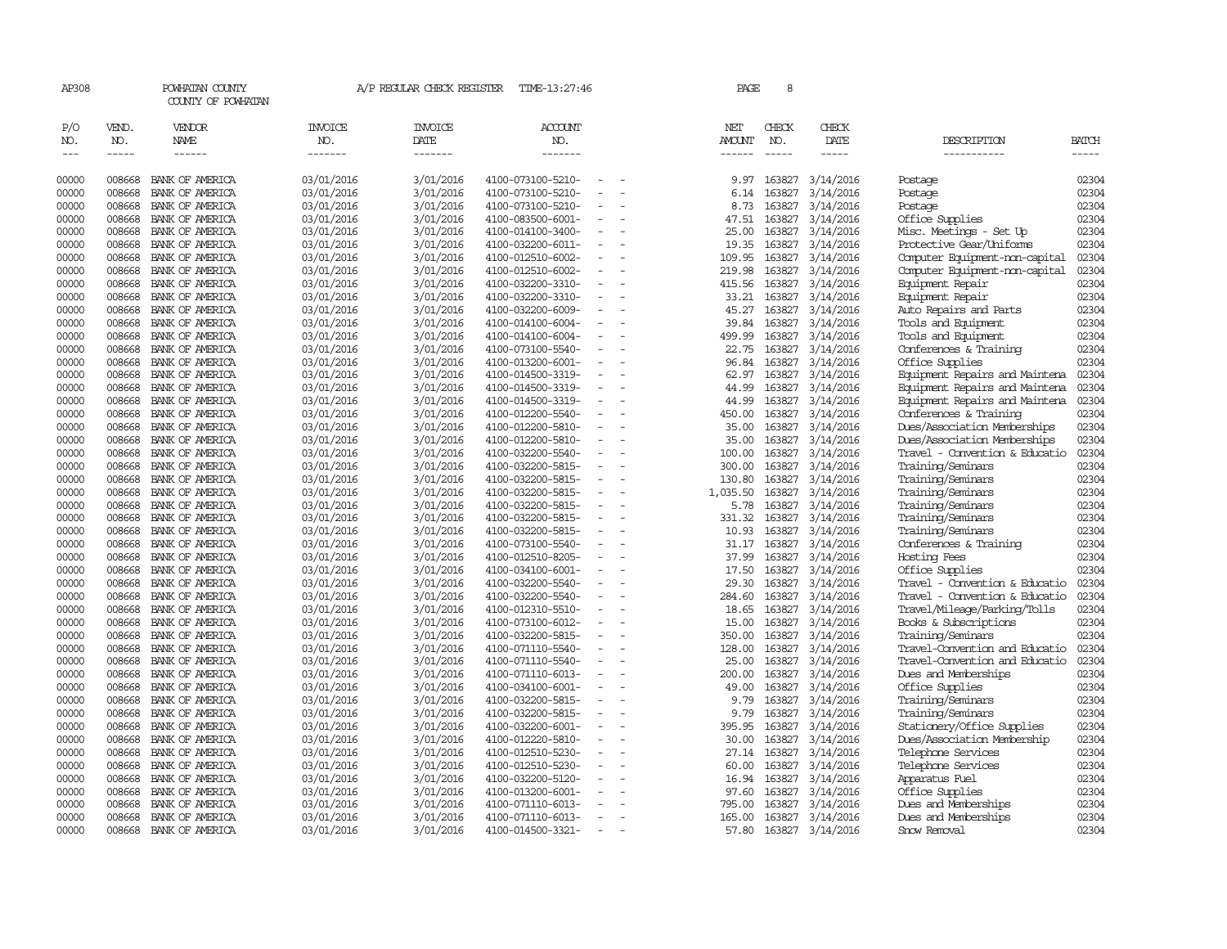| AP308                |                  | POWHATAN COUNTY<br>COUNTY OF POWHATAN |                          | A/P REGULAR CHECK REGISTER | TIME-13:27:46                          |                          | PAGE            | 8                |                        |                                                        |                |
|----------------------|------------------|---------------------------------------|--------------------------|----------------------------|----------------------------------------|--------------------------|-----------------|------------------|------------------------|--------------------------------------------------------|----------------|
| P/O<br>NO.           | VEND.<br>NO.     | VENDOR<br>NAME                        | <b>INVOICE</b><br>NO.    | <b>INVOICE</b><br>DATE     | <b>ACCOUNT</b><br>NO.                  |                          | NET<br>AMOUNT   | CHECK<br>NO.     | CHECK<br>DATE          | DESCRIPTION                                            | <b>BATCH</b>   |
| $\sim$ $\sim$ $\sim$ | -----            | $- - - - - -$                         | -------                  | -------                    | -------                                |                          | ------          |                  | -----                  | -----------                                            | -----          |
| 00000                | 008668           | BANK OF AMERICA                       | 03/01/2016               | 3/01/2016                  | 4100-073100-5210-                      |                          | 9.97            | 163827           | 3/14/2016              | Postage                                                | 02304          |
| 00000                | 008668           | BANK OF AMERICA                       | 03/01/2016               | 3/01/2016                  | 4100-073100-5210-                      |                          | 6.14            | 163827           | 3/14/2016              | Postage                                                | 02304          |
| 00000                | 008668           | BANK OF AMERICA                       | 03/01/2016               | 3/01/2016                  | 4100-073100-5210-                      |                          | 8.73            | 163827           | 3/14/2016              | Postage                                                | 02304          |
| 00000                | 008668           | BANK OF AMERICA                       | 03/01/2016               | 3/01/2016                  | 4100-083500-6001-                      |                          | 47.51           | 163827           | 3/14/2016              | Office Supplies                                        | 02304          |
| 00000                | 008668           | BANK OF AMERICA                       | 03/01/2016               | 3/01/2016                  | 4100-014100-3400-                      |                          | 25.00           | 163827           | 3/14/2016              | Misc. Meetings - Set Up                                | 02304          |
| 00000                | 008668           | BANK OF AMERICA                       | 03/01/2016               | 3/01/2016                  | 4100-032200-6011-                      |                          | 19.35           | 163827           | 3/14/2016              | Protective Gear/Uniforms                               | 02304          |
| 00000                | 008668           | BANK OF AMERICA                       | 03/01/2016               | 3/01/2016                  | 4100-012510-6002-                      |                          | 109.95          | 163827           | 3/14/2016              | Computer Equipment-non-capital                         | 02304          |
| 00000                | 008668           | BANK OF AMERICA                       | 03/01/2016               | 3/01/2016                  | 4100-012510-6002-                      |                          | 219.98          | 163827           | 3/14/2016              | Computer Equipment-non-capital                         | 02304          |
| 00000                | 008668           | BANK OF AMERICA                       | 03/01/2016               | 3/01/2016                  | 4100-032200-3310-                      |                          | 415.56          | 163827           | 3/14/2016              | Equipment Repair                                       | 02304          |
| 00000                | 008668           | BANK OF AMERICA                       | 03/01/2016               | 3/01/2016                  | 4100-032200-3310-                      |                          | 33.21           | 163827           | 3/14/2016              | Equipment Repair                                       | 02304          |
| 00000                | 008668           | BANK OF AMERICA                       | 03/01/2016               | 3/01/2016                  | 4100-032200-6009-                      |                          | 45.27           | 163827           | 3/14/2016              | Auto Repairs and Parts                                 | 02304          |
| 00000                | 008668           | BANK OF AMERICA                       | 03/01/2016               | 3/01/2016                  | 4100-014100-6004-                      |                          | 39.84           | 163827           | 3/14/2016              | Tools and Equipment                                    | 02304          |
| 00000                | 008668           | BANK OF AMERICA                       | 03/01/2016               | 3/01/2016                  | 4100-014100-6004-                      |                          | 499.99          | 163827           | 3/14/2016              | Tools and Equipment                                    | 02304          |
| 00000                | 008668           | BANK OF AMERICA                       | 03/01/2016               | 3/01/2016                  | 4100-073100-5540-                      |                          | 22.75           | 163827           | 3/14/2016              | Conferences & Training                                 | 02304          |
| 00000                | 008668           | BANK OF AMERICA                       | 03/01/2016               | 3/01/2016                  | 4100-013200-6001-                      |                          | 96.84           | 163827           | 3/14/2016              | Office Supplies                                        | 02304          |
| 00000                | 008668           | BANK OF AMERICA                       | 03/01/2016               | 3/01/2016                  | 4100-014500-3319-                      |                          | 62.97           | 163827           | 3/14/2016              | Equipment Repairs and Maintena                         | 02304          |
| 00000                | 008668           | BANK OF AMERICA                       | 03/01/2016               | 3/01/2016                  | 4100-014500-3319-                      |                          | 44.99           | 163827           | 3/14/2016              | Equipment Repairs and Maintena                         | 02304          |
| 00000<br>00000       | 008668<br>008668 | BANK OF AMERICA<br>BANK OF AMERICA    | 03/01/2016<br>03/01/2016 | 3/01/2016<br>3/01/2016     | 4100-014500-3319-                      |                          | 44.99<br>450.00 | 163827<br>163827 | 3/14/2016              | Equipment Repairs and Maintena                         | 02304<br>02304 |
| 00000                | 008668           | BANK OF AMERICA                       | 03/01/2016               | 3/01/2016                  | 4100-012200-5540-<br>4100-012200-5810- |                          | 35.00           | 163827           | 3/14/2016<br>3/14/2016 | Conferences & Training<br>Dues/Association Memberships | 02304          |
| 00000                | 008668           | BANK OF AMERICA                       | 03/01/2016               | 3/01/2016                  | 4100-012200-5810-                      | $\overline{\phantom{a}}$ | 35.00           | 163827           | 3/14/2016              | Dues/Association Memberships                           | 02304          |
| 00000                | 008668           | BANK OF AMERICA                       | 03/01/2016               | 3/01/2016                  | 4100-032200-5540-                      |                          | 100.00          | 163827           | 3/14/2016              | Travel - Convention & Educatio                         | 02304          |
| 00000                | 008668           | BANK OF AMERICA                       | 03/01/2016               | 3/01/2016                  | 4100-032200-5815-                      |                          | 300.00          | 163827           | 3/14/2016              | Training/Seminars                                      | 02304          |
| 00000                | 008668           | BANK OF AMERICA                       | 03/01/2016               | 3/01/2016                  | 4100-032200-5815-                      |                          | 130.80          | 163827           | 3/14/2016              | Training/Seminars                                      | 02304          |
| 00000                | 008668           | BANK OF AMERICA                       | 03/01/2016               | 3/01/2016                  | 4100-032200-5815-                      |                          | 1,035.50        | 163827           | 3/14/2016              | Training/Seminars                                      | 02304          |
| 00000                | 008668           | BANK OF AMERICA                       | 03/01/2016               | 3/01/2016                  | 4100-032200-5815-                      |                          | 5.78            | 163827           | 3/14/2016              | Training/Seminars                                      | 02304          |
| 00000                | 008668           | BANK OF AMERICA                       | 03/01/2016               | 3/01/2016                  | 4100-032200-5815-                      |                          | 331.32          | 163827           | 3/14/2016              | Training/Seminars                                      | 02304          |
| 00000                | 008668           | BANK OF AMERICA                       | 03/01/2016               | 3/01/2016                  | 4100-032200-5815-                      | $\equiv$                 | 10.93           | 163827           | 3/14/2016              | Training/Seminars                                      | 02304          |
| 00000                | 008668           | BANK OF AMERICA                       | 03/01/2016               | 3/01/2016                  | 4100-073100-5540-                      |                          | 31.17           | 163827           | 3/14/2016              | Conferences & Training                                 | 02304          |
| 00000                | 008668           | BANK OF AMERICA                       | 03/01/2016               | 3/01/2016                  | 4100-012510-8205-                      |                          | 37.99           | 163827           | 3/14/2016              | Hosting Fees                                           | 02304          |
| 00000                | 008668           | BANK OF AMERICA                       | 03/01/2016               | 3/01/2016                  | 4100-034100-6001-                      |                          | 17.50           | 163827           | 3/14/2016              | Office Supplies                                        | 02304          |
| 00000                | 008668           | BANK OF AMERICA                       | 03/01/2016               | 3/01/2016                  | 4100-032200-5540-                      |                          | 29.30           | 163827           | 3/14/2016              | Travel - Convention & Educatio                         | 02304          |
| 00000                | 008668           | BANK OF AMERICA                       | 03/01/2016               | 3/01/2016                  | 4100-032200-5540-                      |                          | 284.60          | 163827           | 3/14/2016              | Travel - Convention & Educatio                         | 02304          |
| 00000                | 008668           | BANK OF AMERICA                       | 03/01/2016               | 3/01/2016                  | 4100-012310-5510-                      |                          | 18.65           | 163827           | 3/14/2016              | Travel/Mileage/Parking/Tolls                           | 02304          |
| 00000                | 008668           | BANK OF AMERICA                       | 03/01/2016               | 3/01/2016                  | 4100-073100-6012-                      |                          | 15.00           | 163827           | 3/14/2016              | Books & Subscriptions                                  | 02304          |
| 00000                | 008668           | BANK OF AMERICA                       | 03/01/2016               | 3/01/2016                  | 4100-032200-5815-                      |                          | 350.00          | 163827           | 3/14/2016              | Training/Seminars                                      | 02304          |
| 00000                | 008668           | BANK OF AMERICA                       | 03/01/2016               | 3/01/2016                  | 4100-071110-5540-                      |                          | 128.00          | 163827           | 3/14/2016              | Travel-Convention and Educatio                         | 02304          |
| 00000                | 008668           | BANK OF AMERICA                       | 03/01/2016               | 3/01/2016                  | 4100-071110-5540-                      |                          | 25.00           | 163827           | 3/14/2016              | Travel-Convention and Educatio                         | 02304          |
| 00000                | 008668           | BANK OF AMERICA                       | 03/01/2016               | 3/01/2016                  | 4100-071110-6013-                      | $\sim$                   | 200.00          | 163827           | 3/14/2016              | Dues and Memberships                                   | 02304          |
| 00000                | 008668           | BANK OF AMERICA                       | 03/01/2016               | 3/01/2016                  | 4100-034100-6001-                      |                          | 49.00           | 163827           | 3/14/2016              | Office Supplies                                        | 02304          |
| 00000                | 008668           | BANK OF AMERICA                       | 03/01/2016               | 3/01/2016                  | 4100-032200-5815-                      |                          | 9.79            | 163827           | 3/14/2016              | Training/Seminars                                      | 02304          |
| 00000                | 008668           | BANK OF AMERICA                       | 03/01/2016               | 3/01/2016                  | 4100-032200-5815-                      |                          | 9.79            | 163827           | 3/14/2016              | Training/Seminars                                      | 02304          |
| 00000                | 008668           | BANK OF AMERICA                       | 03/01/2016               | 3/01/2016                  | 4100-032200-6001-                      |                          | 395.95          | 163827           | 3/14/2016              | Stationery/Office Supplies                             | 02304          |
| 00000                | 008668           | BANK OF AMERICA                       | 03/01/2016               | 3/01/2016                  | 4100-012220-5810-                      |                          | 30.00           | 163827           | 3/14/2016              | Dues/Association Membership                            | 02304          |
| 00000                | 008668           | BANK OF AMERICA                       | 03/01/2016               | 3/01/2016                  | 4100-012510-5230-                      |                          | 27.14           | 163827           | 3/14/2016              | Telephone Services                                     | 02304          |
| 00000                | 008668           | BANK OF AMERICA                       | 03/01/2016               | 3/01/2016                  | 4100-012510-5230-                      |                          | 60.00           | 163827           | 3/14/2016              | Telephone Services                                     | 02304          |
| 00000                | 008668           | BANK OF AMERICA                       | 03/01/2016               | 3/01/2016                  | 4100-032200-5120-                      |                          | 16.94           | 163827           | 3/14/2016              | Apparatus Fuel                                         | 02304          |
| 00000                | 008668           | BANK OF AMERICA                       | 03/01/2016               | 3/01/2016                  | 4100-013200-6001-                      |                          | 97.60           | 163827           | 3/14/2016              | Office Supplies                                        | 02304          |
| 00000                | 008668           | BANK OF AMERICA                       | 03/01/2016               | 3/01/2016                  | 4100-071110-6013-                      |                          | 795.00          | 163827           | 3/14/2016              | Dues and Memberships                                   | 02304          |
| 00000                | 008668           | BANK OF AMERICA                       | 03/01/2016               | 3/01/2016                  | 4100-071110-6013-                      |                          | 165.00          | 163827           | 3/14/2016              | Dues and Memberships                                   | 02304          |
| 00000                | 008668           | BANK OF AMERICA                       | 03/01/2016               | 3/01/2016                  | 4100-014500-3321-                      | $\overline{\phantom{a}}$ | 57.80           | 163827           | 3/14/2016              | Snow Removal                                           | 02304          |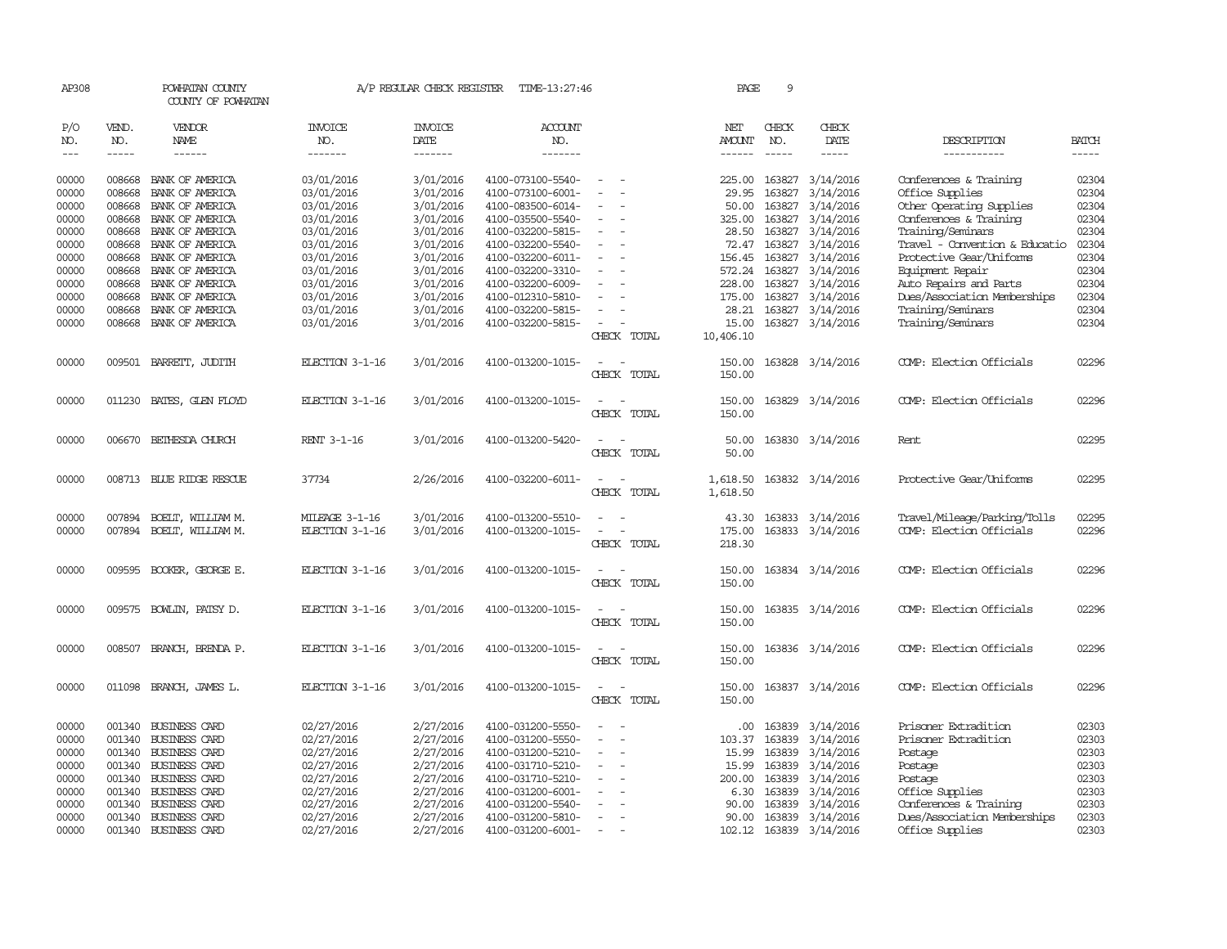| AP308               |                       | POWHATAN COUNTY<br>COUNTY OF POWHATAN  |                                  | A/P REGULAR CHECK REGISTER        | TIME-13:27:46                    |                          | PAGE                           | 9                           |                         |                                |                             |
|---------------------|-----------------------|----------------------------------------|----------------------------------|-----------------------------------|----------------------------------|--------------------------|--------------------------------|-----------------------------|-------------------------|--------------------------------|-----------------------------|
| P/O<br>NO.<br>$---$ | VEND.<br>NO.<br>----- | <b>VENDOR</b><br>NAME<br>$- - - - - -$ | <b>INVOICE</b><br>NO.<br>------- | <b>INVOICE</b><br>DATE<br>------- | <b>ACCOUNT</b><br>NO.<br>------- |                          | NET<br>AMOUNT<br>$- - - - - -$ | CHECK<br>NO.<br>$- - - - -$ | CHECK<br>DATE<br>-----  | DESCRIPTION<br>-----------     | <b>BATCH</b><br>$- - - - -$ |
|                     |                       |                                        |                                  |                                   |                                  |                          |                                |                             |                         |                                |                             |
| 00000               | 008668                | BANK OF AMERICA                        | 03/01/2016                       | 3/01/2016                         | 4100-073100-5540-                | $\sim$                   | 225.00                         |                             | 163827 3/14/2016        | Conferences & Training         | 02304                       |
| 00000               | 008668                | BANK OF AMERICA                        | 03/01/2016                       | 3/01/2016                         | 4100-073100-6001-                |                          | 29.95                          | 163827                      | 3/14/2016               | Office Supplies                | 02304                       |
| 00000               | 008668                | BANK OF AMERICA                        | 03/01/2016                       | 3/01/2016                         | 4100-083500-6014-                |                          | 50.00                          | 163827                      | 3/14/2016               | Other Operating Supplies       | 02304                       |
| 00000               | 008668                | BANK OF AMERICA                        | 03/01/2016                       | 3/01/2016                         | 4100-035500-5540-                |                          | 325.00                         |                             | 163827 3/14/2016        | Conferences & Training         | 02304                       |
| 00000               | 008668                | BANK OF AMERICA                        | 03/01/2016                       | 3/01/2016                         | 4100-032200-5815-                | $\equiv$                 | 28.50                          |                             | 163827 3/14/2016        | Training/Seminars              | 02304                       |
| 00000               | 008668                | BANK OF AMERICA                        | 03/01/2016                       | 3/01/2016                         | 4100-032200-5540-                |                          | 72.47                          | 163827                      | 3/14/2016               | Travel - Convention & Educatio | 02304                       |
| 00000               | 008668                | BANK OF AMERICA                        | 03/01/2016                       | 3/01/2016                         | 4100-032200-6011-                |                          | 156.45                         |                             | 163827 3/14/2016        | Protective Gear/Uniforms       | 02304                       |
| 00000               | 008668                | BANK OF AMERICA                        | 03/01/2016                       | 3/01/2016                         | 4100-032200-3310-                | $\overline{\phantom{a}}$ |                                |                             | 572.24 163827 3/14/2016 | Equipment Repair               | 02304                       |
| 00000               | 008668                | BANK OF AMERICA                        | 03/01/2016                       | 3/01/2016                         | 4100-032200-6009-                |                          | 228.00                         | 163827                      | 3/14/2016               | Auto Repairs and Parts         | 02304                       |
| 00000               | 008668                | BANK OF AMERICA                        | 03/01/2016                       | 3/01/2016                         | 4100-012310-5810-                |                          | 175.00                         |                             | 163827 3/14/2016        | Dues/Association Memberships   | 02304                       |
| 00000               | 008668                | BANK OF AMERICA                        | 03/01/2016                       | 3/01/2016                         | 4100-032200-5815-                | $\equiv$                 | 28.21                          |                             | 163827 3/14/2016        | Training/Seminars              | 02304                       |
| 00000               | 008668                | BANK OF AMERICA                        | 03/01/2016                       | 3/01/2016                         | 4100-032200-5815-                | $\sim$                   | 15.00                          |                             | 163827 3/14/2016        | Training/Seminars              | 02304                       |
|                     |                       |                                        |                                  |                                   |                                  | CHECK TOTAL              | 10,406.10                      |                             |                         |                                |                             |
| 00000               |                       | 009501 BARRETT, JUDITH                 | ELECTION 3-1-16                  | 3/01/2016                         | 4100-013200-1015-                | $\sim$                   | 150.00                         |                             | 163828 3/14/2016        | COMP: Election Officials       | 02296                       |
|                     |                       |                                        |                                  |                                   |                                  | CHECK TOTAL              | 150.00                         |                             |                         |                                |                             |
| 00000               |                       | 011230 BATES, GLEN FLOYD               | ELECTION 3-1-16                  | 3/01/2016                         | 4100-013200-1015-                | $\equiv$                 | 150.00                         |                             | 163829 3/14/2016        | COMP: Election Officials       | 02296                       |
|                     |                       |                                        |                                  |                                   |                                  | CHECK TOTAL              | 150.00                         |                             |                         |                                |                             |
|                     |                       |                                        |                                  |                                   |                                  |                          |                                |                             |                         |                                |                             |
| 00000               |                       | 006670 BETHESDA CHURCH                 | RENT 3-1-16                      | 3/01/2016                         | 4100-013200-5420-                | $\sim$<br>CHECK TOTAL    | 50.00<br>50.00                 |                             | 163830 3/14/2016        | Rent                           | 02295                       |
|                     |                       |                                        |                                  |                                   |                                  |                          |                                |                             |                         |                                |                             |
| 00000               |                       | 008713 BLUE RIDGE RESCUE               | 37734                            | 2/26/2016                         | 4100-032200-6011-                | $\equiv$                 | 1,618.50                       |                             | 163832 3/14/2016        | Protective Gear/Uniforms       | 02295                       |
|                     |                       |                                        |                                  |                                   |                                  | CHECK TOTAL              | 1,618.50                       |                             |                         |                                |                             |
| 00000               | 007894                | BOELT, WILLIAM M.                      | MILEAGE 3-1-16                   | 3/01/2016                         | 4100-013200-5510-                |                          | 43.30                          |                             | 163833 3/14/2016        | Travel/Mileage/Parking/Tolls   | 02295                       |
| 00000               | 007894                | BOELT, WILLIAM M.                      | ELECTION 3-1-16                  | 3/01/2016                         | 4100-013200-1015-                |                          | 175.00                         |                             | 163833 3/14/2016        | COMP: Election Officials       | 02296                       |
|                     |                       |                                        |                                  |                                   |                                  | CHECK TOTAL              | 218.30                         |                             |                         |                                |                             |
| 00000               |                       | 009595 BOOKER, GEORGE E.               | ELECTION 3-1-16                  | 3/01/2016                         | 4100-013200-1015-                |                          | 150.00                         |                             | 163834 3/14/2016        | COMP: Election Officials       | 02296                       |
|                     |                       |                                        |                                  |                                   |                                  | CHECK TOTAL              | 150.00                         |                             |                         |                                |                             |
|                     |                       |                                        |                                  |                                   |                                  |                          |                                |                             |                         |                                |                             |
| 00000               | 009575                | BOWLIN, PATSY D.                       | ELECTION 3-1-16                  | 3/01/2016                         | 4100-013200-1015-                | CHECK TOTAL              | 150.00<br>150.00               |                             | 163835 3/14/2016        | COMP: Election Officials       | 02296                       |
|                     |                       |                                        |                                  |                                   |                                  |                          |                                |                             |                         |                                |                             |
| 00000               | 008507                | BRANCH, BRENDA P.                      | ELECTION 3-1-16                  | 3/01/2016                         | 4100-013200-1015-                |                          | 150.00                         |                             | 163836 3/14/2016        | COMP: Election Officials       | 02296                       |
|                     |                       |                                        |                                  |                                   |                                  | CHECK TOTAL              | 150.00                         |                             |                         |                                |                             |
| 00000               | 011098                | BRANCH, JAMES L.                       | ELECTION 3-1-16                  | 3/01/2016                         | 4100-013200-1015-                | $\equiv$                 | 150.00                         |                             | 163837 3/14/2016        | COMP: Election Officials       | 02296                       |
|                     |                       |                                        |                                  |                                   |                                  | CHECK TOTAL              | 150.00                         |                             |                         |                                |                             |
| 00000               |                       | 001340 BUSINESS CARD                   | 02/27/2016                       | 2/27/2016                         | 4100-031200-5550-                |                          | .00.                           | 163839                      | 3/14/2016               | Prisoner Extradition           | 02303                       |
| 00000               |                       | 001340 BUSINESS CARD                   | 02/27/2016                       | 2/27/2016                         | 4100-031200-5550-                |                          | 103.37                         | 163839                      | 3/14/2016               | Prisoner Extradition           | 02303                       |
| 00000               | 001340                | <b>BUSINESS CARD</b>                   | 02/27/2016                       | 2/27/2016                         | 4100-031200-5210-                |                          | 15.99                          | 163839                      | 3/14/2016               | Postage                        | 02303                       |
| 00000               |                       | 001340 BUSINESS CARD                   | 02/27/2016                       | 2/27/2016                         | 4100-031710-5210-                |                          | 15.99                          | 163839                      | 3/14/2016               | Postage                        | 02303                       |
| 00000               | 001340                | <b>BUSINESS CARD</b>                   | 02/27/2016                       | 2/27/2016                         | 4100-031710-5210-                |                          | 200.00                         | 163839                      | 3/14/2016               | Postage                        | 02303                       |
| 00000               | 001340                | <b>BUSINESS CARD</b>                   | 02/27/2016                       | 2/27/2016                         | 4100-031200-6001-                |                          | 6.30                           | 163839                      | 3/14/2016               | Office Supplies                | 02303                       |
| 00000               |                       | 001340 BUSINESS CARD                   | 02/27/2016                       | 2/27/2016                         | 4100-031200-5540-                |                          | 90.00                          | 163839                      | 3/14/2016               | Conferences & Training         | 02303                       |
| 00000               |                       | 001340 BUSINESS CARD                   | 02/27/2016                       | 2/27/2016                         | 4100-031200-5810-                | $\sim$                   | 90.00                          | 163839                      | 3/14/2016               | Dues/Association Memberships   | 02303                       |
| 00000               |                       | 001340 BUSINESS CARD                   | 02/27/2016                       | 2/27/2016                         | 4100-031200-6001-                | $\overline{\phantom{a}}$ |                                |                             | 102.12 163839 3/14/2016 | Office Supplies                | 02303                       |
|                     |                       |                                        |                                  |                                   |                                  |                          |                                |                             |                         |                                |                             |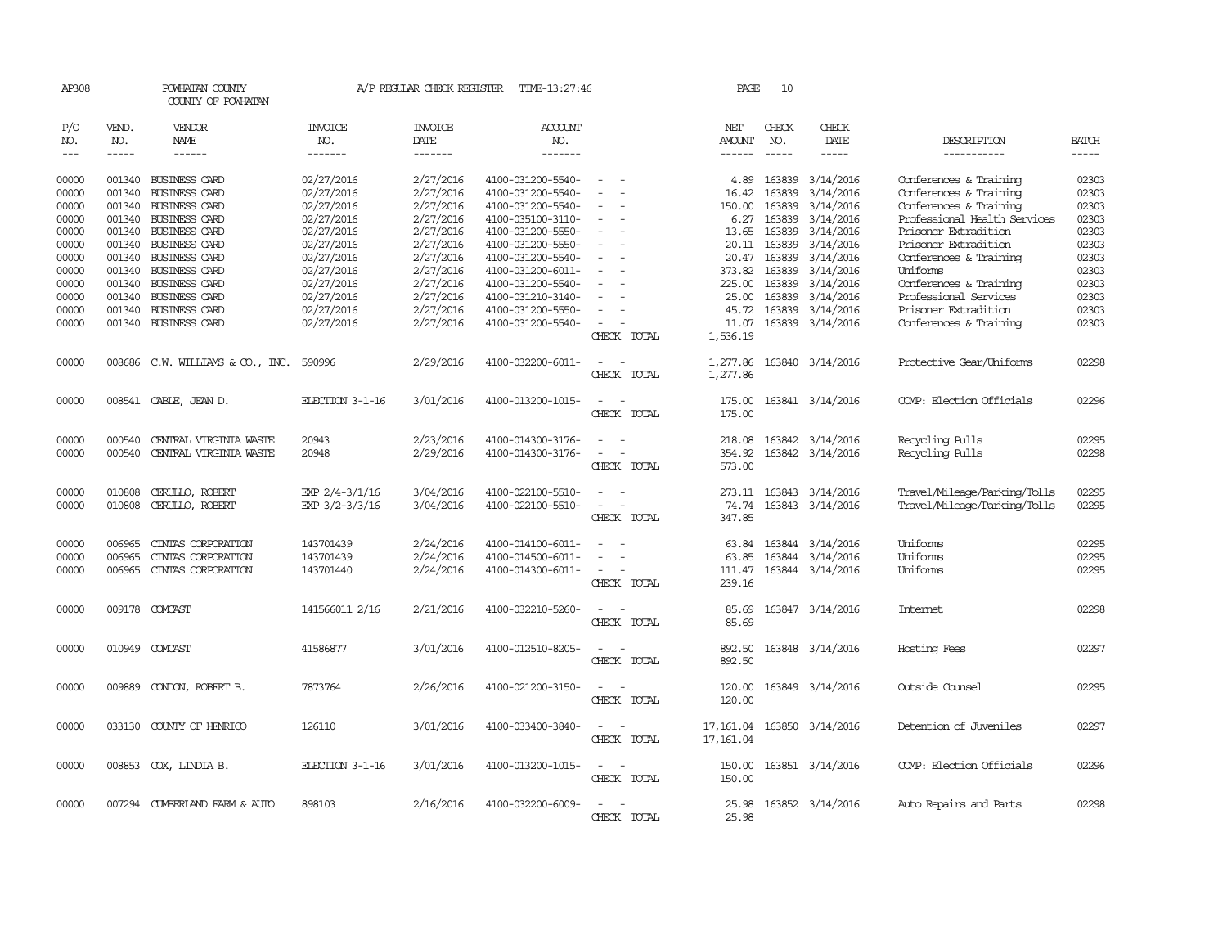| AP308                   |                            | POWHATAN COUNTY<br>COUNTY OF POWHATAN                                |                                        | A/P REGULAR CHECK REGISTER          | TIME-13:27:46                                               |                                                                           | PAGE                               | 10                               |                                                          |                                                                                |                         |
|-------------------------|----------------------------|----------------------------------------------------------------------|----------------------------------------|-------------------------------------|-------------------------------------------------------------|---------------------------------------------------------------------------|------------------------------------|----------------------------------|----------------------------------------------------------|--------------------------------------------------------------------------------|-------------------------|
| P/O<br>NO.              | VEND.<br>NO.               | VENDOR<br>NAME                                                       | <b>INVOICE</b><br>NO.                  | <b>INVOICE</b><br>DATE              | <b>ACCOUNT</b><br>NO.                                       |                                                                           | NET<br>AMOUNT                      | CHECK<br>NO.                     | CHECK<br>DATE                                            | DESCRIPTION                                                                    | <b>BATCH</b>            |
| $---$                   | -----                      | $- - - - - -$                                                        | -------                                | -------                             | -------                                                     |                                                                           | ------                             | $- - - - -$                      | -----                                                    | -----------                                                                    |                         |
| 00000<br>00000          |                            | 001340 BUSINESS CARD<br>001340 BUSINESS CARD                         | 02/27/2016<br>02/27/2016               | 2/27/2016<br>2/27/2016              | 4100-031200-5540-<br>4100-031200-5540-                      |                                                                           | 4.89<br>16.42                      | 163839<br>163839                 | 3/14/2016<br>3/14/2016                                   | Conferences & Training<br>Conferences & Training                               | 02303<br>02303          |
| 00000<br>00000          |                            | 001340 BUSINESS CARD<br>001340 BUSINESS CARD                         | 02/27/2016<br>02/27/2016               | 2/27/2016<br>2/27/2016              | 4100-031200-5540-<br>4100-035100-3110-                      | $\equiv$                                                                  | 150.00<br>6.27                     | 163839<br>163839                 | 3/14/2016<br>3/14/2016                                   | Conferences & Training<br>Professional Health Services<br>Prisoner Extradition | 02303<br>02303          |
| 00000<br>00000<br>00000 | 001340                     | 001340 BUSINESS CARD<br><b>BUSINESS CARD</b><br>001340 BUSINESS CARD | 02/27/2016<br>02/27/2016               | 2/27/2016<br>2/27/2016              | 4100-031200-5550-<br>4100-031200-5550-<br>4100-031200-5540- | $\equiv$                                                                  | 13.65<br>20.11                     | 163839<br>163839<br>20.47 163839 | 3/14/2016<br>3/14/2016                                   | Prisoner Extradition                                                           | 02303<br>02303<br>02303 |
| 00000<br>00000          |                            | 001340 BUSINESS CARD<br>001340 BUSINESS CARD                         | 02/27/2016<br>02/27/2016<br>02/27/2016 | 2/27/2016<br>2/27/2016<br>2/27/2016 | 4100-031200-6011-<br>4100-031200-5540-                      |                                                                           | 373.82<br>225.00                   | 163839<br>163839                 | 3/14/2016<br>3/14/2016<br>3/14/2016                      | Conferences & Training<br>Uniforms<br>Conferences & Training                   | 02303<br>02303          |
| 00000<br>00000          | 001340                     | 001340 BUSINESS CARD<br><b>BUSINESS CARD</b>                         | 02/27/2016<br>02/27/2016               | 2/27/2016<br>2/27/2016              | 4100-031210-3140-<br>4100-031200-5550-                      |                                                                           | 25.00<br>45.72                     | 163839<br>163839                 | 3/14/2016<br>3/14/2016                                   | Professional Services<br>Prisoner Extradition                                  | 02303<br>02303          |
| 00000                   |                            | 001340 BUSINESS CARD                                                 | 02/27/2016                             | 2/27/2016                           | 4100-031200-5540-                                           | CHECK TOTAL                                                               | 11.07<br>1,536.19                  |                                  | 163839 3/14/2016                                         | Conferences & Training                                                         | 02303                   |
| 00000                   |                            | 008686 C.W. WILLIAMS & CO., INC.                                     | 590996                                 | 2/29/2016                           | 4100-032200-6011-                                           | CHECK TOTAL                                                               | 1,277.86<br>1,277.86               |                                  | 163840 3/14/2016                                         | Protective Gear/Uniforms                                                       | 02298                   |
| 00000                   |                            | 008541 CABLE, JEAN D.                                                | ELECTION 3-1-16                        | 3/01/2016                           | 4100-013200-1015-                                           | CHECK TOTAL                                                               | 175.00<br>175.00                   |                                  | 163841 3/14/2016                                         | COMP: Election Officials                                                       | 02296                   |
| 00000<br>00000          | 000540                     | CENTRAL VIRGINIA WASTE<br>000540 CENTRAL VIRGINIA WASTE              | 20943<br>20948                         | 2/23/2016<br>2/29/2016              | 4100-014300-3176-<br>4100-014300-3176-                      | $\equiv$<br>$\overline{\phantom{a}}$<br>CHECK TOTAL                       | 218.08<br>354.92<br>573.00         |                                  | 163842 3/14/2016<br>163842 3/14/2016                     | Recycling Pulls<br>Recycling Pulls                                             | 02295<br>02298          |
| 00000<br>00000          | 010808<br>010808           | CERULLO, ROBERT<br>CERULLO, ROBERT                                   | EXP 2/4-3/1/16<br>EXP 3/2-3/3/16       | 3/04/2016<br>3/04/2016              | 4100-022100-5510-<br>4100-022100-5510-                      | $\equiv$<br>$\overline{\phantom{a}}$<br>$\equiv$<br>$\sim$<br>CHECK TOTAL | 74.74<br>347.85                    |                                  | 273.11 163843 3/14/2016<br>163843 3/14/2016              | Travel/Mileage/Parking/Tolls<br>Travel/Mileage/Parking/Tolls                   | 02295<br>02295          |
| 00000<br>00000<br>00000 | 006965<br>006965<br>006965 | CINIAS CORPORATION<br>CINIAS CORPORATION<br>CINIAS CORPORATION       | 143701439<br>143701439<br>143701440    | 2/24/2016<br>2/24/2016<br>2/24/2016 | 4100-014100-6011-<br>4100-014500-6011-<br>4100-014300-6011- | $\equiv$<br>CHECK TOTAL                                                   | 63.84<br>63.85<br>111.47<br>239.16 |                                  | 163844 3/14/2016<br>163844 3/14/2016<br>163844 3/14/2016 | Uniforms<br>Uniforms<br>Uniforms                                               | 02295<br>02295<br>02295 |
| 00000                   |                            | 009178 COMCAST                                                       | 141566011 2/16                         | 2/21/2016                           | 4100-032210-5260-                                           | $\overline{\phantom{a}}$<br>CHECK TOTAL                                   | 85.69<br>85.69                     |                                  | 163847 3/14/2016                                         | <b>Internet</b>                                                                | 02298                   |
| 00000                   |                            | 010949 COMCAST                                                       | 41586877                               | 3/01/2016                           | 4100-012510-8205-                                           | $\sim$ $ \sim$<br>CHECK TOTAL                                             | 892.50<br>892.50                   |                                  | 163848 3/14/2016                                         | Hosting Fees                                                                   | 02297                   |
| 00000                   | 009889                     | CONDON, ROBERT B.                                                    | 7873764                                | 2/26/2016                           | 4100-021200-3150-                                           | $\sim$ $ \sim$<br>CHECK TOTAL                                             | 120.00<br>120.00                   |                                  | 163849 3/14/2016                                         | Outside Counsel                                                                | 02295                   |
| 00000                   |                            | 033130 COUNTY OF HENRICO                                             | 126110                                 | 3/01/2016                           | 4100-033400-3840-                                           | $\sim$ 100 $\sim$<br>CHECK TOTAL                                          | 17, 161.04<br>17, 161.04           |                                  | 163850 3/14/2016                                         | Detention of Juveniles                                                         | 02297                   |
| 00000                   |                            | 008853 COX, LINDIA B.                                                | ELECTION 3-1-16                        | 3/01/2016                           | 4100-013200-1015-                                           | CHECK TOTAL                                                               | 150.00<br>150.00                   |                                  | 163851 3/14/2016                                         | COMP: Election Officials                                                       | 02296                   |
| 00000                   |                            | 007294 CUMBERLAND FARM & AUTO                                        | 898103                                 | 2/16/2016                           | 4100-032200-6009-                                           | CHECK<br>TOTAL                                                            | 25.98<br>25.98                     |                                  | 163852 3/14/2016                                         | Auto Repairs and Parts                                                         | 02298                   |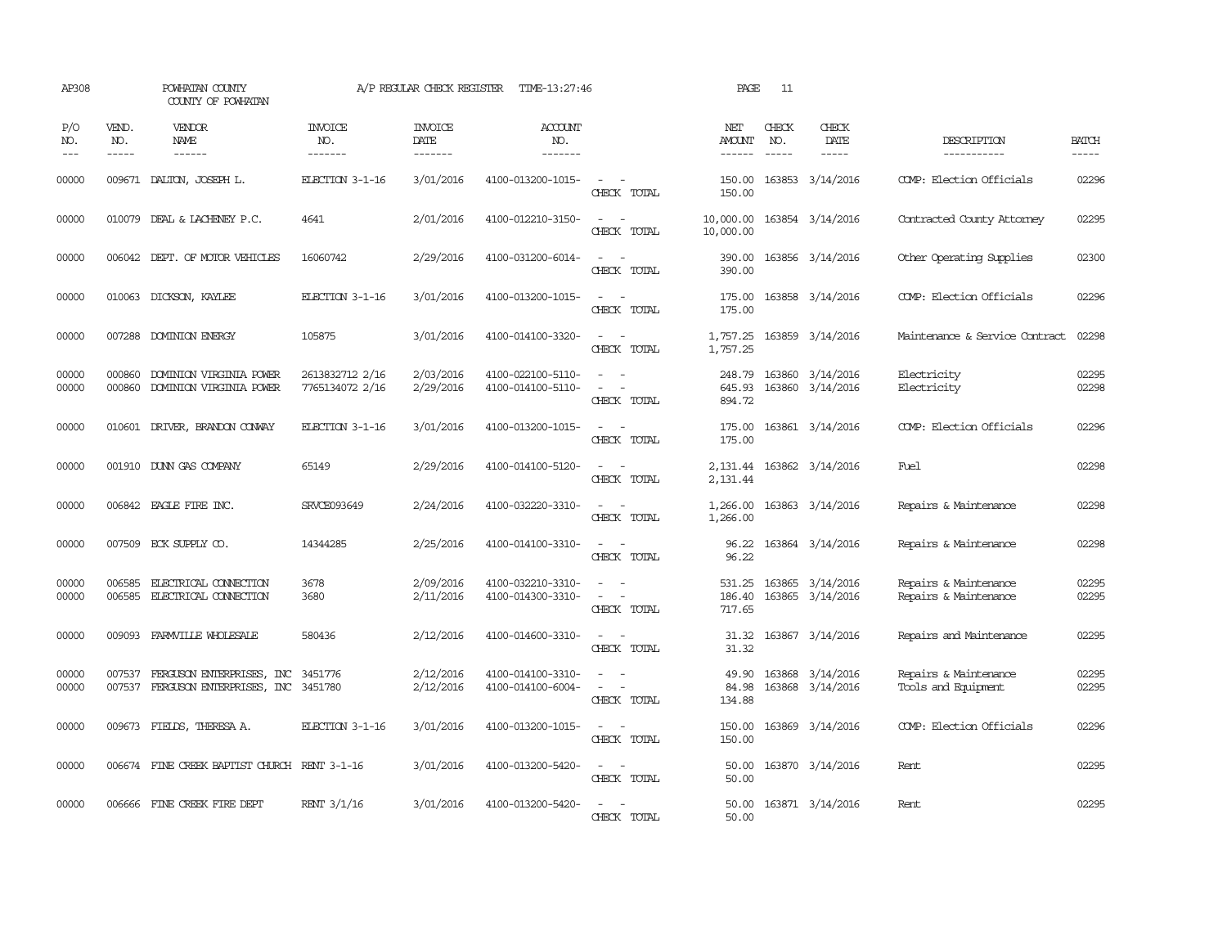| AP308              |                               | POWHATAN COUNTY<br>COUNTY OF POWHATAN                                 |                                    | A/P REGULAR CHECK REGISTER        | TIME-13:27:46                          |                                                                                                                                          | PAGE                       | 11           |                                      |                                                |                       |
|--------------------|-------------------------------|-----------------------------------------------------------------------|------------------------------------|-----------------------------------|----------------------------------------|------------------------------------------------------------------------------------------------------------------------------------------|----------------------------|--------------|--------------------------------------|------------------------------------------------|-----------------------|
| P/O<br>NO.<br>$ -$ | VEND.<br>NO.<br>$\frac{1}{2}$ | VENDOR<br><b>NAME</b><br>------                                       | <b>INVOICE</b><br>NO.<br>-------   | <b>INVOICE</b><br>DATE<br>------- | <b>ACCOUNT</b><br>NO.<br>-------       |                                                                                                                                          | NET<br>AMOUNT<br>------    | CHECK<br>NO. | CHECK<br>DATE<br>$- - - - -$         | DESCRIPTION<br>-----------                     | <b>BATCH</b><br>----- |
| 00000              | 009671                        | DALTON, JOSEPH L.                                                     | ELECTION 3-1-16                    | 3/01/2016                         | 4100-013200-1015-                      | $\overline{\phantom{a}}$<br>CHECK TOTAL                                                                                                  | 150.00<br>150.00           |              | 163853 3/14/2016                     | COMP: Election Officials                       | 02296                 |
| 00000              | 010079                        | DEAL & LACHEMEY P.C.                                                  | 4641                               | 2/01/2016                         | 4100-012210-3150-                      | $\sim$<br>$\sim$<br>CHECK TOTAL                                                                                                          | 10,000.00<br>10,000.00     |              | 163854 3/14/2016                     | Contracted County Attomey                      | 02295                 |
| 00000              |                               | 006042 DEPT. OF MOTOR VEHICLES                                        | 16060742                           | 2/29/2016                         | 4100-031200-6014-                      | $\overline{\phantom{a}}$<br>$\sim$<br>CHECK TOTAL                                                                                        | 390.00<br>390.00           |              | 163856 3/14/2016                     | Other Operating Supplies                       | 02300                 |
| 00000              |                               | 010063 DICKSON, KAYLEE                                                | ELECTION 3-1-16                    | 3/01/2016                         | 4100-013200-1015-                      | $\sim$ 100 $\mu$<br>$\sim$<br>CHECK TOTAL                                                                                                | 175.00<br>175.00           |              | 163858 3/14/2016                     | COMP: Election Officials                       | 02296                 |
| 00000              |                               | 007288 DOMINION ENERGY                                                | 105875                             | 3/01/2016                         | 4100-014100-3320-                      | $\omega_{\rm{max}}$ and $\omega_{\rm{max}}$<br>CHECK TOTAL                                                                               | 1,757.25<br>1,757.25       |              | 163859 3/14/2016                     | Maintenance & Service Contract                 | 02298                 |
| 00000<br>00000     | 000860<br>000860              | DOMINION VIRGINIA POWER<br>DOMINION VIRGINIA POWER                    | 2613832712 2/16<br>7765134072 2/16 | 2/03/2016<br>2/29/2016            | 4100-022100-5110-<br>4100-014100-5110- | $\sim$<br>$\sim$<br>$\equiv$<br>CHECK TOTAL                                                                                              | 248.79<br>645.93<br>894.72 |              | 163860 3/14/2016<br>163860 3/14/2016 | Electricity<br>Electricity                     | 02295<br>02298        |
| 00000              |                               | 010601 DRIVER, BRANDON CONVAY                                         | ELECTION 3-1-16                    | 3/01/2016                         | 4100-013200-1015-                      | $\sim$ $ \sim$<br>CHECK TOTAL                                                                                                            | 175.00<br>175.00           |              | 163861 3/14/2016                     | COMP: Election Officials                       | 02296                 |
| 00000              |                               | 001910 DUNN GAS COMPANY                                               | 65149                              | 2/29/2016                         | 4100-014100-5120-                      | $\frac{1}{2} \left( \frac{1}{2} \right) \left( \frac{1}{2} \right) \left( \frac{1}{2} \right) \left( \frac{1}{2} \right)$<br>CHECK TOTAL | 2,131.44                   |              | 2, 131.44 163862 3/14/2016           | Fuel                                           | 02298                 |
| 00000              |                               | 006842 EAGLE FIRE INC.                                                | SRVCE093649                        | 2/24/2016                         | 4100-032220-3310-                      | $\frac{1}{2} \left( \frac{1}{2} \right) \left( \frac{1}{2} \right) = \frac{1}{2} \left( \frac{1}{2} \right)$<br>CHECK TOTAL              | 1,266.00<br>1,266.00       |              | 163863 3/14/2016                     | Repairs & Maintenance                          | 02298                 |
| 00000              |                               | 007509 ECK SUPPLY CO.                                                 | 14344285                           | 2/25/2016                         | 4100-014100-3310-                      | $\sim$ $ \sim$<br>CHECK TOTAL                                                                                                            | 96.22<br>96.22             |              | 163864 3/14/2016                     | Repairs & Maintenance                          | 02298                 |
| 00000<br>00000     | 006585<br>006585              | <b>ELECTRICAL CONECTION</b><br>ELECTRICAL CONNECTION                  | 3678<br>3680                       | 2/09/2016<br>2/11/2016            | 4100-032210-3310-<br>4100-014300-3310- | $\equiv$<br>$\sim$<br>$\sim$<br>CHECK TOTAL                                                                                              | 531.25<br>186.40<br>717.65 |              | 163865 3/14/2016<br>163865 3/14/2016 | Repairs & Maintenance<br>Repairs & Maintenance | 02295<br>02295        |
| 00000              |                               | 009093 FARMVILLE WHOLESALE                                            | 580436                             | 2/12/2016                         | 4100-014600-3310-                      | $\omega_{\rm{max}}$ and $\omega_{\rm{max}}$<br>CHECK TOTAL                                                                               | 31.32<br>31.32             |              | 163867 3/14/2016                     | Repairs and Maintenance                        | 02295                 |
| 00000<br>00000     | 007537                        | FERGUSON ENTERPRISES, INC<br>007537 FERGUSON ENTERPRISES, INC 3451780 | 3451776                            | 2/12/2016<br>2/12/2016            | 4100-014100-3310-<br>4100-014100-6004- | $\sim$<br>$\equiv$<br>CHECK TOTAL                                                                                                        | 49.90<br>84.98<br>134.88   |              | 163868 3/14/2016<br>163868 3/14/2016 | Repairs & Maintenance<br>Tools and Equipment   | 02295<br>02295        |
| 00000              |                               | 009673 FIELDS, THERESA A.                                             | ELECTION 3-1-16                    | 3/01/2016                         | 4100-013200-1015-                      | $\frac{1}{2} \left( \frac{1}{2} \right) \left( \frac{1}{2} \right) = \frac{1}{2} \left( \frac{1}{2} \right)$<br>CHECK TOTAL              | 150.00<br>150.00           |              | 163869 3/14/2016                     | COMP: Election Officials                       | 02296                 |
| 00000              |                               | 006674 FINE CREEK BAPTIST CHURCH RENT 3-1-16                          |                                    | 3/01/2016                         | 4100-013200-5420-                      | $ -$<br>CHECK TOTAL                                                                                                                      | 50.00<br>50.00             |              | 163870 3/14/2016                     | Rent                                           | 02295                 |
| 00000              |                               | 006666 FINE CREEK FIRE DEPT                                           | RENT 3/1/16                        | 3/01/2016                         | 4100-013200-5420-                      | $\sim$<br>CHECK TOTAL                                                                                                                    | 50.00<br>50.00             |              | 163871 3/14/2016                     | Rent                                           | 02295                 |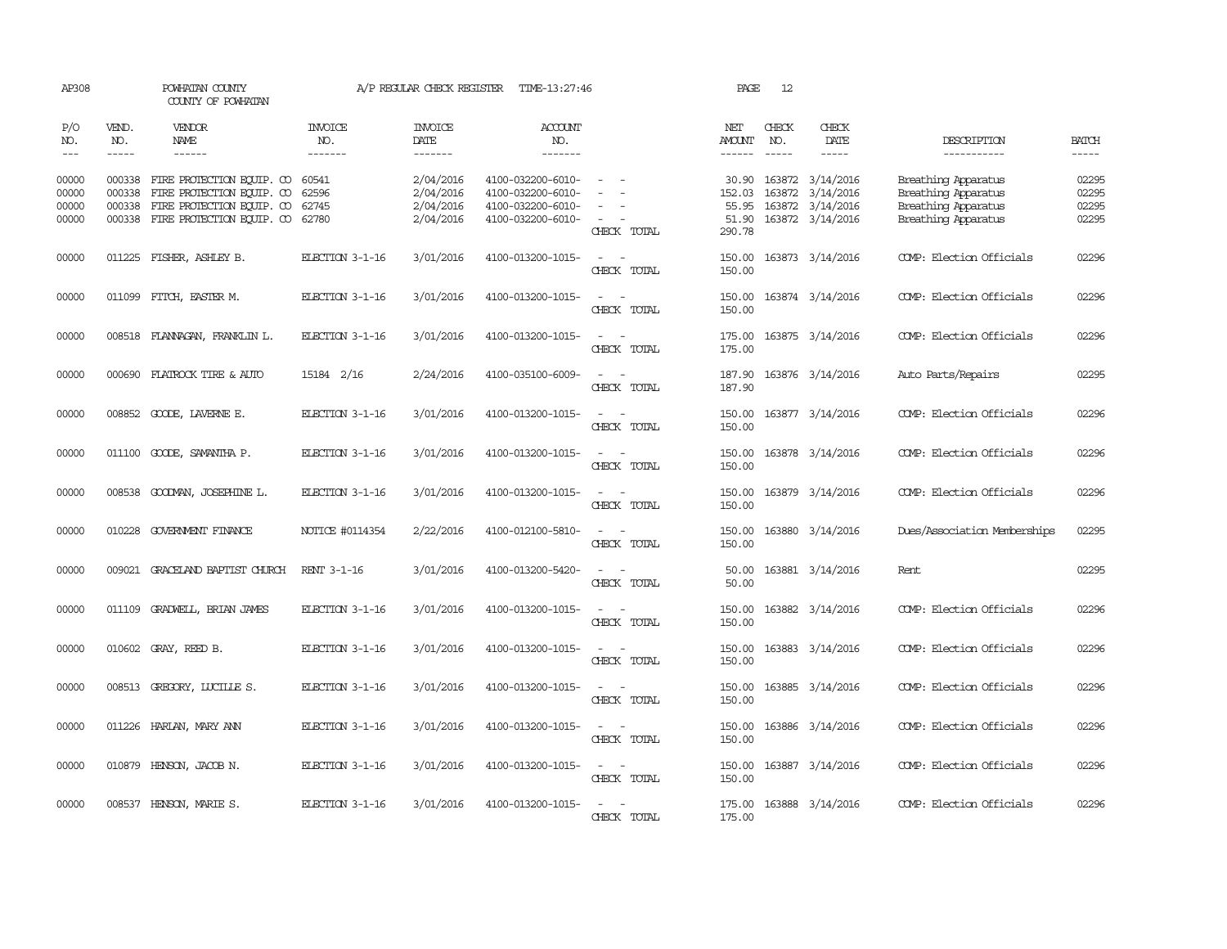| AP308                            |                             | POWHATAN COUNTY<br>COUNTY OF POWHATAN                                                                                   |                                  | A/P REGULAR CHECK REGISTER                       | TIME-13:27:46                                                                    |                                                                                                                             | PAGE                                        | 12                          |                                                                              |                                                                                          |                                  |
|----------------------------------|-----------------------------|-------------------------------------------------------------------------------------------------------------------------|----------------------------------|--------------------------------------------------|----------------------------------------------------------------------------------|-----------------------------------------------------------------------------------------------------------------------------|---------------------------------------------|-----------------------------|------------------------------------------------------------------------------|------------------------------------------------------------------------------------------|----------------------------------|
| P/O<br>NO.<br>$---$              | VEND.<br>NO.<br>$- - - - -$ | <b>VENDOR</b><br>NAME<br>$- - - - - -$                                                                                  | <b>INVOICE</b><br>NO.<br>------- | <b>INVOICE</b><br>DATE<br>-------                | <b>ACCOUNT</b><br>NO.<br>-------                                                 |                                                                                                                             | NET<br><b>AMOUNT</b><br>$- - - - - -$       | CHECK<br>NO.<br>$- - - - -$ | CHECK<br>DATE<br>-----                                                       | DESCRIPTION<br>-----------                                                               | <b>BATCH</b><br>$- - - - -$      |
| 00000<br>00000<br>00000<br>00000 | 000338<br>000338<br>000338  | FIRE PROTECTION EQUIP. CO<br>FIRE PROTECTION EQUIP. CO<br>FIRE PROTECTION EQUIP. CO<br>000338 FIRE PROTECTION EQUIP. CO | 60541<br>62596<br>62745<br>62780 | 2/04/2016<br>2/04/2016<br>2/04/2016<br>2/04/2016 | 4100-032200-6010-<br>4100-032200-6010-<br>4100-032200-6010-<br>4100-032200-6010- | $\equiv$<br>CHECK TOTAL                                                                                                     | 30.90<br>152.03<br>55.95<br>51.90<br>290.78 |                             | 163872 3/14/2016<br>163872 3/14/2016<br>163872 3/14/2016<br>163872 3/14/2016 | Breathing Apparatus<br>Breathing Apparatus<br>Breathing Apparatus<br>Breathing Apparatus | 02295<br>02295<br>02295<br>02295 |
| 00000                            |                             | 011225 FISHER, ASHLEY B.                                                                                                | ELECTION 3-1-16                  | 3/01/2016                                        | 4100-013200-1015-                                                                | $\sim$<br>$\sim$<br>CHECK TOTAL                                                                                             | 150.00<br>150.00                            |                             | 163873 3/14/2016                                                             | COMP: Election Officials                                                                 | 02296                            |
| 00000                            |                             | 011099 FITCH, EASTER M.                                                                                                 | ELECTION 3-1-16                  | 3/01/2016                                        | 4100-013200-1015-                                                                | $\sim$<br>$\sim$<br>CHECK TOTAL                                                                                             | 150.00<br>150.00                            |                             | 163874 3/14/2016                                                             | COMP: Election Officials                                                                 | 02296                            |
| 00000                            |                             | 008518 FLANNAGAN, FRANKLIN L.                                                                                           | ELECTION 3-1-16                  | 3/01/2016                                        | 4100-013200-1015-                                                                | $\equiv$<br>CHECK TOTAL                                                                                                     | 175.00<br>175.00                            |                             | 163875 3/14/2016                                                             | COMP: Election Officials                                                                 | 02296                            |
| 00000                            |                             | 000690 FLATROCK TIRE & AUTO                                                                                             | 15184 2/16                       | 2/24/2016                                        | 4100-035100-6009-                                                                | $\sim$<br>$\sim$<br>CHECK TOTAL                                                                                             | 187.90<br>187.90                            |                             | 163876 3/14/2016                                                             | Auto Parts/Repairs                                                                       | 02295                            |
| 00000                            |                             | 008852 GOODE, LAVERNE E.                                                                                                | ELECTION 3-1-16                  | 3/01/2016                                        | 4100-013200-1015-                                                                | $\sim$ $ \sim$<br>CHECK TOTAL                                                                                               | 150.00<br>150.00                            |                             | 163877 3/14/2016                                                             | COMP: Election Officials                                                                 | 02296                            |
| 00000                            |                             | 011100 GOODE, SAMANTHA P.                                                                                               | ELECTION 3-1-16                  | 3/01/2016                                        | 4100-013200-1015-                                                                | $\frac{1}{2} \left( \frac{1}{2} \right) \left( \frac{1}{2} \right) = \frac{1}{2} \left( \frac{1}{2} \right)$<br>CHECK TOTAL | 150.00<br>150.00                            |                             | 163878 3/14/2016                                                             | COMP: Election Officials                                                                 | 02296                            |
| 00000                            |                             | 008538 GOODMAN, JOSEPHINE L.                                                                                            | ELECTION 3-1-16                  | 3/01/2016                                        | 4100-013200-1015-                                                                | $\sim$ $ -$<br>CHECK TOTAL                                                                                                  | 150.00<br>150.00                            |                             | 163879 3/14/2016                                                             | COMP: Election Officials                                                                 | 02296                            |
| 00000                            |                             | 010228 GOVERNMENT FINANCE                                                                                               | NOTICE #0114354                  | 2/22/2016                                        | 4100-012100-5810-                                                                | $\sim$<br>- -<br>CHECK TOTAL                                                                                                | 150.00<br>150.00                            |                             | 163880 3/14/2016                                                             | Dues/Association Memberships                                                             | 02295                            |
| 00000                            |                             | 009021 GRACELAND BAPTIST CHURCH                                                                                         | RENT 3-1-16                      | 3/01/2016                                        | 4100-013200-5420-                                                                | CHECK TOTAL                                                                                                                 | 50.00<br>50.00                              |                             | 163881 3/14/2016                                                             | Rent.                                                                                    | 02295                            |
| 00000                            | 011109                      | GRADWELL, BRIAN JAMES                                                                                                   | ELECTION 3-1-16                  | 3/01/2016                                        | 4100-013200-1015-                                                                | $\overline{\phantom{a}}$<br>$\sim$<br>CHECK TOTAL                                                                           | 150.00<br>150.00                            |                             | 163882 3/14/2016                                                             | COMP: Election Officials                                                                 | 02296                            |
| 00000                            |                             | 010602 GRAY, REED B.                                                                                                    | ELECTION 3-1-16                  | 3/01/2016                                        | 4100-013200-1015-                                                                | $\sim$<br>$\sim$<br>CHECK TOTAL                                                                                             | 150.00<br>150.00                            |                             | 163883 3/14/2016                                                             | COMP: Election Officials                                                                 | 02296                            |
| 00000                            |                             | 008513 GREGORY, LUCILLE S.                                                                                              | ELECTION 3-1-16                  | 3/01/2016                                        | 4100-013200-1015-                                                                | $\overline{\phantom{a}}$<br>$\sim$<br>CHECK TOTAL                                                                           | 150.00<br>150.00                            |                             | 163885 3/14/2016                                                             | COMP: Election Officials                                                                 | 02296                            |
| 00000                            |                             | 011226 HARLAN, MARY ANN                                                                                                 | ELECTION 3-1-16                  | 3/01/2016                                        | 4100-013200-1015-                                                                | $\sim$ $ \sim$<br>CHECK TOTAL                                                                                               | 150.00<br>150.00                            |                             | 163886 3/14/2016                                                             | COMP: Election Officials                                                                 | 02296                            |
| 00000                            |                             | 010879 HENSON, JACOB N.                                                                                                 | ELECTION 3-1-16                  | 3/01/2016                                        | 4100-013200-1015-                                                                | $\frac{1}{2} \left( \frac{1}{2} \right) \left( \frac{1}{2} \right) = \frac{1}{2} \left( \frac{1}{2} \right)$<br>CHECK TOTAL | 150.00<br>150.00                            |                             | 163887 3/14/2016                                                             | COMP: Election Officials                                                                 | 02296                            |
| 00000                            |                             | 008537 HENSON, MARIE S.                                                                                                 | ELECTION 3-1-16                  | 3/01/2016                                        | 4100-013200-1015-                                                                | $\sim$<br>CHECK TOTAL                                                                                                       | 175.00<br>175.00                            |                             | 163888 3/14/2016                                                             | COMP: Election Officials                                                                 | 02296                            |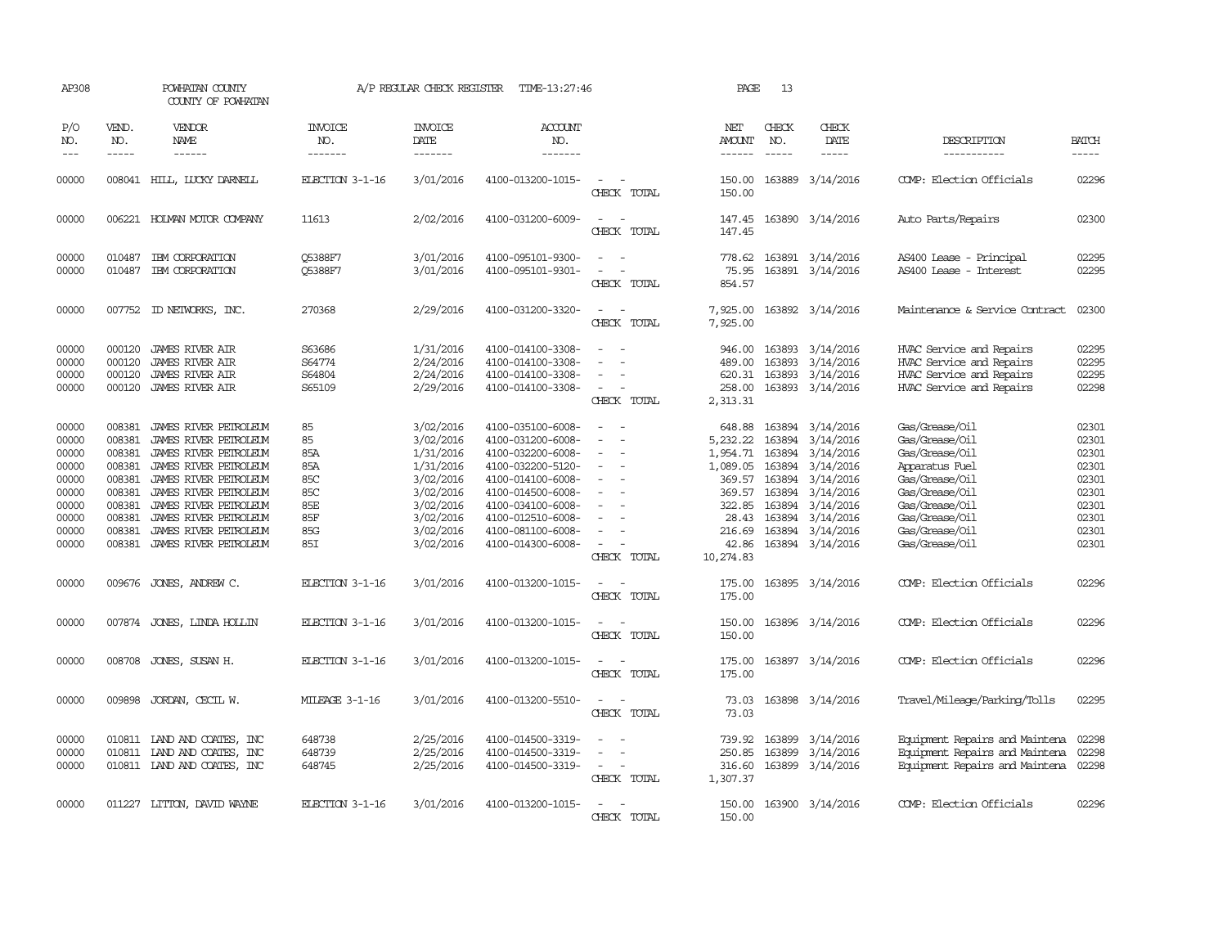| AP308                                                                                  |                                                                                                  | POWHATAN COUNTY<br>COUNTY OF POWHATAN                                                                                                                                                                                                                  |                                                                  | A/P REGULAR CHECK REGISTER                                                                                                     | TIME-13:27:46                                                                                                                                                                                                  |                                                               | PAGE                                                                                                    | 13                                             |                                                                                                                                                                          |                                                                                                                                                                                  |                                                                                        |
|----------------------------------------------------------------------------------------|--------------------------------------------------------------------------------------------------|--------------------------------------------------------------------------------------------------------------------------------------------------------------------------------------------------------------------------------------------------------|------------------------------------------------------------------|--------------------------------------------------------------------------------------------------------------------------------|----------------------------------------------------------------------------------------------------------------------------------------------------------------------------------------------------------------|---------------------------------------------------------------|---------------------------------------------------------------------------------------------------------|------------------------------------------------|--------------------------------------------------------------------------------------------------------------------------------------------------------------------------|----------------------------------------------------------------------------------------------------------------------------------------------------------------------------------|----------------------------------------------------------------------------------------|
| P/O<br>NO.<br>$\qquad \qquad - -$                                                      | VEND.<br>NO.<br>$\frac{1}{2}$                                                                    | VENDOR<br>NAME<br>------                                                                                                                                                                                                                               | <b>INVOICE</b><br>NO.<br>-------                                 | <b>INVOICE</b><br>DATE<br>-------                                                                                              | ACCOUNT<br>NO.<br>-------                                                                                                                                                                                      |                                                               | NET<br><b>AMOUNT</b><br>------                                                                          | CHECK<br>NO.<br>$\frac{1}{2}$                  | CHECK<br><b>DATE</b><br>$- - - - -$                                                                                                                                      | DESCRIPTION<br>-----------                                                                                                                                                       | <b>BATCH</b><br>-----                                                                  |
| 00000                                                                                  |                                                                                                  | 008041 HILL, LUCKY DARNELL                                                                                                                                                                                                                             | ELECTION 3-1-16                                                  | 3/01/2016                                                                                                                      | 4100-013200-1015-                                                                                                                                                                                              | CHECK TOTAL                                                   | 150.00<br>150.00                                                                                        |                                                | 163889 3/14/2016                                                                                                                                                         | COMP: Election Officials                                                                                                                                                         | 02296                                                                                  |
| 00000                                                                                  |                                                                                                  | 006221 HOLMAN MOTOR COMPANY                                                                                                                                                                                                                            | 11613                                                            | 2/02/2016                                                                                                                      | 4100-031200-6009-                                                                                                                                                                                              | CHECK TOTAL                                                   | 147.45<br>147.45                                                                                        |                                                | 163890 3/14/2016                                                                                                                                                         | Auto Parts/Repairs                                                                                                                                                               | 02300                                                                                  |
| 00000<br>00000                                                                         | 010487<br>010487                                                                                 | IBM CORPORATION<br>IBM CORPORATION                                                                                                                                                                                                                     | <b>05388F7</b><br>Q5388F7                                        | 3/01/2016<br>3/01/2016                                                                                                         | 4100-095101-9300-<br>4100-095101-9301-                                                                                                                                                                         | CHECK TOTAL                                                   | 778.62<br>75.95<br>854.57                                                                               |                                                | 163891 3/14/2016<br>163891 3/14/2016                                                                                                                                     | AS400 Lease - Principal<br>AS400 Lease - Interest                                                                                                                                | 02295<br>02295                                                                         |
| 00000                                                                                  |                                                                                                  | 007752 ID NEIWORKS, INC.                                                                                                                                                                                                                               | 270368                                                           | 2/29/2016                                                                                                                      | 4100-031200-3320-                                                                                                                                                                                              | $\sim$<br>- 14<br>CHECK TOTAL                                 | 7,925.00<br>7,925.00                                                                                    |                                                | 163892 3/14/2016                                                                                                                                                         | Maintenance & Service Contract                                                                                                                                                   | 02300                                                                                  |
| 00000<br>00000<br>00000<br>00000                                                       | 000120<br>000120<br>000120                                                                       | <b>JAMES RIVER AIR</b><br><b>JAMES RIVER AIR</b><br><b>JAMES RIVER AIR</b><br>000120 JAMES RIVER AIR                                                                                                                                                   | S63686<br>S64774<br>S64804<br>S65109                             | 1/31/2016<br>2/24/2016<br>2/24/2016<br>2/29/2016                                                                               | 4100-014100-3308-<br>4100-014100-3308-<br>4100-014100-3308-<br>4100-014100-3308-                                                                                                                               | $\sim$<br>CHECK TOTAL                                         | 946.00<br>489.00<br>620.31<br>258.00<br>2,313.31                                                        | 163893                                         | 163893 3/14/2016<br>3/14/2016<br>163893 3/14/2016<br>163893 3/14/2016                                                                                                    | HVAC Service and Repairs<br>HVAC Service and Repairs<br>HVAC Service and Repairs<br>HVAC Service and Repairs                                                                     | 02295<br>02295<br>02295<br>02298                                                       |
| 00000<br>00000<br>00000<br>00000<br>00000<br>00000<br>00000<br>00000<br>00000<br>00000 | 008381<br>008381<br>008381<br>008381<br>008381<br>008381<br>008381<br>008381<br>008381<br>008381 | JAMES RIVER PETROLEUM<br>JAMES RIVER PETROLEUM<br>JAMES RIVER PETROLEUM<br>JAMES RIVER PEIROLEUM<br>JAMES RIVER PETROLEUM<br>JAMES RIVER PETROLEUM<br>JAMES RIVER PETROLEUM<br>JAMES RIVER PETROLEUM<br>JAMES RIVER PETROLEUM<br>JAMES RIVER PETROLEUM | 85<br>85<br>85A<br>85A<br>85C<br>85C<br>85E<br>85F<br>85G<br>85I | 3/02/2016<br>3/02/2016<br>1/31/2016<br>1/31/2016<br>3/02/2016<br>3/02/2016<br>3/02/2016<br>3/02/2016<br>3/02/2016<br>3/02/2016 | 4100-035100-6008-<br>4100-031200-6008-<br>4100-032200-6008-<br>4100-032200-5120-<br>4100-014100-6008-<br>4100-014500-6008-<br>4100-034100-6008-<br>4100-012510-6008-<br>4100-081100-6008-<br>4100-014300-6008- | $\sim$<br>$\equiv$<br>$\overline{\phantom{a}}$<br>CHECK TOTAL | 648.88<br>5,232.22<br>1,954.71<br>1,089.05<br>369.57<br>322.85<br>28.43<br>216.69<br>42.86<br>10,274.83 | 163894<br>163894<br>163894<br>163894<br>163894 | 163894 3/14/2016<br>3/14/2016<br>3/14/2016<br>3/14/2016<br>3/14/2016<br>369.57 163894 3/14/2016<br>3/14/2016<br>163894 3/14/2016<br>163894 3/14/2016<br>163894 3/14/2016 | Gas/Grease/Oil<br>Gas/Grease/Oil<br>Gas/Grease/Oil<br>Apparatus Fuel<br>Gas/Grease/Oil<br>Gas/Grease/Oil<br>Gas/Grease/Oil<br>Gas/Grease/Oil<br>Gas/Grease/Oil<br>Gas/Grease/Oil | 02301<br>02301<br>02301<br>02301<br>02301<br>02301<br>02301<br>02301<br>02301<br>02301 |
| 00000                                                                                  | 009676                                                                                           | JONES, ANDREW C.                                                                                                                                                                                                                                       | ELECTION 3-1-16                                                  | 3/01/2016                                                                                                                      | 4100-013200-1015-                                                                                                                                                                                              | $\sim$<br>$\sim$<br>CHECK TOTAL                               | 175.00<br>175.00                                                                                        |                                                | 163895 3/14/2016                                                                                                                                                         | COMP: Election Officials                                                                                                                                                         | 02296                                                                                  |
| 00000                                                                                  | 007874                                                                                           | JONES, LINDA HOLLIN                                                                                                                                                                                                                                    | ELECTION 3-1-16                                                  | 3/01/2016                                                                                                                      | 4100-013200-1015-                                                                                                                                                                                              | CHECK TOTAL                                                   | 150.00<br>150.00                                                                                        |                                                | 163896 3/14/2016                                                                                                                                                         | COMP: Election Officials                                                                                                                                                         | 02296                                                                                  |
| 00000                                                                                  | 008708                                                                                           | JONES, SUSAN H.                                                                                                                                                                                                                                        | ELECTION 3-1-16                                                  | 3/01/2016                                                                                                                      | 4100-013200-1015-                                                                                                                                                                                              | CHECK TOTAL                                                   | 175.00<br>175.00                                                                                        |                                                | 163897 3/14/2016                                                                                                                                                         | COMP: Election Officials                                                                                                                                                         | 02296                                                                                  |
| 00000                                                                                  | 009898                                                                                           | JORDAN, CECIL W.                                                                                                                                                                                                                                       | MILEAGE 3-1-16                                                   | 3/01/2016                                                                                                                      | 4100-013200-5510-                                                                                                                                                                                              | $\overline{\phantom{a}}$<br>CHECK TOTAL                       | 73.03<br>73.03                                                                                          |                                                | 163898 3/14/2016                                                                                                                                                         | Travel/Mileage/Parking/Tolls                                                                                                                                                     | 02295                                                                                  |
| 00000<br>00000<br>00000                                                                |                                                                                                  | 010811 IAND AND COATES, INC<br>010811 LAND AND COATES, INC<br>010811 IAND AND COATES, INC                                                                                                                                                              | 648738<br>648739<br>648745                                       | 2/25/2016<br>2/25/2016<br>2/25/2016                                                                                            | 4100-014500-3319-<br>4100-014500-3319-<br>4100-014500-3319-                                                                                                                                                    | CHECK TOTAL                                                   | 739.92<br>250.85<br>316.60<br>1,307.37                                                                  | 163899<br>163899                               | 3/14/2016<br>3/14/2016<br>163899 3/14/2016                                                                                                                               | Equipment Repairs and Maintena<br>Equipment Repairs and Maintena<br>Equipment Repairs and Maintena                                                                               | 02298<br>02298<br>02298                                                                |
| 00000                                                                                  |                                                                                                  | 011227 LITTON, DAVID WAYNE                                                                                                                                                                                                                             | ELECTION 3-1-16                                                  | 3/01/2016                                                                                                                      | 4100-013200-1015-                                                                                                                                                                                              | CHECK TOTAL                                                   | 150.00<br>150.00                                                                                        |                                                | 163900 3/14/2016                                                                                                                                                         | COMP: Election Officials                                                                                                                                                         | 02296                                                                                  |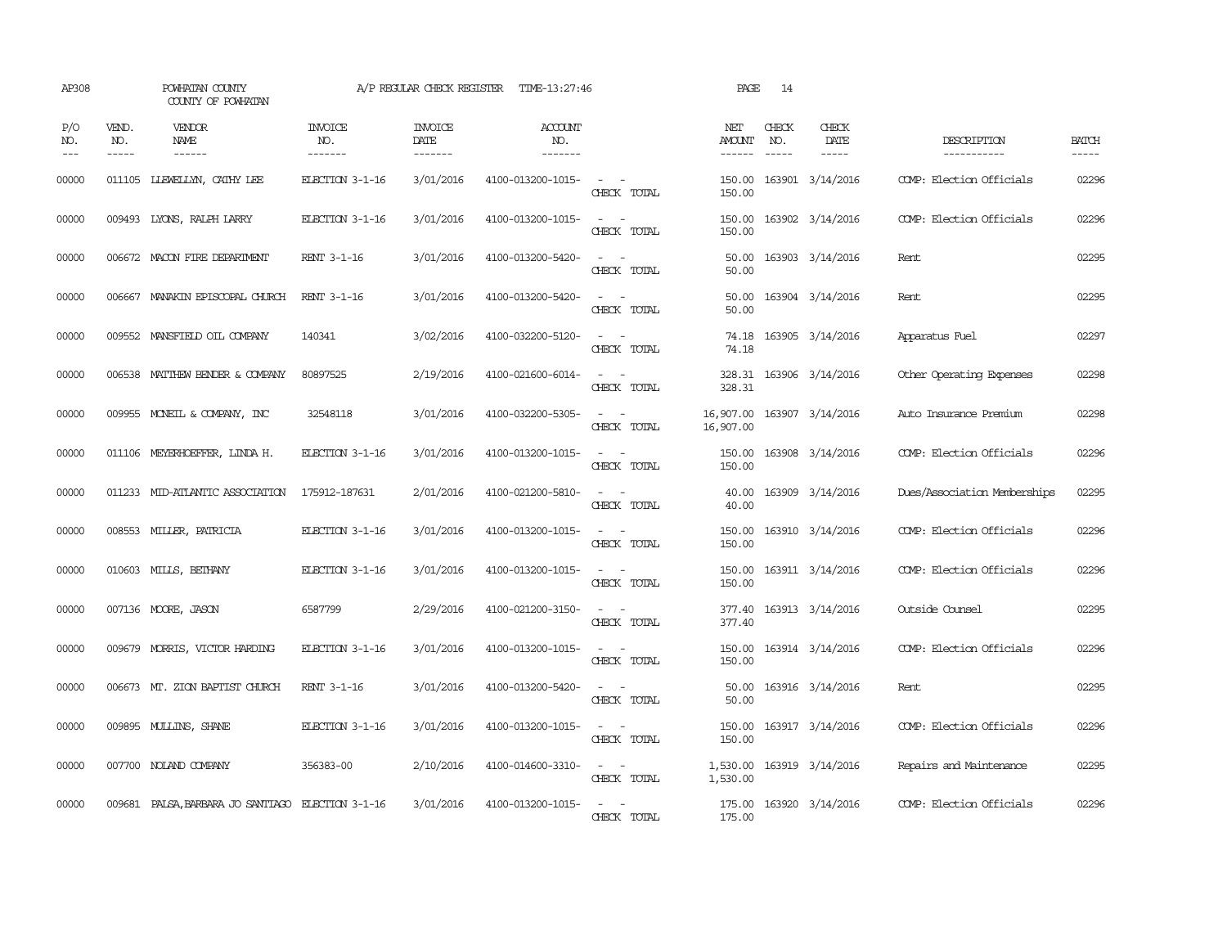| AP308                 |                                                                                                                                                                                                                                                                                                                                                                                                                                                                                            | POWHATAN COUNTY<br>COUNTY OF POWHATAN             |                           | A/P REGULAR CHECK REGISTER        | TIME-13:27:46                    |                                                                                                                             | PAGE                    | 14                          |                                       |                              |                       |
|-----------------------|--------------------------------------------------------------------------------------------------------------------------------------------------------------------------------------------------------------------------------------------------------------------------------------------------------------------------------------------------------------------------------------------------------------------------------------------------------------------------------------------|---------------------------------------------------|---------------------------|-----------------------------------|----------------------------------|-----------------------------------------------------------------------------------------------------------------------------|-------------------------|-----------------------------|---------------------------------------|------------------------------|-----------------------|
| P/O<br>NO.<br>$- - -$ | VEND.<br>NO.<br>$\frac{1}{2} \left( \frac{1}{2} \right) \left( \frac{1}{2} \right) \left( \frac{1}{2} \right) \left( \frac{1}{2} \right) \left( \frac{1}{2} \right) \left( \frac{1}{2} \right) \left( \frac{1}{2} \right) \left( \frac{1}{2} \right) \left( \frac{1}{2} \right) \left( \frac{1}{2} \right) \left( \frac{1}{2} \right) \left( \frac{1}{2} \right) \left( \frac{1}{2} \right) \left( \frac{1}{2} \right) \left( \frac{1}{2} \right) \left( \frac{1}{2} \right) \left( \frac$ | VENDOR<br>NAME<br>$- - - - - -$                   | INVOICE<br>NO.<br>------- | <b>INVOICE</b><br>DATE<br>------- | <b>ACCOUNT</b><br>NO.<br>------- |                                                                                                                             | NET<br>AMOUNT<br>------ | CHECK<br>NO.<br>$- - - - -$ | CHECK<br>DATE<br>$\cdots\cdots\cdots$ | DESCRIPTION<br>-----------   | <b>BATCH</b><br>----- |
| 00000                 | 011105                                                                                                                                                                                                                                                                                                                                                                                                                                                                                     | LLEWELLYN, CATHY LEE                              | ELECTION 3-1-16           | 3/01/2016                         | 4100-013200-1015-                | $\sim$<br>$\overline{\phantom{a}}$<br>CHECK TOTAL                                                                           | 150.00<br>150.00        |                             | 163901 3/14/2016                      | COMP: Election Officials     | 02296                 |
| 00000                 |                                                                                                                                                                                                                                                                                                                                                                                                                                                                                            | 009493 LYONS, RALPH LARRY                         | ELECTION 3-1-16           | 3/01/2016                         | 4100-013200-1015-                | $\overline{\phantom{a}}$<br>CHECK TOTAL                                                                                     | 150.00<br>150.00        |                             | 163902 3/14/2016                      | COMP: Election Officials     | 02296                 |
| 00000                 |                                                                                                                                                                                                                                                                                                                                                                                                                                                                                            | 006672 MACON FIRE DEPARTMENT                      | RENT 3-1-16               | 3/01/2016                         | 4100-013200-5420-                | $\overline{\phantom{a}}$<br>CHECK TOTAL                                                                                     | 50.00<br>50.00          |                             | 163903 3/14/2016                      | Rent                         | 02295                 |
| 00000                 |                                                                                                                                                                                                                                                                                                                                                                                                                                                                                            | 006667 MANAKIN EPISCOPAL CHURCH                   | RENT 3-1-16               | 3/01/2016                         | 4100-013200-5420-                | $\overline{\phantom{a}}$<br>CHECK TOTAL                                                                                     | 50.00<br>50.00          |                             | 163904 3/14/2016                      | Rent                         | 02295                 |
| 00000                 |                                                                                                                                                                                                                                                                                                                                                                                                                                                                                            | 009552 MANSFIELD OIL COMPANY                      | 140341                    | 3/02/2016                         | 4100-032200-5120-                | $\sim$<br>CHECK TOTAL                                                                                                       | 74.18<br>74.18          |                             | 163905 3/14/2016                      | Apparatus Fuel               | 02297                 |
| 00000                 |                                                                                                                                                                                                                                                                                                                                                                                                                                                                                            | 006538 MATTHEW BENDER & COMPANY                   | 80897525                  | 2/19/2016                         | 4100-021600-6014-                | $\overline{\phantom{a}}$<br>$\overline{\phantom{a}}$<br>CHECK TOTAL                                                         | 328.31<br>328.31        |                             | 163906 3/14/2016                      | Other Operating Expenses     | 02298                 |
| 00000                 |                                                                                                                                                                                                                                                                                                                                                                                                                                                                                            | 009955 MONEIL & COMPANY, INC                      | 32548118                  | 3/01/2016                         | 4100-032200-5305-                | $\overline{\phantom{a}}$<br>CHECK TOTAL                                                                                     | 16,907.00<br>16,907.00  |                             | 163907 3/14/2016                      | Auto Insurance Premium       | 02298                 |
| 00000                 |                                                                                                                                                                                                                                                                                                                                                                                                                                                                                            | 011106 MEYERHOEFFER, LINDA H.                     | ELECTION 3-1-16           | 3/01/2016                         | 4100-013200-1015-                | $\sim 100$<br>$\overline{\phantom{a}}$<br>CHECK TOTAL                                                                       | 150.00<br>150.00        |                             | 163908 3/14/2016                      | COMP: Election Officials     | 02296                 |
| 00000                 |                                                                                                                                                                                                                                                                                                                                                                                                                                                                                            | 011233 MID-ATLANTIC ASSOCIATION                   | 175912-187631             | 2/01/2016                         | 4100-021200-5810-                | $\sim$ 10 $\sim$<br>$\overline{\phantom{a}}$<br>CHECK TOTAL                                                                 | 40.00<br>40.00          |                             | 163909 3/14/2016                      | Dues/Association Memberships | 02295                 |
| 00000                 |                                                                                                                                                                                                                                                                                                                                                                                                                                                                                            | 008553 MILLER, PATRICIA                           | ELECTION 3-1-16           | 3/01/2016                         | 4100-013200-1015-                | $\frac{1}{2} \left( \frac{1}{2} \right) \left( \frac{1}{2} \right) = \frac{1}{2} \left( \frac{1}{2} \right)$<br>CHECK TOTAL | 150.00<br>150.00        |                             | 163910 3/14/2016                      | COMP: Election Officials     | 02296                 |
| 00000                 |                                                                                                                                                                                                                                                                                                                                                                                                                                                                                            | 010603 MILLS, BETHANY                             | ELECTION 3-1-16           | 3/01/2016                         | 4100-013200-1015-                | $\sim$ 100 $\sim$<br>CHECK TOTAL                                                                                            | 150.00                  |                             | 150.00 163911 3/14/2016               | COMP: Election Officials     | 02296                 |
| 00000                 |                                                                                                                                                                                                                                                                                                                                                                                                                                                                                            | 007136 MOORE, JASON                               | 6587799                   | 2/29/2016                         | 4100-021200-3150-                | $\sim$<br>$\overline{\phantom{a}}$<br>CHECK TOTAL                                                                           | 377.40<br>377.40        |                             | 163913 3/14/2016                      | Outside Counsel              | 02295                 |
| 00000                 |                                                                                                                                                                                                                                                                                                                                                                                                                                                                                            | 009679 MORRIS, VICTOR HARDING                     | ELECTION 3-1-16           | 3/01/2016                         | 4100-013200-1015-                | $\frac{1}{2} \left( \frac{1}{2} \right) \left( \frac{1}{2} \right) = \frac{1}{2} \left( \frac{1}{2} \right)$<br>CHECK TOTAL | 150.00<br>150.00        |                             | 163914 3/14/2016                      | COMP: Election Officials     | 02296                 |
| 00000                 |                                                                                                                                                                                                                                                                                                                                                                                                                                                                                            | 006673 MT. ZION BAPTIST CHURCH                    | RENT 3-1-16               | 3/01/2016                         | 4100-013200-5420-                | $\frac{1}{2} \left( \frac{1}{2} \right) \left( \frac{1}{2} \right) = \frac{1}{2} \left( \frac{1}{2} \right)$<br>CHECK TOTAL | 50.00<br>50.00          |                             | 163916 3/14/2016                      | Rent                         | 02295                 |
| 00000                 |                                                                                                                                                                                                                                                                                                                                                                                                                                                                                            | 009895 MULLINS, SHANE                             | ELECTION 3-1-16           | 3/01/2016                         | 4100-013200-1015-                | $\frac{1}{2} \left( \frac{1}{2} \right) \left( \frac{1}{2} \right) = \frac{1}{2} \left( \frac{1}{2} \right)$<br>CHECK TOTAL | 150.00<br>150.00        |                             | 163917 3/14/2016                      | COMP: Election Officials     | 02296                 |
| 00000                 |                                                                                                                                                                                                                                                                                                                                                                                                                                                                                            | 007700 NOLAND COMPANY                             | 356383-00                 | 2/10/2016                         | 4100-014600-3310-                | $\frac{1}{2} \left( \frac{1}{2} \right) \left( \frac{1}{2} \right) = \frac{1}{2} \left( \frac{1}{2} \right)$<br>CHECK TOTAL | 1,530.00                |                             | 1,530.00 163919 3/14/2016             | Repairs and Maintenance      | 02295                 |
| 00000                 |                                                                                                                                                                                                                                                                                                                                                                                                                                                                                            | 009681 PALSA, BARBARA JO SANTIAGO ELECTION 3-1-16 |                           | 3/01/2016                         | 4100-013200-1015-                | $\sim$<br>CHECK TOTAL                                                                                                       | 175.00                  |                             | 175.00 163920 3/14/2016               | COMP: Election Officials     | 02296                 |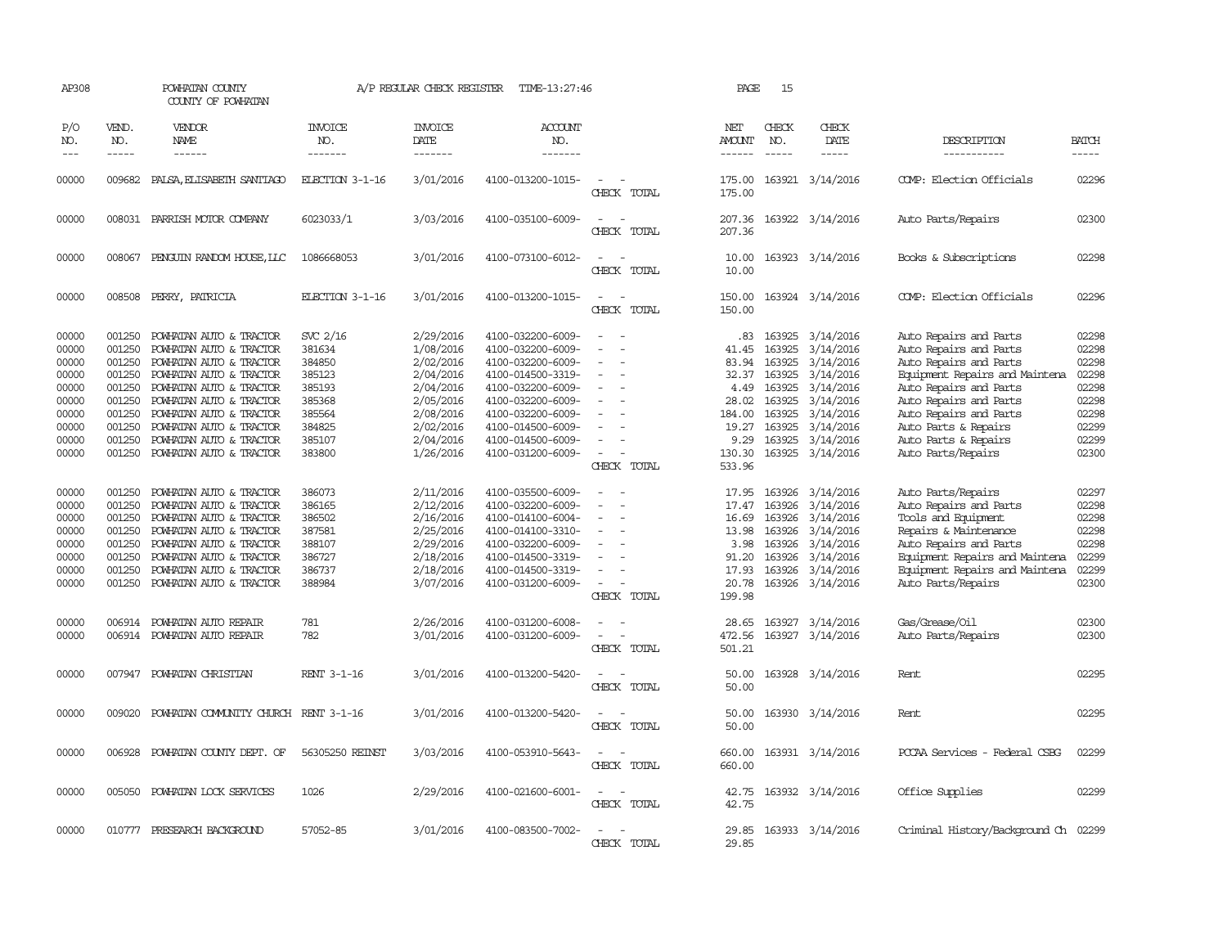| AP308                                                                                  |                                                                                                  | POWHATAN COUNTY<br>COUNTY OF POWHATAN                                                                                                                                                                                                                                      |                                                                                                    | A/P REGULAR CHECK REGISTER                                                                                                     | TIME-13:27:46                                                                                                                                                                                                  |                                                                       | PAGE                                                                                           | 15                                                                 |                                                                                                                                                     |                                                                                                                                                                                                                                                                  |                                                                                        |
|----------------------------------------------------------------------------------------|--------------------------------------------------------------------------------------------------|----------------------------------------------------------------------------------------------------------------------------------------------------------------------------------------------------------------------------------------------------------------------------|----------------------------------------------------------------------------------------------------|--------------------------------------------------------------------------------------------------------------------------------|----------------------------------------------------------------------------------------------------------------------------------------------------------------------------------------------------------------|-----------------------------------------------------------------------|------------------------------------------------------------------------------------------------|--------------------------------------------------------------------|-----------------------------------------------------------------------------------------------------------------------------------------------------|------------------------------------------------------------------------------------------------------------------------------------------------------------------------------------------------------------------------------------------------------------------|----------------------------------------------------------------------------------------|
| P/O<br>NO.<br>$---$                                                                    | VEND.<br>NO.<br>$- - - - -$                                                                      | VENDOR<br>NAME<br>------                                                                                                                                                                                                                                                   | <b>INVOICE</b><br>NO.<br>-------                                                                   | <b>INVOICE</b><br>DATE<br>-------                                                                                              | ACCOUNT<br>NO.<br>-------                                                                                                                                                                                      |                                                                       | NET<br>AMOUNT<br>$- - - - - -$                                                                 | CHECK<br>NO.<br>$- - - - -$                                        | CHECK<br>DATE<br>$- - - - -$                                                                                                                        | DESCRIPTION<br>-----------                                                                                                                                                                                                                                       | <b>BATCH</b><br>$- - - - -$                                                            |
| 00000                                                                                  | 009682                                                                                           | PALSA, ELISABETH SANTIAGO                                                                                                                                                                                                                                                  | ELECTION 3-1-16                                                                                    | 3/01/2016                                                                                                                      | 4100-013200-1015-                                                                                                                                                                                              | $\overline{\phantom{a}}$<br>CHECK TOTAL                               | 175.00<br>175.00                                                                               |                                                                    | 163921 3/14/2016                                                                                                                                    | COMP: Election Officials                                                                                                                                                                                                                                         | 02296                                                                                  |
| 00000                                                                                  |                                                                                                  | 008031 PARRISH MOTOR COMPANY                                                                                                                                                                                                                                               | 6023033/1                                                                                          | 3/03/2016                                                                                                                      | 4100-035100-6009-                                                                                                                                                                                              | CHECK TOTAL                                                           | 207.36<br>207.36                                                                               |                                                                    | 163922 3/14/2016                                                                                                                                    | Auto Parts/Repairs                                                                                                                                                                                                                                               | 02300                                                                                  |
| 00000                                                                                  |                                                                                                  | 008067 PENGUIN RANDOM HOUSE, LLC                                                                                                                                                                                                                                           | 1086668053                                                                                         | 3/01/2016                                                                                                                      | 4100-073100-6012-                                                                                                                                                                                              | $\sim$<br>CHECK TOTAL                                                 | 10.00<br>10.00                                                                                 |                                                                    | 163923 3/14/2016                                                                                                                                    | Books & Subscriptions                                                                                                                                                                                                                                            | 02298                                                                                  |
| 00000                                                                                  |                                                                                                  | 008508 PERRY, PATRICIA                                                                                                                                                                                                                                                     | ELECTION 3-1-16                                                                                    | 3/01/2016                                                                                                                      | 4100-013200-1015-                                                                                                                                                                                              | $\overline{\phantom{a}}$<br>CHECK TOTAL                               | 150.00<br>150.00                                                                               |                                                                    | 163924 3/14/2016                                                                                                                                    | COMP: Election Officials                                                                                                                                                                                                                                         | 02296                                                                                  |
| 00000<br>00000<br>00000<br>00000<br>00000<br>00000<br>00000<br>00000<br>00000<br>00000 | 001250<br>001250<br>001250<br>001250<br>001250<br>001250<br>001250<br>001250<br>001250<br>001250 | POWHATAN AUTO & TRACTOR<br>POWHATAN AUTO & TRACTOR<br>POWHATAN AUTO & TRACTOR<br>POWHATAN AUTO & TRACTOR<br>POWHATAN AUTO & TRACTOR<br>POWHATAN AUTO & TRACTOR<br>POWHATAN AUTO & TRACTOR<br>POWHATAN AUTO & TRACTOR<br>POWHATAN AUTO & TRACTOR<br>POWHATAN AUTO & TRACTOR | SVC 2/16<br>381634<br>384850<br>385123<br>385193<br>385368<br>385564<br>384825<br>385107<br>383800 | 2/29/2016<br>1/08/2016<br>2/02/2016<br>2/04/2016<br>2/04/2016<br>2/05/2016<br>2/08/2016<br>2/02/2016<br>2/04/2016<br>1/26/2016 | 4100-032200-6009-<br>4100-032200-6009-<br>4100-032200-6009-<br>4100-014500-3319-<br>4100-032200-6009-<br>4100-032200-6009-<br>4100-032200-6009-<br>4100-014500-6009-<br>4100-014500-6009-<br>4100-031200-6009- | $\overline{\phantom{a}}$<br>$\sim$<br>$\equiv$<br>CHECK TOTAL         | .83<br>41.45<br>83.94<br>32.37<br>4.49<br>28.02<br>184.00<br>19.27<br>9.29<br>130.30<br>533.96 | 163925<br>163925<br>163925<br>163925<br>163925<br>163925<br>163925 | 163925 3/14/2016<br>163925 3/14/2016<br>3/14/2016<br>3/14/2016<br>3/14/2016<br>3/14/2016<br>3/14/2016<br>3/14/2016<br>3/14/2016<br>163925 3/14/2016 | Auto Repairs and Parts<br>Auto Repairs and Parts<br>Auto Repairs and Parts<br>Equipment Repairs and Maintena<br>Auto Repairs and Parts<br>Auto Repairs and Parts<br>Auto Repairs and Parts<br>Auto Parts & Repairs<br>Auto Parts & Repairs<br>Auto Parts/Repairs | 02298<br>02298<br>02298<br>02298<br>02298<br>02298<br>02298<br>02299<br>02299<br>02300 |
| 00000<br>00000<br>00000<br>00000<br>00000<br>00000<br>00000<br>00000                   | 001250<br>001250<br>001250<br>001250<br>001250<br>001250<br>001250<br>001250                     | POWHATAN AUTO & TRACTOR<br>POWHATAN AUTO & TRACTOR<br>POWHATAN AUTO & TRACTOR<br>POWHATAN AUTO & TRACTOR<br>POWHATAN AUTO & TRACTOR<br>POWHATAN AUTO & TRACTOR<br>POWHATAN AUTO & TRACTOR<br>POWHATAN AUTO & TRACTOR                                                       | 386073<br>386165<br>386502<br>387581<br>388107<br>386727<br>386737<br>388984                       | 2/11/2016<br>2/12/2016<br>2/16/2016<br>2/25/2016<br>2/29/2016<br>2/18/2016<br>2/18/2016<br>3/07/2016                           | 4100-035500-6009-<br>4100-032200-6009-<br>4100-014100-6004-<br>4100-014100-3310-<br>4100-032200-6009-<br>4100-014500-3319-<br>4100-014500-3319-<br>4100-031200-6009-                                           | $\equiv$<br>$\equiv$<br>$\equiv$<br>$\sim$<br>$\equiv$<br>CHECK TOTAL | 17.95<br>17.47<br>16.69<br>13.98<br>3.98<br>91.20<br>17.93<br>20.78<br>199.98                  | 163926<br>163926<br>163926<br>163926<br>163926<br>163926<br>163926 | 3/14/2016<br>3/14/2016<br>3/14/2016<br>3/14/2016<br>3/14/2016<br>3/14/2016<br>3/14/2016<br>163926 3/14/2016                                         | Auto Parts/Repairs<br>Auto Repairs and Parts<br>Tools and Equipment<br>Repairs & Maintenance<br>Auto Repairs and Parts<br>Equipment Repairs and Maintena<br>Equipment Repairs and Maintena<br>Auto Parts/Repairs                                                 | 02297<br>02298<br>02298<br>02298<br>02298<br>02299<br>02299<br>02300                   |
| 00000<br>00000                                                                         | 006914                                                                                           | POWHATAN AUTO REPAIR<br>006914 POWHATAN AUTO REPAIR                                                                                                                                                                                                                        | 781<br>782                                                                                         | 2/26/2016<br>3/01/2016                                                                                                         | 4100-031200-6008-<br>4100-031200-6009-                                                                                                                                                                         | CHECK TOTAL                                                           | 28.65<br>472.56<br>501.21                                                                      | 163927                                                             | 3/14/2016<br>163927 3/14/2016                                                                                                                       | Gas/Grease/Oil<br>Auto Parts/Repairs                                                                                                                                                                                                                             | 02300<br>02300                                                                         |
| 00000                                                                                  | 007947                                                                                           | POWHATAN CHRISTIAN                                                                                                                                                                                                                                                         | RENT 3-1-16                                                                                        | 3/01/2016                                                                                                                      | 4100-013200-5420-                                                                                                                                                                                              | CHECK TOTAL                                                           | 50.00<br>50.00                                                                                 |                                                                    | 163928 3/14/2016                                                                                                                                    | Rent                                                                                                                                                                                                                                                             | 02295                                                                                  |
| 00000                                                                                  | 009020                                                                                           | POWHATAN COMMUNITY CHURCH RENT 3-1-16                                                                                                                                                                                                                                      |                                                                                                    | 3/01/2016                                                                                                                      | 4100-013200-5420-                                                                                                                                                                                              | $\overline{\phantom{a}}$<br>CHECK TOTAL                               | 50.00<br>50.00                                                                                 |                                                                    | 163930 3/14/2016                                                                                                                                    | Rent                                                                                                                                                                                                                                                             | 02295                                                                                  |
| 00000                                                                                  |                                                                                                  | 006928 POWHATAN COUNTY DEPT. OF                                                                                                                                                                                                                                            | 56305250 REINST                                                                                    | 3/03/2016                                                                                                                      | 4100-053910-5643-                                                                                                                                                                                              | CHECK TOTAL                                                           | 660.00<br>660.00                                                                               |                                                                    | 163931 3/14/2016                                                                                                                                    | PCCAA Services - Federal CSBG                                                                                                                                                                                                                                    | 02299                                                                                  |
| 00000                                                                                  |                                                                                                  | 005050 POWHATAN LOCK SERVICES                                                                                                                                                                                                                                              | 1026                                                                                               | 2/29/2016                                                                                                                      | 4100-021600-6001-                                                                                                                                                                                              | $\equiv$<br>CHECK TOTAL                                               | 42.75<br>42.75                                                                                 |                                                                    | 163932 3/14/2016                                                                                                                                    | Office Supplies                                                                                                                                                                                                                                                  | 02299                                                                                  |
| 00000                                                                                  |                                                                                                  | 010777 PRESEARCH BACKGROUND                                                                                                                                                                                                                                                | 57052-85                                                                                           | 3/01/2016                                                                                                                      | 4100-083500-7002-                                                                                                                                                                                              | CHECK TOTAL                                                           | 29.85<br>29.85                                                                                 |                                                                    | 163933 3/14/2016                                                                                                                                    | Criminal History/Background Ch 02299                                                                                                                                                                                                                             |                                                                                        |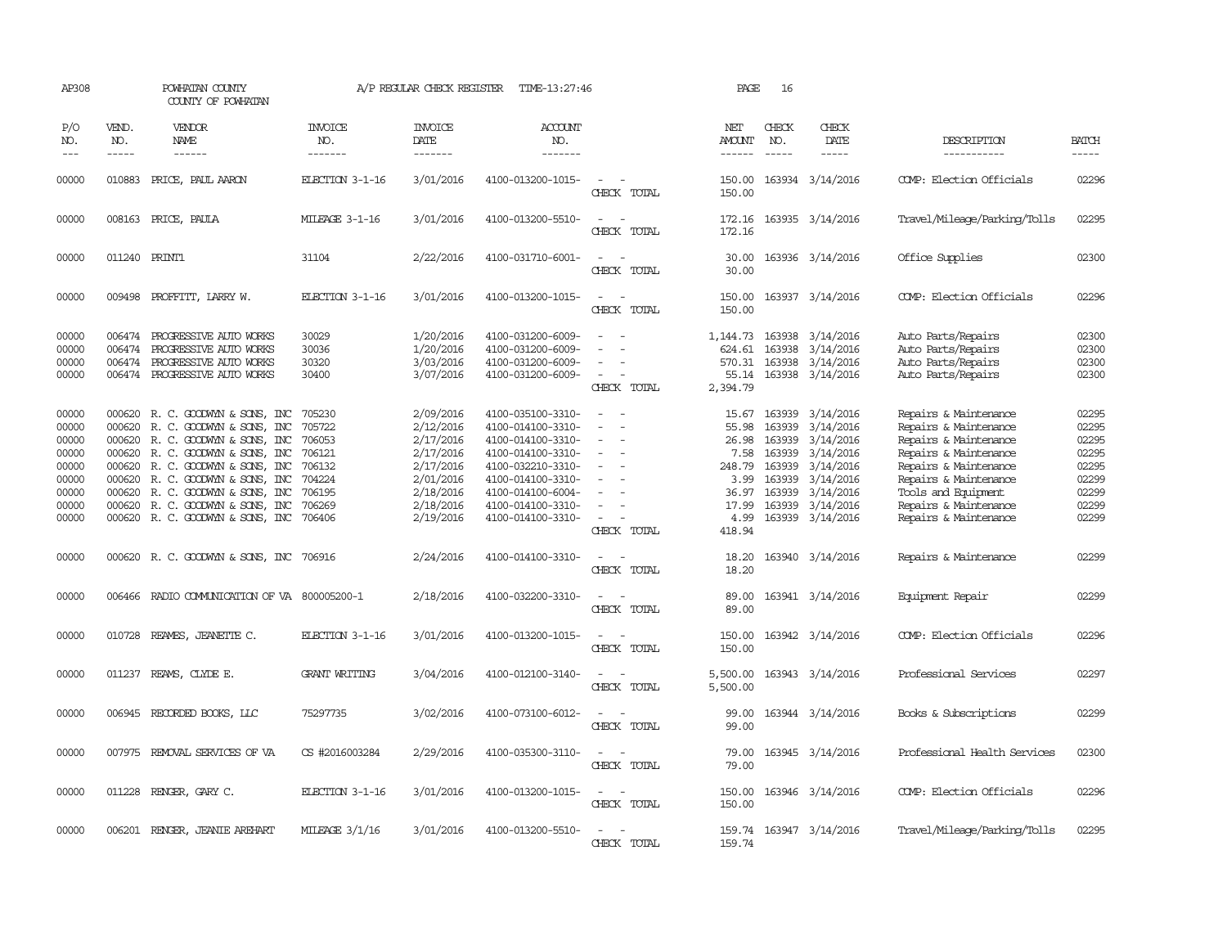| AP308                                                                         |                                                                              | POWHATAN COUNTY<br>COUNTY OF POWHATAN                                                                                                                                                                                                                                                                                                                                                                                                                                                        |                                                                                        | A/P REGULAR CHECK REGISTER                                                                                        | TIME-13:27:46                                                                                                                                                                             |                                                                                                                             | PAGE                                                                                  | 16                                             |                                                                                                                                               |                                                                                                                                                                                                                             |                                                                               |
|-------------------------------------------------------------------------------|------------------------------------------------------------------------------|----------------------------------------------------------------------------------------------------------------------------------------------------------------------------------------------------------------------------------------------------------------------------------------------------------------------------------------------------------------------------------------------------------------------------------------------------------------------------------------------|----------------------------------------------------------------------------------------|-------------------------------------------------------------------------------------------------------------------|-------------------------------------------------------------------------------------------------------------------------------------------------------------------------------------------|-----------------------------------------------------------------------------------------------------------------------------|---------------------------------------------------------------------------------------|------------------------------------------------|-----------------------------------------------------------------------------------------------------------------------------------------------|-----------------------------------------------------------------------------------------------------------------------------------------------------------------------------------------------------------------------------|-------------------------------------------------------------------------------|
| P/O<br>NO.<br>$- - -$                                                         | VEND.<br>NO.<br>$\frac{1}{2}$                                                | VENDOR<br>NAME<br>$\frac{1}{2} \left( \frac{1}{2} \right) \left( \frac{1}{2} \right) \left( \frac{1}{2} \right) \left( \frac{1}{2} \right) \left( \frac{1}{2} \right) \left( \frac{1}{2} \right) \left( \frac{1}{2} \right) \left( \frac{1}{2} \right) \left( \frac{1}{2} \right) \left( \frac{1}{2} \right) \left( \frac{1}{2} \right) \left( \frac{1}{2} \right) \left( \frac{1}{2} \right) \left( \frac{1}{2} \right) \left( \frac{1}{2} \right) \left( \frac{1}{2} \right) \left( \frac$ | <b>INVOICE</b><br>NO.<br>-------                                                       | <b>INVOICE</b><br>DATE<br>--------                                                                                | <b>ACCOUNT</b><br>NO.<br>-------                                                                                                                                                          |                                                                                                                             | NET<br>AMOUNT<br>------                                                               | CHECK<br>NO.<br>$\frac{1}{2}$                  | CHECK<br>DATE<br>$- - - - -$                                                                                                                  | DESCRIPTION<br>-----------                                                                                                                                                                                                  | <b>BATCH</b><br>$- - - - -$                                                   |
| 00000                                                                         | 010883                                                                       | PRICE, PAUL AARON                                                                                                                                                                                                                                                                                                                                                                                                                                                                            | ELECTION 3-1-16                                                                        | 3/01/2016                                                                                                         | 4100-013200-1015-                                                                                                                                                                         | $\sim$<br>CHECK TOTAL                                                                                                       | 150.00<br>150.00                                                                      |                                                | 163934 3/14/2016                                                                                                                              | COMP: Election Officials                                                                                                                                                                                                    | 02296                                                                         |
| 00000                                                                         |                                                                              | 008163 PRICE, PAULA                                                                                                                                                                                                                                                                                                                                                                                                                                                                          | MILEAGE 3-1-16                                                                         | 3/01/2016                                                                                                         | 4100-013200-5510-                                                                                                                                                                         | $\equiv$<br>CHECK TOTAL                                                                                                     | 172.16<br>172.16                                                                      |                                                | 163935 3/14/2016                                                                                                                              | Travel/Mileage/Parking/Tolls                                                                                                                                                                                                | 02295                                                                         |
| 00000                                                                         | 011240 PRINT1                                                                |                                                                                                                                                                                                                                                                                                                                                                                                                                                                                              | 31104                                                                                  | 2/22/2016                                                                                                         | 4100-031710-6001-                                                                                                                                                                         | $\frac{1}{2} \left( \frac{1}{2} \right) \left( \frac{1}{2} \right) = \frac{1}{2} \left( \frac{1}{2} \right)$<br>CHECK TOTAL | 30.00<br>30.00                                                                        |                                                | 163936 3/14/2016                                                                                                                              | Office Supplies                                                                                                                                                                                                             | 02300                                                                         |
| 00000                                                                         |                                                                              | 009498 PROFFITT, LARRY W.                                                                                                                                                                                                                                                                                                                                                                                                                                                                    | ELECTION 3-1-16                                                                        | 3/01/2016                                                                                                         | 4100-013200-1015-                                                                                                                                                                         | $\sim$ $-$<br>$\sim$<br>CHECK TOTAL                                                                                         | 150.00<br>150.00                                                                      |                                                | 163937 3/14/2016                                                                                                                              | COMP: Election Officials                                                                                                                                                                                                    | 02296                                                                         |
| 00000<br>00000<br>00000<br>00000                                              | 006474<br>006474<br>006474                                                   | PROGRESSIVE AUTO WORKS<br>PROGRESSIVE AUTO WORKS<br>PROGRESSIVE AUTO WORKS<br>006474 PROGRESSIVE AUTO WORKS                                                                                                                                                                                                                                                                                                                                                                                  | 30029<br>30036<br>30320<br>30400                                                       | 1/20/2016<br>1/20/2016<br>3/03/2016<br>3/07/2016                                                                  | 4100-031200-6009-<br>4100-031200-6009-<br>4100-031200-6009-<br>4100-031200-6009-                                                                                                          | $\equiv$<br>CHECK TOTAL                                                                                                     | 1,144.73<br>624.61<br>570.31<br>55.14<br>2,394.79                                     |                                                | 163938 3/14/2016<br>163938 3/14/2016<br>163938 3/14/2016<br>163938 3/14/2016                                                                  | Auto Parts/Repairs<br>Auto Parts/Repairs<br>Auto Parts/Repairs<br>Auto Parts/Repairs                                                                                                                                        | 02300<br>02300<br>02300<br>02300                                              |
| 00000<br>00000<br>00000<br>00000<br>00000<br>00000<br>00000<br>00000<br>00000 | 000620<br>000620<br>000620<br>000620<br>000620<br>000620<br>000620<br>000620 | R. C. GOODWYN & SONS, INC<br>R. C. GOODWYN & SONS, INC<br>R. C. GOODWYN & SONS, INC<br>R. C. GOODWYN & SONS, INC<br>R. C. GOODWYN & SONS, INC<br>R. C. GOODWYN & SONS, INC<br>R. C. GOODWYN & SONS, INC<br>R. C. GOODWYN & SONS, INC<br>000620 R. C. GOODWYN & SONS, INC                                                                                                                                                                                                                     | 705230<br>705722<br>706053<br>706121<br>706132<br>704224<br>706195<br>706269<br>706406 | 2/09/2016<br>2/12/2016<br>2/17/2016<br>2/17/2016<br>2/17/2016<br>2/01/2016<br>2/18/2016<br>2/18/2016<br>2/19/2016 | 4100-035100-3310-<br>4100-014100-3310-<br>4100-014100-3310-<br>4100-014100-3310-<br>4100-032210-3310-<br>4100-014100-3310-<br>4100-014100-6004-<br>4100-014100-3310-<br>4100-014100-3310- | $\sim$<br>$\sim$<br>$\sim$<br>$\overline{\phantom{a}}$<br>$\equiv$<br>$\overline{\phantom{a}}$<br>CHECK TOTAL               | 15.67<br>55.98<br>26.98<br>7.58<br>248.79<br>3.99<br>36.97<br>17.99<br>4.99<br>418.94 | 163939<br>163939<br>163939<br>163939<br>163939 | 3/14/2016<br>3/14/2016<br>163939 3/14/2016<br>3/14/2016<br>163939 3/14/2016<br>3/14/2016<br>163939 3/14/2016<br>3/14/2016<br>163939 3/14/2016 | Repairs & Maintenance<br>Repairs & Maintenance<br>Repairs & Maintenance<br>Repairs & Maintenance<br>Repairs & Maintenance<br>Repairs & Maintenance<br>Tools and Equipment<br>Repairs & Maintenance<br>Repairs & Maintenance | 02295<br>02295<br>02295<br>02295<br>02295<br>02299<br>02299<br>02299<br>02299 |
| 00000                                                                         |                                                                              | 000620 R.C. GOODWYN & SONS, INC 706916                                                                                                                                                                                                                                                                                                                                                                                                                                                       |                                                                                        | 2/24/2016                                                                                                         | 4100-014100-3310-                                                                                                                                                                         | $\sim$<br>CHECK TOTAL                                                                                                       | 18.20<br>18.20                                                                        |                                                | 163940 3/14/2016                                                                                                                              | Repairs & Maintenance                                                                                                                                                                                                       | 02299                                                                         |
| 00000                                                                         |                                                                              | 006466 RADIO COMMUNICATION OF VA 800005200-1                                                                                                                                                                                                                                                                                                                                                                                                                                                 |                                                                                        | 2/18/2016                                                                                                         | 4100-032200-3310-                                                                                                                                                                         | $\equiv$<br>CHECK TOTAL                                                                                                     | 89.00<br>89.00                                                                        |                                                | 163941 3/14/2016                                                                                                                              | Equipment Repair                                                                                                                                                                                                            | 02299                                                                         |
| 00000                                                                         | 010728                                                                       | REAMES, JEANETTE C.                                                                                                                                                                                                                                                                                                                                                                                                                                                                          | ELECTION 3-1-16                                                                        | 3/01/2016                                                                                                         | 4100-013200-1015-                                                                                                                                                                         | CHECK TOTAL                                                                                                                 | 150.00<br>150.00                                                                      |                                                | 163942 3/14/2016                                                                                                                              | COMP: Election Officials                                                                                                                                                                                                    | 02296                                                                         |
| 00000                                                                         | 011237                                                                       | REAMS, CLYDE E.                                                                                                                                                                                                                                                                                                                                                                                                                                                                              | <b>GRANT WRITING</b>                                                                   | 3/04/2016                                                                                                         | 4100-012100-3140-                                                                                                                                                                         | CHECK TOTAL                                                                                                                 | 5,500.00<br>5,500.00                                                                  |                                                | 163943 3/14/2016                                                                                                                              | Professional Services                                                                                                                                                                                                       | 02297                                                                         |
| 00000                                                                         | 006945                                                                       | RECORDED BOOKS, LLC                                                                                                                                                                                                                                                                                                                                                                                                                                                                          | 75297735                                                                               | 3/02/2016                                                                                                         | 4100-073100-6012-                                                                                                                                                                         | CHECK TOTAL                                                                                                                 | 99.00<br>99.00                                                                        |                                                | 163944 3/14/2016                                                                                                                              | Books & Subscriptions                                                                                                                                                                                                       | 02299                                                                         |
| 00000                                                                         |                                                                              | 007975 REMOVAL SERVICES OF VA                                                                                                                                                                                                                                                                                                                                                                                                                                                                | CS #2016003284                                                                         | 2/29/2016                                                                                                         | 4100-035300-3110-                                                                                                                                                                         | $\sim$<br>CHECK TOTAL                                                                                                       | 79.00<br>79.00                                                                        |                                                | 163945 3/14/2016                                                                                                                              | Professional Health Services                                                                                                                                                                                                | 02300                                                                         |
| 00000                                                                         |                                                                              | 011228 RENGER, GARY C.                                                                                                                                                                                                                                                                                                                                                                                                                                                                       | ELECTION 3-1-16                                                                        | 3/01/2016                                                                                                         | 4100-013200-1015-                                                                                                                                                                         | $\equiv$<br>CHECK TOTAL                                                                                                     | 150.00<br>150.00                                                                      |                                                | 163946 3/14/2016                                                                                                                              | COMP: Election Officials                                                                                                                                                                                                    | 02296                                                                         |
| 00000                                                                         |                                                                              | 006201 RENGER, JEANIE AREHART                                                                                                                                                                                                                                                                                                                                                                                                                                                                | MILEAGE 3/1/16                                                                         | 3/01/2016                                                                                                         | 4100-013200-5510-                                                                                                                                                                         | CHECK TOTAL                                                                                                                 | 159.74                                                                                |                                                | 159.74 163947 3/14/2016                                                                                                                       | Travel/Mileage/Parking/Tolls                                                                                                                                                                                                | 02295                                                                         |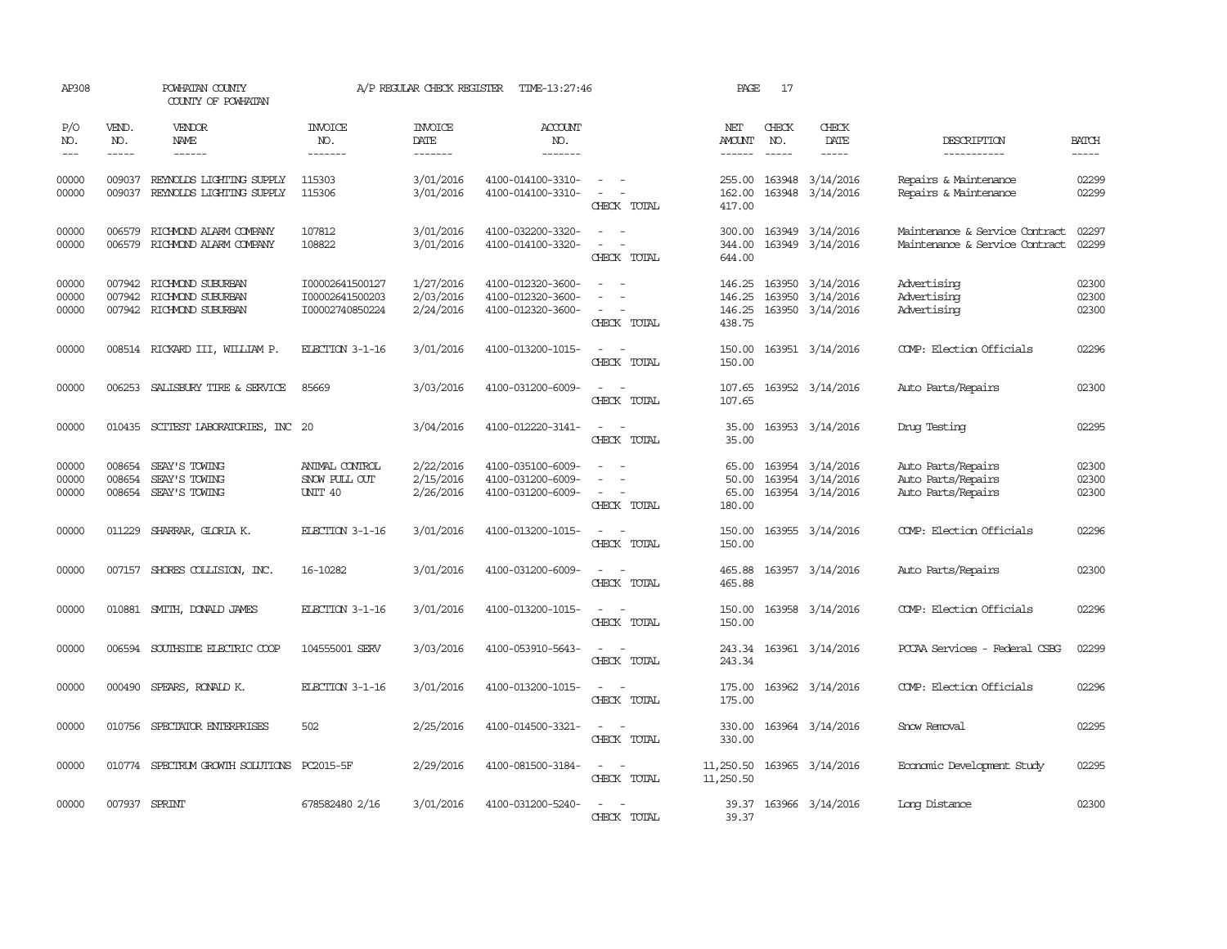| AP308                   |                             | POWHATAN COUNTY<br>COUNTY OF POWHATAN                              |                                                       | A/P REGULAR CHECK REGISTER               | TIME-13:27:46                                               |                                                                                                                             | PAGE                                 | 17                            |                                                          |                                                                  |                         |
|-------------------------|-----------------------------|--------------------------------------------------------------------|-------------------------------------------------------|------------------------------------------|-------------------------------------------------------------|-----------------------------------------------------------------------------------------------------------------------------|--------------------------------------|-------------------------------|----------------------------------------------------------|------------------------------------------------------------------|-------------------------|
| P/O<br>NO.<br>$---$     | VEND.<br>NO.<br>$- - - - -$ | <b>VENDOR</b><br>NAME<br>$- - - - - -$                             | <b>INVOICE</b><br>NO.<br>-------                      | <b>INVOICE</b><br><b>DATE</b><br>------- | <b>ACCOUNT</b><br>NO.<br>-------                            |                                                                                                                             | NET<br>AMOUNT<br>$- - - - - -$       | CHECK<br>NO.<br>$\frac{1}{2}$ | CHECK<br>DATE<br>$- - - - -$                             | DESCRIPTION<br>-----------                                       | <b>BATCH</b><br>-----   |
| 00000<br>00000          | 009037<br>009037            | REYNOLDS LIGHTING SUPPLY<br>REYNOLDS LIGHTING SUPPLY               | 115303<br>115306                                      | 3/01/2016<br>3/01/2016                   | 4100-014100-3310-<br>4100-014100-3310-                      | $\sim$<br>$\sim$<br>CHECK TOTAL                                                                                             | 255.00<br>162.00<br>417.00           |                               | 163948 3/14/2016<br>163948 3/14/2016                     | Repairs & Maintenance<br>Repairs & Maintenance                   | 02299<br>02299          |
| 00000<br>00000          | 006579<br>006579            | RICHMOND ALARM COMPANY<br>RICHMOND ALARM COMPANY                   | 107812<br>108822                                      | 3/01/2016<br>3/01/2016                   | 4100-032200-3320-<br>4100-014100-3320-                      | CHECK TOTAL                                                                                                                 | 300.00<br>344.00<br>644.00           |                               | 163949 3/14/2016<br>163949 3/14/2016                     | Maintenance & Service Contract<br>Maintenance & Service Contract | 02297<br>02299          |
| 00000<br>00000<br>00000 | 007942<br>007942            | RICHMOND SUBURBAN<br>RICHMOND SUBURBAN<br>007942 RICHMOND SUBURBAN | I00002641500127<br>I00002641500203<br>I00002740850224 | 1/27/2016<br>2/03/2016<br>2/24/2016      | 4100-012320-3600-<br>4100-012320-3600-<br>4100-012320-3600- | $\equiv$<br>$\overline{\phantom{a}}$<br>CHECK TOTAL                                                                         | 146.25<br>146.25<br>146.25<br>438.75 | 163950                        | 3/14/2016<br>163950 3/14/2016<br>163950 3/14/2016        | Advertising<br>Advertising<br>Advertising                        | 02300<br>02300<br>02300 |
| 00000                   |                             | 008514 RICKARD III, WILLIAM P.                                     | ELECTION 3-1-16                                       | 3/01/2016                                | 4100-013200-1015-                                           | $\sim$<br>CHECK TOTAL                                                                                                       | 150.00<br>150.00                     |                               | 163951 3/14/2016                                         | COMP: Election Officials                                         | 02296                   |
| 00000                   | 006253                      | SALISBURY TIRE & SERVICE                                           | 85669                                                 | 3/03/2016                                | 4100-031200-6009-                                           | $\overline{\phantom{a}}$<br>CHECK TOTAL                                                                                     | 107.65<br>107.65                     |                               | 163952 3/14/2016                                         | Auto Parts/Repairs                                               | 02300                   |
| 00000                   |                             | 010435 SCITEST LABORATORIES, INC 20                                |                                                       | 3/04/2016                                | 4100-012220-3141-                                           | $ -$<br>CHECK TOTAL                                                                                                         | 35.00<br>35.00                       |                               | 163953 3/14/2016                                         | Drug Testing                                                     | 02295                   |
| 00000<br>00000<br>00000 | 008654<br>008654            | SEAY'S TOWING<br>SEAY'S TOWING<br>008654 SEAY'S TOWING             | ANIMAL CONTROL<br>SNOW PULL OUT<br>UNIT 40            | 2/22/2016<br>2/15/2016<br>2/26/2016      | 4100-035100-6009-<br>4100-031200-6009-<br>4100-031200-6009- | $\equiv$<br>$\sim$ $-$<br>CHECK TOTAL                                                                                       | 65.00<br>50.00<br>65.00<br>180.00    |                               | 163954 3/14/2016<br>163954 3/14/2016<br>163954 3/14/2016 | Auto Parts/Repairs<br>Auto Parts/Repairs<br>Auto Parts/Repairs   | 02300<br>02300<br>02300 |
| 00000                   |                             | 011229 SHARRAR, GLORIA K.                                          | ELECTION 3-1-16                                       | 3/01/2016                                | 4100-013200-1015-                                           | $\frac{1}{2} \left( \frac{1}{2} \right) \left( \frac{1}{2} \right) = \frac{1}{2} \left( \frac{1}{2} \right)$<br>CHECK TOTAL | 150.00<br>150.00                     |                               | 163955 3/14/2016                                         | COMP: Election Officials                                         | 02296                   |
| 00000                   |                             | 007157 SHORES COLLISION, INC.                                      | 16-10282                                              | 3/01/2016                                | 4100-031200-6009-                                           | CHECK TOTAL                                                                                                                 | 465.88<br>465.88                     |                               | 163957 3/14/2016                                         | Auto Parts/Repairs                                               | 02300                   |
| 00000                   | 010881                      | SMITH, DONALD JAMES                                                | ELECTION 3-1-16                                       | 3/01/2016                                | 4100-013200-1015-                                           | $\sim$<br>$\sim$<br>CHECK TOTAL                                                                                             | 150.00<br>150.00                     |                               | 163958 3/14/2016                                         | COMP: Election Officials                                         | 02296                   |
| 00000                   | 006594                      | SOUTHSIDE ELECTRIC COOP                                            | 104555001 SERV                                        | 3/03/2016                                | 4100-053910-5643-                                           | $\frac{1}{2} \left( \frac{1}{2} \right) \left( \frac{1}{2} \right) = \frac{1}{2} \left( \frac{1}{2} \right)$<br>CHECK TOTAL | 243.34<br>243.34                     |                               | 163961 3/14/2016                                         | PCCAA Services - Federal CSBG                                    | 02299                   |
| 00000                   | 000490                      | SPEARS, RONALD K.                                                  | ELECTION 3-1-16                                       | 3/01/2016                                | 4100-013200-1015-                                           | $\sim$<br>$\sim$<br>CHECK TOTAL                                                                                             | 175.00<br>175.00                     |                               | 163962 3/14/2016                                         | COMP: Election Officials                                         | 02296                   |
| 00000                   | 010756                      | SPECTATOR ENTERPRISES                                              | 502                                                   | 2/25/2016                                | 4100-014500-3321-                                           | $\frac{1}{2} \left( \frac{1}{2} \right) \left( \frac{1}{2} \right) = \frac{1}{2} \left( \frac{1}{2} \right)$<br>CHECK TOTAL | 330.00<br>330.00                     |                               | 163964 3/14/2016                                         | Snow Removal                                                     | 02295                   |
| 00000                   |                             | 010774 SPECTRUM GROWIH SOLUTIONS PC2015-5F                         |                                                       | 2/29/2016                                | 4100-081500-3184-                                           | $ -$<br>CHECK TOTAL                                                                                                         | 11,250.50<br>11,250.50               |                               | 163965 3/14/2016                                         | Economic Development Study                                       | 02295                   |
| 00000                   | 007937 SPRINT               |                                                                    | 678582480 2/16                                        | 3/01/2016                                | 4100-031200-5240-                                           | CHECK TOTAL                                                                                                                 | 39.37                                |                               | 39.37 163966 3/14/2016                                   | Long Distance                                                    | 02300                   |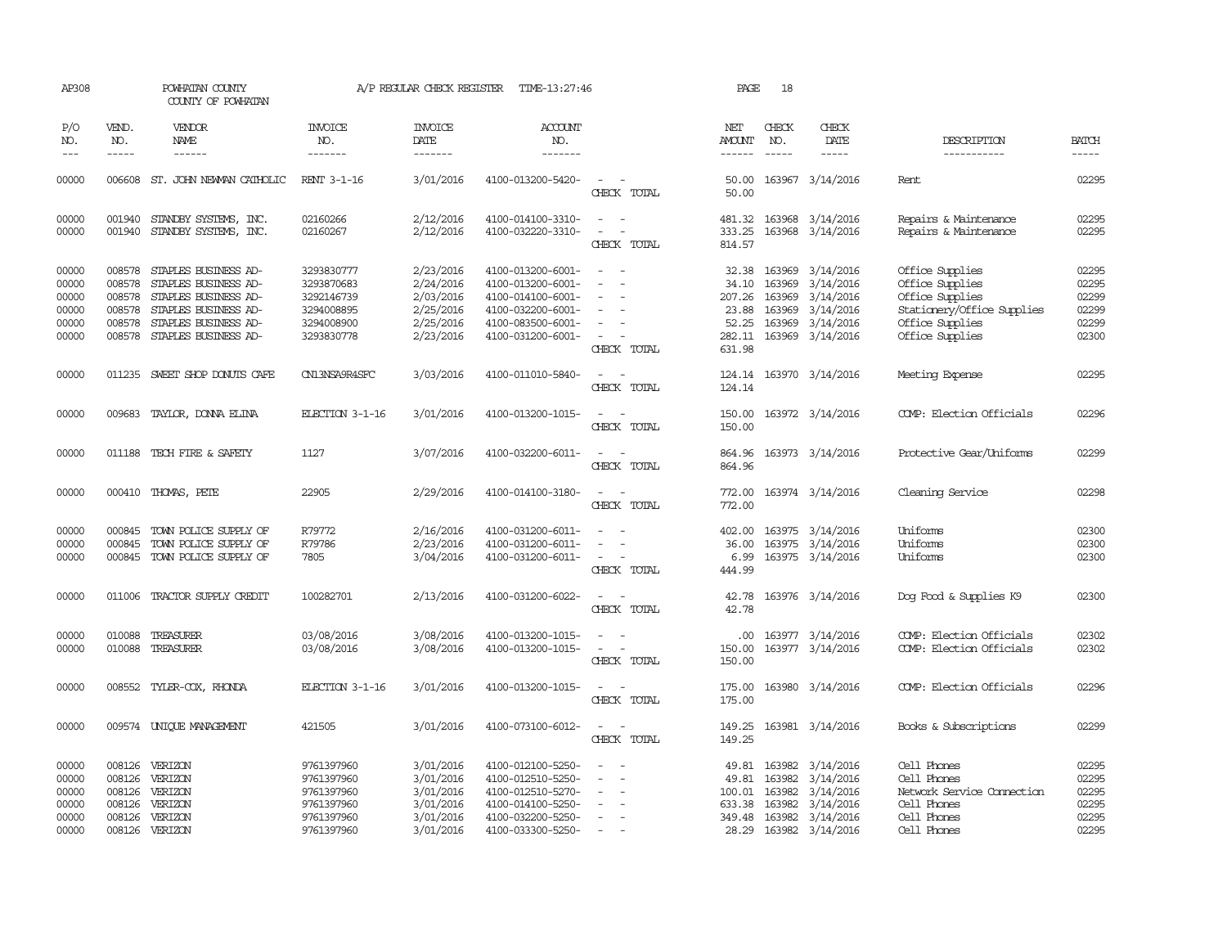| AP308                                              |                                                          | POWHATAN COUNTY<br>COUNTY OF POWHATAN                                                                                                        |                                                                                  | A/P REGULAR CHECK REGISTER                                                 | TIME-13:27:46                                                                                                              |                                                                                         | PAGE                                                           | 18                                             |                                                                                         |                                                                                                                           |                                                    |
|----------------------------------------------------|----------------------------------------------------------|----------------------------------------------------------------------------------------------------------------------------------------------|----------------------------------------------------------------------------------|----------------------------------------------------------------------------|----------------------------------------------------------------------------------------------------------------------------|-----------------------------------------------------------------------------------------|----------------------------------------------------------------|------------------------------------------------|-----------------------------------------------------------------------------------------|---------------------------------------------------------------------------------------------------------------------------|----------------------------------------------------|
| P/O<br>NO.                                         | VEND.<br>NO.                                             | <b>VENDOR</b><br>NAME                                                                                                                        | <b>INVOICE</b><br>NO.                                                            | <b>INVOICE</b><br><b>DATE</b>                                              | <b>ACCOUNT</b><br>NO.                                                                                                      |                                                                                         | NET<br><b>AMOUNT</b>                                           | CHECK<br>NO.                                   | CHECK<br>DATE                                                                           | DESCRIPTION                                                                                                               | <b>BATCH</b>                                       |
| $---$                                              | $- - - - -$                                              | ------                                                                                                                                       | -------                                                                          | -------                                                                    | -------                                                                                                                    |                                                                                         | ------                                                         | $\frac{1}{2}$                                  | -----                                                                                   | -----------                                                                                                               |                                                    |
| 00000                                              |                                                          | 006608 ST. JOHN NEWMAN CATHOLIC                                                                                                              | RENT 3-1-16                                                                      | 3/01/2016                                                                  | 4100-013200-5420-                                                                                                          | CHECK TOTAL                                                                             | 50.00<br>50.00                                                 |                                                | 163967 3/14/2016                                                                        | Rent                                                                                                                      | 02295                                              |
| 00000<br>00000                                     | 001940<br>001940                                         | STANDBY SYSTEMS, INC.<br>STANDBY SYSTEMS, INC.                                                                                               | 02160266<br>02160267                                                             | 2/12/2016<br>2/12/2016                                                     | 4100-014100-3310-<br>4100-032220-3310-                                                                                     | $\sim$ $\sim$<br>$\overline{\phantom{a}}$<br>$\overline{\phantom{a}}$<br>CHECK TOTAL    | 333.25<br>814.57                                               | 163968                                         | 481.32 163968 3/14/2016<br>3/14/2016                                                    | Repairs & Maintenance<br>Repairs & Maintenance                                                                            | 02295<br>02295                                     |
| 00000<br>00000<br>00000<br>00000<br>00000<br>00000 | 008578<br>008578<br>008578<br>008578<br>008578<br>008578 | STAPLES BUSINESS AD-<br>STAPLES BUSINESS AD-<br>STAPLES BUSINESS AD-<br>STAPLES BUSINESS AD-<br>STAPLES BUSINESS AD-<br>STAPLES BUSINESS AD- | 3293830777<br>3293870683<br>3292146739<br>3294008895<br>3294008900<br>3293830778 | 2/23/2016<br>2/24/2016<br>2/03/2016<br>2/25/2016<br>2/25/2016<br>2/23/2016 | 4100-013200-6001-<br>4100-013200-6001-<br>4100-014100-6001-<br>4100-032200-6001-<br>4100-083500-6001-<br>4100-031200-6001- | $\overline{\phantom{a}}$<br>$\overline{\phantom{a}}$<br>CHECK TOTAL                     | 32.38<br>34.10<br>207.26<br>23.88<br>52.25<br>282.11<br>631.98 | 163969<br>163969<br>163969<br>163969<br>163969 | 3/14/2016<br>3/14/2016<br>3/14/2016<br>3/14/2016<br>3/14/2016<br>163969 3/14/2016       | Office Supplies<br>Office Supplies<br>Office Supplies<br>Stationery/Office Supplies<br>Office Supplies<br>Office Supplies | 02295<br>02295<br>02299<br>02299<br>02299<br>02300 |
| 00000                                              |                                                          | 011235 SWEET SHOP DONUTS CAFE                                                                                                                | CN13NSA9R4SFC                                                                    | 3/03/2016                                                                  | 4100-011010-5840-                                                                                                          | $\sim$<br>$\sim$<br>CHECK TOTAL                                                         | 124.14                                                         |                                                | 124.14 163970 3/14/2016                                                                 | Meeting Expense                                                                                                           | 02295                                              |
| 00000                                              | 009683                                                   | TAYLOR, DONNA ELINA                                                                                                                          | ELECTION 3-1-16                                                                  | 3/01/2016                                                                  | 4100-013200-1015-                                                                                                          | $\overline{\phantom{a}}$<br>$\overline{\phantom{a}}$<br>CHECK TOTAL                     | 150.00<br>150.00                                               |                                                | 163972 3/14/2016                                                                        | COMP: Election Officials                                                                                                  | 02296                                              |
| 00000                                              | 011188                                                   | TECH FIRE & SAFETY                                                                                                                           | 1127                                                                             | 3/07/2016                                                                  | 4100-032200-6011-                                                                                                          | CHECK TOTAL                                                                             | 864.96<br>864.96                                               |                                                | 163973 3/14/2016                                                                        | Protective Gear/Uniforms                                                                                                  | 02299                                              |
| 00000                                              |                                                          | 000410 THOMAS, PETE                                                                                                                          | 22905                                                                            | 2/29/2016                                                                  | 4100-014100-3180-                                                                                                          | $\sim$<br>$\sim$<br>CHECK TOTAL                                                         | 772.00<br>772.00                                               |                                                | 163974 3/14/2016                                                                        | Cleaning Service                                                                                                          | 02298                                              |
| 00000<br>00000<br>00000                            | 000845<br>000845                                         | TOWN POLICE SUPPLY OF<br>TOWN POLICE SUPPLY OF<br>000845 TOWN POLICE SUPPLY OF                                                               | R79772<br>R79786<br>7805                                                         | 2/16/2016<br>2/23/2016<br>3/04/2016                                        | 4100-031200-6011-<br>4100-031200-6011-<br>4100-031200-6011-                                                                | $\overline{\phantom{a}}$<br>$\sim$<br>$\sim$<br>$\overline{\phantom{a}}$<br>CHECK TOTAL | 402.00<br>36.00<br>444.99                                      | 163975                                         | 163975 3/14/2016<br>3/14/2016<br>6.99 163975 3/14/2016                                  | Uniforms<br>Uniforms<br>Uniforms                                                                                          | 02300<br>02300<br>02300                            |
| 00000                                              |                                                          | 011006 TRACTOR SUPPLY CREDIT                                                                                                                 | 100282701                                                                        | 2/13/2016                                                                  | 4100-031200-6022-                                                                                                          | CHECK TOTAL                                                                             | 42.78<br>42.78                                                 |                                                | 163976 3/14/2016                                                                        | Dog Food & Supplies K9                                                                                                    | 02300                                              |
| 00000<br>00000                                     | 010088<br>010088                                         | TREASURER<br>TREASURER                                                                                                                       | 03/08/2016<br>03/08/2016                                                         | 3/08/2016<br>3/08/2016                                                     | 4100-013200-1015-<br>4100-013200-1015-                                                                                     | CHECK TOTAL                                                                             | .00.<br>150.00<br>150.00                                       |                                                | 163977 3/14/2016<br>163977 3/14/2016                                                    | COMP: Election Officials<br>COMP: Election Officials                                                                      | 02302<br>02302                                     |
| 00000                                              |                                                          | 008552 TYLER-COX, RHONDA                                                                                                                     | ELECTION 3-1-16                                                                  | 3/01/2016                                                                  | 4100-013200-1015-                                                                                                          | CHECK TOTAL                                                                             | 175.00<br>175.00                                               |                                                | 163980 3/14/2016                                                                        | COMP: Election Officials                                                                                                  | 02296                                              |
| 00000                                              | 009574                                                   | UNIQUE MANAGEMENT                                                                                                                            | 421505                                                                           | 3/01/2016                                                                  | 4100-073100-6012-                                                                                                          | $\overline{a}$<br>$\sim$<br>CHECK TOTAL                                                 | 149.25<br>149.25                                               |                                                | 163981 3/14/2016                                                                        | Books & Subscriptions                                                                                                     | 02299                                              |
| 00000<br>00000<br>00000<br>00000<br>00000<br>00000 | 008126<br>008126<br>008126<br>008126<br>008126           | 008126 VERIZON<br>VERIZON<br>VERIZON<br>VERIZON<br>VERIZON<br>VERIZON                                                                        | 9761397960<br>9761397960<br>9761397960<br>9761397960<br>9761397960<br>9761397960 | 3/01/2016<br>3/01/2016<br>3/01/2016<br>3/01/2016<br>3/01/2016<br>3/01/2016 | 4100-012100-5250-<br>4100-012510-5250-<br>4100-012510-5270-<br>4100-014100-5250-<br>4100-032200-5250-<br>4100-033300-5250- | $\sim$                                                                                  | 49.81<br>100.01<br>633.38 163982<br>349.48                     | 49.81 163982<br>163982<br>163982<br>163982     | 3/14/2016<br>3/14/2016<br>3/14/2016<br>3/14/2016<br>3/14/2016<br>28.29 163982 3/14/2016 | Cell Phones<br>Cell Phones<br>Network Service Connection<br>Cell Phones<br>Cell Phones<br>Cell Phones                     | 02295<br>02295<br>02295<br>02295<br>02295<br>02295 |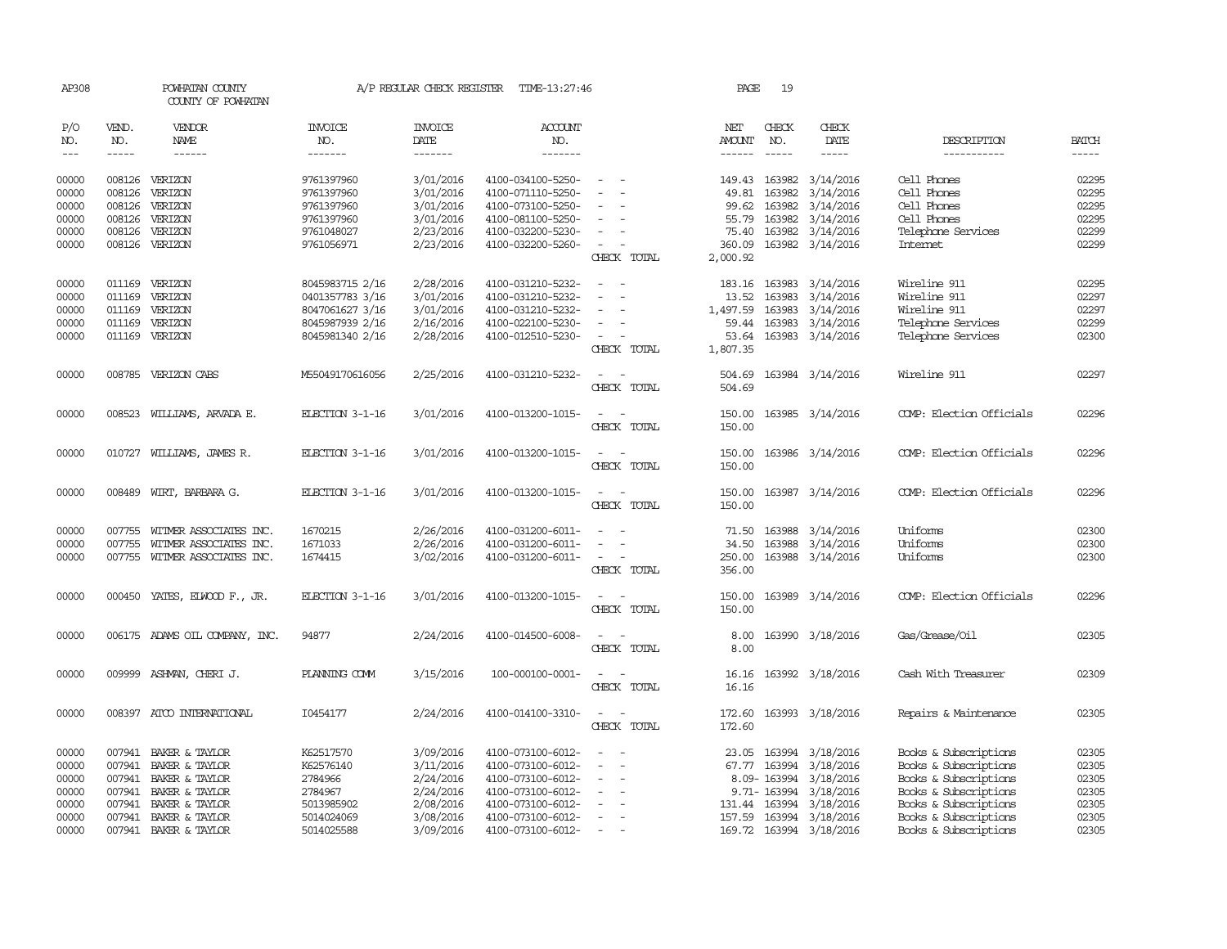| AP308      |               | POWHATAN COUNTY<br>COUNTY OF POWHATAN |                       | A/P REGULAR CHECK REGISTER | TIME-13:27:46     |                                                   | PAGE                 | 19            |                         |                          |                |
|------------|---------------|---------------------------------------|-----------------------|----------------------------|-------------------|---------------------------------------------------|----------------------|---------------|-------------------------|--------------------------|----------------|
| P/O<br>NO. | VEND.<br>NO.  | <b>VENDOR</b><br>NAME                 | <b>INVOICE</b><br>NO. | <b>INVOICE</b><br>DATE     | ACCOUNT<br>NO.    |                                                   | NET<br><b>AMOUNT</b> | CHECK<br>NO.  | CHECK<br>DATE           | DESCRIPTION              | <b>BATCH</b>   |
| $---$      | $\frac{1}{2}$ |                                       | -------               | -------                    | -------           |                                                   | $- - - - - -$        | $\frac{1}{2}$ | $- - - - -$             | -----------              | $\frac{1}{2}$  |
| 00000      |               | 008126 VERIZON                        | 9761397960            | 3/01/2016                  | 4100-034100-5250- | $\hspace{0.1mm}-\hspace{0.1mm}$                   |                      | 149.43 163982 | 3/14/2016               | Cell Phones              | 02295          |
| 00000      | 008126        | VERIZON                               | 9761397960            | 3/01/2016                  | 4100-071110-5250- |                                                   | 49.81                | 163982        | 3/14/2016               | Cell Phones              | 02295          |
| 00000      | 008126        | VERIZON                               | 9761397960            | 3/01/2016                  | 4100-073100-5250- |                                                   | 99.62                | 163982        | 3/14/2016               | Cell Phones              | 02295          |
| 00000      | 008126        | VERIZON                               | 9761397960            | 3/01/2016                  | 4100-081100-5250- | $\sim$                                            |                      | 55.79 163982  | 3/14/2016               | Cell Phones              | 02295          |
| 00000      | 008126        | VERIZON                               | 9761048027            | 2/23/2016                  | 4100-032200-5230- | $\sim$                                            | 75.40                | 163982        | 3/14/2016               | Telephone Services       | 02299<br>02299 |
| 00000      |               | 008126 VERIZON                        | 9761056971            | 2/23/2016                  | 4100-032200-5260- | CHECK TOTAL                                       | 360.09<br>2,000.92   |               | 163982 3/14/2016        | Internet                 |                |
| 00000      |               | 011169 VERIZON                        | 8045983715 2/16       | 2/28/2016                  | 4100-031210-5232- |                                                   |                      | 183.16 163983 | 3/14/2016               | Wireline 911             | 02295          |
| 00000      | 011169        | VERIZON                               | 0401357783 3/16       | 3/01/2016                  | 4100-031210-5232- |                                                   | 13.52                | 163983        | 3/14/2016               | Wireline 911             | 02297          |
| 00000      |               | 011169 VERIZON                        | 8047061627 3/16       | 3/01/2016                  | 4100-031210-5232- | $\hspace{0.1mm}-\hspace{0.1mm}$                   | 1,497.59             | 163983        | 3/14/2016               | Wireline 911             | 02297          |
| 00000      | 011169        | VERIZON                               | 8045987939 2/16       | 2/16/2016                  | 4100-022100-5230- | $\overline{\phantom{a}}$                          | 59.44                | 163983        | 3/14/2016               | Telephone Services       | 02299          |
| 00000      |               | 011169 VERIZON                        | 8045981340 2/16       | 2/28/2016                  | 4100-012510-5230- | $\sim$                                            | 53.64                |               | 163983 3/14/2016        | Telephone Services       | 02300          |
|            |               |                                       |                       |                            |                   | CHECK TOTAL                                       | 1,807.35             |               |                         |                          |                |
| 00000      |               | 008785 VERIZON CABS                   | M55049170616056       | 2/25/2016                  | 4100-031210-5232- | $\sim$<br>$\sim$<br>CHECK TOTAL                   | 504.69               |               | 504.69 163984 3/14/2016 | Wireline 911             | 02297          |
| 00000      |               | 008523 WILLIAMS, ARVADA E.            | ELECTION 3-1-16       | 3/01/2016                  | 4100-013200-1015- | $\overline{\phantom{a}}$<br>$\sim$<br>CHECK TOTAL | 150.00<br>150.00     |               | 163985 3/14/2016        | COMP: Election Officials | 02296          |
| 00000      |               | 010727 WILLIAMS, JAMES R.             | ELECTION 3-1-16       | 3/01/2016                  | 4100-013200-1015- | $\sim$<br>$\sim$<br>CHECK TOTAL                   | 150.00<br>150.00     |               | 163986 3/14/2016        | COMP: Election Officials | 02296          |
| 00000      |               | 008489 WIRT, BARBARA G.               | ELECTION 3-1-16       | 3/01/2016                  | 4100-013200-1015- | $\sim$<br>$\sim$<br>CHECK TOTAL                   | 150.00<br>150.00     |               | 163987 3/14/2016        | COMP: Election Officials | 02296          |
| 00000      | 007755        | WITMER ASSOCIATES INC.                | 1670215               | 2/26/2016                  | 4100-031200-6011- | $\sim$<br>$\sim$                                  |                      | 71.50 163988  | 3/14/2016               | Uniforms                 | 02300          |
| 00000      | 007755        | WITMER ASSOCIATES INC.                | 1671033               | 2/26/2016                  | 4100-031200-6011- | $\sim$                                            | 34.50                | 163988        | 3/14/2016               | Uniforms                 | 02300          |
| 00000      |               | 007755 WITMER ASSOCIATES INC.         | 1674415               | 3/02/2016                  | 4100-031200-6011- | $\sim$ $ -$                                       |                      |               | 250.00 163988 3/14/2016 | Uniforms                 | 02300          |
|            |               |                                       |                       |                            |                   | CHECK TOTAL                                       | 356.00               |               |                         |                          |                |
| 00000      |               | 000450 YATES, ELWOOD F., JR.          | ELECTION 3-1-16       | 3/01/2016                  | 4100-013200-1015- | $\sim$<br>$\sim$<br>CHECK TOTAL                   | 150.00<br>150.00     |               | 163989 3/14/2016        | COMP: Election Officials | 02296          |
|            |               |                                       |                       |                            |                   | $\sim$<br>$\sim$                                  |                      |               |                         |                          | 02305          |
| 00000      |               | 006175 ADAMS OIL COMPANY, INC.        | 94877                 | 2/24/2016                  | 4100-014500-6008- | CHECK TOTAL                                       | 8.00<br>8.00         |               | 163990 3/18/2016        | Gas/Grease/Oil           |                |
| 00000      |               | 009999 ASHMAN, CHERI J.               | PLANNING COMM         | 3/15/2016                  | 100-000100-0001-  | $\sim$<br>$\sim$<br>CHECK TOTAL                   | 16.16<br>16.16       |               | 163992 3/18/2016        | Cash With Treasurer      | 02309          |
| 00000      |               | 008397 ATCO INTERNATIONAL             | I0454177              | 2/24/2016                  | 4100-014100-3310- | $\sim$ $\sim$<br>CHECK TOTAL                      | 172.60<br>172.60     |               | 163993 3/18/2016        | Repairs & Maintenance    | 02305          |
| 00000      |               | 007941 BAKER & TAYLOR                 | K62517570             | 3/09/2016                  | 4100-073100-6012- |                                                   |                      | 23.05 163994  | 3/18/2016               | Books & Subscriptions    | 02305          |
| 00000      |               | 007941 BAKER & TAYLOR                 | K62576140             | 3/11/2016                  | 4100-073100-6012- | $\sim$                                            |                      | 67.77 163994  | 3/18/2016               | Books & Subscriptions    | 02305          |
| 00000      |               | 007941 BAKER & TAYLOR                 | 2784966               | 2/24/2016                  | 4100-073100-6012- | $\overline{\phantom{a}}$                          |                      | 8.09-163994   | 3/18/2016               | Books & Subscriptions    | 02305          |
| 00000      |               | 007941 BAKER & TAYLOR                 | 2784967               | 2/24/2016                  | 4100-073100-6012- | $\overline{\phantom{a}}$                          |                      | 9.71-163994   | 3/18/2016               | Books & Subscriptions    | 02305          |
| 00000      | 007941        | BAKER & TAYLOR                        | 5013985902            | 2/08/2016                  | 4100-073100-6012- |                                                   |                      | 131.44 163994 | 3/18/2016               | Books & Subscriptions    | 02305          |
| 00000      |               | 007941 BAKER & TAYLOR                 | 5014024069            | 3/08/2016                  | 4100-073100-6012- |                                                   |                      | 157.59 163994 | 3/18/2016               | Books & Subscriptions    | 02305          |
| 00000      |               | 007941 BAKER & TAYLOR                 | 5014025588            | 3/09/2016                  | 4100-073100-6012- |                                                   |                      |               | 169.72 163994 3/18/2016 | Books & Subscriptions    | 02305          |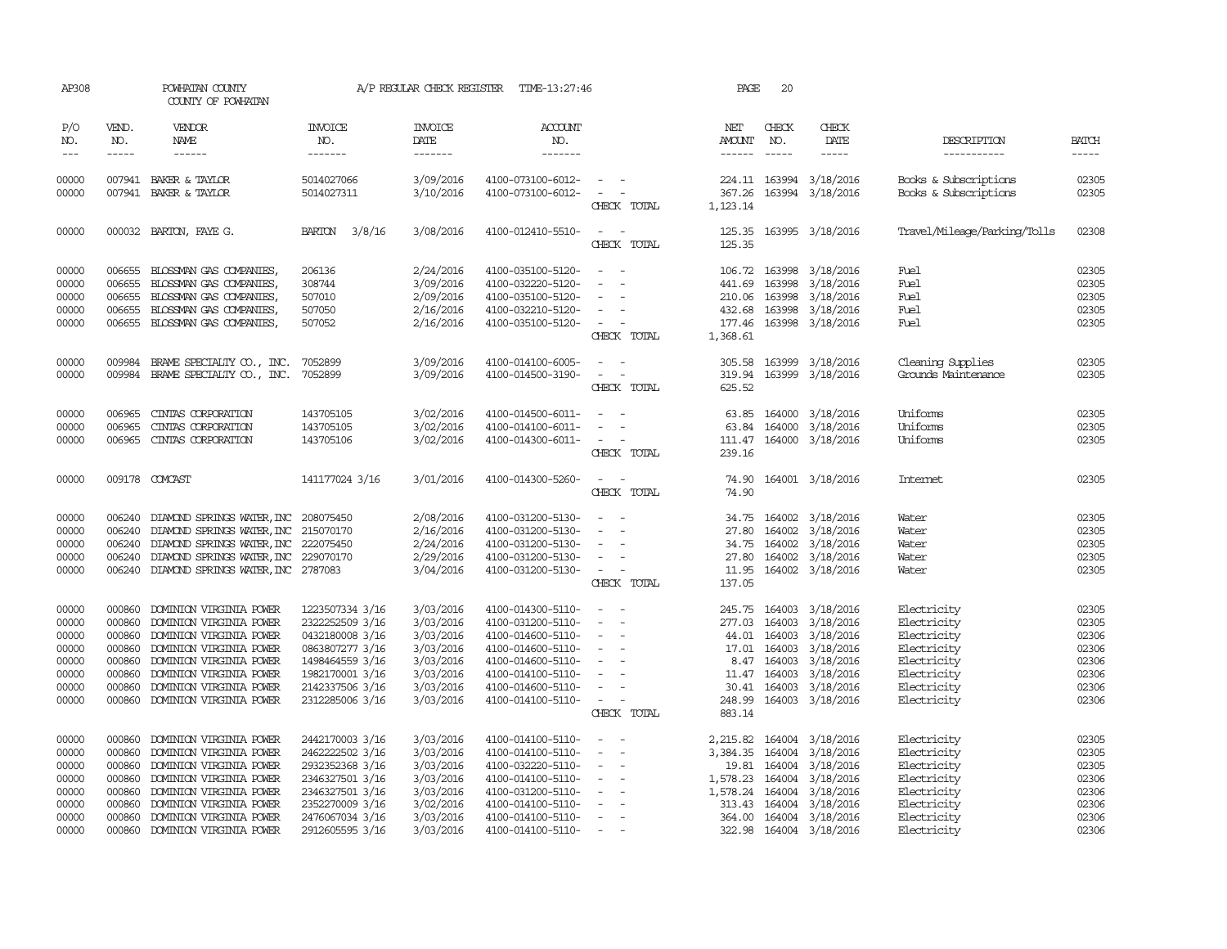| AP308                                                                |                                                                                                                                                                                                                                                                                                                                                                                                                                                                                                     | POWHATAN COUNTY<br>COUNTY OF POWHATAN                                                                                                                                                                                                                                                                                                                                                                                                                                                                        |                                                                                                                                                      |                                                                                                      | A/P REGULAR CHECK REGISTER TIME-13:27:46                                                                                                                             |                                                                                                                                                                                                                                                | PAGE                                                                                                                                                                                                                                                                                                                                                                                                                                                                                                               | 20                                                                                                                                                                                                                                                                                                                                                                                                                                                                                                  |                                                                                                                                                                                                                                                                                                                                                                                                                                                                          |                                                                                                                      |                                                                                                                                                                                                                                                                                                                                                                                                                                                                                                     |
|----------------------------------------------------------------------|-----------------------------------------------------------------------------------------------------------------------------------------------------------------------------------------------------------------------------------------------------------------------------------------------------------------------------------------------------------------------------------------------------------------------------------------------------------------------------------------------------|--------------------------------------------------------------------------------------------------------------------------------------------------------------------------------------------------------------------------------------------------------------------------------------------------------------------------------------------------------------------------------------------------------------------------------------------------------------------------------------------------------------|------------------------------------------------------------------------------------------------------------------------------------------------------|------------------------------------------------------------------------------------------------------|----------------------------------------------------------------------------------------------------------------------------------------------------------------------|------------------------------------------------------------------------------------------------------------------------------------------------------------------------------------------------------------------------------------------------|--------------------------------------------------------------------------------------------------------------------------------------------------------------------------------------------------------------------------------------------------------------------------------------------------------------------------------------------------------------------------------------------------------------------------------------------------------------------------------------------------------------------|-----------------------------------------------------------------------------------------------------------------------------------------------------------------------------------------------------------------------------------------------------------------------------------------------------------------------------------------------------------------------------------------------------------------------------------------------------------------------------------------------------|--------------------------------------------------------------------------------------------------------------------------------------------------------------------------------------------------------------------------------------------------------------------------------------------------------------------------------------------------------------------------------------------------------------------------------------------------------------------------|----------------------------------------------------------------------------------------------------------------------|-----------------------------------------------------------------------------------------------------------------------------------------------------------------------------------------------------------------------------------------------------------------------------------------------------------------------------------------------------------------------------------------------------------------------------------------------------------------------------------------------------|
| P/O<br>NO.<br>$\!\!\!\!\!-\!-\!$ $\!\!\!-\!$                         | VEND.<br>NO.<br>$\begin{tabular}{ccccc} \multicolumn{2}{c}{} & \multicolumn{2}{c}{} & \multicolumn{2}{c}{} & \multicolumn{2}{c}{} & \multicolumn{2}{c}{} & \multicolumn{2}{c}{} & \multicolumn{2}{c}{} & \multicolumn{2}{c}{} & \multicolumn{2}{c}{} & \multicolumn{2}{c}{} & \multicolumn{2}{c}{} & \multicolumn{2}{c}{} & \multicolumn{2}{c}{} & \multicolumn{2}{c}{} & \multicolumn{2}{c}{} & \multicolumn{2}{c}{} & \multicolumn{2}{c}{} & \multicolumn{2}{c}{} & \multicolumn{2}{c}{} & \mult$ | VENDOR<br>NAME<br>$\begin{tabular}{ccccc} \multicolumn{2}{c} {\textbf{1}} & \multicolumn{2}{c} {\textbf{2}} & \multicolumn{2}{c} {\textbf{3}} & \multicolumn{2}{c} {\textbf{4}} & \multicolumn{2}{c} {\textbf{5}} & \multicolumn{2}{c} {\textbf{6}} & \multicolumn{2}{c} {\textbf{7}} & \multicolumn{2}{c} {\textbf{8}} & \multicolumn{2}{c} {\textbf{9}} & \multicolumn{2}{c} {\textbf{1}} & \multicolumn{2}{c} {\textbf{1}} & \multicolumn{2}{c} {\textbf{1}} & \multicolumn{2}{c} {\textbf{1}} & \multic$ | <b>INVOICE</b><br>NO.<br>-------                                                                                                                     | <b>INVOICE</b><br>DATE<br>-------                                                                    | ACCOUNT<br>NO.<br>$- - - - - - -$                                                                                                                                    |                                                                                                                                                                                                                                                | NET<br><b>AMOUNT</b><br>$\begin{tabular}{ccccc} \multicolumn{2}{c} {\textbf{1}} & \multicolumn{2}{c} {\textbf{2}} & \multicolumn{2}{c} {\textbf{3}} & \multicolumn{2}{c} {\textbf{4}} & \multicolumn{2}{c} {\textbf{5}} & \multicolumn{2}{c} {\textbf{6}} & \multicolumn{2}{c} {\textbf{7}} & \multicolumn{2}{c} {\textbf{8}} & \multicolumn{2}{c} {\textbf{9}} & \multicolumn{2}{c} {\textbf{1}} & \multicolumn{2}{c} {\textbf{1}} & \multicolumn{2}{c} {\textbf{1}} & \multicolumn{2}{c} {\textbf{1}} & \multic$ | CHECK<br>NO.<br>$\begin{tabular}{ccccc} \multicolumn{2}{c}{} & \multicolumn{2}{c}{} & \multicolumn{2}{c}{} & \multicolumn{2}{c}{} & \multicolumn{2}{c}{} & \multicolumn{2}{c}{} & \multicolumn{2}{c}{} & \multicolumn{2}{c}{} & \multicolumn{2}{c}{} & \multicolumn{2}{c}{} & \multicolumn{2}{c}{} & \multicolumn{2}{c}{} & \multicolumn{2}{c}{} & \multicolumn{2}{c}{} & \multicolumn{2}{c}{} & \multicolumn{2}{c}{} & \multicolumn{2}{c}{} & \multicolumn{2}{c}{} & \multicolumn{2}{c}{} & \mult$ | CHECK<br>DATE<br>$\begin{tabular}{ccccc} \multicolumn{2}{c }{\multicolumn{2}{c }{\multicolumn{2}{c }{\multicolumn{2}{c}}{\hspace{-2.2cm}}}} \multicolumn{2}{c }{\multicolumn{2}{c }{\hspace{-2.2cm}}\hline} \multicolumn{2}{c }{\hspace{-2.2cm}}\hline \multicolumn{2}{c }{\hspace{-2.2cm}}\hline \multicolumn{2}{c }{\hspace{-2.2cm}}\hline \multicolumn{2}{c }{\hspace{-2.2cm}}\hline \multicolumn{2}{c }{\hspace{-2.2cm}}\hline \multicolumn{2}{c }{\hspace{-2.2cm}}$ | DESCRIPTION<br>-----------                                                                                           | <b>BATCH</b><br>$\begin{tabular}{ccccc} \multicolumn{2}{c}{} & \multicolumn{2}{c}{} & \multicolumn{2}{c}{} & \multicolumn{2}{c}{} & \multicolumn{2}{c}{} & \multicolumn{2}{c}{} & \multicolumn{2}{c}{} & \multicolumn{2}{c}{} & \multicolumn{2}{c}{} & \multicolumn{2}{c}{} & \multicolumn{2}{c}{} & \multicolumn{2}{c}{} & \multicolumn{2}{c}{} & \multicolumn{2}{c}{} & \multicolumn{2}{c}{} & \multicolumn{2}{c}{} & \multicolumn{2}{c}{} & \multicolumn{2}{c}{} & \multicolumn{2}{c}{} & \mult$ |
|                                                                      |                                                                                                                                                                                                                                                                                                                                                                                                                                                                                                     |                                                                                                                                                                                                                                                                                                                                                                                                                                                                                                              |                                                                                                                                                      |                                                                                                      |                                                                                                                                                                      |                                                                                                                                                                                                                                                |                                                                                                                                                                                                                                                                                                                                                                                                                                                                                                                    |                                                                                                                                                                                                                                                                                                                                                                                                                                                                                                     |                                                                                                                                                                                                                                                                                                                                                                                                                                                                          |                                                                                                                      |                                                                                                                                                                                                                                                                                                                                                                                                                                                                                                     |
| 00000<br>00000                                                       |                                                                                                                                                                                                                                                                                                                                                                                                                                                                                                     | 007941 BAKER & TAYLOR<br>007941 BAKER & TAYLOR                                                                                                                                                                                                                                                                                                                                                                                                                                                               | 5014027066<br>5014027311                                                                                                                             | 3/09/2016<br>3/10/2016                                                                               | 4100-073100-6012-<br>4100-073100-6012-                                                                                                                               | $\omega_{\rm{max}}$ and $\omega_{\rm{max}}$<br>$\mathcal{L}_{\text{max}}$ , and $\mathcal{L}_{\text{max}}$<br>CHECK TOTAL                                                                                                                      | 367.26<br>1, 123.14                                                                                                                                                                                                                                                                                                                                                                                                                                                                                                |                                                                                                                                                                                                                                                                                                                                                                                                                                                                                                     | 224.11 163994 3/18/2016<br>163994 3/18/2016                                                                                                                                                                                                                                                                                                                                                                                                                              | Books & Subscriptions<br>Books & Subscriptions                                                                       | 02305<br>02305                                                                                                                                                                                                                                                                                                                                                                                                                                                                                      |
| 00000                                                                |                                                                                                                                                                                                                                                                                                                                                                                                                                                                                                     | 000032 BARTON, FAYE G.                                                                                                                                                                                                                                                                                                                                                                                                                                                                                       | BARTON 3/8/16                                                                                                                                        | 3/08/2016                                                                                            | 4100-012410-5510-                                                                                                                                                    | $\sim$<br>$\sim$<br>CHECK TOTAL                                                                                                                                                                                                                | 125.35                                                                                                                                                                                                                                                                                                                                                                                                                                                                                                             |                                                                                                                                                                                                                                                                                                                                                                                                                                                                                                     | 125.35 163995 3/18/2016                                                                                                                                                                                                                                                                                                                                                                                                                                                  | Travel/Mileage/Parking/Tolls                                                                                         | 02308                                                                                                                                                                                                                                                                                                                                                                                                                                                                                               |
| 00000<br>00000<br>00000<br>00000<br>00000                            | 006655<br>006655<br>006655                                                                                                                                                                                                                                                                                                                                                                                                                                                                          | BLOSSMAN GAS COMPANIES,<br>BLOSSMAN GAS COMPANIES,<br>BLOSSMAN GAS COMPANIES,<br>006655 BLOSSMAN GAS COMPANIES,<br>006655 BLOSSMAN GAS COMPANIES,                                                                                                                                                                                                                                                                                                                                                            | 206136<br>308744<br>507010<br>507050<br>507052                                                                                                       | 2/24/2016<br>3/09/2016<br>2/09/2016<br>2/16/2016<br>2/16/2016                                        | 4100-035100-5120-<br>4100-032220-5120-<br>4100-035100-5120-<br>4100-032210-5120-<br>4100-035100-5120-                                                                | $\frac{1}{2} \left( \frac{1}{2} \right) \left( \frac{1}{2} \right) = \frac{1}{2} \left( \frac{1}{2} \right)$<br>$\sim$<br>$\sim$<br>$\sim$<br>$\sim$ $ -$<br>CHECK TOTAL                                                                       | 441.69<br>1,368.61                                                                                                                                                                                                                                                                                                                                                                                                                                                                                                 | 163998                                                                                                                                                                                                                                                                                                                                                                                                                                                                                              | 106.72 163998 3/18/2016<br>3/18/2016<br>210.06 163998 3/18/2016<br>432.68 163998 3/18/2016<br>177.46 163998 3/18/2016                                                                                                                                                                                                                                                                                                                                                    | Fuel<br>Fuel<br>Fuel<br>Fuel<br>Fuel                                                                                 | 02305<br>02305<br>02305<br>02305<br>02305                                                                                                                                                                                                                                                                                                                                                                                                                                                           |
| 00000<br>00000                                                       | 009984                                                                                                                                                                                                                                                                                                                                                                                                                                                                                              | BRAME SPECIALITY CO., INC.<br>009984 BRAME SPECIALITY CO., INC.                                                                                                                                                                                                                                                                                                                                                                                                                                              | 7052899<br>7052899                                                                                                                                   | 3/09/2016<br>3/09/2016                                                                               | 4100-014100-6005-<br>4100-014500-3190-                                                                                                                               | $\frac{1}{2} \left( \frac{1}{2} \right) \left( \frac{1}{2} \right) = \frac{1}{2} \left( \frac{1}{2} \right)$<br>$\omega_{\rm{max}}$ and $\omega_{\rm{max}}$<br>CHECK TOTAL                                                                     | 625.52                                                                                                                                                                                                                                                                                                                                                                                                                                                                                                             |                                                                                                                                                                                                                                                                                                                                                                                                                                                                                                     | 305.58 163999 3/18/2016<br>319.94 163999 3/18/2016                                                                                                                                                                                                                                                                                                                                                                                                                       | Cleaning Supplies<br>Grounds Maintenance                                                                             | 02305<br>02305                                                                                                                                                                                                                                                                                                                                                                                                                                                                                      |
| 00000<br>00000<br>00000                                              | 006965<br>006965<br>006965                                                                                                                                                                                                                                                                                                                                                                                                                                                                          | CINIAS CORPORATION<br>CINIAS CORPORATION<br>CINIAS CORPORATION                                                                                                                                                                                                                                                                                                                                                                                                                                               | 143705105<br>143705105<br>143705106                                                                                                                  | 3/02/2016<br>3/02/2016<br>3/02/2016                                                                  | 4100-014500-6011-<br>4100-014100-6011-<br>4100-014300-6011-                                                                                                          | $\overline{\phantom{a}}$<br>$\overline{\phantom{a}}$<br>$\sim$ $ -$<br>CHECK TOTAL                                                                                                                                                             | 63.85<br>239.16                                                                                                                                                                                                                                                                                                                                                                                                                                                                                                    |                                                                                                                                                                                                                                                                                                                                                                                                                                                                                                     | 164000 3/18/2016<br>63.84 164000 3/18/2016<br>111.47 164000 3/18/2016                                                                                                                                                                                                                                                                                                                                                                                                    | Uniforms<br>Uniforms<br>Uniforms                                                                                     | 02305<br>02305<br>02305                                                                                                                                                                                                                                                                                                                                                                                                                                                                             |
| 00000                                                                |                                                                                                                                                                                                                                                                                                                                                                                                                                                                                                     | 009178 COMCAST                                                                                                                                                                                                                                                                                                                                                                                                                                                                                               | 141177024 3/16                                                                                                                                       | 3/01/2016                                                                                            | 4100-014300-5260-                                                                                                                                                    | $\sim$ $ \sim$<br>CHECK TOTAL                                                                                                                                                                                                                  | 74.90                                                                                                                                                                                                                                                                                                                                                                                                                                                                                                              |                                                                                                                                                                                                                                                                                                                                                                                                                                                                                                     | 74.90 164001 3/18/2016                                                                                                                                                                                                                                                                                                                                                                                                                                                   | Internet                                                                                                             | 02305                                                                                                                                                                                                                                                                                                                                                                                                                                                                                               |
| 00000<br>00000<br>00000<br>00000<br>00000                            | 006240<br>006240<br>006240                                                                                                                                                                                                                                                                                                                                                                                                                                                                          | DIAMOND SPRINGS WATER, INC 208075450<br>DIAMOND SPRINGS WATER, INC 215070170<br>DIAMOND SPRINGS WATER, INC 222075450<br>006240 DIAMOND SPRINGS WATER, INC 229070170<br>006240 DIAMOND SPRINGS WATER, INC 2787083                                                                                                                                                                                                                                                                                             |                                                                                                                                                      | 2/08/2016<br>2/16/2016<br>2/24/2016<br>2/29/2016<br>3/04/2016                                        | 4100-031200-5130-<br>4100-031200-5130-<br>4100-031200-5130-<br>4100-031200-5130-<br>4100-031200-5130-                                                                | $\sim$<br>$\overline{\phantom{a}}$<br>$\sim$<br>$\sim$<br>$\sim$ $ -$<br>CHECK TOTAL                                                                                                                                                           | 34.75<br>27.80<br>137.05                                                                                                                                                                                                                                                                                                                                                                                                                                                                                           |                                                                                                                                                                                                                                                                                                                                                                                                                                                                                                     | 164002 3/18/2016<br>164002 3/18/2016<br>34.75 164002 3/18/2016<br>27.80 164002 3/18/2016<br>11.95 164002 3/18/2016                                                                                                                                                                                                                                                                                                                                                       | Water<br>Water<br>Water<br>Water<br>Water                                                                            | 02305<br>02305<br>02305<br>02305<br>02305                                                                                                                                                                                                                                                                                                                                                                                                                                                           |
| 00000<br>00000<br>00000<br>00000<br>00000<br>00000<br>00000<br>00000 | 000860<br>000860<br>000860<br>000860<br>000860<br>000860<br>000860<br>000860                                                                                                                                                                                                                                                                                                                                                                                                                        | DOMINION VIRGINIA POWER<br>DOMINION VIRGINIA POWER<br>DOMINION VIRGINIA POWER<br>DOMINION VIRGINIA POWER<br>DOMINION VIRGINIA POWER<br>DOMINION VIRGINIA POWER<br>DOMINION VIRGINIA POWER<br>DOMINION VIRGINIA POWER                                                                                                                                                                                                                                                                                         | 1223507334 3/16<br>2322252509 3/16<br>0432180008 3/16<br>0863807277 3/16<br>1498464559 3/16<br>1982170001 3/16<br>2142337506 3/16<br>2312285006 3/16 | 3/03/2016<br>3/03/2016<br>3/03/2016<br>3/03/2016<br>3/03/2016<br>3/03/2016<br>3/03/2016<br>3/03/2016 | 4100-014300-5110-<br>4100-031200-5110-<br>4100-014600-5110-<br>4100-014600-5110-<br>4100-014600-5110-<br>4100-014100-5110-<br>4100-014600-5110-<br>4100-014100-5110- | $\frac{1}{2} \left( \frac{1}{2} \right) \left( \frac{1}{2} \right) = \frac{1}{2} \left( \frac{1}{2} \right)$<br>$\alpha = 1$ , $\alpha = 1$<br>$\sim$ $ \sim$<br>$\sim$ $-$<br>$\sim$<br>$\sim$<br>$\sim$ $-$<br>$\sim$ $ \sim$<br>CHECK TOTAL | 883.14                                                                                                                                                                                                                                                                                                                                                                                                                                                                                                             |                                                                                                                                                                                                                                                                                                                                                                                                                                                                                                     | 245.75 164003 3/18/2016<br>277.03 164003 3/18/2016<br>44.01 164003 3/18/2016<br>17.01 164003 3/18/2016<br>8.47 164003 3/18/2016<br>11.47 164003 3/18/2016<br>30.41 164003 3/18/2016<br>248.99 164003 3/18/2016                                                                                                                                                                                                                                                           | Electricity<br>Electricity<br>Electricity<br>Electricity<br>Electricity<br>Electricity<br>Electricity<br>Electricity | 02305<br>02305<br>02306<br>02306<br>02306<br>02306<br>02306<br>02306                                                                                                                                                                                                                                                                                                                                                                                                                                |
| 00000<br>00000<br>00000<br>00000<br>00000<br>00000<br>00000<br>00000 | 000860<br>000860<br>000860<br>000860<br>000860<br>000860<br>000860<br>000860                                                                                                                                                                                                                                                                                                                                                                                                                        | DOMINION VIRGINIA POWER<br>DOMINION VIRGINIA POWER<br>DOMINION VIRGINIA POWER<br>DOMINION VIRGINIA POWER<br>DOMINION VIRGINIA POWER<br>DOMINION VIRGINIA POWER<br>DOMINION VIRGINIA POWER<br>DOMINION VIRGINIA POWER                                                                                                                                                                                                                                                                                         | 2442170003 3/16<br>2462222502 3/16<br>2932352368 3/16<br>2346327501 3/16<br>2346327501 3/16<br>2352270009 3/16<br>2476067034 3/16<br>2912605595 3/16 | 3/03/2016<br>3/03/2016<br>3/03/2016<br>3/03/2016<br>3/03/2016<br>3/02/2016<br>3/03/2016<br>3/03/2016 | 4100-014100-5110-<br>4100-014100-5110-<br>4100-032220-5110-<br>4100-014100-5110-<br>4100-031200-5110-<br>4100-014100-5110-<br>4100-014100-5110-<br>4100-014100-5110- | $\sim$<br>$\sim$<br>$\overline{\phantom{a}}$<br>$\sim$ 100 $\sim$<br>$\sim$ $ \sim$<br>$\sim$<br>$\sim$ $-$<br>$\sim$ $ \sim$<br>$\sim 100$ m $^{-1}$                                                                                          |                                                                                                                                                                                                                                                                                                                                                                                                                                                                                                                    |                                                                                                                                                                                                                                                                                                                                                                                                                                                                                                     | 2,215.82 164004 3/18/2016<br>3,384.35 164004 3/18/2016<br>19.81 164004 3/18/2016<br>1,578.23 164004 3/18/2016<br>1,578.24 164004 3/18/2016<br>313.43 164004 3/18/2016<br>364.00 164004 3/18/2016<br>322.98 164004 3/18/2016                                                                                                                                                                                                                                              | Electricity<br>Electricity<br>Electricity<br>Electricity<br>Electricity<br>Electricity<br>Electricity<br>Electricity | 02305<br>02305<br>02305<br>02306<br>02306<br>02306<br>02306<br>02306                                                                                                                                                                                                                                                                                                                                                                                                                                |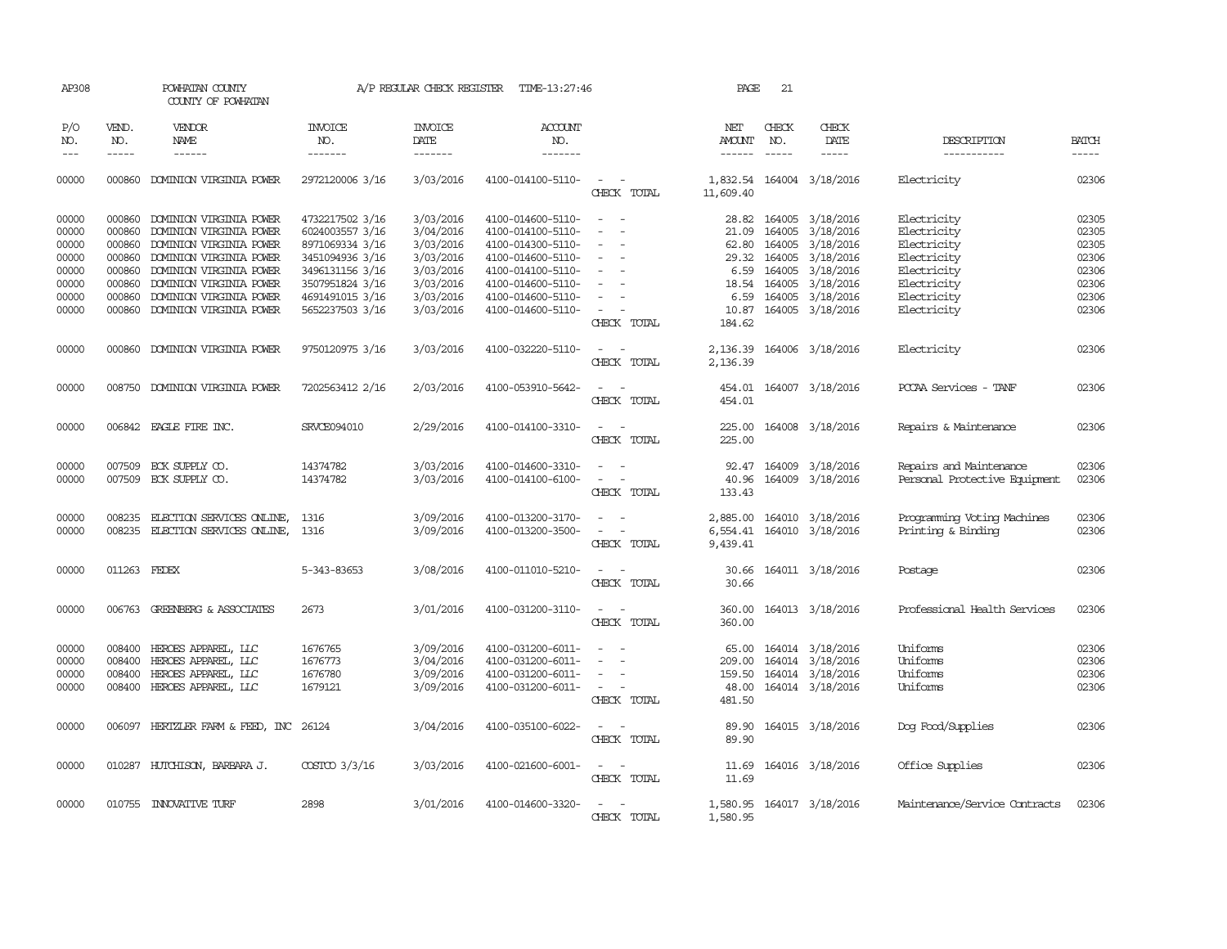| AP308                                                       |                                                                    | POWHATAN COUNTY<br>COUNTY OF POWHATAN                                                                                                                                                     |                                                                                                                                   | A/P REGULAR CHECK REGISTER                                                              | TIME-13:27:46                                                                                                                                   |                                                                                                                             | PAGE                                              | 21                                                                      |                                                                                         |                                                                                                       |                                                             |
|-------------------------------------------------------------|--------------------------------------------------------------------|-------------------------------------------------------------------------------------------------------------------------------------------------------------------------------------------|-----------------------------------------------------------------------------------------------------------------------------------|-----------------------------------------------------------------------------------------|-------------------------------------------------------------------------------------------------------------------------------------------------|-----------------------------------------------------------------------------------------------------------------------------|---------------------------------------------------|-------------------------------------------------------------------------|-----------------------------------------------------------------------------------------|-------------------------------------------------------------------------------------------------------|-------------------------------------------------------------|
| P/O<br>NO.<br>$---$                                         | VEND.<br>NO.<br>$- - - - -$                                        | VENDOR<br>NAME<br>------                                                                                                                                                                  | <b>INVOICE</b><br>NO.<br>-------                                                                                                  | <b>INVOICE</b><br>DATE<br>-------                                                       | <b>ACCOUNT</b><br>NO.<br>-------                                                                                                                |                                                                                                                             | NET<br><b>AMOUNT</b><br>------                    | CHECK<br>NO.<br>$\frac{1}{2}$                                           | CHECK<br>DATE<br>-----                                                                  | DESCRIPTION<br>-----------                                                                            | <b>BATCH</b><br>-----                                       |
| 00000                                                       | 000860                                                             | DOMINION VIRGINIA POWER                                                                                                                                                                   | 2972120006 3/16                                                                                                                   | 3/03/2016                                                                               | 4100-014100-5110-                                                                                                                               | $\overline{\phantom{a}}$<br>CHECK TOTAL                                                                                     | 11,609.40                                         |                                                                         | 1,832.54 164004 3/18/2016                                                               | Electricity                                                                                           | 02306                                                       |
| 00000<br>00000<br>00000<br>00000<br>00000<br>00000<br>00000 | 000860<br>000860<br>000860<br>000860<br>000860<br>000860<br>000860 | DOMINION VIRGINIA POWER<br>DOMINION VIRGINIA POWER<br>DOMINION VIRGINIA POWER<br>DOMINION VIRGINIA POWER<br>DOMINION VIRGINIA POWER<br>DOMINION VIRGINIA POWER<br>DOMINION VIRGINIA POWER | 4732217502 3/16<br>6024003557 3/16<br>8971069334 3/16<br>3451094936 3/16<br>3496131156 3/16<br>3507951824 3/16<br>4691491015 3/16 | 3/03/2016<br>3/04/2016<br>3/03/2016<br>3/03/2016<br>3/03/2016<br>3/03/2016<br>3/03/2016 | 4100-014600-5110-<br>4100-014100-5110-<br>4100-014300-5110-<br>4100-014600-5110-<br>4100-014100-5110-<br>4100-014600-5110-<br>4100-014600-5110- | $\sim$<br>$\sim$<br>$\equiv$<br>$\overline{\phantom{a}}$<br>$\sim$                                                          | 28.82<br>21.09<br>62.80<br>29.32<br>6.59<br>18.54 | 164005<br>164005<br>164005<br>164005<br>164005<br>164005<br>6.59 164005 | 3/18/2016<br>3/18/2016<br>3/18/2016<br>3/18/2016<br>3/18/2016<br>3/18/2016<br>3/18/2016 | Electricity<br>Electricity<br>Electricity<br>Electricity<br>Electricity<br>Electricity<br>Electricity | 02305<br>02305<br>02305<br>02306<br>02306<br>02306<br>02306 |
| 00000                                                       | 000860                                                             | DOMINION VIRGINIA POWER                                                                                                                                                                   | 5652237503 3/16                                                                                                                   | 3/03/2016                                                                               | 4100-014600-5110-                                                                                                                               | $\overline{\phantom{a}}$<br>CHECK TOTAL                                                                                     | 10.87<br>184.62                                   | 164005                                                                  | 3/18/2016                                                                               | Electricity                                                                                           | 02306                                                       |
| 00000                                                       | 000860                                                             | DOMINION VIRGINIA POWER                                                                                                                                                                   | 9750120975 3/16                                                                                                                   | 3/03/2016                                                                               | 4100-032220-5110-                                                                                                                               | $\sim$<br>$\sim$<br>CHECK TOTAL                                                                                             | 2,136.39<br>2,136.39                              |                                                                         | 164006 3/18/2016                                                                        | Electricity                                                                                           | 02306                                                       |
| 00000                                                       |                                                                    | 008750 DOMINION VIRGINIA POWER                                                                                                                                                            | 7202563412 2/16                                                                                                                   | 2/03/2016                                                                               | 4100-053910-5642-                                                                                                                               | $\sim$<br>CHECK TOTAL                                                                                                       | 454.01<br>454.01                                  |                                                                         | 164007 3/18/2016                                                                        | PCCAA Services - TANF                                                                                 | 02306                                                       |
| 00000                                                       |                                                                    | 006842 EAGLE FIRE INC.                                                                                                                                                                    | SRVCE094010                                                                                                                       | 2/29/2016                                                                               | 4100-014100-3310-                                                                                                                               | $\frac{1}{2} \left( \frac{1}{2} \right) \left( \frac{1}{2} \right) = \frac{1}{2} \left( \frac{1}{2} \right)$<br>CHECK TOTAL | 225.00<br>225.00                                  |                                                                         | 164008 3/18/2016                                                                        | Repairs & Maintenance                                                                                 | 02306                                                       |
| 00000<br>00000                                              |                                                                    | 007509 ECK SUPPLY CO.<br>007509 ECK SUPPLY CO.                                                                                                                                            | 14374782<br>14374782                                                                                                              | 3/03/2016<br>3/03/2016                                                                  | 4100-014600-3310-<br>4100-014100-6100-                                                                                                          | $\sim$ $ \sim$<br>$\sim$<br>CHECK TOTAL                                                                                     | 92.47<br>40.96<br>133.43                          |                                                                         | 164009 3/18/2016<br>164009 3/18/2016                                                    | Repairs and Maintenance<br>Personal Protective Equipment                                              | 02306<br>02306                                              |
| 00000<br>00000                                              | 008235                                                             | ELECTION SERVICES ONLINE,<br>008235 ELECTION SERVICES ONLINE,                                                                                                                             | 1316<br>1316                                                                                                                      | 3/09/2016<br>3/09/2016                                                                  | 4100-013200-3170-<br>4100-013200-3500-                                                                                                          | $\omega_{\rm{max}}$ and $\omega_{\rm{max}}$<br>$\sim$ $ \sim$<br>CHECK TOTAL                                                | 9,439.41                                          |                                                                         | 2,885.00 164010 3/18/2016<br>6,554.41 164010 3/18/2016                                  | Programming Voting Machines<br>Printing & Binding                                                     | 02306<br>02306                                              |
| 00000                                                       | 011263 FEDEX                                                       |                                                                                                                                                                                           | 5-343-83653                                                                                                                       | 3/08/2016                                                                               | 4100-011010-5210-                                                                                                                               | CHECK TOTAL                                                                                                                 | 30.66<br>30.66                                    |                                                                         | 164011 3/18/2016                                                                        | Postage                                                                                               | 02306                                                       |
| 00000                                                       |                                                                    | 006763 GREENBERG & ASSOCIATES                                                                                                                                                             | 2673                                                                                                                              | 3/01/2016                                                                               | 4100-031200-3110-                                                                                                                               | $\overline{\phantom{a}}$<br>$\sim$<br>CHECK TOTAL                                                                           | 360.00<br>360.00                                  |                                                                         | 164013 3/18/2016                                                                        | Professional Health Services                                                                          | 02306                                                       |
| 00000<br>00000<br>00000<br>00000                            | 008400<br>008400<br>008400<br>008400                               | HEROES APPAREL, LLC<br>HEROES APPAREL, LLC<br>HEROES APPAREL, LLC<br>HEROES APPAREL, LLC                                                                                                  | 1676765<br>1676773<br>1676780<br>1679121                                                                                          | 3/09/2016<br>3/04/2016<br>3/09/2016<br>3/09/2016                                        | 4100-031200-6011-<br>4100-031200-6011-<br>4100-031200-6011-<br>4100-031200-6011-                                                                | $\overline{\phantom{a}}$<br>$\sim$<br>CHECK TOTAL                                                                           | 65.00<br>209.00<br>159.50<br>48.00<br>481.50      |                                                                         | 164014 3/18/2016<br>164014 3/18/2016<br>164014 3/18/2016<br>164014 3/18/2016            | Uniforms<br>Uniforms<br>Uniforms<br>Uniforms                                                          | 02306<br>02306<br>02306<br>02306                            |
| 00000                                                       |                                                                    | 006097 HERTZLER FARM & FEED, INC 26124                                                                                                                                                    |                                                                                                                                   | 3/04/2016                                                                               | 4100-035100-6022-                                                                                                                               | $\sim$<br>$\sim$<br>CHECK TOTAL                                                                                             | 89.90<br>89.90                                    |                                                                         | 164015 3/18/2016                                                                        | Dog Food/Supplies                                                                                     | 02306                                                       |
| 00000                                                       |                                                                    | 010287 HUTCHISON, BARBARA J.                                                                                                                                                              | COSTCO 3/3/16                                                                                                                     | 3/03/2016                                                                               | 4100-021600-6001-                                                                                                                               | $\frac{1}{2} \left( \frac{1}{2} \right) \left( \frac{1}{2} \right) = \frac{1}{2} \left( \frac{1}{2} \right)$<br>CHECK TOTAL | 11.69<br>11.69                                    |                                                                         | 164016 3/18/2016                                                                        | Office Supplies                                                                                       | 02306                                                       |
| 00000                                                       |                                                                    | 010755 INNOVATIVE TURF                                                                                                                                                                    | 2898                                                                                                                              | 3/01/2016                                                                               | 4100-014600-3320-                                                                                                                               | CHECK TOTAL                                                                                                                 | 1,580.95                                          |                                                                         | 1,580.95 164017 3/18/2016                                                               | Maintenance/Service Contracts                                                                         | 02306                                                       |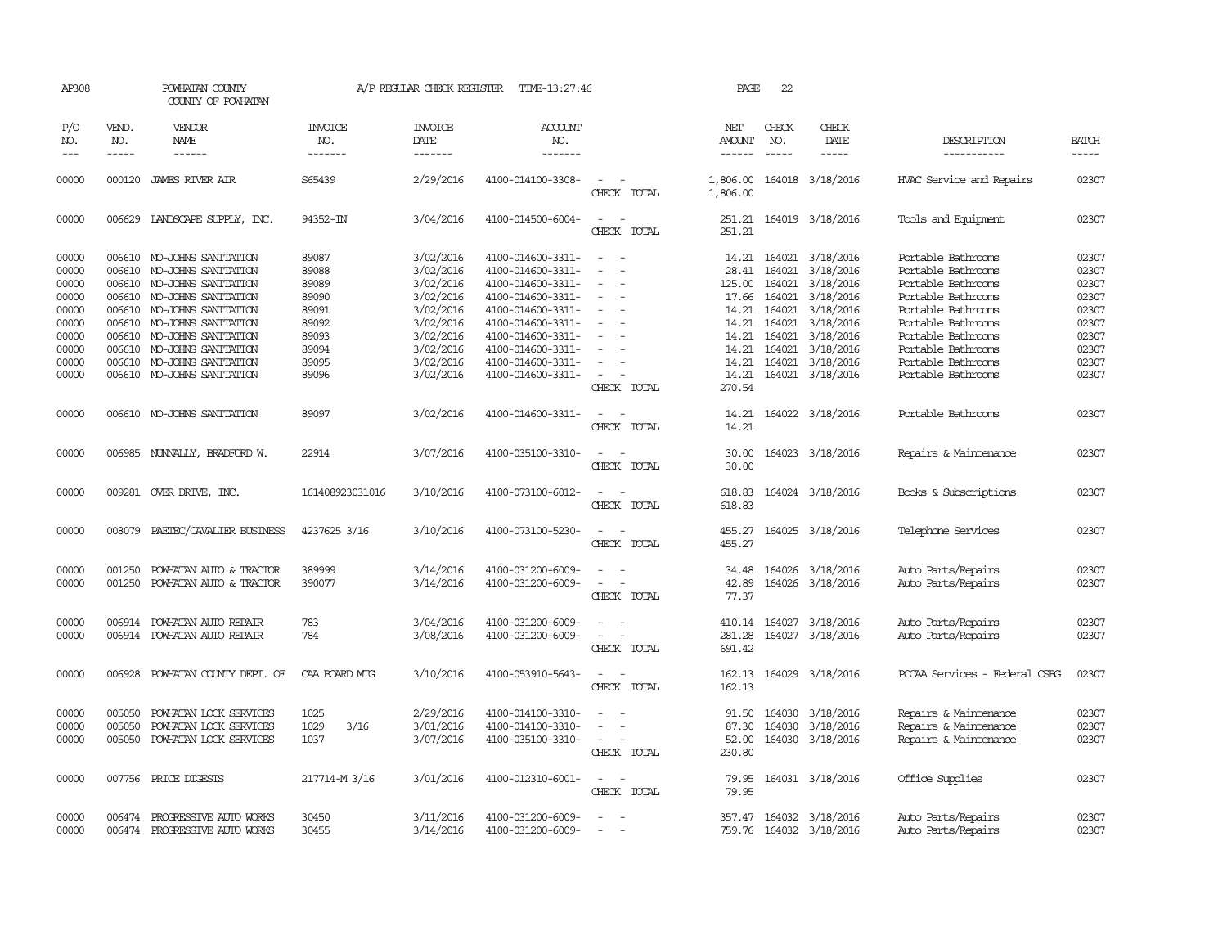| AP308                                                                         |                               | POWHATAN COUNTY<br>COUNTY OF POWHATAN                                                                                                                                                                                                                        |                                                                               | A/P REGULAR CHECK REGISTER                                                                                        | TIME-13:27:46                                                                                                                                                                             |                                                                                                                             | PAGE                                                | 22                            |                                                                                                                                                                                                    |                                                                                                                                                                                                    |                                                                               |
|-------------------------------------------------------------------------------|-------------------------------|--------------------------------------------------------------------------------------------------------------------------------------------------------------------------------------------------------------------------------------------------------------|-------------------------------------------------------------------------------|-------------------------------------------------------------------------------------------------------------------|-------------------------------------------------------------------------------------------------------------------------------------------------------------------------------------------|-----------------------------------------------------------------------------------------------------------------------------|-----------------------------------------------------|-------------------------------|----------------------------------------------------------------------------------------------------------------------------------------------------------------------------------------------------|----------------------------------------------------------------------------------------------------------------------------------------------------------------------------------------------------|-------------------------------------------------------------------------------|
| P/O<br>NO.<br>$---$                                                           | VEND.<br>NO.<br>$\frac{1}{2}$ | <b>VENDOR</b><br>NAME<br>------                                                                                                                                                                                                                              | <b>INVOICE</b><br>NO.<br>-------                                              | <b>INVOICE</b><br>DATE<br>--------                                                                                | <b>ACCOUNT</b><br>NO.<br>$- - - - - - -$                                                                                                                                                  |                                                                                                                             | NET<br>AMOUNT<br>$- - - - - -$                      | CHECK<br>NO.<br>$\frac{1}{2}$ | CHECK<br>DATE<br>$\frac{1}{2}$                                                                                                                                                                     | DESCRIPTION<br>-----------                                                                                                                                                                         | <b>BATCH</b><br>$- - - - -$                                                   |
| 00000                                                                         | 000120                        | JAMES RIVER AIR                                                                                                                                                                                                                                              | S65439                                                                        | 2/29/2016                                                                                                         | 4100-014100-3308-                                                                                                                                                                         | $\overline{\phantom{a}}$<br>CHECK TOTAL                                                                                     | 1,806.00<br>1,806.00                                |                               | 164018 3/18/2016                                                                                                                                                                                   | HVAC Service and Repairs                                                                                                                                                                           | 02307                                                                         |
| 00000                                                                         |                               | 006629 LANDSCAPE SUPPLY, INC.                                                                                                                                                                                                                                | 94352-IN                                                                      | 3/04/2016                                                                                                         | 4100-014500-6004-                                                                                                                                                                         | CHECK TOTAL                                                                                                                 | 251.21                                              |                               | 251.21 164019 3/18/2016                                                                                                                                                                            | Tools and Equipment                                                                                                                                                                                | 02307                                                                         |
| 00000<br>00000<br>00000<br>00000<br>00000<br>00000<br>00000<br>00000<br>00000 | 006610<br>006610              | 006610 MO-JOHNS SANITATION<br>MO-JOHNS SANITATION<br>MO-JOHNS SANITATION<br>006610 MO-JOHNS SANITATION<br>006610 MO-JOHNS SANITATION<br>006610 MO-JOHNS SANITATION<br>006610 MO-JOHNS SANITATION<br>006610 MO-JOHNS SANITATION<br>006610 MO-JOHNS SANITATION | 89087<br>89088<br>89089<br>89090<br>89091<br>89092<br>89093<br>89094<br>89095 | 3/02/2016<br>3/02/2016<br>3/02/2016<br>3/02/2016<br>3/02/2016<br>3/02/2016<br>3/02/2016<br>3/02/2016<br>3/02/2016 | 4100-014600-3311-<br>4100-014600-3311-<br>4100-014600-3311-<br>4100-014600-3311-<br>4100-014600-3311-<br>4100-014600-3311-<br>4100-014600-3311-<br>4100-014600-3311-<br>4100-014600-3311- | $\sim$<br>$\equiv$<br>$\overline{\phantom{a}}$<br>$\overline{\phantom{a}}$<br>$\overline{\phantom{a}}$                      | 28.41<br>125.00<br>17.66<br>14.21<br>14.21<br>14.21 |                               | 14.21 164021 3/18/2016<br>164021 3/18/2016<br>164021 3/18/2016<br>164021 3/18/2016<br>14.21 164021 3/18/2016<br>164021 3/18/2016<br>14.21 164021 3/18/2016<br>164021 3/18/2016<br>164021 3/18/2016 | Portable Bathrooms<br>Portable Bathrooms<br>Portable Bathrooms<br>Portable Bathrooms<br>Portable Bathrooms<br>Portable Bathrooms<br>Portable Bathrooms<br>Portable Bathrooms<br>Portable Bathrooms | 02307<br>02307<br>02307<br>02307<br>02307<br>02307<br>02307<br>02307<br>02307 |
| 00000                                                                         |                               | 006610 MO-JOHNS SANITATION                                                                                                                                                                                                                                   | 89096                                                                         | 3/02/2016                                                                                                         | 4100-014600-3311-                                                                                                                                                                         | $\sim$ 100 $\mu$<br>CHECK TOTAL                                                                                             | 270.54                                              |                               | 14.21 164021 3/18/2016                                                                                                                                                                             | Portable Bathrooms                                                                                                                                                                                 | 02307                                                                         |
| 00000                                                                         |                               | 006610 MO-JOHNS SANITATION                                                                                                                                                                                                                                   | 89097                                                                         | 3/02/2016                                                                                                         | 4100-014600-3311-                                                                                                                                                                         | CHECK TOTAL                                                                                                                 | 14.21<br>14.21                                      |                               | 164022 3/18/2016                                                                                                                                                                                   | Portable Bathrooms                                                                                                                                                                                 | 02307                                                                         |
| 00000                                                                         | 006985                        | NUNALLY, BRADFORD W.                                                                                                                                                                                                                                         | 22914                                                                         | 3/07/2016                                                                                                         | 4100-035100-3310-                                                                                                                                                                         | $\sim$<br>CHECK TOTAL                                                                                                       | 30.00<br>30.00                                      |                               | 164023 3/18/2016                                                                                                                                                                                   | Repairs & Maintenance                                                                                                                                                                              | 02307                                                                         |
| 00000                                                                         |                               | 009281 OVER DRIVE, INC.                                                                                                                                                                                                                                      | 161408923031016                                                               | 3/10/2016                                                                                                         | 4100-073100-6012-                                                                                                                                                                         | $\overline{\phantom{a}}$<br>CHECK TOTAL                                                                                     | 618.83<br>618.83                                    |                               | 164024 3/18/2016                                                                                                                                                                                   | Books & Subscriptions                                                                                                                                                                              | 02307                                                                         |
| 00000                                                                         | 008079                        | PAETEC/CAVALIER BUSINESS                                                                                                                                                                                                                                     | 4237625 3/16                                                                  | 3/10/2016                                                                                                         | 4100-073100-5230-                                                                                                                                                                         | CHECK TOTAL                                                                                                                 | 455.27<br>455.27                                    |                               | 164025 3/18/2016                                                                                                                                                                                   | Telephone Services                                                                                                                                                                                 | 02307                                                                         |
| 00000<br>00000                                                                | 001250<br>001250              | POWHATAN AUTO & TRACTOR<br>POWHATAN AUTO & TRACTOR                                                                                                                                                                                                           | 389999<br>390077                                                              | 3/14/2016<br>3/14/2016                                                                                            | 4100-031200-6009-<br>4100-031200-6009-                                                                                                                                                    | $\overline{\phantom{a}}$<br>CHECK TOTAL                                                                                     | 34.48<br>42.89<br>77.37                             |                               | 164026 3/18/2016<br>164026 3/18/2016                                                                                                                                                               | Auto Parts/Repairs<br>Auto Parts/Repairs                                                                                                                                                           | 02307<br>02307                                                                |
| 00000<br>00000                                                                | 006914<br>006914              | POWHATAN AUTO REPAIR<br>POWHATAN AUTO REPAIR                                                                                                                                                                                                                 | 783<br>784                                                                    | 3/04/2016<br>3/08/2016                                                                                            | 4100-031200-6009-<br>4100-031200-6009-                                                                                                                                                    | $\equiv$<br>$\overline{\phantom{a}}$<br>CHECK TOTAL                                                                         | 281.28<br>691.42                                    |                               | 410.14 164027 3/18/2016<br>164027 3/18/2016                                                                                                                                                        | Auto Parts/Repairs<br>Auto Parts/Repairs                                                                                                                                                           | 02307<br>02307                                                                |
| 00000                                                                         | 006928                        | POWHATAN COUNTY DEPT. OF                                                                                                                                                                                                                                     | CAA BOARD MTG                                                                 | 3/10/2016                                                                                                         | 4100-053910-5643-                                                                                                                                                                         | $\sim$<br>CHECK TOTAL                                                                                                       | 162.13<br>162.13                                    |                               | 164029 3/18/2016                                                                                                                                                                                   | PCCAA Services - Federal CSBG                                                                                                                                                                      | 02307                                                                         |
| 00000<br>00000<br>00000                                                       | 005050<br>005050<br>005050    | POWHATAN LOCK SERVICES<br>POWHATAN LOCK SERVICES<br>POWHATAN LOCK SERVICES                                                                                                                                                                                   | 1025<br>3/16<br>1029<br>1037                                                  | 2/29/2016<br>3/01/2016<br>3/07/2016                                                                               | 4100-014100-3310-<br>4100-014100-3310-<br>4100-035100-3310-                                                                                                                               | $\equiv$<br>$\overline{\phantom{a}}$<br>$\overline{\phantom{a}}$<br>CHECK TOTAL                                             | 91.50<br>87.30<br>52.00<br>230.80                   | 164030                        | 164030 3/18/2016<br>3/18/2016<br>164030 3/18/2016                                                                                                                                                  | Repairs & Maintenance<br>Repairs & Maintenance<br>Repairs & Maintenance                                                                                                                            | 02307<br>02307<br>02307                                                       |
| 00000                                                                         |                               | 007756 PRICE DIGESTS                                                                                                                                                                                                                                         | 217714-M 3/16                                                                 | 3/01/2016                                                                                                         | 4100-012310-6001-                                                                                                                                                                         | $\frac{1}{2} \left( \frac{1}{2} \right) \left( \frac{1}{2} \right) = \frac{1}{2} \left( \frac{1}{2} \right)$<br>CHECK TOTAL | 79.95                                               |                               | 79.95 164031 3/18/2016                                                                                                                                                                             | Office Supplies                                                                                                                                                                                    | 02307                                                                         |
| 00000<br>00000                                                                | 006474<br>006474              | PROGRESSIVE AUTO WORKS<br>PROGRESSIVE AUTO WORKS                                                                                                                                                                                                             | 30450<br>30455                                                                | 3/11/2016<br>3/14/2016                                                                                            | 4100-031200-6009-<br>4100-031200-6009-                                                                                                                                                    |                                                                                                                             |                                                     |                               | 357.47 164032 3/18/2016<br>759.76 164032 3/18/2016                                                                                                                                                 | Auto Parts/Repairs<br>Auto Parts/Repairs                                                                                                                                                           | 02307<br>02307                                                                |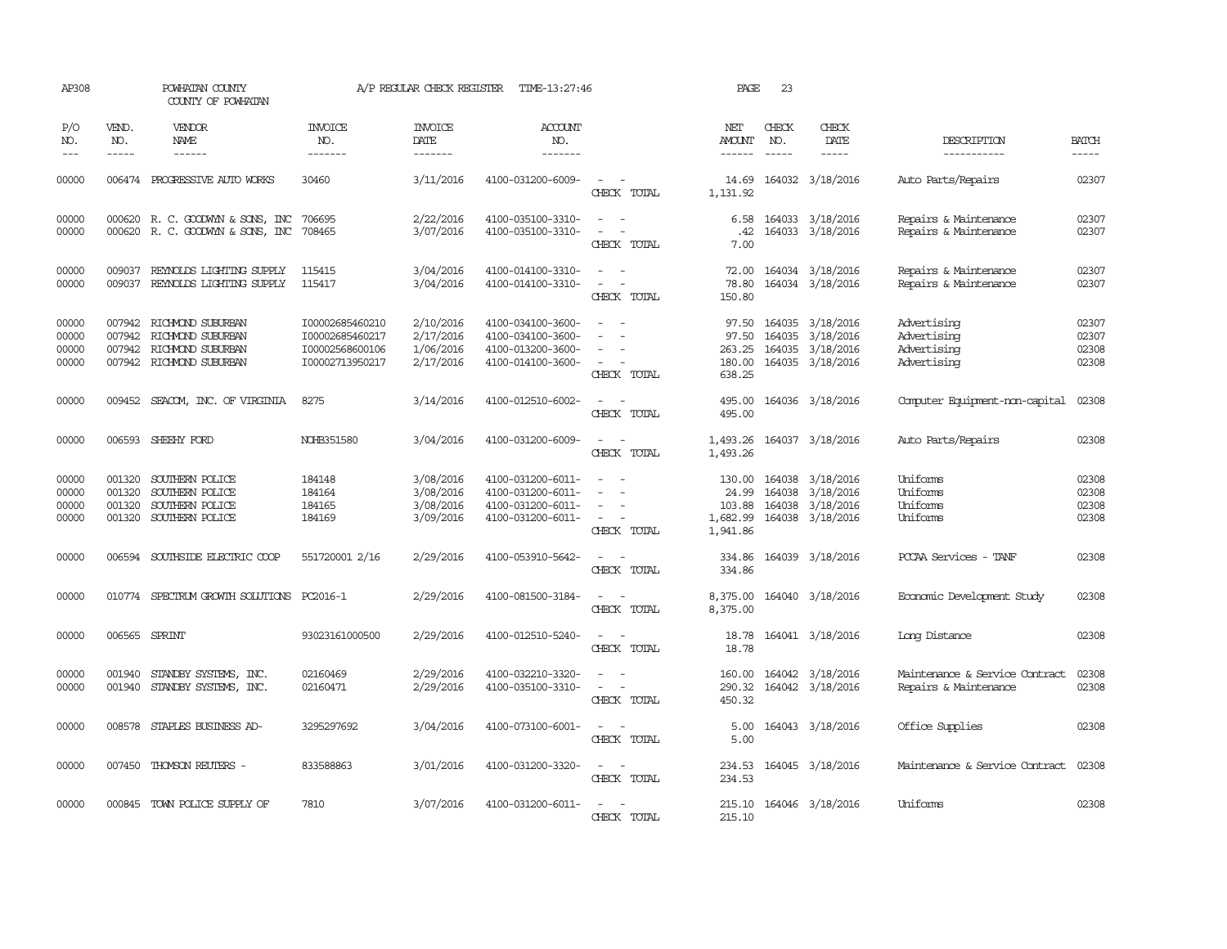| AP308                            |                             | POWHATAN COUNTY<br>COUNTY OF POWHATAN                                                                        |                                                                          | A/P REGULAR CHECK REGISTER                       | TIME-13:27:46                                                                    |                                                                                           | PAGE                                              | 23                          |                                                                                     |                                                          |                                  |
|----------------------------------|-----------------------------|--------------------------------------------------------------------------------------------------------------|--------------------------------------------------------------------------|--------------------------------------------------|----------------------------------------------------------------------------------|-------------------------------------------------------------------------------------------|---------------------------------------------------|-----------------------------|-------------------------------------------------------------------------------------|----------------------------------------------------------|----------------------------------|
| P/O<br>NO.<br>$---$              | VEND.<br>NO.<br>$- - - - -$ | VENDOR<br><b>NAME</b><br>$- - - - - -$                                                                       | <b>INVOICE</b><br>NO.<br>-------                                         | <b>INVOICE</b><br>DATE<br>$- - - - - - -$        | <b>ACCOUNT</b><br>NO.<br>-------                                                 |                                                                                           | NET<br><b>AMOUNT</b><br>$- - - - - -$             | CHECK<br>NO.<br>$- - - - -$ | CHECK<br>DATE<br>-----                                                              | DESCRIPTION<br>-----------                               | <b>BATCH</b><br>-----            |
| 00000                            |                             | 006474 PROGRESSIVE AUTO WORKS                                                                                | 30460                                                                    | 3/11/2016                                        | 4100-031200-6009-                                                                | $\sim$<br>$\sim$<br>CHECK TOTAL                                                           | 14.69<br>1,131.92                                 |                             | 164032 3/18/2016                                                                    | Auto Parts/Repairs                                       | 02307                            |
| 00000<br>00000                   |                             | 000620 R.C. GOODWYN & SONS, INC<br>000620 R. C. GOODWYN & SONS, INC                                          | 706695<br>708465                                                         | 2/22/2016<br>3/07/2016                           | 4100-035100-3310-<br>4100-035100-3310-                                           | $\sim$<br>$\sim$ $-$<br>$\sim$<br>$\sim$<br>CHECK TOTAL                                   | .42<br>7.00                                       |                             | 6.58 164033 3/18/2016<br>164033 3/18/2016                                           | Repairs & Maintenance<br>Repairs & Maintenance           | 02307<br>02307                   |
| 00000<br>00000                   | 009037                      | REYNOLDS LIGHTING SUPPLY<br>009037 REYNOLDS LIGHTING SUPPLY                                                  | 115415<br>115417                                                         | 3/04/2016<br>3/04/2016                           | 4100-014100-3310-<br>4100-014100-3310-                                           | $\sim$<br>$\sim$<br>CHECK TOTAL                                                           | 72.00<br>78.80<br>150.80                          |                             | 164034 3/18/2016<br>164034 3/18/2016                                                | Repairs & Maintenance<br>Repairs & Maintenance           | 02307<br>02307                   |
| 00000<br>00000<br>00000<br>00000 |                             | 007942 RICHMOND SUBURBAN<br>007942 RICHMOND SUBURBAN<br>007942 RICHMOND SUBURBAN<br>007942 RICHMOND SUBURBAN | I00002685460210<br>I00002685460217<br>I00002568600106<br>I00002713950217 | 2/10/2016<br>2/17/2016<br>1/06/2016<br>2/17/2016 | 4100-034100-3600-<br>4100-034100-3600-<br>4100-013200-3600-<br>4100-014100-3600- | $\overline{\phantom{a}}$<br>$\equiv$<br>$\sim$<br>$\sim$<br>$\sim$ $ \sim$<br>CHECK TOTAL | 97.50<br>97.50<br>263.25<br>638.25                |                             | 164035 3/18/2016<br>164035 3/18/2016<br>164035 3/18/2016<br>180.00 164035 3/18/2016 | Advertising<br>Advertising<br>Advertising<br>Advertising | 02307<br>02307<br>02308<br>02308 |
| 00000                            |                             | 009452 SEACOM, INC. OF VIRGINIA                                                                              | 8275                                                                     | 3/14/2016                                        | 4100-012510-6002-                                                                | $\overline{\phantom{a}}$<br>CHECK TOTAL                                                   | 495.00<br>495.00                                  |                             | 164036 3/18/2016                                                                    | Computer Equipment-non-capital                           | 02308                            |
| 00000                            | 006593                      | SHEEHY FORD                                                                                                  | NOHB351580                                                               | 3/04/2016                                        | 4100-031200-6009-                                                                | CHECK TOTAL                                                                               | 1,493.26<br>1,493.26                              |                             | 164037 3/18/2016                                                                    | Auto Parts/Repairs                                       | 02308                            |
| 00000<br>00000<br>00000<br>00000 | 001320<br>001320<br>001320  | SOUTHERN POLICE<br>SOUTHERN POLICE<br>SOUTHERN POLICE<br>001320 SOUTHERN POLICE                              | 184148<br>184164<br>184165<br>184169                                     | 3/08/2016<br>3/08/2016<br>3/08/2016<br>3/09/2016 | 4100-031200-6011-<br>4100-031200-6011-<br>4100-031200-6011-<br>4100-031200-6011- | $\sim$<br>$\sim$<br>$\equiv$<br>$\overline{\phantom{a}}$<br>$\sim$<br>CHECK TOTAL         | 130.00<br>24.99<br>103.88<br>1,682.99<br>1,941.86 | 164038<br>164038            | 164038 3/18/2016<br>3/18/2016<br>3/18/2016<br>164038 3/18/2016                      | Uniforms<br>Uniforms<br>Uniforms<br>Uniforms             | 02308<br>02308<br>02308<br>02308 |
| 00000                            |                             | 006594 SOUTHSIDE ELECTRIC COOP                                                                               | 551720001 2/16                                                           | 2/29/2016                                        | 4100-053910-5642-                                                                | $\sim$<br>CHECK TOTAL                                                                     | 334.86<br>334.86                                  |                             | 164039 3/18/2016                                                                    | PCCAA Services - TANF                                    | 02308                            |
| 00000                            |                             | 010774 SPECTRUM GROWTH SOLUTIONS PC2016-1                                                                    |                                                                          | 2/29/2016                                        | 4100-081500-3184-                                                                | $\sim$ 10 $\sim$ 10 $\sim$<br>CHECK TOTAL                                                 | 8,375.00<br>8,375.00                              |                             | 164040 3/18/2016                                                                    | Economic Development Study                               | 02308                            |
| 00000                            |                             | 006565 SPRINT                                                                                                | 93023161000500                                                           | 2/29/2016                                        | 4100-012510-5240-                                                                | $\sim$<br>$\sim$<br>CHECK TOTAL                                                           | 18.78<br>18.78                                    |                             | 164041 3/18/2016                                                                    | Long Distance                                            | 02308                            |
| 00000<br>00000                   |                             | 001940 STANDBY SYSTEMS, INC.<br>001940 STANDBY SYSTEMS, INC.                                                 | 02160469<br>02160471                                                     | 2/29/2016<br>2/29/2016                           | 4100-032210-3320-<br>4100-035100-3310-                                           | $\equiv$<br>$\sim$<br>$\sim$<br>$\sim$<br>CHECK TOTAL                                     | 160.00<br>450.32                                  |                             | 164042 3/18/2016<br>290.32 164042 3/18/2016                                         | Maintenance & Service Contract<br>Repairs & Maintenance  | 02308<br>02308                   |
| 00000                            |                             | 008578 STAPLES BUSINESS AD-                                                                                  | 3295297692                                                               | 3/04/2016                                        | 4100-073100-6001-                                                                | $\sim$ $\sim$<br>CHECK TOTAL                                                              | 5.00                                              |                             | 5.00 164043 3/18/2016                                                               | Office Supplies                                          | 02308                            |
| 00000                            |                             | 007450 THOMSON REUTERS -                                                                                     | 833588863                                                                | 3/01/2016                                        | 4100-031200-3320-                                                                | $\sim$<br>$\sim$<br>CHECK TOTAL                                                           | 234.53<br>234.53                                  |                             | 164045 3/18/2016                                                                    | Maintenance & Service Contract                           | 02308                            |
| 00000                            |                             | 000845 TOWN POLICE SUPPLY OF                                                                                 | 7810                                                                     | 3/07/2016                                        | 4100-031200-6011-                                                                | $\sim$ $ -$<br>CHECK TOTAL                                                                | 215.10                                            |                             | 215.10 164046 3/18/2016                                                             | Uniforms                                                 | 02308                            |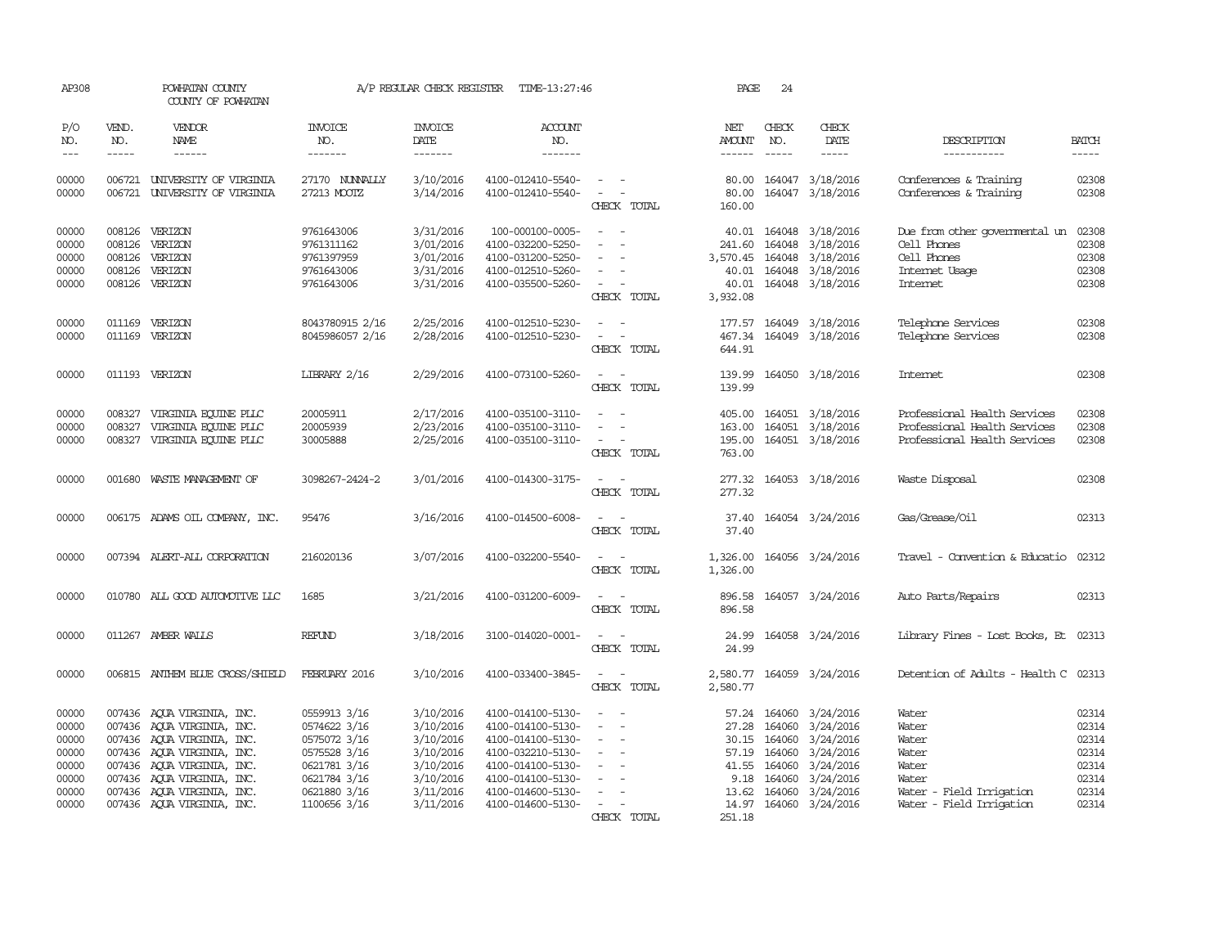| AP308                                                                |              | POWHATAN COUNTY<br>COUNTY OF POWHATAN                                                                                                                                                                                                        |                                                                                                                              | A/P REGULAR CHECK REGISTER                                                                           | TIME-13:27:46                                                                                                                                                        |                                                                                                                                                         | PAGE                                              | 24                                                                       |                                                                                                                   |                                                                                                            |                                                                      |
|----------------------------------------------------------------------|--------------|----------------------------------------------------------------------------------------------------------------------------------------------------------------------------------------------------------------------------------------------|------------------------------------------------------------------------------------------------------------------------------|------------------------------------------------------------------------------------------------------|----------------------------------------------------------------------------------------------------------------------------------------------------------------------|---------------------------------------------------------------------------------------------------------------------------------------------------------|---------------------------------------------------|--------------------------------------------------------------------------|-------------------------------------------------------------------------------------------------------------------|------------------------------------------------------------------------------------------------------------|----------------------------------------------------------------------|
| P/O<br>NO.<br>$---$                                                  | VEND.<br>NO. | VENDOR<br><b>NAME</b><br>$- - - - - -$                                                                                                                                                                                                       | <b>INVOICE</b><br>NO.<br>-------                                                                                             | <b>INVOICE</b><br>DATE<br>$- - - - - - -$                                                            | <b>ACCOUNT</b><br>NO.<br>$- - - - - - -$                                                                                                                             |                                                                                                                                                         | NET<br>AMOUNT<br>------                           | CHECK<br>NO.<br>$\frac{1}{2}$                                            | CHECK<br>DATE                                                                                                     | DESCRIPTION<br>-----------                                                                                 | <b>BATCH</b><br>-----                                                |
| 00000<br>00000                                                       |              | 006721 UNIVERSITY OF VIRGINIA<br>006721 UNIVERSITY OF VIRGINIA                                                                                                                                                                               | 27170 NUNNALLY<br>27213 MOOTZ                                                                                                | 3/10/2016<br>3/14/2016                                                                               | 4100-012410-5540-<br>4100-012410-5540-                                                                                                                               | $\overline{\phantom{a}}$<br>$\frac{1}{2} \left( \frac{1}{2} \right) \left( \frac{1}{2} \right) = \frac{1}{2} \left( \frac{1}{2} \right)$<br>CHECK TOTAL | 80.00<br>80.00<br>160.00                          |                                                                          | 164047 3/18/2016<br>164047 3/18/2016                                                                              | Conferences & Training<br>Conferences & Training                                                           | 02308<br>02308                                                       |
| 00000<br>00000<br>00000<br>00000<br>00000                            |              | 008126 VERIZON<br>008126 VERIZON<br>008126 VERIZON<br>008126 VERIZON<br>008126 VERIZON                                                                                                                                                       | 9761643006<br>9761311162<br>9761397959<br>9761643006<br>9761643006                                                           | 3/31/2016<br>3/01/2016<br>3/01/2016<br>3/31/2016<br>3/31/2016                                        | 100-000100-0005-<br>4100-032200-5250-<br>4100-031200-5250-<br>4100-012510-5260-<br>4100-035500-5260-                                                                 | $\sim$<br>$\overline{\phantom{a}}$<br>CHECK TOTAL                                                                                                       | 241.60<br>3,570.45<br>40.01<br>3,932.08           |                                                                          | 40.01 164048 3/18/2016<br>164048 3/18/2016<br>164048 3/18/2016<br>164048 3/18/2016<br>40.01 164048 3/18/2016      | Due from other governmental un<br>Cell Phones<br>Cell Phones<br>Internet Usage<br>Internet                 | 02308<br>02308<br>02308<br>02308<br>02308                            |
| 00000<br>00000                                                       |              | 011169 VERIZON<br>011169 VERIZON                                                                                                                                                                                                             | 8043780915 2/16<br>8045986057 2/16                                                                                           | 2/25/2016<br>2/28/2016                                                                               | 4100-012510-5230-<br>4100-012510-5230-                                                                                                                               | $\sim$<br>CHECK TOTAL                                                                                                                                   | 177.57<br>467.34<br>644.91                        |                                                                          | 164049 3/18/2016<br>164049 3/18/2016                                                                              | Telephone Services<br>Telephone Services                                                                   | 02308<br>02308                                                       |
| 00000                                                                |              | 011193 VERIZON                                                                                                                                                                                                                               | LIBRARY 2/16                                                                                                                 | 2/29/2016                                                                                            | 4100-073100-5260-                                                                                                                                                    | $\frac{1}{2} \left( \frac{1}{2} \right) \left( \frac{1}{2} \right) = \frac{1}{2} \left( \frac{1}{2} \right)$<br>CHECK TOTAL                             | 139.99<br>139.99                                  |                                                                          | 164050 3/18/2016                                                                                                  | Internet                                                                                                   | 02308                                                                |
| 00000<br>00000<br>00000                                              | 008327       | 008327 VIRGINIA EQUINE PLLC<br>VIRGINIA EQUINE PLLC<br>008327 VIRGINIA EQUINE PLLC                                                                                                                                                           | 20005911<br>20005939<br>30005888                                                                                             | 2/17/2016<br>2/23/2016<br>2/25/2016                                                                  | 4100-035100-3110-<br>4100-035100-3110-<br>4100-035100-3110-                                                                                                          | $\frac{1}{2} \left( \frac{1}{2} \right) \left( \frac{1}{2} \right) = \frac{1}{2} \left( \frac{1}{2} \right)$<br>CHECK TOTAL                             | 163.00<br>195.00<br>763.00                        |                                                                          | 405.00 164051 3/18/2016<br>164051 3/18/2016<br>164051 3/18/2016                                                   | Professional Health Services<br>Professional Health Services<br>Professional Health Services               | 02308<br>02308<br>02308                                              |
| 00000                                                                | 001680       | WASTE MANAGEMENT OF                                                                                                                                                                                                                          | 3098267-2424-2                                                                                                               | 3/01/2016                                                                                            | 4100-014300-3175-                                                                                                                                                    | $\sim$<br>CHECK TOTAL                                                                                                                                   | 277.32                                            |                                                                          | 277.32 164053 3/18/2016                                                                                           | Waste Disposal                                                                                             | 02308                                                                |
| 00000                                                                |              | 006175 ADAMS OIL COMPANY, INC.                                                                                                                                                                                                               | 95476                                                                                                                        | 3/16/2016                                                                                            | 4100-014500-6008-                                                                                                                                                    | CHECK TOTAL                                                                                                                                             | 37.40                                             |                                                                          | 37.40 164054 3/24/2016                                                                                            | Gas/Grease/Oil                                                                                             | 02313                                                                |
| 00000                                                                |              | 007394 ALERT-ALL CORPORATION                                                                                                                                                                                                                 | 216020136                                                                                                                    | 3/07/2016                                                                                            | 4100-032200-5540-                                                                                                                                                    | CHECK TOTAL                                                                                                                                             | 1,326.00                                          |                                                                          | 1,326.00 164056 3/24/2016                                                                                         | Travel - Convention & Educatio 02312                                                                       |                                                                      |
| 00000                                                                |              | 010780 ALL GOOD AUTOMOTTVE LLC                                                                                                                                                                                                               | 1685                                                                                                                         | 3/21/2016                                                                                            | 4100-031200-6009-                                                                                                                                                    | CHECK TOTAL                                                                                                                                             | 896.58<br>896.58                                  |                                                                          | 164057 3/24/2016                                                                                                  | Auto Parts/Repairs                                                                                         | 02313                                                                |
| 00000                                                                |              | 011267 AMBER WALLS                                                                                                                                                                                                                           | REFUND                                                                                                                       | 3/18/2016                                                                                            | 3100-014020-0001-                                                                                                                                                    | CHECK TOTAL                                                                                                                                             | 24.99<br>24.99                                    |                                                                          | 164058 3/24/2016                                                                                                  | Library Fines - Lost Books, Et 02313                                                                       |                                                                      |
| 00000                                                                |              | 006815 ANTHEM BLUE CROSS/SHIELD                                                                                                                                                                                                              | FEBRUARY 2016                                                                                                                | 3/10/2016                                                                                            | 4100-033400-3845-                                                                                                                                                    | CHECK TOTAL                                                                                                                                             | 2,580.77<br>2,580.77                              |                                                                          | 164059 3/24/2016                                                                                                  | Detention of Adults - Health C 02313                                                                       |                                                                      |
| 00000<br>00000<br>00000<br>00000<br>00000<br>00000<br>00000<br>00000 |              | 007436 AQUA VIRGINIA, INC.<br>007436 AQUA VIRGINIA, INC.<br>007436 AQUA VIRGINIA, INC.<br>007436 AQUA VIRGINIA, INC.<br>007436 AQUA VIRGINIA, INC.<br>007436 AQUA VIRGINIA, INC.<br>007436 AQUA VIRGINIA, INC.<br>007436 AQUA VIRGINIA, INC. | 0559913 3/16<br>0574622 3/16<br>0575072 3/16<br>0575528 3/16<br>0621781 3/16<br>0621784 3/16<br>0621880 3/16<br>1100656 3/16 | 3/10/2016<br>3/10/2016<br>3/10/2016<br>3/10/2016<br>3/10/2016<br>3/10/2016<br>3/11/2016<br>3/11/2016 | 4100-014100-5130-<br>4100-014100-5130-<br>4100-014100-5130-<br>4100-032210-5130-<br>4100-014100-5130-<br>4100-014100-5130-<br>4100-014600-5130-<br>4100-014600-5130- | $\sim$<br>$\sim$<br>$\equiv$<br>$\equiv$<br>$\sim$                                                                                                      | 57.24<br>27.28<br>57.19<br>41.55<br>9.18<br>13.62 | 164060<br>164060<br>30.15 164060<br>164060<br>164060<br>164060<br>164060 | 3/24/2016<br>3/24/2016<br>3/24/2016<br>3/24/2016<br>3/24/2016<br>3/24/2016<br>3/24/2016<br>14.97 164060 3/24/2016 | Water<br>Water<br>Water<br>Water<br>Water<br>Water<br>Water - Field Irrigation<br>Water - Field Irrigation | 02314<br>02314<br>02314<br>02314<br>02314<br>02314<br>02314<br>02314 |
|                                                                      |              |                                                                                                                                                                                                                                              |                                                                                                                              |                                                                                                      |                                                                                                                                                                      | CHECK TOTAL                                                                                                                                             | 251.18                                            |                                                                          |                                                                                                                   |                                                                                                            |                                                                      |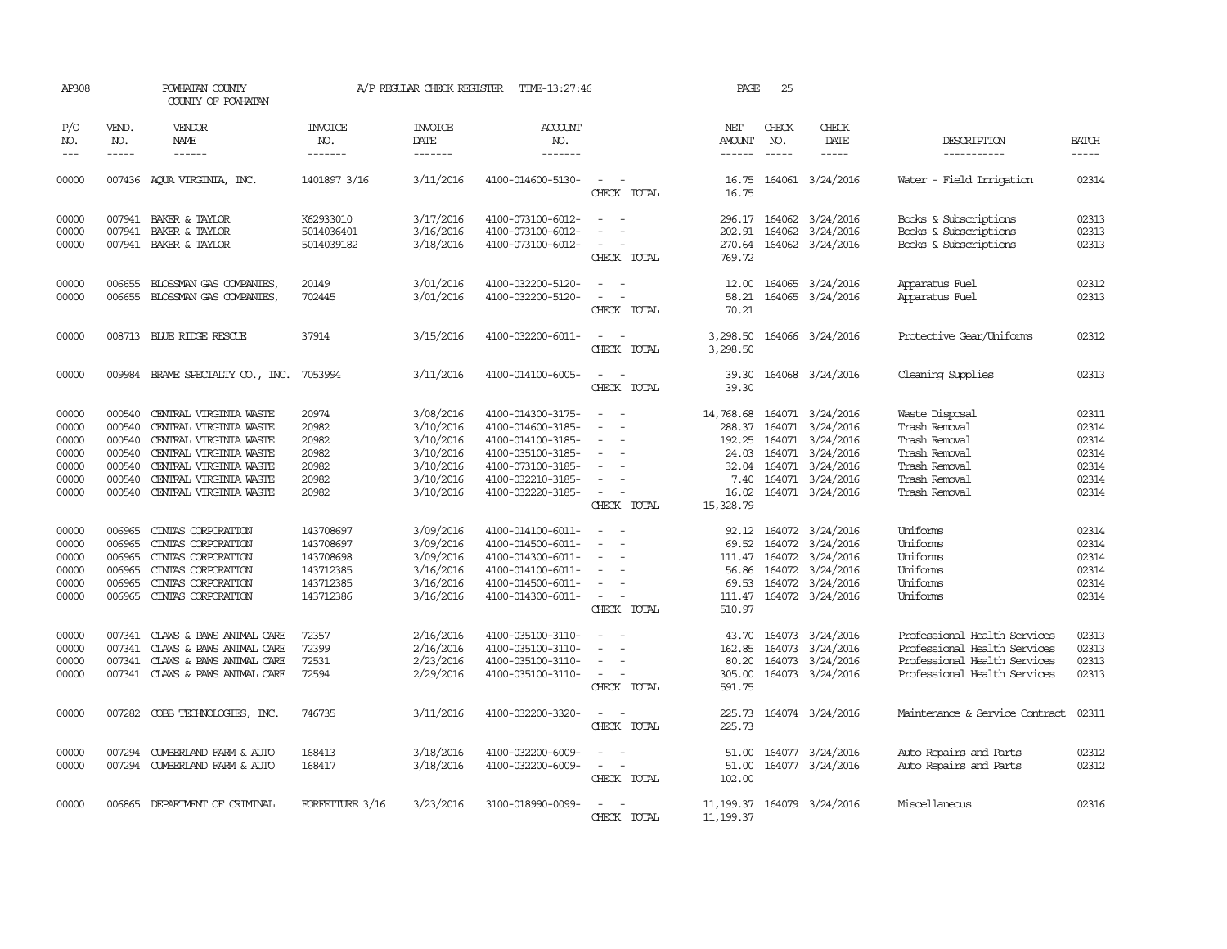| AP308                                                       |                                                          | POWHATAN COUNTY<br>COUNTY OF POWHATAN                                                                                                                                                     |                                                                            | A/P REGULAR CHECK REGISTER                                                              | TIME-13:27:46                                                                                                                                   |                                                                                                                                                                                      | PAGE                                                                          | 25                                |                                                                                                                     |                                                                                                                              |                                                             |
|-------------------------------------------------------------|----------------------------------------------------------|-------------------------------------------------------------------------------------------------------------------------------------------------------------------------------------------|----------------------------------------------------------------------------|-----------------------------------------------------------------------------------------|-------------------------------------------------------------------------------------------------------------------------------------------------|--------------------------------------------------------------------------------------------------------------------------------------------------------------------------------------|-------------------------------------------------------------------------------|-----------------------------------|---------------------------------------------------------------------------------------------------------------------|------------------------------------------------------------------------------------------------------------------------------|-------------------------------------------------------------|
| P/O<br>NO.<br>$---$                                         | VEND.<br>NO.<br>$\frac{1}{2}$                            | <b>VENDOR</b><br>NAME<br>$- - - - - -$                                                                                                                                                    | <b>INVOICE</b><br>NO.<br>-------                                           | <b>INVOICE</b><br>DATE<br>-------                                                       | <b>ACCOUNT</b><br>NO.<br>-------                                                                                                                |                                                                                                                                                                                      | NET<br><b>AMOUNT</b><br>------                                                | CHECK<br>NO.<br>$\frac{1}{2}$     | CHECK<br>DATE<br>-----                                                                                              | DESCRIPTION<br>-----------                                                                                                   | <b>BATCH</b><br>-----                                       |
| 00000                                                       |                                                          | 007436 AQUA VIRGINIA, INC.                                                                                                                                                                | 1401897 3/16                                                               | 3/11/2016                                                                               | 4100-014600-5130-                                                                                                                               | $\overline{\phantom{a}}$<br>CHECK TOTAL                                                                                                                                              | 16.75<br>16.75                                                                |                                   | 164061 3/24/2016                                                                                                    | Water - Field Irrigation                                                                                                     | 02314                                                       |
| 00000<br>00000<br>00000                                     |                                                          | 007941 BAKER & TAYLOR<br>007941 BAKER & TAYLOR<br>007941 BAKER & TAYLOR                                                                                                                   | K62933010<br>5014036401<br>5014039182                                      | 3/17/2016<br>3/16/2016<br>3/18/2016                                                     | 4100-073100-6012-<br>4100-073100-6012-<br>4100-073100-6012-                                                                                     | $\overline{\phantom{a}}$<br>$\overline{\phantom{a}}$                                                                                                                                 | 296.17<br>270.64                                                              |                                   | 164062 3/24/2016<br>202.91 164062 3/24/2016<br>164062 3/24/2016                                                     | Books & Subscriptions<br>Books & Subscriptions<br>Books & Subscriptions                                                      | 02313<br>02313<br>02313                                     |
| 00000<br>00000                                              | 006655                                                   | BLOSSMAN GAS COMPANIES,<br>006655 BLOSSMAN GAS COMPANIES,                                                                                                                                 | 20149<br>702445                                                            | 3/01/2016<br>3/01/2016                                                                  | 4100-032200-5120-<br>4100-032200-5120-                                                                                                          | CHECK TOTAL<br>$\omega$                                                                                                                                                              | 769.72<br>12.00<br>58.21                                                      |                                   | 164065 3/24/2016<br>164065 3/24/2016                                                                                | Apparatus Fuel<br>Apparatus Fuel                                                                                             | 02312<br>02313                                              |
| 00000                                                       |                                                          | 008713 BLUE RIDGE RESCUE                                                                                                                                                                  | 37914                                                                      | 3/15/2016                                                                               | 4100-032200-6011-                                                                                                                               | CHECK TOTAL<br>$\equiv$<br>CHECK<br>TOTAL                                                                                                                                            | 70.21<br>3,298.50                                                             |                                   | 3,298.50 164066 3/24/2016                                                                                           | Protective Gear/Uniforms                                                                                                     | 02312                                                       |
| 00000                                                       |                                                          | 009984 BRAME SPECIALITY CO., INC.                                                                                                                                                         | 7053994                                                                    | 3/11/2016                                                                               | 4100-014100-6005-                                                                                                                               | $\sim$<br>$\sim$<br>CHECK TOTAL                                                                                                                                                      | 39.30<br>39.30                                                                |                                   | 164068 3/24/2016                                                                                                    | Cleaning Supplies                                                                                                            | 02313                                                       |
| 00000<br>00000<br>00000<br>00000<br>00000<br>00000<br>00000 | 000540<br>000540<br>000540<br>000540<br>000540<br>000540 | CENTRAL VIRGINIA WASTE<br>CENTRAL VIRGINIA WASTE<br>CENTRAL VIRGINIA WASTE<br>CENTRAL VIRGINIA WASTE<br>CENTRAL VIRGINIA WASTE<br>CENTRAL VIRGINIA WASTE<br>000540 CENTRAL VIRGINIA WASTE | 20974<br>20982<br>20982<br>20982<br>20982<br>20982<br>20982                | 3/08/2016<br>3/10/2016<br>3/10/2016<br>3/10/2016<br>3/10/2016<br>3/10/2016<br>3/10/2016 | 4100-014300-3175-<br>4100-014600-3185-<br>4100-014100-3185-<br>4100-035100-3185-<br>4100-073100-3185-<br>4100-032210-3185-<br>4100-032220-3185- | $\sim$<br>- 1<br>$\sim$<br>$\overline{\phantom{a}}$<br>$\overline{\phantom{a}}$<br>$\sim$<br>$\overline{\phantom{a}}$<br>$\sim$<br>$\sim$<br>$\overline{\phantom{a}}$<br>CHECK TOTAL | 14,768.68<br>288.37<br>192.25<br>24.03<br>32.04<br>7.40<br>16.02<br>15,328.79 | 164071<br>164071<br>164071        | 164071 3/24/2016<br>164071 3/24/2016<br>3/24/2016<br>3/24/2016<br>164071 3/24/2016<br>3/24/2016<br>164071 3/24/2016 | Waste Disposal<br>Trash Removal<br>Trash Removal<br>Trash Removal<br>Trash Removal<br>Trash Removal<br>Trash Removal         | 02311<br>02314<br>02314<br>02314<br>02314<br>02314<br>02314 |
| 00000<br>00000<br>00000<br>00000<br>00000<br>00000          | 006965<br>006965<br>006965<br>006965<br>006965<br>006965 | CINIAS CORPORATION<br>CINIAS CORPORATION<br>CINIAS CORPORATION<br>CINIAS CORPORATION<br>CINIAS CORPORATION<br>CINIAS CORPORATION                                                          | 143708697<br>143708697<br>143708698<br>143712385<br>143712385<br>143712386 | 3/09/2016<br>3/09/2016<br>3/09/2016<br>3/16/2016<br>3/16/2016<br>3/16/2016              | 4100-014100-6011-<br>4100-014500-6011-<br>4100-014300-6011-<br>4100-014100-6011-<br>4100-014500-6011-<br>4100-014300-6011-                      | $\overline{\phantom{a}}$<br>$\equiv$<br>$\sim$<br>CHECK TOTAL                                                                                                                        | 69.52<br>56.86<br>69.53<br>510.97                                             | 164072<br>111.47 164072<br>164072 | 92.12 164072 3/24/2016<br>3/24/2016<br>3/24/2016<br>3/24/2016<br>164072 3/24/2016<br>111.47 164072 3/24/2016        | Uniforms<br>Uniforms<br>Uniforms<br>Uniforms<br>Uniforms<br>Uniforms                                                         | 02314<br>02314<br>02314<br>02314<br>02314<br>02314          |
| 00000<br>00000<br>00000<br>00000                            | 007341                                                   | 007341 CLAWS & PAWS ANIMAL CARE<br>CLAWS & PAWS ANIMAL CARE<br>007341 CLAWS & PAWS ANIMAL CARE<br>007341 CLAWS & PAWS ANIMAL CARE                                                         | 72357<br>72399<br>72531<br>72594                                           | 2/16/2016<br>2/16/2016<br>2/23/2016<br>2/29/2016                                        | 4100-035100-3110-<br>4100-035100-3110-<br>4100-035100-3110-<br>4100-035100-3110-                                                                | $\equiv$<br>$\sim$<br>$\sim$<br>$\overline{\phantom{a}}$<br>$\sim$<br>$\overline{\phantom{a}}$<br>CHECK TOTAL                                                                        | 162.85<br>80.20<br>305.00<br>591.75                                           | 164073                            | 43.70 164073 3/24/2016<br>3/24/2016<br>164073 3/24/2016<br>164073 3/24/2016                                         | Professional Health Services<br>Professional Health Services<br>Professional Health Services<br>Professional Health Services | 02313<br>02313<br>02313<br>02313                            |
| 00000                                                       |                                                          | 007282 COBB TECHNOLOGIES, INC.                                                                                                                                                            | 746735                                                                     | 3/11/2016                                                                               | 4100-032200-3320-                                                                                                                               | $\sim$ $\sim$<br>CHECK TOTAL                                                                                                                                                         | 225.73<br>225.73                                                              |                                   | 164074 3/24/2016                                                                                                    | Maintenance & Service Contract                                                                                               | 02311                                                       |
| 00000<br>00000                                              |                                                          | 007294 CUMBERLAND FARM & AUTO<br>007294 CUMBERLAND FARM & AUTO                                                                                                                            | 168413<br>168417                                                           | 3/18/2016<br>3/18/2016                                                                  | 4100-032200-6009-<br>4100-032200-6009-                                                                                                          | $\sim$<br>$\overline{\phantom{a}}$<br>CHECK TOTAL                                                                                                                                    | 51.00<br>51.00<br>102.00                                                      |                                   | 164077 3/24/2016<br>164077 3/24/2016                                                                                | Auto Repairs and Parts<br>Auto Repairs and Parts                                                                             | 02312<br>02312                                              |
| 00000                                                       | 006865                                                   | DEPARIMENT OF CRIMINAL                                                                                                                                                                    | FORFEITURE 3/16                                                            | 3/23/2016                                                                               | 3100-018990-0099-                                                                                                                               | CHECK TOTAL                                                                                                                                                                          | 11, 199.37                                                                    |                                   | 11, 199.37 164079 3/24/2016                                                                                         | Miscellaneous                                                                                                                | 02316                                                       |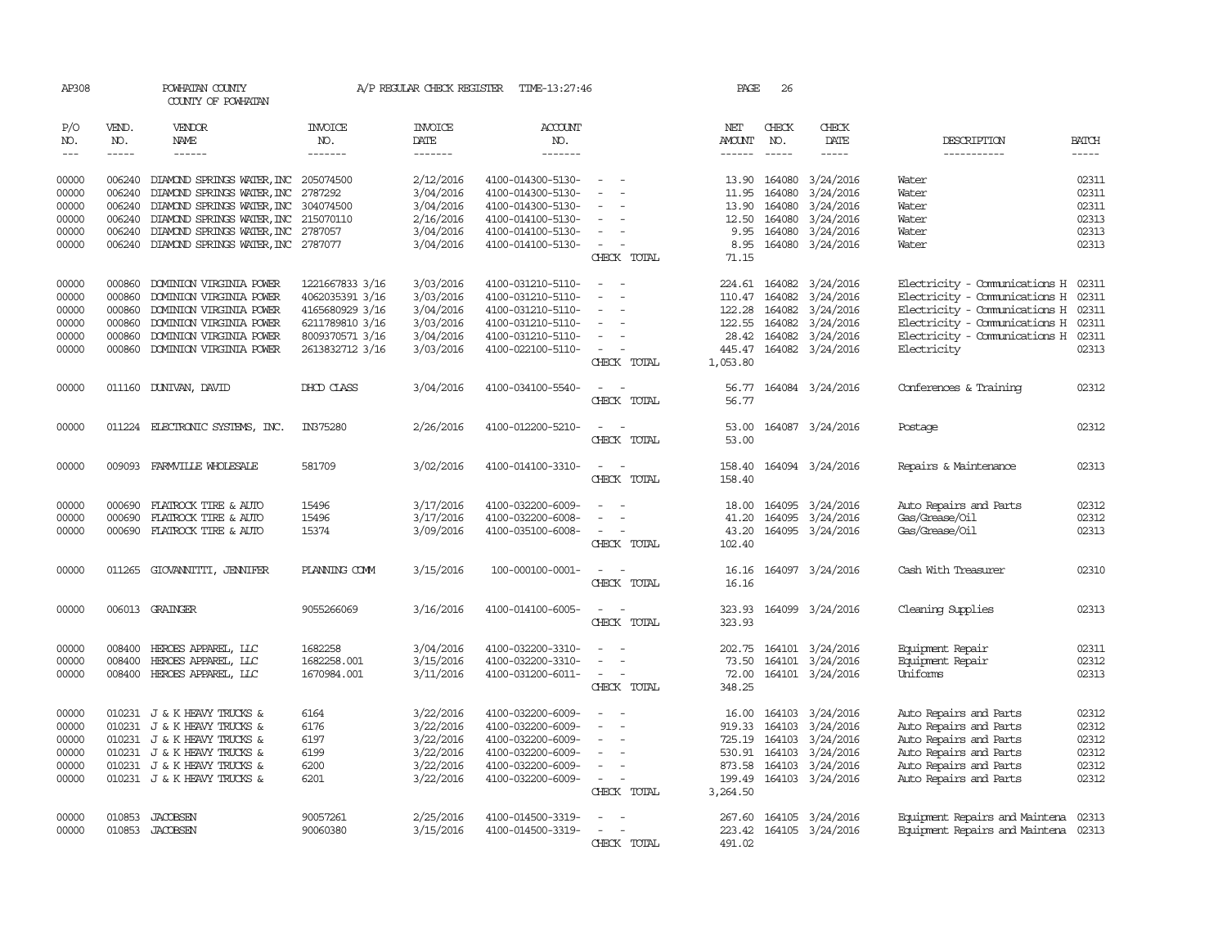| AP308                       |                             | POWHATAN COUNTY<br>COUNTY OF POWHATAN     |                                   |                                    | A/P REGULAR CHECK REGISTER TIME-13:27:46 |                                                      | PAGE                                  | 26                            |                                |                                      |                               |
|-----------------------------|-----------------------------|-------------------------------------------|-----------------------------------|------------------------------------|------------------------------------------|------------------------------------------------------|---------------------------------------|-------------------------------|--------------------------------|--------------------------------------|-------------------------------|
| P/O<br>NO.<br>$\frac{1}{2}$ | VEND.<br>NO.<br>$- - - - -$ | <b>VENDOR</b><br>NAME                     | <b>INVOICE</b><br>NO.<br>-------- | <b>INVOICE</b><br>DATE<br>-------- | <b>ACCOUNT</b><br>NO.<br>-------         |                                                      | NET<br><b>AMOUNT</b><br>$- - - - - -$ | CHECK<br>NO.<br>$\frac{1}{2}$ | CHECK<br>DATE<br>$\frac{1}{2}$ | DESCRIPTION<br>-----------           | <b>BATCH</b><br>$\frac{1}{2}$ |
|                             |                             |                                           |                                   |                                    |                                          |                                                      |                                       |                               |                                |                                      |                               |
| 00000                       | 006240                      | DIAMOND SPRINGS WATER, INC 205074500      |                                   | 2/12/2016                          | 4100-014300-5130-                        | $\sim$                                               | 13.90                                 | 164080                        | 3/24/2016                      | Water                                | 02311                         |
| 00000                       | 006240                      | DIAMOND SPRINGS WATER, INC                | 2787292                           | 3/04/2016                          | 4100-014300-5130-                        | $\overline{\phantom{a}}$<br>$\overline{\phantom{a}}$ | 11.95                                 | 164080                        | 3/24/2016                      | Water                                | 02311                         |
| 00000                       | 006240                      | DIAMOND SPRINGS WATER, INC                | 304074500                         | 3/04/2016                          | 4100-014300-5130-                        | $\sim$                                               | 13.90                                 | 164080                        | 3/24/2016                      | Water                                | 02311                         |
| 00000                       | 006240                      | DIAMOND SPRINGS WATER, INC 215070110      |                                   | 2/16/2016                          | 4100-014100-5130-                        |                                                      | 12.50                                 | 164080                        | 3/24/2016                      | Water                                | 02313                         |
| 00000                       | 006240                      | DIAMOND SPRINGS WATER, INC 2787057        |                                   | 3/04/2016                          | 4100-014100-5130-                        | $\sim$<br>$\sim$                                     |                                       | 9.95 164080                   | 3/24/2016                      | Water                                | 02313                         |
| 00000                       |                             | 006240 DIAMOND SPRINGS WATER, INC 2787077 |                                   | 3/04/2016                          | 4100-014100-5130-                        | $\sim$<br>$\overline{\phantom{a}}$                   | 8.95                                  | 164080                        | 3/24/2016                      | Water                                | 02313                         |
|                             |                             |                                           |                                   |                                    |                                          | CHECK TOTAL                                          | 71.15                                 |                               |                                |                                      |                               |
| 00000                       |                             | 000860 DOMINION VIRGINIA POWER            | 1221667833 3/16                   | 3/03/2016                          | 4100-031210-5110-                        | $\sim$<br>$\sim$                                     |                                       | 224.61 164082                 | 3/24/2016                      | Electricity - Comunications H 02311  |                               |
| 00000                       | 000860                      | DOMINION VIRGINIA POWER                   | 4062035391 3/16                   | 3/03/2016                          | 4100-031210-5110-                        | $\overline{\phantom{a}}$<br>$\overline{\phantom{a}}$ | 110.47                                | 164082                        | 3/24/2016                      | Electricity - Comunications H        | 02311                         |
| 00000                       | 000860                      | DOMINION VIRGINIA POWER                   | 4165680929 3/16                   | 3/04/2016                          | 4100-031210-5110-                        |                                                      |                                       | 122.28 164082                 | 3/24/2016                      | Electricity - Comunications H 02311  |                               |
| 00000                       | 000860                      | DOMINION VIRGINIA POWER                   | 6211789810 3/16                   | 3/03/2016                          | 4100-031210-5110-                        | $\overline{\phantom{a}}$                             |                                       | 122.55 164082                 | 3/24/2016                      | Electricity - Communications H 02311 |                               |
| 00000                       | 000860                      | DOMINION VIRGINIA POWER                   | 8009370571 3/16                   | 3/04/2016                          | 4100-031210-5110-                        | $\overline{\phantom{a}}$                             |                                       |                               | 28.42 164082 3/24/2016         | Electricity - Comunications H 02311  |                               |
| 00000                       |                             | 000860 DOMINION VIRGINIA POWER            | 2613832712 3/16                   | 3/03/2016                          | 4100-022100-5110-                        | $\sim$<br>$\overline{\phantom{a}}$<br>CHECK TOTAL    | 445.47<br>1,053.80                    |                               | 164082 3/24/2016               | Electricity                          | 02313                         |
|                             |                             |                                           |                                   |                                    |                                          |                                                      |                                       |                               |                                |                                      |                               |
| 00000                       |                             | 011160 DUNIVAN, DAVID                     | DHOD CLASS                        | 3/04/2016                          | 4100-034100-5540-                        | $\overline{\phantom{a}}$                             | 56.77                                 |                               | 164084 3/24/2016               | Conferences & Training               | 02312                         |
|                             |                             |                                           |                                   |                                    |                                          | CHECK TOTAL                                          | 56.77                                 |                               |                                |                                      |                               |
| 00000                       |                             | 011224 ELECTRONIC SYSTEMS, INC.           | IN375280                          | 2/26/2016                          | 4100-012200-5210-                        | $\overline{\phantom{a}}$                             | 53.00                                 |                               | 164087 3/24/2016               | Postage                              | 02312                         |
|                             |                             |                                           |                                   |                                    |                                          | CHECK TOTAL                                          | 53.00                                 |                               |                                |                                      |                               |
|                             |                             |                                           |                                   |                                    |                                          | $\sim$ $\sim$                                        |                                       |                               |                                |                                      |                               |
| 00000                       |                             | 009093 FARMVILLE WHOLESALE                | 581709                            | 3/02/2016                          | 4100-014100-3310-                        | CHECK TOTAL                                          | 158.40                                |                               | 158.40 164094 3/24/2016        | Repairs & Maintenance                | 02313                         |
|                             |                             |                                           |                                   |                                    |                                          |                                                      |                                       |                               |                                |                                      |                               |
| 00000                       | 000690                      | FLATROCK TIRE & AUTO                      | 15496                             | 3/17/2016                          | 4100-032200-6009-                        | $\overline{\phantom{a}}$                             | 18.00                                 | 164095                        | 3/24/2016                      | Auto Repairs and Parts               | 02312                         |
| 00000                       | 000690                      | FLATROCK TIRE & AUTO                      | 15496                             | 3/17/2016                          | 4100-032200-6008-                        | $\overline{\phantom{a}}$<br>$\overline{\phantom{a}}$ | 41.20                                 | 164095                        | 3/24/2016                      | Gas/Grease/Oil                       | 02312                         |
| 00000                       |                             | 000690 FLATROCK TIRE & AUTO               | 15374                             | 3/09/2016                          | 4100-035100-6008-                        |                                                      | 43.20                                 | 164095                        | 3/24/2016                      | Gas/Grease/Oil                       | 02313                         |
|                             |                             |                                           |                                   |                                    |                                          | CHECK TOTAL                                          | 102.40                                |                               |                                |                                      |                               |
| 00000                       |                             | 011265 GIOVANITTI, JENNIFER               | PLANNING COMM                     | 3/15/2016                          | 100-000100-0001-                         | $\sim$                                               | 16.16                                 |                               | 164097 3/24/2016               | Cash With Treasurer                  | 02310                         |
|                             |                             |                                           |                                   |                                    |                                          | CHECK TOTAL                                          | 16.16                                 |                               |                                |                                      |                               |
| 00000                       |                             | 006013 GRAINGER                           | 9055266069                        | 3/16/2016                          | 4100-014100-6005-                        | $\overline{\phantom{a}}$<br>$\overline{\phantom{a}}$ |                                       |                               | 323.93 164099 3/24/2016        | Cleaning Supplies                    | 02313                         |
|                             |                             |                                           |                                   |                                    |                                          | CHECK TOTAL                                          | 323.93                                |                               |                                |                                      |                               |
|                             |                             |                                           |                                   |                                    |                                          |                                                      |                                       |                               |                                |                                      |                               |
| 00000                       | 008400                      | HEROES APPAREL, LLC                       | 1682258                           | 3/04/2016                          | 4100-032200-3310-                        | $\sim$<br>$\overline{\phantom{a}}$                   | 202.75                                |                               | 164101 3/24/2016               | Equipment Repair                     | 02311                         |
| 00000                       |                             | 008400 HEROES APPAREL, LLC                | 1682258.001                       | 3/15/2016                          | 4100-032200-3310-                        | $\sim$<br>$\overline{\phantom{a}}$                   | 73.50                                 |                               | 164101 3/24/2016               | Equipment Repair                     | 02312                         |
| 00000                       |                             | 008400 HEROES APPAREL, LLC                | 1670984.001                       | 3/11/2016                          | 4100-031200-6011-                        | $\sim$                                               | 72.00                                 |                               | 164101 3/24/2016               | Uniforms                             | 02313                         |
|                             |                             |                                           |                                   |                                    |                                          | CHECK TOTAL                                          | 348.25                                |                               |                                |                                      |                               |
| 00000                       |                             | 010231 J & K HEAVY TRUCKS &               | 6164                              | 3/22/2016                          | 4100-032200-6009-                        |                                                      |                                       | 16.00 164103                  | 3/24/2016                      | Auto Repairs and Parts               | 02312                         |
| 00000                       |                             | 010231 J & K HEAVY TRUCKS &               | 6176                              | 3/22/2016                          | 4100-032200-6009-                        |                                                      |                                       | 919.33 164103                 | 3/24/2016                      | Auto Repairs and Parts               | 02312                         |
| 00000                       |                             | 010231 J & K HEAVY TRUCKS &               | 6197                              | 3/22/2016                          | 4100-032200-6009-                        | $\overline{\phantom{a}}$                             | 725.19                                | 164103                        | 3/24/2016                      | Auto Repairs and Parts               | 02312                         |
| 00000                       |                             | 010231 J & K HEAVY TRUCKS &               | 6199                              | 3/22/2016                          | 4100-032200-6009-                        | $\overline{\phantom{a}}$                             |                                       | 530.91 164103                 | 3/24/2016                      | Auto Repairs and Parts               | 02312                         |
| 00000                       |                             | 010231 J & K HEAVY TRUCKS &               | 6200                              | 3/22/2016                          | 4100-032200-6009-                        |                                                      | 873.58                                | 164103                        | 3/24/2016                      | Auto Repairs and Parts               | 02312                         |
| 00000                       |                             | 010231 J & K HEAVY TRUCKS &               | 6201                              | 3/22/2016                          | 4100-032200-6009-                        |                                                      | 199.49                                |                               | 164103 3/24/2016               | Auto Repairs and Parts               | 02312                         |
|                             |                             |                                           |                                   |                                    |                                          | CHECK TOTAL                                          | 3,264.50                              |                               |                                |                                      |                               |
| 00000                       | 010853                      | <b>JACOBSEN</b>                           | 90057261                          | 2/25/2016                          | 4100-014500-3319-                        |                                                      |                                       |                               | 267.60 164105 3/24/2016        | Equipment Repairs and Maintena       | 02313                         |
| 00000                       |                             | 010853 JACOBSEN                           | 90060380                          | 3/15/2016                          | 4100-014500-3319-                        |                                                      |                                       |                               | 223.42 164105 3/24/2016        | Equipment Repairs and Maintena 02313 |                               |
|                             |                             |                                           |                                   |                                    |                                          | CHRCK TOTAL                                          | 491.02                                |                               |                                |                                      |                               |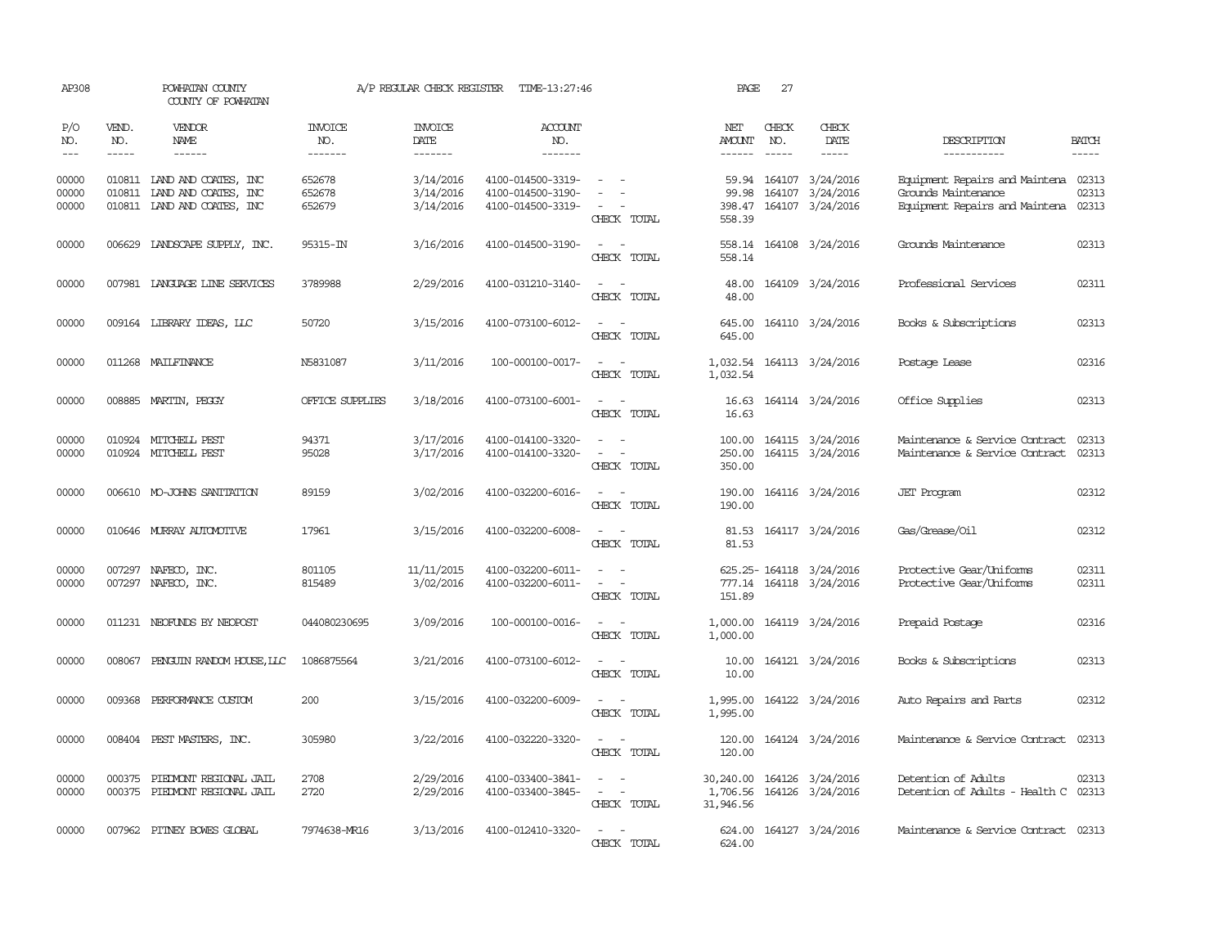| AP308                       |                       | POWHATAN COUNTY<br>COUNTY OF POWHATAN                                                     |                                  | A/P REGULAR CHECK REGISTER                | TIME-13:27:46                                               |                                                                                                                                                                                                                                             | PAGE                               | 27                            |                                                                |                                                                                                     |                             |
|-----------------------------|-----------------------|-------------------------------------------------------------------------------------------|----------------------------------|-------------------------------------------|-------------------------------------------------------------|---------------------------------------------------------------------------------------------------------------------------------------------------------------------------------------------------------------------------------------------|------------------------------------|-------------------------------|----------------------------------------------------------------|-----------------------------------------------------------------------------------------------------|-----------------------------|
| P/O<br>NO.<br>$\frac{1}{2}$ | VEND.<br>NO.<br>----- | VENDOR<br>NAME<br>$- - - - - -$                                                           | <b>INVOICE</b><br>NO.<br>------- | <b>INVOICE</b><br>DATE<br>$- - - - - - -$ | ACCOUNT<br>NO.<br>$- - - - - - -$                           |                                                                                                                                                                                                                                             | NET<br>AMOUNT<br>$- - - - - -$     | CHECK<br>NO.<br>$\frac{1}{2}$ | CHECK<br>DATE<br>-----                                         | DESCRIPTION<br>-----------                                                                          | <b>BATCH</b><br>$- - - - -$ |
| 00000<br>00000<br>00000     |                       | 010811 LAND AND COATES, INC<br>010811 LAND AND COATES, INC<br>010811 IAND AND COATES, INC | 652678<br>652678<br>652679       | 3/14/2016<br>3/14/2016<br>3/14/2016       | 4100-014500-3319-<br>4100-014500-3190-<br>4100-014500-3319- | $\sim$ $\sim$<br>CHECK TOTAL                                                                                                                                                                                                                | 99.98<br>558.39                    | 164107                        | 59.94 164107 3/24/2016<br>3/24/2016<br>398.47 164107 3/24/2016 | Equipment Repairs and Maintena 02313<br>Grounds Maintenance<br>Equipment Repairs and Maintena 02313 | 02313                       |
| 00000                       |                       | 006629 LANDSCAPE SUPPLY, INC.                                                             | 95315-IN                         | 3/16/2016                                 | 4100-014500-3190-                                           | CHECK TOTAL                                                                                                                                                                                                                                 | 558.14                             |                               | 558.14 164108 3/24/2016                                        | Grounds Maintenance                                                                                 | 02313                       |
| 00000                       |                       | 007981 LANGUAGE LINE SERVICES                                                             | 3789988                          | 2/29/2016                                 | 4100-031210-3140-                                           | $\sim$<br>CHECK TOTAL                                                                                                                                                                                                                       | 48.00<br>48.00                     |                               | 164109 3/24/2016                                               | Professional Services                                                                               | 02311                       |
| 00000                       |                       | 009164 LIBRARY IDEAS, LLC                                                                 | 50720                            | 3/15/2016                                 | 4100-073100-6012-                                           | $\frac{1}{2} \left( \frac{1}{2} \right) \left( \frac{1}{2} \right) \left( \frac{1}{2} \right) \left( \frac{1}{2} \right)$<br>CHECK TOTAL                                                                                                    | 645.00<br>645.00                   |                               | 164110 3/24/2016                                               | Books & Subscriptions                                                                               | 02313                       |
| 00000                       |                       | 011268 MAILFINANCE                                                                        | N5831087                         | 3/11/2016                                 | 100-000100-0017-                                            | $\frac{1}{2} \left( \frac{1}{2} \right) \left( \frac{1}{2} \right) = \frac{1}{2} \left( \frac{1}{2} \right)$<br>CHECK TOTAL                                                                                                                 | 1,032.54                           |                               | 1,032.54 164113 3/24/2016                                      | Postage Lease                                                                                       | 02316                       |
| 00000                       |                       | 008885 MARTIN, PEGGY                                                                      | OFFICE SUPPLIES                  | 3/18/2016                                 | 4100-073100-6001-                                           | $\sim$ $\sim$<br>CHECK TOTAL                                                                                                                                                                                                                | 16.63<br>16.63                     |                               | 164114 3/24/2016                                               | Office Supplies                                                                                     | 02313                       |
| 00000<br>00000              |                       | 010924 MITCHELL PEST<br>010924 MITCHELL PEST                                              | 94371<br>95028                   | 3/17/2016<br>3/17/2016                    | 4100-014100-3320-<br>4100-014100-3320-                      | CHECK TOTAL                                                                                                                                                                                                                                 | 250.00<br>350.00                   |                               | 100.00 164115 3/24/2016<br>164115 3/24/2016                    | Maintenance & Service Contract<br>Maintenance & Service Contract                                    | 02313<br>02313              |
| 00000                       |                       | 006610 MO-JOHNS SANITATION                                                                | 89159                            | 3/02/2016                                 | 4100-032200-6016-                                           | $\frac{1}{2} \left( \frac{1}{2} \right) \left( \frac{1}{2} \right) = \frac{1}{2} \left( \frac{1}{2} \right)$<br>CHECK TOTAL                                                                                                                 | 190.00<br>190.00                   |                               | 164116 3/24/2016                                               | <b>JET</b> Program                                                                                  | 02312                       |
| 00000                       |                       | 010646 MURRAY AUTOMOTTVE                                                                  | 17961                            | 3/15/2016                                 | 4100-032200-6008-                                           | CHECK TOTAL                                                                                                                                                                                                                                 | 81.53<br>81.53                     |                               | 164117 3/24/2016                                               | Gas/Grease/Oil                                                                                      | 02312                       |
| 00000<br>00000              |                       | 007297 NAFECO, INC.<br>007297 NAFECO, INC.                                                | 801105<br>815489                 | 11/11/2015<br>3/02/2016                   | 4100-032200-6011-<br>4100-032200-6011-                      | $\frac{1}{2} \left( \frac{1}{2} \right) \left( \frac{1}{2} \right) = \frac{1}{2} \left( \frac{1}{2} \right)$<br>$\frac{1}{2} \left( \frac{1}{2} \right) \left( \frac{1}{2} \right) = \frac{1}{2} \left( \frac{1}{2} \right)$<br>CHECK TOTAL | 151.89                             |                               | 625.25-164118 3/24/2016<br>777.14 164118 3/24/2016             | Protective Gear/Uniforms<br>Protective Gear/Uniforms                                                | 02311<br>02311              |
| 00000                       |                       | 011231 NEOFUNDS BY NEOPOST                                                                | 044080230695                     | 3/09/2016                                 | 100-000100-0016-                                            | $\frac{1}{2} \left( \frac{1}{2} \right) \left( \frac{1}{2} \right) = \frac{1}{2} \left( \frac{1}{2} \right)$<br>CHECK TOTAL                                                                                                                 | 1,000.00<br>1,000.00               |                               | 164119 3/24/2016                                               | Prepaid Postage                                                                                     | 02316                       |
| 00000                       |                       | 008067 PENGUIN RANDOM HOUSE, LLC                                                          | 1086875564                       | 3/21/2016                                 | 4100-073100-6012-                                           | $\overline{\phantom{a}}$<br>- -<br>CHECK TOTAL                                                                                                                                                                                              | 10.00<br>10.00                     |                               | 164121 3/24/2016                                               | Books & Subscriptions                                                                               | 02313                       |
| 00000                       |                       | 009368 PERFORMANCE CUSTOM                                                                 | 200                              | 3/15/2016                                 | 4100-032200-6009-                                           | $\frac{1}{2} \left( \frac{1}{2} \right) \left( \frac{1}{2} \right) = \frac{1}{2} \left( \frac{1}{2} \right)$<br>CHECK TOTAL                                                                                                                 | 1,995.00<br>1,995.00               |                               | 164122 3/24/2016                                               | Auto Repairs and Parts                                                                              | 02312                       |
| 00000                       |                       | 008404 PEST MASTERS, INC.                                                                 | 305980                           | 3/22/2016                                 | 4100-032220-3320-                                           | $\sim$ 100 $\sim$<br>CHECK TOTAL                                                                                                                                                                                                            | 120.00<br>120.00                   |                               | 164124 3/24/2016                                               | Maintenance & Service Contract                                                                      | 02313                       |
| 00000<br>00000              | 000375                | PIEDMONT REGIONAL JAIL<br>000375 PIEDMONT REGIONAL JAIL                                   | 2708<br>2720                     | 2/29/2016<br>2/29/2016                    | 4100-033400-3841-<br>4100-033400-3845-                      | $\sim$<br>$\overline{\phantom{a}}$<br>$\sim$ 10 $\sim$ $\sim$<br>CHECK TOTAL                                                                                                                                                                | 30,240.00<br>1,706.56<br>31,946.56 |                               | 164126 3/24/2016<br>164126 3/24/2016                           | Detention of Adults<br>Detention of Adults - Health C 02313                                         | 02313                       |
| 00000                       |                       | 007962 PITNEY BOWES GLOBAL                                                                | 7974638-MR16                     | 3/13/2016                                 | 4100-012410-3320-                                           | CHECK TOTAL                                                                                                                                                                                                                                 | 624,00                             |                               | 624.00 164127 3/24/2016                                        | Maintenance & Service Contract 02313                                                                |                             |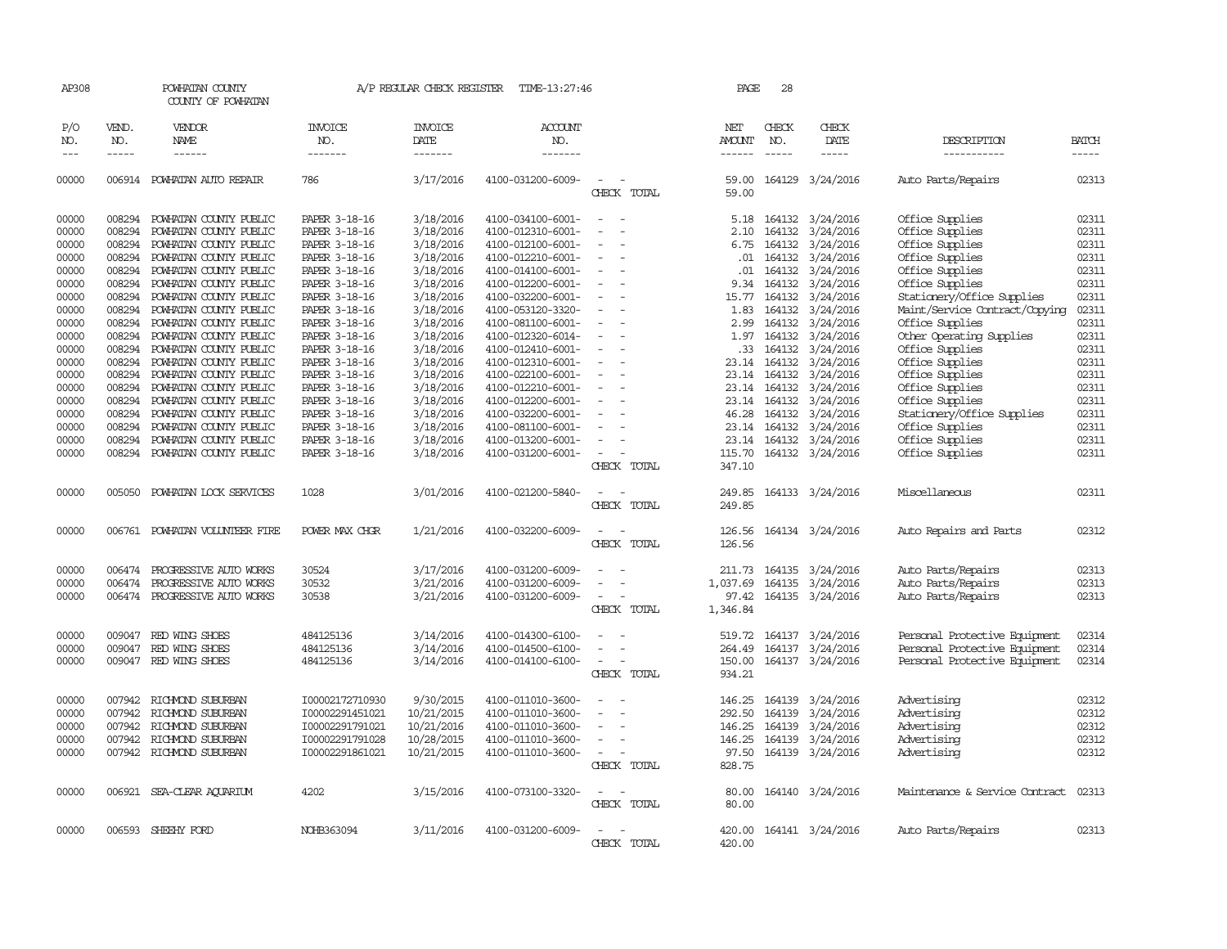| AP308                                                                                                    |                                                                                                                      | POWHATAN COUNTY<br>COUNTY OF POWHATAN                                                                                                                                                                                                                                                                                |                                                                                                                                                                                                          | A/P REGULAR CHECK REGISTER                                                                                                                               | TIME-13:27:46                                                                                                                                                                                                                                            |                                                                                                                                                                                                                                                                                                                                  | PAGE                                          | 28                                                                                           |                                                                                                                                                                                                           |                                                                                                                                                                                                                                                                     |                                                                                                          |
|----------------------------------------------------------------------------------------------------------|----------------------------------------------------------------------------------------------------------------------|----------------------------------------------------------------------------------------------------------------------------------------------------------------------------------------------------------------------------------------------------------------------------------------------------------------------|----------------------------------------------------------------------------------------------------------------------------------------------------------------------------------------------------------|----------------------------------------------------------------------------------------------------------------------------------------------------------|----------------------------------------------------------------------------------------------------------------------------------------------------------------------------------------------------------------------------------------------------------|----------------------------------------------------------------------------------------------------------------------------------------------------------------------------------------------------------------------------------------------------------------------------------------------------------------------------------|-----------------------------------------------|----------------------------------------------------------------------------------------------|-----------------------------------------------------------------------------------------------------------------------------------------------------------------------------------------------------------|---------------------------------------------------------------------------------------------------------------------------------------------------------------------------------------------------------------------------------------------------------------------|----------------------------------------------------------------------------------------------------------|
| P/O<br>NO.<br>$---$                                                                                      | VEND.<br>NO.<br>$- - - - -$                                                                                          | VENDOR<br>NAME<br>------                                                                                                                                                                                                                                                                                             | INVOICE<br>NO.<br>-------                                                                                                                                                                                | INVOICE<br>DATE<br>-------                                                                                                                               | ACCOUNT<br>NO.<br>-------                                                                                                                                                                                                                                |                                                                                                                                                                                                                                                                                                                                  | NET<br>AMOUNT<br>$- - - - - -$                | CHECK<br>NO.<br>$- - - - -$                                                                  | CHECK<br>DATE<br>$\frac{1}{2}$                                                                                                                                                                            | DESCRIPTION<br>-----------                                                                                                                                                                                                                                          | <b>BATCH</b><br>$- - - - -$                                                                              |
| 00000                                                                                                    |                                                                                                                      | 006914 POWHATAN AUTO REPAIR                                                                                                                                                                                                                                                                                          | 786                                                                                                                                                                                                      | 3/17/2016                                                                                                                                                | 4100-031200-6009-                                                                                                                                                                                                                                        | $\sim$<br>CHECK TOTAL                                                                                                                                                                                                                                                                                                            | 59.00<br>59.00                                |                                                                                              | 164129 3/24/2016                                                                                                                                                                                          | Auto Parts/Repairs                                                                                                                                                                                                                                                  | 02313                                                                                                    |
| 00000<br>00000<br>00000<br>00000<br>00000<br>00000<br>00000<br>00000<br>00000<br>00000<br>00000<br>00000 | 008294<br>008294<br>008294<br>008294<br>008294<br>008294<br>008294<br>008294<br>008294<br>008294<br>008294<br>008294 | POWHATAN COUNTY PUBLIC<br>POWHATAN COUNTY PUBLIC<br>POWHATAN COUNTY PUBLIC<br>POWHATAN COUNTY PUBLIC<br>POWHATAN COUNTY PUBLIC<br>POWHATAN COUNTY PUBLIC<br>POWHATAN COUNTY PUBLIC<br>POWHATAN COUNTY PUBLIC<br>POWHATAN COUNTY PUBLIC<br>POWHATAN COUNTY PUBLIC<br>POWHATAN COUNTY PUBLIC<br>POWHATAN COUNTY PUBLIC | PAPER 3-18-16<br>PAPER 3-18-16<br>PAPER 3-18-16<br>PAPER 3-18-16<br>PAPER 3-18-16<br>PAPER 3-18-16<br>PAPER 3-18-16<br>PAPER 3-18-16<br>PAPER 3-18-16<br>PAPER 3-18-16<br>PAPER 3-18-16<br>PAPER 3-18-16 | 3/18/2016<br>3/18/2016<br>3/18/2016<br>3/18/2016<br>3/18/2016<br>3/18/2016<br>3/18/2016<br>3/18/2016<br>3/18/2016<br>3/18/2016<br>3/18/2016<br>3/18/2016 | 4100-034100-6001-<br>4100-012310-6001-<br>4100-012100-6001-<br>4100-012210-6001-<br>4100-014100-6001-<br>4100-012200-6001-<br>4100-032200-6001-<br>4100-053120-3320-<br>4100-081100-6001-<br>4100-012320-6014-<br>4100-012410-6001-<br>4100-012310-6001- | $\equiv$<br>$\overline{\phantom{a}}$<br>$\sim$<br>$\sim$<br>$\overline{\phantom{a}}$<br>$\sim$<br>$\sim$<br>$\sim$<br>$\overline{\phantom{a}}$<br>$\overline{\phantom{a}}$<br>$\overline{\phantom{a}}$<br>$\overline{\phantom{a}}$<br>$\overline{\phantom{a}}$<br>$\sim$<br>$\overline{\phantom{a}}$<br>$\overline{\phantom{a}}$ | 2.10<br>6.75<br>.01<br>.01<br>9.34<br>15.77   | 164132<br>164132<br>164132<br>164132<br>164132<br>164132<br>1.83 164132<br>.33 164132        | 5.18 164132 3/24/2016<br>3/24/2016<br>3/24/2016<br>3/24/2016<br>3/24/2016<br>3/24/2016<br>3/24/2016<br>3/24/2016<br>2.99 164132 3/24/2016<br>1.97 164132 3/24/2016<br>3/24/2016<br>23.14 164132 3/24/2016 | Office Supplies<br>Office Supplies<br>Office Supplies<br>Office Supplies<br>Office Supplies<br>Office Supplies<br>Stationery/Office Supplies<br>Maint/Service Contract/Copying<br>Office Supplies<br>Other Operating Supplies<br>Office Supplies<br>Office Supplies | 02311<br>02311<br>02311<br>02311<br>02311<br>02311<br>02311<br>02311<br>02311<br>02311<br>02311<br>02311 |
| 00000<br>00000<br>00000<br>00000<br>00000<br>00000<br>00000                                              | 008294<br>008294<br>008294<br>008294<br>008294<br>008294<br>008294                                                   | POWHATAN COUNTY PUBLIC<br>POWHATAN COUNTY PUBLIC<br>POWHATAN COUNTY PUBLIC<br>POWHATAN COUNTY PUBLIC<br>POWHATAN COUNTY PUBLIC<br>POWHATAN COUNTY PUBLIC<br>POWHATAN COUNTY PUBLIC                                                                                                                                   | PAPER 3-18-16<br>PAPER 3-18-16<br>PAPER 3-18-16<br>PAPER 3-18-16<br>PAPER 3-18-16<br>PAPER 3-18-16<br>PAPER 3-18-16                                                                                      | 3/18/2016<br>3/18/2016<br>3/18/2016<br>3/18/2016<br>3/18/2016<br>3/18/2016<br>3/18/2016                                                                  | 4100-022100-6001-<br>4100-012210-6001-<br>4100-012200-6001-<br>4100-032200-6001-<br>4100-081100-6001-<br>4100-013200-6001-<br>4100-031200-6001-                                                                                                          | $\sim$<br>$\overline{\phantom{a}}$<br>$\overline{\phantom{a}}$<br>$\overline{\phantom{0}}$<br>$\overline{\phantom{a}}$<br>$\overline{\phantom{a}}$<br>$\overline{\phantom{a}}$<br>$\sim$<br>CHECK TOTAL                                                                                                                          | 115.70<br>347.10                              | 23.14 164132<br>23.14 164132<br>23.14 164132<br>46.28 164132<br>23.14 164132<br>23.14 164132 | 3/24/2016<br>3/24/2016<br>3/24/2016<br>3/24/2016<br>3/24/2016<br>3/24/2016<br>164132 3/24/2016                                                                                                            | Office Supplies<br>Office Supplies<br>Office Supplies<br>Stationery/Office Supplies<br>Office Supplies<br>Office Supplies<br>Office Supplies                                                                                                                        | 02311<br>02311<br>02311<br>02311<br>02311<br>02311<br>02311                                              |
| 00000                                                                                                    | 005050                                                                                                               | POWHATAN LOCK SERVICES                                                                                                                                                                                                                                                                                               | 1028                                                                                                                                                                                                     | 3/01/2016                                                                                                                                                | 4100-021200-5840-                                                                                                                                                                                                                                        | <b>.</b><br>CHECK TOTAL                                                                                                                                                                                                                                                                                                          | 249.85                                        |                                                                                              | 249.85 164133 3/24/2016                                                                                                                                                                                   | Miscellaneous                                                                                                                                                                                                                                                       | 02311                                                                                                    |
| 00000                                                                                                    | 006761                                                                                                               | POWHATAN VOLUNTEER FIRE                                                                                                                                                                                                                                                                                              | POWER MAX CHOR                                                                                                                                                                                           | 1/21/2016                                                                                                                                                | 4100-032200-6009-                                                                                                                                                                                                                                        | CHECK TOTAL                                                                                                                                                                                                                                                                                                                      | 126.56<br>126.56                              |                                                                                              | 164134 3/24/2016                                                                                                                                                                                          | Auto Repairs and Parts                                                                                                                                                                                                                                              | 02312                                                                                                    |
| 00000<br>00000<br>00000                                                                                  | 006474                                                                                                               | PROGRESSIVE AUTO WORKS<br>006474 PROGRESSIVE AUTO WORKS<br>006474 PROGRESSIVE AUTO WORKS                                                                                                                                                                                                                             | 30524<br>30532<br>30538                                                                                                                                                                                  | 3/17/2016<br>3/21/2016<br>3/21/2016                                                                                                                      | 4100-031200-6009-<br>4100-031200-6009-<br>4100-031200-6009-                                                                                                                                                                                              | $\sim$<br>CHECK TOTAL                                                                                                                                                                                                                                                                                                            | 211.73<br>1,037.69<br>1,346.84                |                                                                                              | 164135 3/24/2016<br>164135 3/24/2016<br>97.42 164135 3/24/2016                                                                                                                                            | Auto Parts/Repairs<br>Auto Parts/Repairs<br>Auto Parts/Repairs                                                                                                                                                                                                      | 02313<br>02313<br>02313                                                                                  |
| 00000<br>00000<br>00000                                                                                  | 009047<br>009047                                                                                                     | RED WING SHOES<br>RED WING SHOES<br>009047 RED WING SHOES                                                                                                                                                                                                                                                            | 484125136<br>484125136<br>484125136                                                                                                                                                                      | 3/14/2016<br>3/14/2016<br>3/14/2016                                                                                                                      | 4100-014300-6100-<br>4100-014500-6100-<br>4100-014100-6100-                                                                                                                                                                                              | $\equiv$<br>$\overline{\phantom{a}}$<br>$\overline{\phantom{a}}$<br>CHECK TOTAL                                                                                                                                                                                                                                                  | 519.72<br>264.49<br>150.00<br>934.21          |                                                                                              | 164137 3/24/2016<br>164137 3/24/2016<br>164137 3/24/2016                                                                                                                                                  | Personal Protective Equipment<br>Personal Protective Equipment<br>Personal Protective Equipment                                                                                                                                                                     | 02314<br>02314<br>02314                                                                                  |
| 00000<br>00000<br>00000<br>00000<br>00000                                                                | 007942                                                                                                               | RICHMOND SUBURBAN<br>007942 RICHMOND SUBURBAN<br>007942 RICHMOND SUBURBAN<br>007942 RICHMOND SUBURBAN<br>007942 RICHMOND SUBURBAN                                                                                                                                                                                    | I00002172710930<br>I00002291451021<br>I00002291791021<br>I00002291791028<br>100002291861021                                                                                                              | 9/30/2015<br>10/21/2015<br>10/21/2016<br>10/28/2015<br>10/21/2015                                                                                        | 4100-011010-3600-<br>4100-011010-3600-<br>4100-011010-3600-<br>4100-011010-3600-<br>4100-011010-3600-                                                                                                                                                    | $\overline{\phantom{a}}$<br>$\overline{\phantom{a}}$<br>$\sim$<br>$\overline{\phantom{a}}$<br>$\overline{\phantom{a}}$<br>$\equiv$<br>$\sim$<br>CHECK TOTAL                                                                                                                                                                      | 292.50<br>146.25<br>146.25<br>97.50<br>828.75 | 146.25 164139<br>164139                                                                      | 3/24/2016<br>3/24/2016<br>164139 3/24/2016<br>164139 3/24/2016<br>164139 3/24/2016                                                                                                                        | Advertising<br>Advertising<br>Advertising<br>Advertising<br>Advertising                                                                                                                                                                                             | 02312<br>02312<br>02312<br>02312<br>02312                                                                |
| 00000                                                                                                    |                                                                                                                      | 006921 SEA-CLEAR AQUARIUM                                                                                                                                                                                                                                                                                            | 4202                                                                                                                                                                                                     | 3/15/2016                                                                                                                                                | 4100-073100-3320-                                                                                                                                                                                                                                        | $\overline{\phantom{a}}$<br>CHECK TOTAL                                                                                                                                                                                                                                                                                          | 80.00<br>80.00                                |                                                                                              | 164140 3/24/2016                                                                                                                                                                                          | Maintenance & Service Contract                                                                                                                                                                                                                                      | 02313                                                                                                    |
| 00000                                                                                                    |                                                                                                                      | 006593 SHEEHY FORD                                                                                                                                                                                                                                                                                                   | NOHB363094                                                                                                                                                                                               | 3/11/2016                                                                                                                                                | 4100-031200-6009-                                                                                                                                                                                                                                        | $\sim$<br>CHECK<br><b>TOTAL</b>                                                                                                                                                                                                                                                                                                  | 420.00                                        |                                                                                              | 420.00 164141 3/24/2016                                                                                                                                                                                   | Auto Parts/Repairs                                                                                                                                                                                                                                                  | 02313                                                                                                    |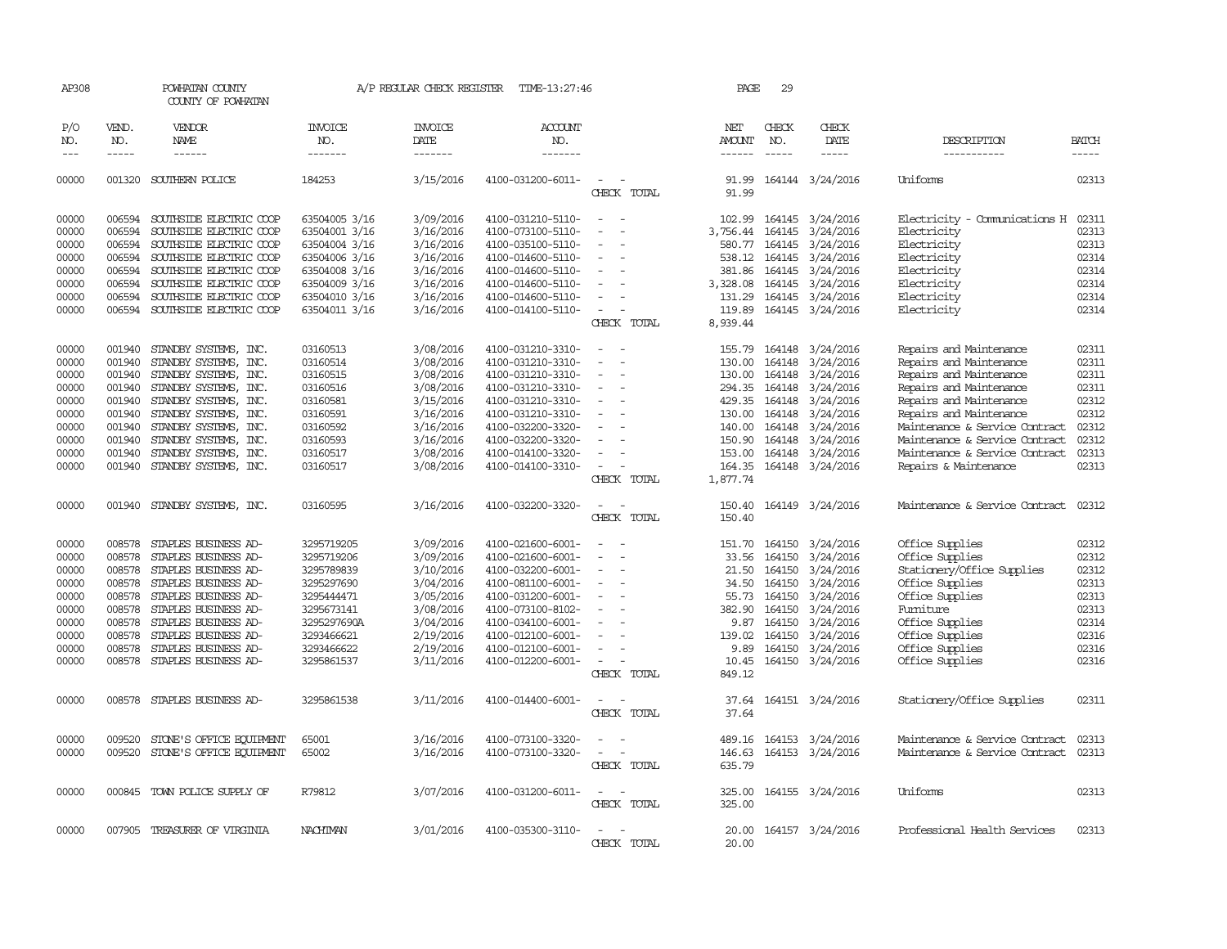| AP308               |                             | POWHATAN COUNTY<br>COUNTY OF POWHATAN  |                           | A/P REGULAR CHECK REGISTER        | TIME-13:27:46             |                                    | PAGE                                  | 29                          |                         |                                |                             |
|---------------------|-----------------------------|----------------------------------------|---------------------------|-----------------------------------|---------------------------|------------------------------------|---------------------------------------|-----------------------------|-------------------------|--------------------------------|-----------------------------|
| P/O<br>NO.<br>$---$ | VEND.<br>NO.<br>$- - - - -$ | VENDOR<br><b>NAME</b><br>$- - - - - -$ | INVOICE<br>NO.<br>------- | <b>INVOICE</b><br>DATE<br>------- | ACCOUNT<br>NO.<br>------- |                                    | NET<br><b>AMOUNT</b><br>$- - - - - -$ | CHECK<br>NO.<br>$- - - - -$ | CHECK<br>DATE<br>-----  | DESCRIPTION                    | <b>BATCH</b><br>$- - - - -$ |
|                     |                             |                                        |                           |                                   |                           |                                    |                                       |                             |                         | -----------                    |                             |
| 00000               |                             | 001320 SOUTHERN POLICE                 | 184253                    | 3/15/2016                         | 4100-031200-6011-         | $\sim$<br>CHECK TOTAL              | 91.99                                 |                             | 91.99 164144 3/24/2016  | <b>Uniforms</b>                | 02313                       |
| 00000               | 006594                      | SOUTHSIDE ELECTRIC COOP                | 63504005 3/16             | 3/09/2016                         | 4100-031210-5110-         |                                    | 102.99                                |                             | 164145 3/24/2016        | Electricity - Comunications H  | 02311                       |
| 00000               | 006594                      | SOUTHSIDE ELECTRIC COOP                | 63504001 3/16             | 3/16/2016                         | 4100-073100-5110-         | $\overline{\phantom{a}}$           | 3,756.44                              | 164145                      | 3/24/2016               | Electricity                    | 02313                       |
| 00000               | 006594                      | SOUTHSIDE ELECTRIC COOP                | 63504004 3/16             | 3/16/2016                         | 4100-035100-5110-         | $\overline{\phantom{a}}$           | 580.77                                | 164145                      | 3/24/2016               | Electricity                    | 02313                       |
| 00000               | 006594                      | SOUTHSIDE ELECTRIC COOP                | 63504006 3/16             | 3/16/2016                         | 4100-014600-5110-         |                                    | 538.12                                |                             | 164145 3/24/2016        | Electricity                    | 02314                       |
| 00000               | 006594                      | SOUTHSIDE ELECTRIC COOP                | 63504008 3/16             | 3/16/2016                         | 4100-014600-5110-         | $\equiv$                           | 381.86                                |                             | 164145 3/24/2016        | Electricity                    | 02314                       |
| 00000               | 006594                      | SOUTHSIDE ELECTRIC COOP                | 63504009 3/16             | 3/16/2016                         | 4100-014600-5110-         |                                    | 3,328.08                              |                             | 164145 3/24/2016        | Electricity                    | 02314                       |
| 00000               | 006594                      | SOUTHSIDE ELECTRIC COOP                | 63504010 3/16             | 3/16/2016                         | 4100-014600-5110-         |                                    | 131.29                                |                             | 164145 3/24/2016        | Electricity                    | 02314                       |
| 00000               |                             | 006594 SOUTHSIDE ELECTRIC COOP         | 63504011 3/16             | 3/16/2016                         | 4100-014100-5110-         | $\sim$                             | 119.89                                |                             | 164145 3/24/2016        | Electricity                    | 02314                       |
|                     |                             |                                        |                           |                                   |                           | CHECK TOTAL                        | 8,939.44                              |                             |                         |                                |                             |
| 00000               | 001940                      | STANDBY SYSTEMS, INC.                  | 03160513                  | 3/08/2016                         | 4100-031210-3310-         |                                    | 155.79                                |                             | 164148 3/24/2016        | Repairs and Maintenance        | 02311                       |
| 00000               | 001940                      | STANDBY SYSTEMS, INC.                  | 03160514                  | 3/08/2016                         | 4100-031210-3310-         |                                    | 130.00                                | 164148                      | 3/24/2016               | Repairs and Maintenance        | 02311                       |
| 00000               | 001940                      | STANDBY SYSTEMS, INC.                  | 03160515                  | 3/08/2016                         | 4100-031210-3310-         | $\overline{\phantom{a}}$           | 130.00                                |                             | 164148 3/24/2016        | Repairs and Maintenance        | 02311                       |
| 00000               | 001940                      | STANDBY SYSTEMS, INC.                  | 03160516                  | 3/08/2016                         | 4100-031210-3310-         | $\overline{\phantom{a}}$           | 294.35                                | 164148                      | 3/24/2016               | Repairs and Maintenance        | 02311                       |
| 00000               | 001940                      | STANDBY SYSTEMS, INC.                  | 03160581                  | 3/15/2016                         | 4100-031210-3310-         |                                    | 429.35                                |                             | 164148 3/24/2016        | Repairs and Maintenance        | 02312                       |
| 00000               |                             | 001940 STANDBY SYSTEMS, INC.           | 03160591                  | 3/16/2016                         | 4100-031210-3310-         | $\equiv$                           | 130.00                                |                             | 164148 3/24/2016        | Repairs and Maintenance        | 02312                       |
| 00000               |                             | 001940 STANDBY SYSTEMS, INC.           | 03160592                  | 3/16/2016                         | 4100-032200-3320-         |                                    | 140.00                                |                             | 164148 3/24/2016        | Maintenance & Service Contract | 02312                       |
| 00000               | 001940                      | STANDBY SYSTEMS, INC.                  | 03160593                  | 3/16/2016                         | 4100-032200-3320-         |                                    | 150.90                                | 164148                      | 3/24/2016               | Maintenance & Service Contract | 02312                       |
| 00000               | 001940                      | STANDBY SYSTEMS, INC.                  | 03160517                  | 3/08/2016                         | 4100-014100-3320-         |                                    | 153.00                                |                             | 164148 3/24/2016        | Maintenance & Service Contract | 02313                       |
| 00000               |                             | 001940 STANDBY SYSTEMS, INC.           | 03160517                  | 3/08/2016                         | 4100-014100-3310-         | $\sim$                             |                                       |                             | 164.35 164148 3/24/2016 | Repairs & Maintenance          | 02313                       |
|                     |                             |                                        |                           |                                   |                           | CHECK TOTAL                        | 1,877.74                              |                             |                         |                                |                             |
| 00000               |                             | 001940 STANDBY SYSTEMS, INC.           | 03160595                  | 3/16/2016                         | 4100-032200-3320-         | $\equiv$<br>$\sim$                 | 150.40                                |                             | 164149 3/24/2016        | Maintenance & Service Contract | 02312                       |
|                     |                             |                                        |                           |                                   |                           | CHECK TOTAL                        | 150.40                                |                             |                         |                                |                             |
| 00000               | 008578                      | STAPLES BUSINESS AD-                   | 3295719205                | 3/09/2016                         | 4100-021600-6001-         |                                    | 151.70                                |                             | 164150 3/24/2016        | Office Supplies                | 02312                       |
| 00000               | 008578                      | STAPLES BUSINESS AD-                   | 3295719206                | 3/09/2016                         | 4100-021600-6001-         | $\equiv$                           | 33.56                                 | 164150                      | 3/24/2016               | Office Supplies                | 02312                       |
| 00000               | 008578                      | STAPLES BUSINESS AD-                   | 3295789839                | 3/10/2016                         | 4100-032200-6001-         |                                    | 21.50                                 |                             | 164150 3/24/2016        | Stationery/Office Supplies     | 02312                       |
| 00000               | 008578                      | STAPLES BUSINESS AD-                   | 3295297690                | 3/04/2016                         | 4100-081100-6001-         |                                    | 34.50                                 | 164150                      | 3/24/2016               | Office Supplies                | 02313                       |
| 00000               | 008578                      | STAPLES BUSINESS AD-                   | 3295444471                | 3/05/2016                         | 4100-031200-6001-         |                                    | 55.73                                 | 164150                      | 3/24/2016               | Office Supplies                | 02313                       |
| 00000               | 008578                      | STAPLES BUSINESS AD-                   | 3295673141                | 3/08/2016                         | 4100-073100-8102-         | $\overline{\phantom{a}}$           | 382.90                                | 164150                      | 3/24/2016               | Fumiture                       | 02313                       |
| 00000               | 008578                      | STAPLES BUSINESS AD-                   | 3295297690A               | 3/04/2016                         | 4100-034100-6001-         |                                    | 9.87                                  | 164150                      | 3/24/2016               | Office Supplies                | 02314                       |
| 00000               | 008578                      | STAPLES BUSINESS AD-                   | 3293466621                | 2/19/2016                         | 4100-012100-6001-         |                                    | 139.02                                | 164150                      | 3/24/2016               | Office Supplies                | 02316                       |
| 00000               | 008578                      | STAPLES BUSINESS AD-                   | 3293466622                | 2/19/2016                         | 4100-012100-6001-         | $\sim$                             | 9.89                                  | 164150                      | 3/24/2016               | Office Supplies                | 02316                       |
| 00000               | 008578                      | STAPLES BUSINESS AD-                   | 3295861537                | 3/11/2016                         | 4100-012200-6001-         | $\overline{\phantom{a}}$           | 10.45                                 |                             | 164150 3/24/2016        | Office Supplies                | 02316                       |
|                     |                             |                                        |                           |                                   |                           | CHECK TOTAL                        | 849.12                                |                             |                         |                                |                             |
| 00000               |                             | 008578 STAPLES BUSINESS AD-            | 3295861538                | 3/11/2016                         | 4100-014400-6001-         |                                    | 37.64                                 |                             | 164151 3/24/2016        | Stationery/Office Supplies     | 02311                       |
|                     |                             |                                        |                           |                                   |                           | CHECK TOTAL                        | 37.64                                 |                             |                         |                                |                             |
| 00000               | 009520                      | STONE'S OFFICE EQUIPMENT               | 65001                     | 3/16/2016                         | 4100-073100-3320-         |                                    | 489.16                                |                             | 164153 3/24/2016        | Maintenance & Service Contract | 02313                       |
| 00000               | 009520                      | STONE'S OFFICE EQUIPMENT               | 65002                     | 3/16/2016                         | 4100-073100-3320-         | $\sim$<br>$\overline{\phantom{a}}$ | 146.63                                |                             | 164153 3/24/2016        | Maintenance & Service Contract | 02313                       |
|                     |                             |                                        |                           |                                   |                           | CHECK TOTAL                        | 635.79                                |                             |                         |                                |                             |
| 00000               |                             | 000845 TOWN POLICE SUPPLY OF           | R79812                    | 3/07/2016                         | 4100-031200-6011-         | $\overline{\phantom{a}}$           | 325.00                                |                             | 164155 3/24/2016        | Uniforms                       | 02313                       |
|                     |                             |                                        |                           |                                   |                           | CHECK TOTAL                        | 325.00                                |                             |                         |                                |                             |
| 00000               |                             | 007905 TREASURER OF VIRGINIA           | NACHIMAN                  | 3/01/2016                         | 4100-035300-3110-         |                                    | 20.00                                 |                             | 164157 3/24/2016        | Professional Health Services   | 02313                       |
|                     |                             |                                        |                           |                                   |                           | CHECK TOTAL                        | 20.00                                 |                             |                         |                                |                             |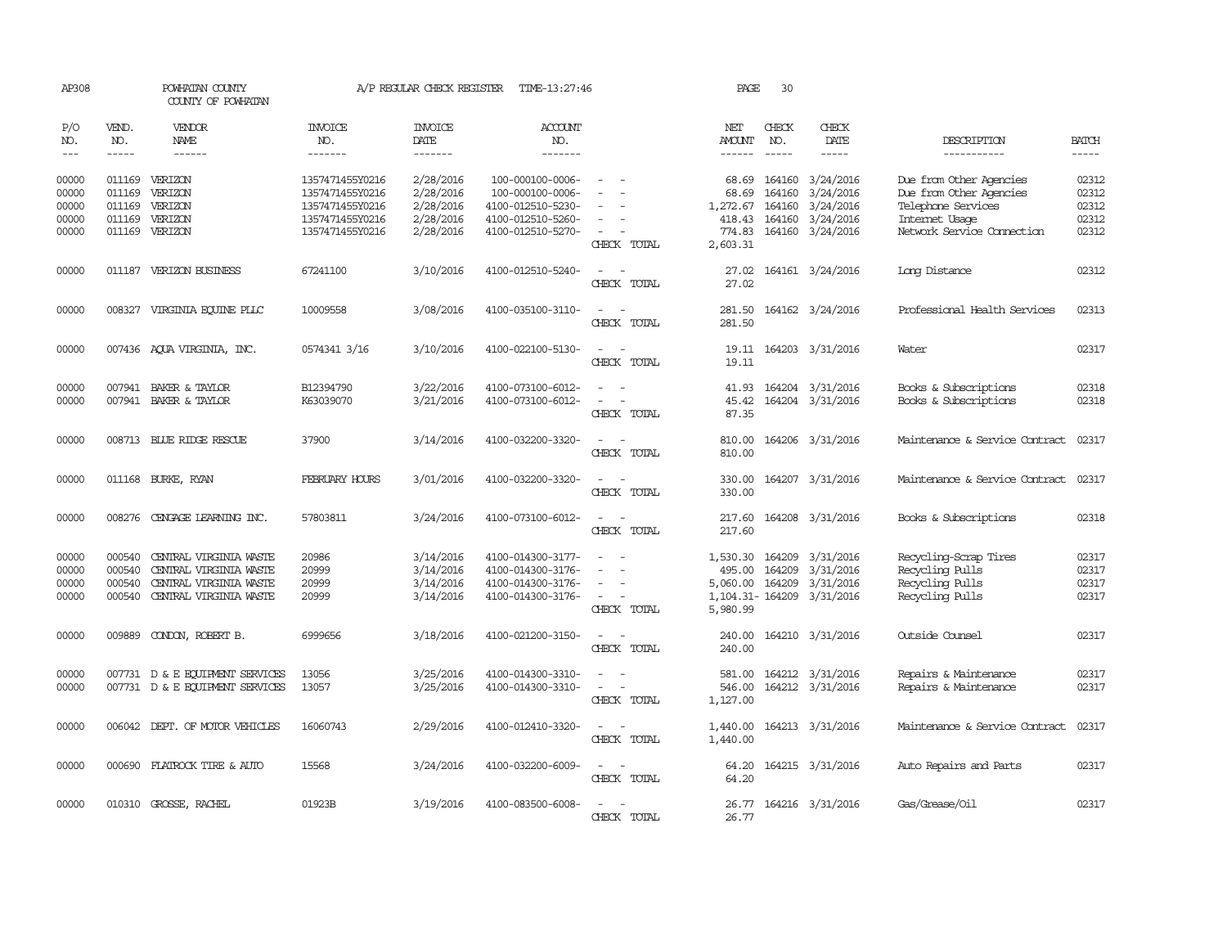| AP308                                     |                                      | POWHATAN COUNTY<br>COUNTY OF POWHATAN                                                                |                                                                                             | A/P REGULAR CHECK REGISTER                                    | TIME-13:27:46                                                                                       |                                                   | PAGE                                                       | 30                                   |                                                                            |                                                                                                                          |                                           |
|-------------------------------------------|--------------------------------------|------------------------------------------------------------------------------------------------------|---------------------------------------------------------------------------------------------|---------------------------------------------------------------|-----------------------------------------------------------------------------------------------------|---------------------------------------------------|------------------------------------------------------------|--------------------------------------|----------------------------------------------------------------------------|--------------------------------------------------------------------------------------------------------------------------|-------------------------------------------|
| P/O<br>NO.<br>$\frac{1}{2}$               | VEND.<br>NO.<br>$- - - - -$          | VENDOR<br>NAME<br>------                                                                             | <b>INVOICE</b><br>NO.<br>-------                                                            | <b>INVOICE</b><br>DATE<br>-------                             | ACCOUNT<br>NO.<br>-------                                                                           |                                                   | NET<br>AMOUNT<br>$- - - - - -$                             | CHECK<br>NO.<br>$- - - - -$          | CHECK<br>DATE<br>-----                                                     | DESCRIPTION<br>-----------                                                                                               | <b>BATCH</b><br>$- - - - -$               |
| 00000<br>00000<br>00000<br>00000<br>00000 | 011169<br>011169<br>011169           | 011169 VERIZON<br>VERIZON<br>VERIZON<br>VERIZON<br>011169 VERIZON                                    | 1357471455Y0216<br>1357471455Y0216<br>1357471455Y0216<br>1357471455Y0216<br>1357471455Y0216 | 2/28/2016<br>2/28/2016<br>2/28/2016<br>2/28/2016<br>2/28/2016 | 100-000100-0006-<br>100-000100-0006-<br>4100-012510-5230-<br>4100-012510-5260-<br>4100-012510-5270- | $\sim$<br>$\overline{\phantom{a}}$<br>CHECK TOTAL | 68.69<br>68.69<br>1,272.67<br>418.43<br>774.83<br>2,603.31 | 164160<br>164160<br>164160<br>164160 | 3/24/2016<br>3/24/2016<br>3/24/2016<br>3/24/2016<br>164160 3/24/2016       | Due from Other Agencies<br>Due from Other Agencies<br>Telephone Services<br>Internet Usage<br>Network Service Connection | 02312<br>02312<br>02312<br>02312<br>02312 |
| 00000                                     |                                      | 011187 VERIZON BUSINESS                                                                              | 67241100                                                                                    | 3/10/2016                                                     | 4100-012510-5240-                                                                                   | CHECK TOTAL                                       | 27.02<br>27.02                                             |                                      | 164161 3/24/2016                                                           | Long Distance                                                                                                            | 02312                                     |
| 00000                                     | 008327                               | VIRGINIA EQUINE PLLC                                                                                 | 10009558                                                                                    | 3/08/2016                                                     | 4100-035100-3110-                                                                                   | $\sim$<br>CHECK TOTAL                             | 281.50<br>281.50                                           |                                      | 164162 3/24/2016                                                           | Professional Health Services                                                                                             | 02313                                     |
| 00000                                     |                                      | 007436 AQUA VIRGINIA, INC.                                                                           | 0574341 3/16                                                                                | 3/10/2016                                                     | 4100-022100-5130-                                                                                   | $\sim$<br>CHECK TOTAL                             | 19.11<br>19.11                                             |                                      | 164203 3/31/2016                                                           | Water                                                                                                                    | 02317                                     |
| 00000<br>00000                            | 007941<br>007941                     | BAKER & TAYLOR<br>BAKER & TAYLOR                                                                     | B12394790<br>K63039070                                                                      | 3/22/2016<br>3/21/2016                                        | 4100-073100-6012-<br>4100-073100-6012-                                                              | $\equiv$<br>CHECK TOTAL                           | 41.93<br>45.42<br>87.35                                    |                                      | 164204 3/31/2016<br>164204 3/31/2016                                       | Books & Subscriptions<br>Books & Subscriptions                                                                           | 02318<br>02318                            |
| 00000                                     |                                      | 008713 BLUE RIDGE RESCUE                                                                             | 37900                                                                                       | 3/14/2016                                                     | 4100-032200-3320-                                                                                   | $\sim$<br>CHECK TOTAL                             | 810.00<br>810.00                                           |                                      | 164206 3/31/2016                                                           | Maintenance & Service Contract                                                                                           | 02317                                     |
| 00000                                     |                                      | 011168 BURKE, RYAN                                                                                   | FEBRUARY HOURS                                                                              | 3/01/2016                                                     | 4100-032200-3320-                                                                                   | $\equiv$<br>CHECK TOTAL                           | 330.00<br>330.00                                           |                                      | 164207 3/31/2016                                                           | Maintenance & Service Contract                                                                                           | 02317                                     |
| 00000                                     |                                      | 008276 CENGAGE LEARNING INC.                                                                         | 57803811                                                                                    | 3/24/2016                                                     | 4100-073100-6012-                                                                                   | $\equiv$<br>CHECK TOTAL                           | 217.60<br>217.60                                           |                                      | 164208 3/31/2016                                                           | Books & Subscriptions                                                                                                    | 02318                                     |
| 00000<br>00000<br>00000<br>00000          | 000540<br>000540<br>000540<br>000540 | CENTRAL VIRGINIA WASTE<br>CENTRAL VIRGINIA WASTE<br>CENTRAL VIRGINIA WASTE<br>CENTRAL VIRGINIA WASTE | 20986<br>20999<br>20999<br>20999                                                            | 3/14/2016<br>3/14/2016<br>3/14/2016<br>3/14/2016              | 4100-014300-3177-<br>4100-014300-3176-<br>4100-014300-3176-<br>4100-014300-3176-                    | $\sim$<br>CHECK TOTAL                             | 1,530.30<br>495.00<br>5,060.00<br>5,980.99                 | 164209<br>164209                     | 164209 3/31/2016<br>3/31/2016<br>3/31/2016<br>1, 104.31 - 164209 3/31/2016 | Recycling-Scrap Tires<br>Recycling Pulls<br>Recycling Pulls<br>Recycling Pulls                                           | 02317<br>02317<br>02317<br>02317          |
| 00000                                     | 009889                               | CONDON, ROBERT B.                                                                                    | 6999656                                                                                     | 3/18/2016                                                     | 4100-021200-3150-                                                                                   | $ -$<br>CHECK TOTAL                               | 240.00<br>240.00                                           |                                      | 164210 3/31/2016                                                           | Outside Counsel                                                                                                          | 02317                                     |
| 00000<br>00000                            |                                      | 007731 D & E EQUIPMENT SERVICES<br>007731 D & E EQUIPMENT SERVICES                                   | 13056<br>13057                                                                              | 3/25/2016<br>3/25/2016                                        | 4100-014300-3310-<br>4100-014300-3310-                                                              | CHECK TOTAL                                       | 581.00<br>546.00<br>1,127.00                               |                                      | 164212 3/31/2016<br>164212 3/31/2016                                       | Repairs & Maintenance<br>Repairs & Maintenance                                                                           | 02317<br>02317                            |
| 00000                                     |                                      | 006042 DEPT. OF MOTOR VEHICLES                                                                       | 16060743                                                                                    | 2/29/2016                                                     | 4100-012410-3320-                                                                                   | CHECK TOTAL                                       | 1,440.00<br>1,440.00                                       |                                      | 164213 3/31/2016                                                           | Maintenance & Service Contract                                                                                           | 02317                                     |
| 00000                                     |                                      | 000690 FLATROCK TIRE & AUTO                                                                          | 15568                                                                                       | 3/24/2016                                                     | 4100-032200-6009-                                                                                   | CHECK TOTAL                                       | 64.20<br>64.20                                             |                                      | 164215 3/31/2016                                                           | Auto Repairs and Parts                                                                                                   | 02317                                     |
| 00000                                     | 010310                               | GROSSE, RACHEL                                                                                       | 01923B                                                                                      | 3/19/2016                                                     | 4100-083500-6008-                                                                                   | CHECK TOTAL                                       | 26.77<br>26.77                                             |                                      | 164216 3/31/2016                                                           | Gas/Grease/Oil                                                                                                           | 02317                                     |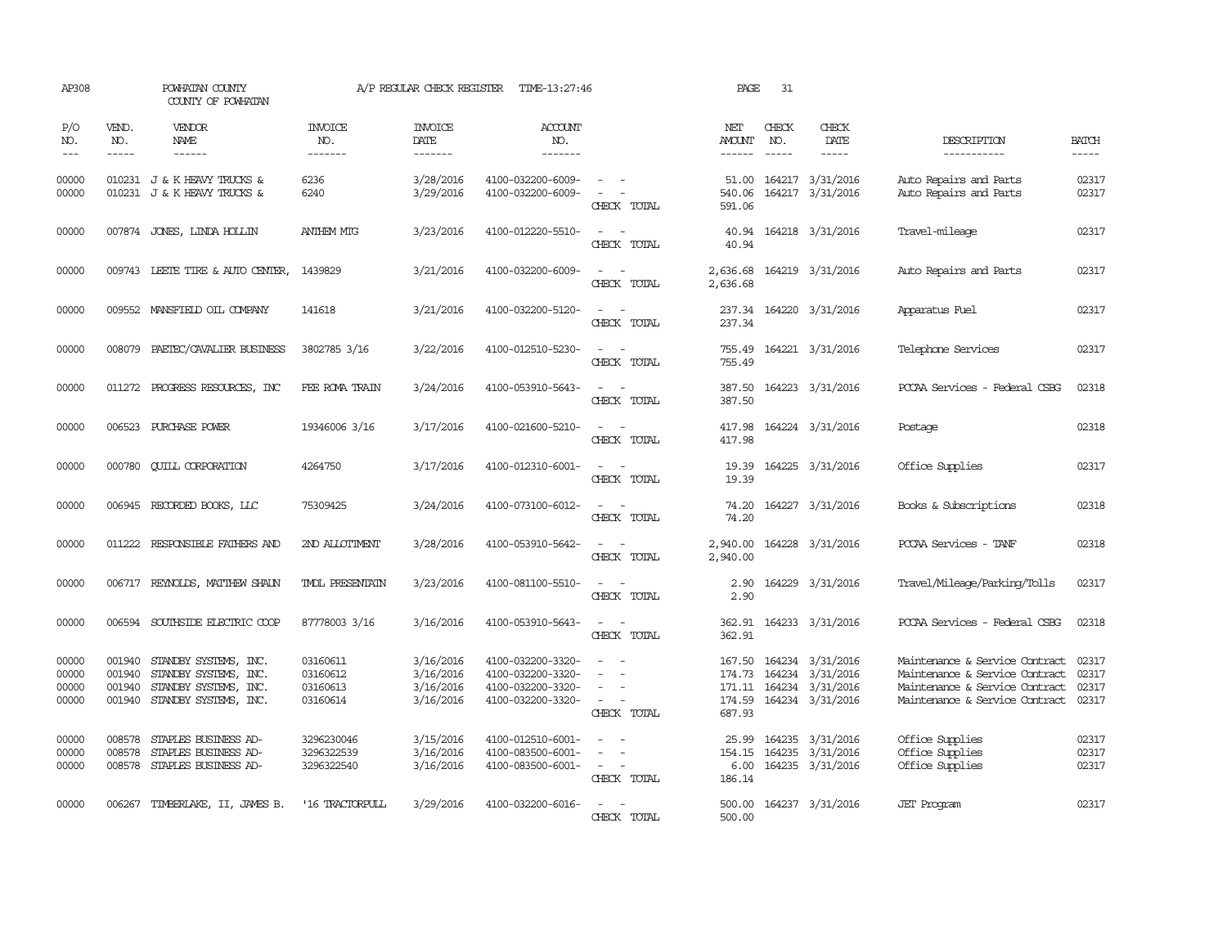| AP308                            |                            | POWHATAN COUNTY<br>COUNTY OF POWHATAN                                                                   |                                              | A/P REGULAR CHECK REGISTER                       | TIME-13:27:46                                                                    |                                                                                                                                          | PAGE                              | 31           |                                                                                                     |                                                                                                                                      |                                  |
|----------------------------------|----------------------------|---------------------------------------------------------------------------------------------------------|----------------------------------------------|--------------------------------------------------|----------------------------------------------------------------------------------|------------------------------------------------------------------------------------------------------------------------------------------|-----------------------------------|--------------|-----------------------------------------------------------------------------------------------------|--------------------------------------------------------------------------------------------------------------------------------------|----------------------------------|
| P/O<br>NO.<br>$---$              | VEND.<br>NO.<br>-----      | VENDOR<br>NAME<br>$- - - - - -$                                                                         | <b>INVOICE</b><br>NO.<br>-------             | <b>INVOICE</b><br>DATE<br>-------                | <b>ACCOUNT</b><br>NO.<br>-------                                                 |                                                                                                                                          | NET<br>AMOUNT<br>$- - - - - -$    | CHECK<br>NO. | CHECK<br>DATE<br>$- - - - -$                                                                        | DESCRIPTION<br>-----------                                                                                                           | <b>BATCH</b><br>-----            |
| 00000<br>00000                   |                            | 010231 J & K HEAVY TRUCKS &<br>010231 J & K HEAVY TRUCKS &                                              | 6236<br>6240                                 | 3/28/2016<br>3/29/2016                           | 4100-032200-6009-<br>4100-032200-6009-                                           | $\overline{\phantom{a}}$<br>$\equiv$<br>CHECK TOTAL                                                                                      | 51.00<br>540.06<br>591.06         |              | 164217 3/31/2016<br>164217 3/31/2016                                                                | Auto Repairs and Parts<br>Auto Repairs and Parts                                                                                     | 02317<br>02317                   |
| 00000                            |                            | 007874 JONES, LINDA HOLLIN                                                                              | <b>ANTHEM MTG</b>                            | 3/23/2016                                        | 4100-012220-5510-                                                                | $\sim$ 100 $\sim$<br>CHECK TOTAL                                                                                                         | 40.94<br>40.94                    |              | 164218 3/31/2016                                                                                    | Travel-mileage                                                                                                                       | 02317                            |
| 00000                            |                            | 009743 LEETE TIRE & AUTO CENTER,                                                                        | 1439829                                      | 3/21/2016                                        | 4100-032200-6009-                                                                | $\sim$ 100 $\sim$<br>CHECK TOTAL                                                                                                         | 2,636.68<br>2,636.68              |              | 164219 3/31/2016                                                                                    | Auto Repairs and Parts                                                                                                               | 02317                            |
| 00000                            |                            | 009552 MANSFIELD OIL COMPANY                                                                            | 141618                                       | 3/21/2016                                        | 4100-032200-5120-                                                                | $\frac{1}{2} \left( \frac{1}{2} \right) \left( \frac{1}{2} \right) \left( \frac{1}{2} \right) \left( \frac{1}{2} \right)$<br>CHECK TOTAL | 237.34                            |              | 237.34 164220 3/31/2016                                                                             | Apparatus Fuel                                                                                                                       | 02317                            |
| 00000                            | 008079                     | PAETEC/CAVALIER BUSINESS                                                                                | 3802785 3/16                                 | 3/22/2016                                        | 4100-012510-5230-                                                                | $\sim$ 100 $\sim$<br>CHECK TOTAL                                                                                                         | 755.49                            |              | 755.49 164221 3/31/2016                                                                             | Telephone Services                                                                                                                   | 02317                            |
| 00000                            |                            | 011272 PROGRESS RESOURCES, INC                                                                          | FEE ROMA TRAIN                               | 3/24/2016                                        | 4100-053910-5643-                                                                | $\sim$ 100 $\sim$<br>CHECK TOTAL                                                                                                         | 387.50<br>387.50                  |              | 164223 3/31/2016                                                                                    | PCCAA Services - Federal CSBG                                                                                                        | 02318                            |
| 00000                            | 006523                     | PURCHASE POWER                                                                                          | 19346006 3/16                                | 3/17/2016                                        | 4100-021600-5210-                                                                | $\overline{\phantom{a}}$<br>CHECK TOTAL                                                                                                  | 417.98<br>417.98                  |              | 164224 3/31/2016                                                                                    | Postage                                                                                                                              | 02318                            |
| 00000                            | 000780                     | <b>CUILL CORPORATION</b>                                                                                | 4264750                                      | 3/17/2016                                        | 4100-012310-6001-                                                                | CHECK TOTAL                                                                                                                              | 19.39<br>19.39                    |              | 164225 3/31/2016                                                                                    | Office Supplies                                                                                                                      | 02317                            |
| 00000                            |                            | 006945 RECORDED BOOKS, LLC                                                                              | 75309425                                     | 3/24/2016                                        | 4100-073100-6012-                                                                | $\overline{\phantom{a}}$<br>$\sim$<br>CHECK TOTAL                                                                                        | 74.20<br>74.20                    |              | 164227 3/31/2016                                                                                    | Books & Subscriptions                                                                                                                | 02318                            |
| 00000                            | 011222                     | RESPONSIBLE FAIHERS AND                                                                                 | 2ND ALLOTTMENT                               | 3/28/2016                                        | 4100-053910-5642-                                                                | $\sim$ 100 $\sim$<br>CHECK TOTAL                                                                                                         | 2,940.00<br>2,940.00              |              | 164228 3/31/2016                                                                                    | PCCAA Services - TANF                                                                                                                | 02318                            |
| 00000                            |                            | 006717 REYNOLDS, MATTHEW SHAUN                                                                          | <b>TMDL PRESENTATIN</b>                      | 3/23/2016                                        | 4100-081100-5510-                                                                | $\frac{1}{2} \left( \frac{1}{2} \right) \left( \frac{1}{2} \right) = \frac{1}{2} \left( \frac{1}{2} \right)$<br>CHECK TOTAL              | 2.90<br>2.90                      |              | 164229 3/31/2016                                                                                    | Travel/Mileage/Parking/Tolls                                                                                                         | 02317                            |
| 00000                            |                            | 006594 SOUTHSIDE ELECTRIC COOP                                                                          | 87778003 3/16                                | 3/16/2016                                        | 4100-053910-5643-                                                                | $\overline{\phantom{a}}$<br>CHECK TOTAL                                                                                                  | 362.91<br>362.91                  |              | 164233 3/31/2016                                                                                    | PCCAA Services - Federal CSBG                                                                                                        | 02318                            |
| 00000<br>00000<br>00000<br>00000 | 001940<br>001940<br>001940 | STANDBY SYSTEMS, INC.<br>STANDBY SYSTEMS, INC.<br>STANDBY SYSTEMS, INC.<br>001940 STANDBY SYSTEMS, INC. | 03160611<br>03160612<br>03160613<br>03160614 | 3/16/2016<br>3/16/2016<br>3/16/2016<br>3/16/2016 | 4100-032200-3320-<br>4100-032200-3320-<br>4100-032200-3320-<br>4100-032200-3320- | $\sim$<br>CHECK TOTAL                                                                                                                    | 174.73<br>687.93                  |              | 167.50 164234 3/31/2016<br>164234 3/31/2016<br>171.11  164234  3/31/2016<br>174.59 164234 3/31/2016 | Maintenance & Service Contract<br>Maintenance & Service Contract<br>Maintenance & Service Contract<br>Maintenance & Service Contract | 02317<br>02317<br>02317<br>02317 |
| 00000<br>00000<br>00000          | 008578<br>008578           | STAPLES BUSINESS AD-<br>STAPLES BUSINESS AD-<br>008578 STAPLES BUSINESS AD-                             | 3296230046<br>3296322539<br>3296322540       | 3/15/2016<br>3/16/2016<br>3/16/2016              | 4100-012510-6001-<br>4100-083500-6001-<br>4100-083500-6001-                      | $\sim$<br>$\equiv$<br>$\sim$ $\sim$<br>CHECK TOTAL                                                                                       | 25.99<br>154.15<br>6.00<br>186.14 |              | 164235 3/31/2016<br>164235 3/31/2016<br>164235 3/31/2016                                            | Office Supplies<br>Office Supplies<br>Office Supplies                                                                                | 02317<br>02317<br>02317          |
| 00000                            |                            | 006267 TIMBERLAKE, II, JAMES B.                                                                         | '16 TRACTORPULL                              | 3/29/2016                                        | 4100-032200-6016-                                                                | $\equiv$<br>CHECK TOTAL                                                                                                                  | 500.00                            |              | 500.00 164237 3/31/2016                                                                             | <b>JET</b> Program                                                                                                                   | 02317                            |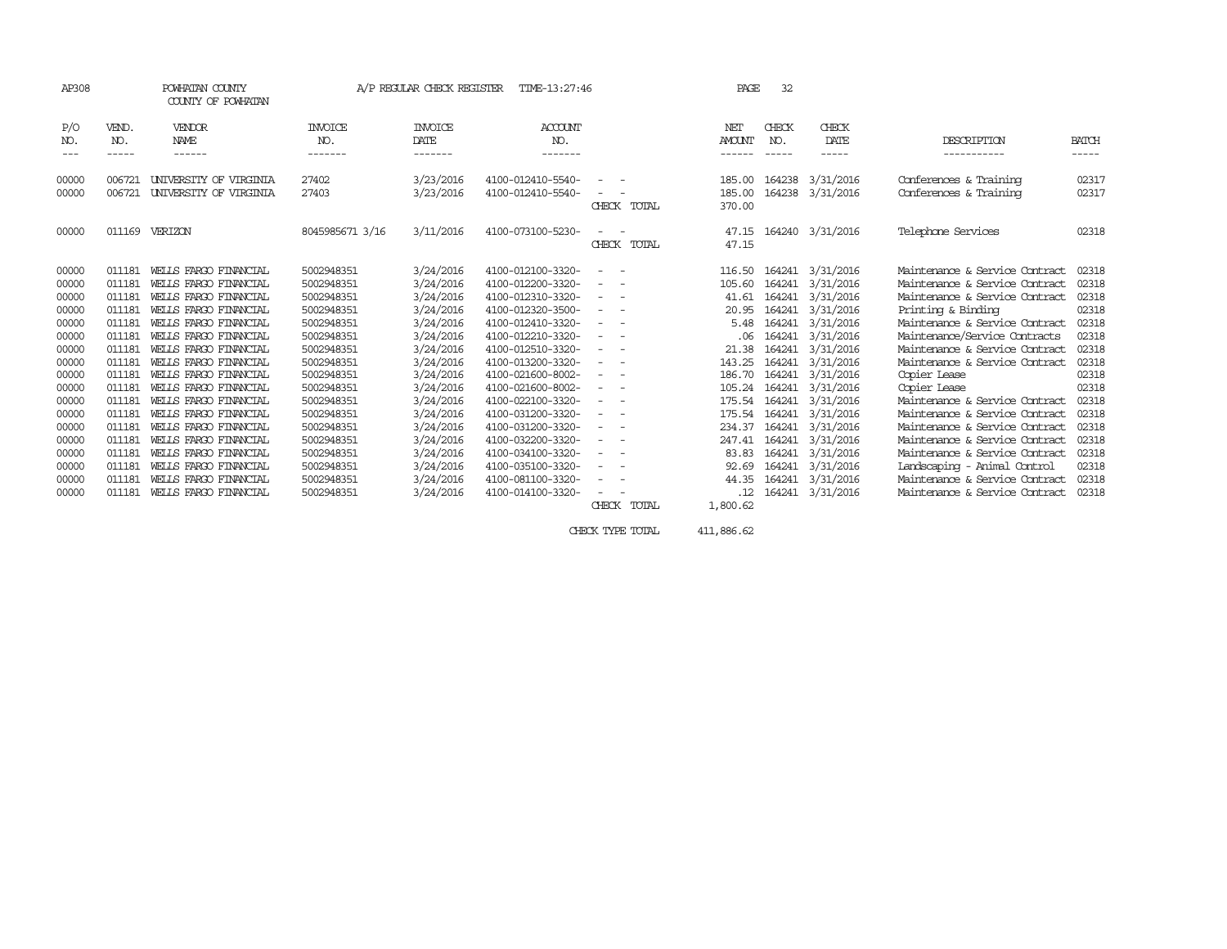| AP308               |                       | POWHATAN COUNTY<br>COUNTY OF POWHATAN |                           | A/P REGULAR CHECK REGISTER        | TIME-13:27:46             |                                                                                                              |             | PAGE                           | 32                          |                        |                                |                       |
|---------------------|-----------------------|---------------------------------------|---------------------------|-----------------------------------|---------------------------|--------------------------------------------------------------------------------------------------------------|-------------|--------------------------------|-----------------------------|------------------------|--------------------------------|-----------------------|
| P/O<br>NO.<br>$---$ | VEND.<br>NO.<br>----- | VENDOR<br><b>NAME</b><br>------       | INVOICE<br>NO.<br>------- | <b>INVOICE</b><br>DATE<br>------- | ACCOUNT<br>NO.<br>------- |                                                                                                              |             | NET<br><b>AMOUNT</b><br>------ | CHECK<br>NO.<br>$- - - - -$ | CHECK<br>DATE<br>----- | DESCRIPTION<br>-----------     | <b>BATCH</b><br>----- |
|                     |                       |                                       |                           |                                   |                           |                                                                                                              |             |                                |                             |                        |                                |                       |
| 00000               | 006721                | UNIVERSITY OF VIRGINIA                | 27402                     | 3/23/2016                         | 4100-012410-5540-         |                                                                                                              |             | 185.00                         | 164238                      | 3/31/2016              | Conferences & Training         | 02317                 |
| 00000               | 006721                | UNIVERSITY OF VIRGINIA                | 27403                     | 3/23/2016                         | 4100-012410-5540-         |                                                                                                              |             | 185.00                         |                             | 164238 3/31/2016       | Conferences & Training         | 02317                 |
|                     |                       |                                       |                           |                                   |                           |                                                                                                              | CHECK TOTAL | 370.00                         |                             |                        |                                |                       |
| 00000               | 011169                | VERIZON                               | 8045985671 3/16           | 3/11/2016                         | 4100-073100-5230-         |                                                                                                              |             | 47.15                          |                             | 164240 3/31/2016       | Telephone Services             | 02318                 |
|                     |                       |                                       |                           |                                   |                           |                                                                                                              | CHECK TOTAL | 47.15                          |                             |                        |                                |                       |
| 00000               | 011181                | WELLS FARGO FINANCIAL                 | 5002948351                | 3/24/2016                         | 4100-012100-3320-         |                                                                                                              |             | 116.50                         | 164241                      | 3/31/2016              | Maintenance & Service Contract | 02318                 |
| 00000               | 011181                | WELLS FARGO FINANCIAL                 | 5002948351                | 3/24/2016                         | 4100-012200-3320-         |                                                                                                              |             | 105.60                         |                             | 164241 3/31/2016       | Maintenance & Service Contract | 02318                 |
| 00000               | 011181                | WEILS FARGO FINANCIAL                 | 5002948351                | 3/24/2016                         | 4100-012310-3320-         |                                                                                                              |             | 41.61                          |                             | 164241 3/31/2016       | Maintenance & Service Contract | 02318                 |
| 00000               | 011181                | WELLS FARGO FINANCIAL                 | 5002948351                | 3/24/2016                         | 4100-012320-3500-         | $\sim$                                                                                                       |             | 20.95                          |                             | 164241 3/31/2016       | Printing & Binding             | 02318                 |
| 00000               | 011181                | WELLS FARGO FINANCIAL                 | 5002948351                | 3/24/2016                         | 4100-012410-3320-         | $ -$                                                                                                         |             | 5.48                           |                             | 164241 3/31/2016       | Maintenance & Service Contract | 02318                 |
| 00000               | 011181                | WELLS FARGO FINANCIAL                 | 5002948351                | 3/24/2016                         | 4100-012210-3320-         | $\frac{1}{2} \left( \frac{1}{2} \right) \left( \frac{1}{2} \right) = \frac{1}{2} \left( \frac{1}{2} \right)$ |             | .06                            |                             | 164241 3/31/2016       | Maintenance/Service Contracts  | 02318                 |
| 00000               | 011181                | WELLS FARGO FINANCIAL                 | 5002948351                | 3/24/2016                         | 4100-012510-3320-         |                                                                                                              |             | 21.38                          | 164241                      | 3/31/2016              | Maintenance & Service Contract | 02318                 |
| 00000               | 011181                | WEILS FARGO FINANCIAL                 | 5002948351                | 3/24/2016                         | 4100-013200-3320-         | $\sim$                                                                                                       |             | 143.25                         |                             | 164241 3/31/2016       | Maintenance & Service Contract | 02318                 |
| 00000               | 011181                | WELLS FARGO FINANCIAL                 | 5002948351                | 3/24/2016                         | 4100-021600-8002-         | $ -$<br>$\sim$                                                                                               |             | 186.70                         |                             | 164241 3/31/2016       | Copier Lease                   | 02318                 |
| 00000               | 011181                | WELLS FARGO FINANCIAL                 | 5002948351                | 3/24/2016                         | 4100-021600-8002-         | $\sim$ 100 $\mu$<br>$\overline{\phantom{a}}$                                                                 |             | 105.24                         |                             | 164241 3/31/2016       | Copier Lease                   | 02318                 |
| 00000               | 011181                | WELLS FARGO FINANCIAL                 | 5002948351                | 3/24/2016                         | 4100-022100-3320-         |                                                                                                              |             | 175.54                         |                             | 164241 3/31/2016       | Maintenance & Service Contract | 02318                 |
| 00000               | 011181                | WELLS FARGO FINANCIAL                 | 5002948351                | 3/24/2016                         | 4100-031200-3320-         | $\sim$                                                                                                       |             | 175.54                         |                             | 164241 3/31/2016       | Maintenance & Service Contract | 02318                 |
| 00000               | 011181                | WELLS FARGO FINANCIAL                 | 5002948351                | 3/24/2016                         | 4100-031200-3320-         | $\sim$ $-$<br>$\overline{\phantom{0}}$                                                                       |             | 234.37                         |                             | 164241 3/31/2016       | Maintenance & Service Contract | 02318                 |
| 00000               | 011181                | WELLS FARGO FINANCIAL                 | 5002948351                | 3/24/2016                         | 4100-032200-3320-         |                                                                                                              |             | 247.41                         |                             | 164241 3/31/2016       | Maintenance & Service Contract | 02318                 |
| 00000               | 011181                | WEILS FARGO FINANCIAL                 | 5002948351                | 3/24/2016                         | 4100-034100-3320-         |                                                                                                              |             | 83.83                          |                             | 164241 3/31/2016       | Maintenance & Service Contract | 02318                 |
| 00000               | 011181                | WELLS FARGO FINANCIAL                 | 5002948351                | 3/24/2016                         | 4100-035100-3320-         | $ -$<br>$\overline{\phantom{a}}$                                                                             |             | 92.69                          |                             | 164241 3/31/2016       | Landscaping - Animal Control   | 02318                 |
| 00000               | 011181                | WELLS FARGO FINANCIAL                 | 5002948351                | 3/24/2016                         | 4100-081100-3320-         | $\sim$ $-$                                                                                                   |             | 44.35                          |                             | 164241 3/31/2016       | Maintenance & Service Contract | 02318                 |
| 00000               | 011181                | WELLS FARGO FINANCIAL                 | 5002948351                | 3/24/2016                         | 4100-014100-3320-         |                                                                                                              |             | .12                            |                             | 164241 3/31/2016       | Maintenance & Service Contract | 02318                 |
|                     |                       |                                       |                           |                                   |                           |                                                                                                              | CHECK TOTAL | 1,800.62                       |                             |                        |                                |                       |
|                     |                       |                                       |                           |                                   |                           |                                                                                                              |             |                                |                             |                        |                                |                       |

CHECK TYPE TOTAL 411,886.62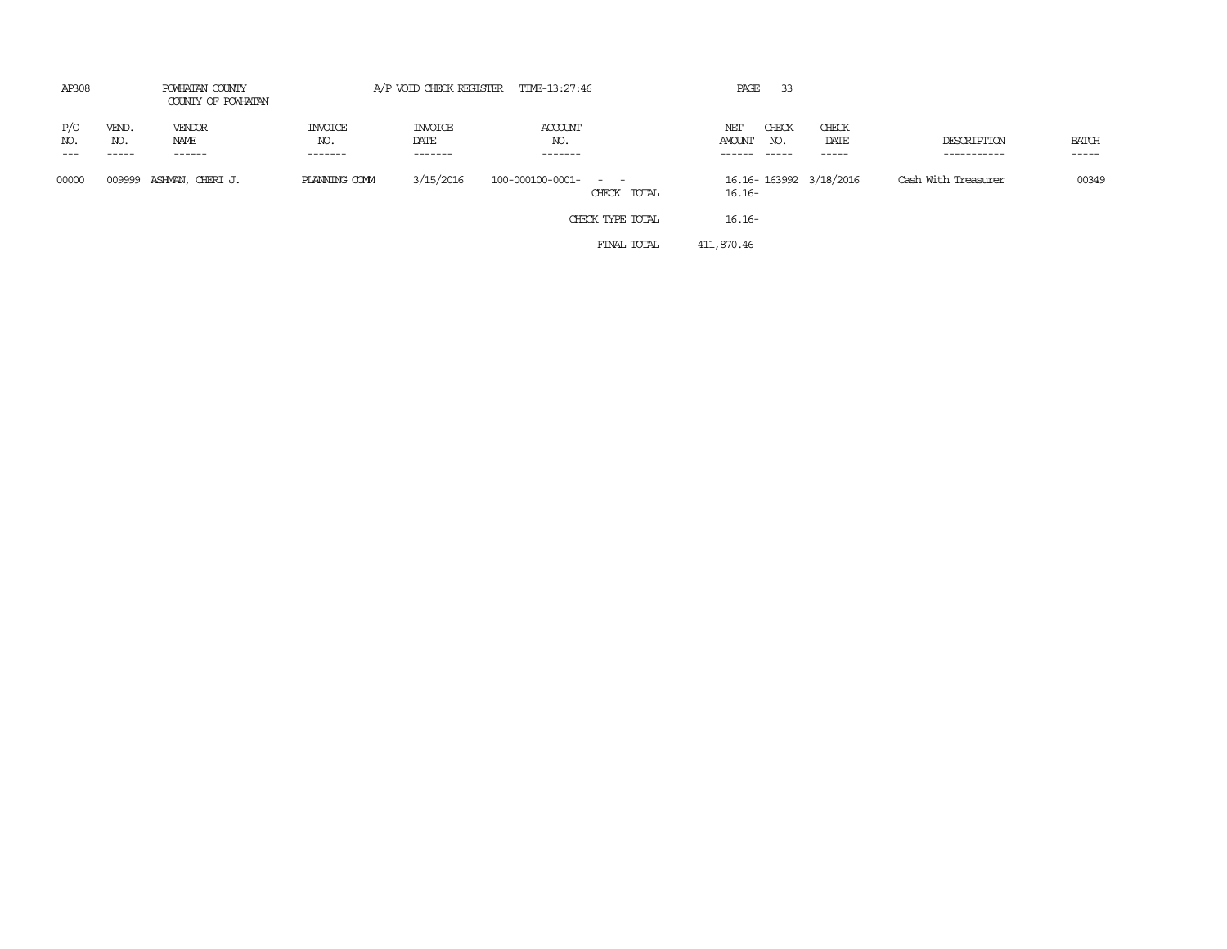| AP308              | POWHATAN COUNTY<br>COUNTY OF POWHATAN |                                 | A/P VOID CHECK REGISTER TIME-13:27:46 |                                   |                           |                  | 33<br>PAGE                         |                        |                            |                             |
|--------------------|---------------------------------------|---------------------------------|---------------------------------------|-----------------------------------|---------------------------|------------------|------------------------------------|------------------------|----------------------------|-----------------------------|
| P/O<br>NO.<br>$--$ | VEND.<br>NO.<br>-----                 | <b>VENDOR</b><br>NAME<br>------ | INVOICE<br>NO.<br>-------             | <b>INVOICE</b><br>DATE<br>------- | ACCOUNT<br>NO.<br>------- |                  | CHECK<br>NET<br>AMOUNT<br>NO.      | CHECK<br>DATE<br>----- | DESCRIPTION<br>----------- | <b>BATCH</b><br>$- - - - -$ |
| 00000              |                                       | 009999 ASHMAN, CHERIJ.          | PLANNING COMM                         | 3/15/2016                         | 100-000100-0001- - -      | CHECK TOTAL      | 16.16-163992 3/18/2016<br>$16.16-$ |                        | Cash With Treasurer        | 00349                       |
|                    |                                       |                                 |                                       |                                   |                           | CHECK TYPE TOTAL | $16.16-$                           |                        |                            |                             |
|                    |                                       |                                 |                                       |                                   |                           | FINAL TOTAL      | 411,870.46                         |                        |                            |                             |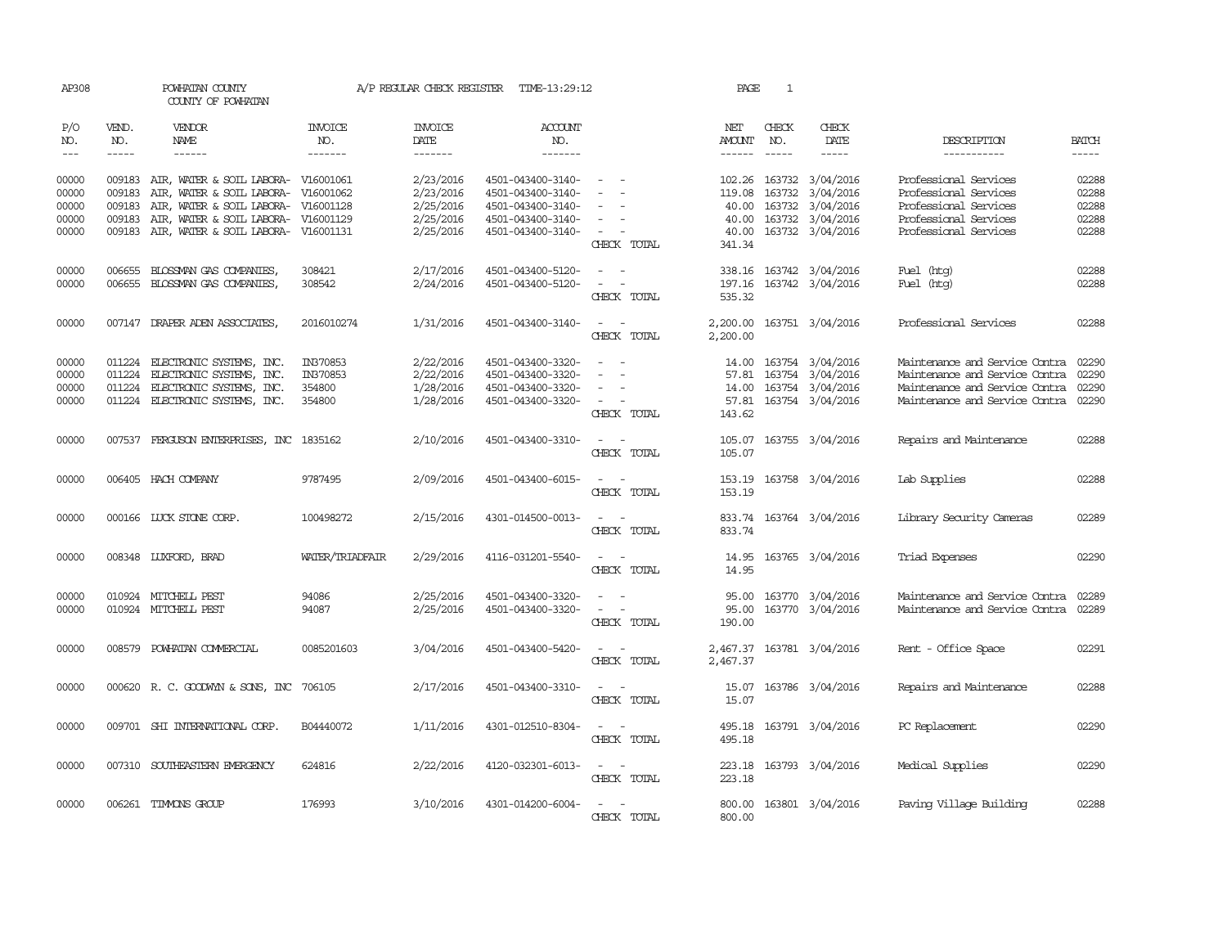| AP308                       |                               | POWHATAN COUNTY<br>COUNTY OF POWHATAN                                      |                                  | A/P REGULAR CHECK REGISTER                | TIME-13:29:12                          |                                             | PAGE                           | 1                             |                                      |                                                |                       |
|-----------------------------|-------------------------------|----------------------------------------------------------------------------|----------------------------------|-------------------------------------------|----------------------------------------|---------------------------------------------|--------------------------------|-------------------------------|--------------------------------------|------------------------------------------------|-----------------------|
| P/O<br>NO.<br>$\frac{1}{2}$ | VEND.<br>NO.<br>$\frac{1}{2}$ | <b>VENDOR</b><br>NAME<br>$- - - - - -$                                     | <b>INVOICE</b><br>NO.<br>------- | <b>INVOICE</b><br>DATE<br>$- - - - - - -$ | <b>ACCOUNT</b><br>NO.<br>-------       |                                             | NET<br>AMOUNT<br>$- - - - - -$ | CHECK<br>NO.<br>$\frac{1}{2}$ | CHECK<br>DATE<br>-----               | DESCRIPTION<br>-----------                     | <b>BATCH</b><br>----- |
|                             |                               |                                                                            |                                  |                                           |                                        |                                             |                                |                               |                                      |                                                |                       |
| 00000<br>00000              | 009183                        | 009183 AIR, WATER & SOIL LABORA- V16001061<br>AIR, WATER & SOIL LABORA-    | V16001062                        | 2/23/2016<br>2/23/2016                    | 4501-043400-3140-<br>4501-043400-3140- | $\overline{\phantom{a}}$                    | 119.08                         | 163732                        | 102.26 163732 3/04/2016<br>3/04/2016 | Professional Services<br>Professional Services | 02288<br>02288        |
| 00000<br>00000              | 009183<br>009183              | AIR, WATER & SOIL LABORA- V16001128<br>AIR, WATER & SOIL LABORA- V16001129 |                                  | 2/25/2016<br>2/25/2016                    | 4501-043400-3140-<br>4501-043400-3140- | $\equiv$<br>$\sim$                          | 40.00<br>40.00                 | 163732                        | 3/04/2016<br>163732 3/04/2016        | Professional Services<br>Professional Services | 02288<br>02288        |
| 00000                       |                               | 009183 AIR, WATER & SOIL LABORA- V16001131                                 |                                  | 2/25/2016                                 | 4501-043400-3140-                      | $\alpha = 1$ , $\alpha = 1$                 |                                |                               | 40.00 163732 3/04/2016               | Professional Services                          | 02288                 |
|                             |                               |                                                                            |                                  |                                           |                                        | CHECK TOTAL                                 | 341.34                         |                               |                                      |                                                |                       |
| 00000                       | 006655                        | BLOSSMAN GAS COMPANIES,                                                    | 308421                           | 2/17/2016                                 | 4501-043400-5120-                      | $\sim$                                      |                                |                               | 338.16 163742 3/04/2016              | Fuel (htg)                                     | 02288                 |
| 00000                       |                               | 006655 BLOSSMAN GAS COMPANIES,                                             | 308542                           | 2/24/2016                                 | 4501-043400-5120-                      | $\sim$ $\sim$                               |                                |                               | 197.16 163742 3/04/2016              | Fuel (htg)                                     | 02288                 |
|                             |                               |                                                                            |                                  |                                           |                                        | CHECK TOTAL                                 | 535.32                         |                               |                                      |                                                |                       |
| 00000                       |                               | 007147 DRAPER ADEN ASSOCIATES,                                             | 2016010274                       | 1/31/2016                                 | 4501-043400-3140-                      | $\sim$ $ \sim$                              |                                |                               | 2,200.00 163751 3/04/2016            | Professional Services                          | 02288                 |
|                             |                               |                                                                            |                                  |                                           |                                        | CHECK TOTAL                                 | 2,200.00                       |                               |                                      |                                                |                       |
| 00000                       | 011224                        | ELECTRONIC SYSTEMS, INC.                                                   | IN370853                         | 2/22/2016                                 | 4501-043400-3320-                      | $\sim$                                      |                                |                               | 14.00 163754 3/04/2016               | Maintenance and Service Contra                 | 02290                 |
| 00000                       | 011224                        | ELECTRONIC SYSTEMS, INC.                                                   | IN370853                         | 2/22/2016                                 | 4501-043400-3320-                      | $\equiv$                                    |                                |                               | 57.81 163754 3/04/2016               | Maintenance and Service Contra                 | 02290                 |
| 00000                       |                               | 011224 ELECTRONIC SYSTEMS, INC.                                            | 354800                           | 1/28/2016                                 | 4501-043400-3320-                      |                                             |                                |                               | 14.00 163754 3/04/2016               | Maintenance and Service Contra                 | 02290                 |
| 00000                       |                               | 011224 ELECTRONIC SYSTEMS, INC.                                            | 354800                           | 1/28/2016                                 | 4501-043400-3320-                      | $\sim$ $ \sim$                              |                                |                               | 57.81 163754 3/04/2016               | Maintenance and Service Contra 02290           |                       |
|                             |                               |                                                                            |                                  |                                           |                                        | CHECK TOTAL                                 | 143.62                         |                               |                                      |                                                |                       |
| 00000                       |                               | 007537 FERGUSON ENTERPRISES, INC 1835162                                   |                                  | 2/10/2016                                 | 4501-043400-3310-                      | $\sim$                                      |                                |                               | 105.07 163755 3/04/2016              | Repairs and Maintenance                        | 02288                 |
|                             |                               |                                                                            |                                  |                                           |                                        | CHECK TOTAL                                 | 105.07                         |                               |                                      |                                                |                       |
| 00000                       |                               | 006405 HACH COMPANY                                                        | 9787495                          | 2/09/2016                                 | 4501-043400-6015-                      | $\overline{\phantom{a}}$<br>$\sim$          | 153.19                         |                               | 163758 3/04/2016                     | Lab Supplies                                   | 02288                 |
|                             |                               |                                                                            |                                  |                                           |                                        | CHECK TOTAL                                 | 153.19                         |                               |                                      |                                                |                       |
| 00000                       |                               | 000166 LUCK STONE CORP.                                                    | 100498272                        | 2/15/2016                                 | 4301-014500-0013-                      | $\sim$<br>$\sim$                            |                                |                               | 833.74 163764 3/04/2016              | Library Security Cameras                       | 02289                 |
|                             |                               |                                                                            |                                  |                                           |                                        | CHECK TOTAL                                 | 833.74                         |                               |                                      |                                                |                       |
| 00000                       |                               | 008348 LUXFORD, BRAD                                                       | WATER/TRIADFAIR                  | 2/29/2016                                 | 4116-031201-5540-                      | $\overline{\phantom{a}}$                    |                                |                               | 14.95 163765 3/04/2016               | Triad Expenses                                 | 02290                 |
|                             |                               |                                                                            |                                  |                                           |                                        | CHECK TOTAL                                 | 14.95                          |                               |                                      |                                                |                       |
| 00000                       |                               | 010924 MITCHELL PEST                                                       | 94086                            | 2/25/2016                                 | 4501-043400-3320-                      | $\omega_{\rm{max}}$ and $\omega_{\rm{max}}$ |                                |                               | 95.00 163770 3/04/2016               | Maintenance and Service Contra                 | 02289                 |
| 00000                       |                               | 010924 MITCHELL PEST                                                       | 94087                            | 2/25/2016                                 | 4501-043400-3320-                      | $\sim$<br>$\sim$                            | 95.00                          |                               | 163770 3/04/2016                     | Maintenance and Service Contra                 | 02289                 |
|                             |                               |                                                                            |                                  |                                           |                                        | CHECK TOTAL                                 | 190.00                         |                               |                                      |                                                |                       |
| 00000                       | 008579                        | POWHATAN COMMERCIAL                                                        | 0085201603                       | 3/04/2016                                 | 4501-043400-5420-                      | $\sim$ $ \sim$                              | 2,467.37                       |                               | 163781 3/04/2016                     | Rent - Office Space                            | 02291                 |
|                             |                               |                                                                            |                                  |                                           |                                        | CHECK TOTAL                                 | 2,467.37                       |                               |                                      |                                                |                       |
| 00000                       |                               | 000620 R. C. GOODWYN & SONS, INC                                           | 706105                           | 2/17/2016                                 | 4501-043400-3310-                      | $\sim$ $ \sim$                              | 15.07                          |                               | 163786 3/04/2016                     | Repairs and Maintenance                        | 02288                 |
|                             |                               |                                                                            |                                  |                                           |                                        | CHECK TOTAL                                 | 15.07                          |                               |                                      |                                                |                       |
| 00000                       |                               | 009701 SHI INTERNATIONAL CORP.                                             | B04440072                        | 1/11/2016                                 | 4301-012510-8304-                      | $\sim$ $ \sim$                              | 495.18                         |                               | 163791 3/04/2016                     | PC Replacement                                 | 02290                 |
|                             |                               |                                                                            |                                  |                                           |                                        | CHECK TOTAL                                 | 495.18                         |                               |                                      |                                                |                       |
| 00000                       |                               | 007310 SOUTHEASTERN EMERGENCY                                              | 624816                           | 2/22/2016                                 | 4120-032301-6013-                      | $\sim$ $ \sim$                              |                                |                               | 223.18 163793 3/04/2016              | Medical Supplies                               | 02290                 |
|                             |                               |                                                                            |                                  |                                           |                                        | CHECK TOTAL                                 | 223.18                         |                               |                                      |                                                |                       |
| 00000                       |                               | 006261 TIMMONS GROUP                                                       | 176993                           | 3/10/2016                                 | 4301-014200-6004-                      | $\sim$ $ -$                                 |                                |                               | 800.00 163801 3/04/2016              | Paving Village Building                        | 02288                 |
|                             |                               |                                                                            |                                  |                                           |                                        | CHECK TOTAL                                 | 800.00                         |                               |                                      |                                                |                       |
|                             |                               |                                                                            |                                  |                                           |                                        |                                             |                                |                               |                                      |                                                |                       |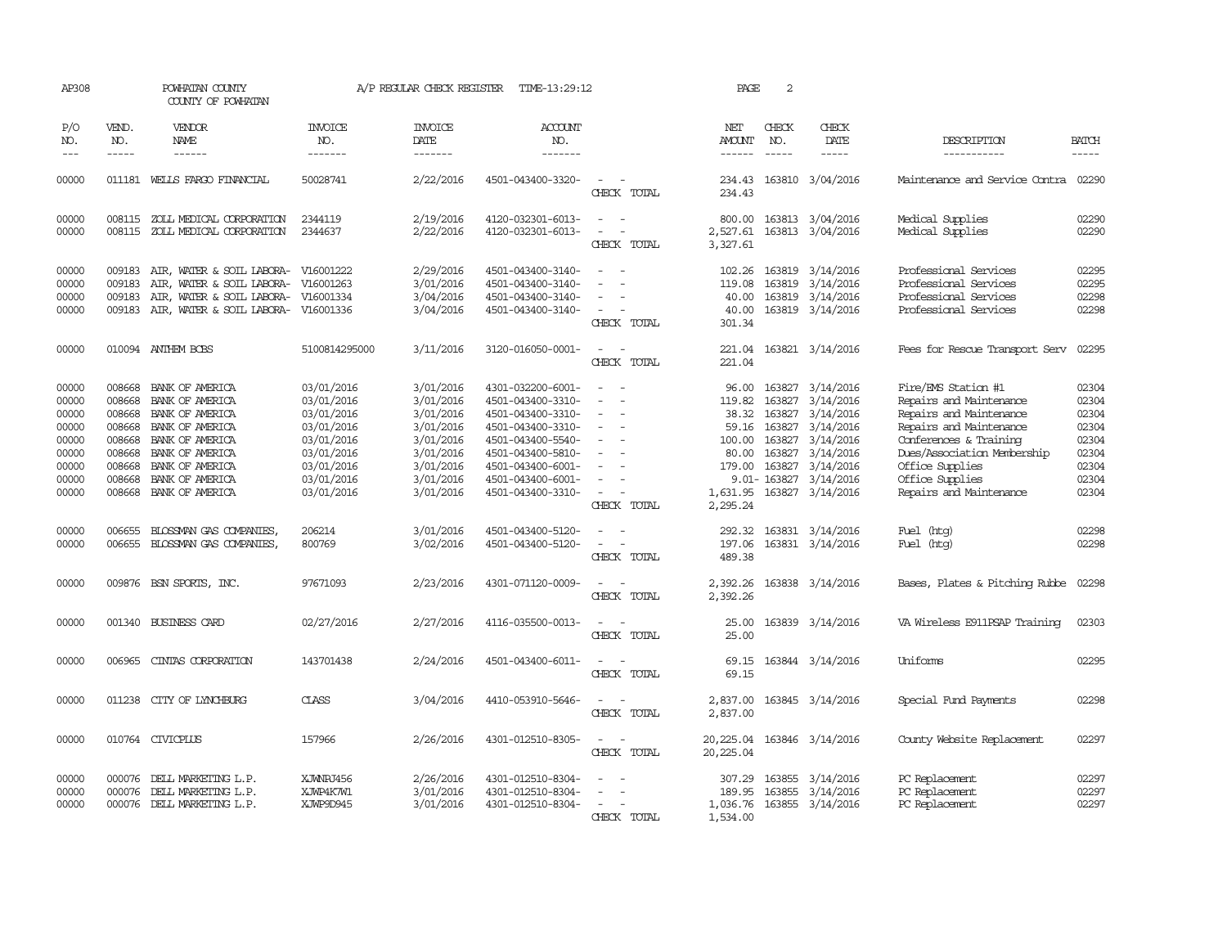| AP308                                                                         |                                                          | POWHATAN COUNTY<br>COUNTY OF POWHATAN                                                                                                                                                        |                                                                                                                            | A/P REGULAR CHECK REGISTER                                                                                        | TIME-13:29:12                                                                                                                                                                             |                                                                                                           | PAGE                                                              | 2                                                                   |                                                                                                                                                 |                                                                                                                                                                                                                                |                                                                               |
|-------------------------------------------------------------------------------|----------------------------------------------------------|----------------------------------------------------------------------------------------------------------------------------------------------------------------------------------------------|----------------------------------------------------------------------------------------------------------------------------|-------------------------------------------------------------------------------------------------------------------|-------------------------------------------------------------------------------------------------------------------------------------------------------------------------------------------|-----------------------------------------------------------------------------------------------------------|-------------------------------------------------------------------|---------------------------------------------------------------------|-------------------------------------------------------------------------------------------------------------------------------------------------|--------------------------------------------------------------------------------------------------------------------------------------------------------------------------------------------------------------------------------|-------------------------------------------------------------------------------|
| P/O<br>NO.<br>$ -$                                                            | VEND.<br>NO.<br>$\frac{1}{2}$                            | VENDOR<br>NAME<br>------                                                                                                                                                                     | <b>INVOICE</b><br>NO.<br>-------                                                                                           | <b>INVOICE</b><br>DATE<br>-------                                                                                 | <b>ACCOUNT</b><br>NO.<br>-------                                                                                                                                                          |                                                                                                           | NET<br><b>AMOUNT</b><br>$- - - - - -$                             | CHECK<br>NO.<br>$- - - - -$                                         | CHECK<br>DATE<br>-----                                                                                                                          | DESCRIPTION<br>-----------                                                                                                                                                                                                     | <b>BATCH</b><br>$\frac{1}{2}$                                                 |
| 00000                                                                         |                                                          | 011181 WELLS FARGO FINANCIAL                                                                                                                                                                 | 50028741                                                                                                                   | 2/22/2016                                                                                                         | 4501-043400-3320-                                                                                                                                                                         | CHECK TOTAL                                                                                               | 234.43<br>234.43                                                  |                                                                     | 163810 3/04/2016                                                                                                                                | Maintenance and Service Contra                                                                                                                                                                                                 | 02290                                                                         |
| 00000<br>00000                                                                |                                                          | 008115 ZOLL MEDICAL CORPORATION<br>008115 ZOLL MEDICAL CORPORATION                                                                                                                           | 2344119<br>2344637                                                                                                         | 2/19/2016<br>2/22/2016                                                                                            | 4120-032301-6013-<br>4120-032301-6013-                                                                                                                                                    | $\overline{\phantom{a}}$<br>$\sim$<br>$\overline{\phantom{a}}$<br>$\overline{\phantom{a}}$<br>CHECK TOTAL | 800.00<br>2,527.61<br>3,327.61                                    |                                                                     | 163813 3/04/2016<br>163813 3/04/2016                                                                                                            | Medical Supplies<br>Medical Supplies                                                                                                                                                                                           | 02290<br>02290                                                                |
| 00000<br>00000<br>00000<br>00000                                              | 009183<br>009183<br>009183<br>009183                     | AIR, WATER & SOIL LABORA- V16001222<br>AIR, WATER & SOIL LABORA-<br>AIR, WATER & SOIL LABORA-<br>AIR, WATER & SOIL LABORA-                                                                   | V16001263<br>V16001334<br>V16001336                                                                                        | 2/29/2016<br>3/01/2016<br>3/04/2016<br>3/04/2016                                                                  | 4501-043400-3140-<br>4501-043400-3140-<br>4501-043400-3140-<br>4501-043400-3140-                                                                                                          | $\equiv$<br>CHECK TOTAL                                                                                   | 102.26<br>119.08<br>40.00<br>40.00<br>301.34                      | 163819<br>163819                                                    | 3/14/2016<br>3/14/2016<br>163819 3/14/2016<br>163819 3/14/2016                                                                                  | Professional Services<br>Professional Services<br>Professional Services<br>Professional Services                                                                                                                               | 02295<br>02295<br>02298<br>02298                                              |
| 00000                                                                         |                                                          | 010094 ANTHEM BCBS                                                                                                                                                                           | 5100814295000                                                                                                              | 3/11/2016                                                                                                         | 3120-016050-0001-                                                                                                                                                                         | $\overline{\phantom{a}}$<br>$\sim$<br>CHECK TOTAL                                                         | 221.04<br>221.04                                                  |                                                                     | 163821 3/14/2016                                                                                                                                | Fees for Rescue Transport Serv                                                                                                                                                                                                 | 02295                                                                         |
| 00000<br>00000<br>00000<br>00000<br>00000<br>00000<br>00000<br>00000<br>00000 | 008668<br>008668<br>008668<br>008668<br>008668<br>008668 | BANK OF AMERICA<br>BANK OF AMERICA<br>BANK OF AMERICA<br>008668 BANK OF AMERICA<br>BANK OF AMERICA<br>BANK OF AMERICA<br>008668 BANK OF AMERICA<br>BANK OF AMERICA<br>008668 BANK OF AMERICA | 03/01/2016<br>03/01/2016<br>03/01/2016<br>03/01/2016<br>03/01/2016<br>03/01/2016<br>03/01/2016<br>03/01/2016<br>03/01/2016 | 3/01/2016<br>3/01/2016<br>3/01/2016<br>3/01/2016<br>3/01/2016<br>3/01/2016<br>3/01/2016<br>3/01/2016<br>3/01/2016 | 4301-032200-6001-<br>4501-043400-3310-<br>4501-043400-3310-<br>4501-043400-3310-<br>4501-043400-5540-<br>4501-043400-5810-<br>4501-043400-6001-<br>4501-043400-6001-<br>4501-043400-3310- | $\equiv$<br>$\overline{\phantom{a}}$<br>$\overline{\phantom{a}}$<br>CHECK TOTAL                           | 96.00<br>119.82<br>38.32<br>100.00<br>80.00<br>179.00<br>2,295.24 | 163827<br>163827<br>163827<br>59.16 163827<br>163827<br>9.01-163827 | 3/14/2016<br>3/14/2016<br>3/14/2016<br>3/14/2016<br>3/14/2016<br>163827 3/14/2016<br>163827 3/14/2016<br>3/14/2016<br>1,631.95 163827 3/14/2016 | Fire/EMS Station #1<br>Repairs and Maintenance<br>Repairs and Maintenance<br>Repairs and Maintenance<br>Conferences & Training<br>Dues/Association Membership<br>Office Supplies<br>Office Supplies<br>Repairs and Maintenance | 02304<br>02304<br>02304<br>02304<br>02304<br>02304<br>02304<br>02304<br>02304 |
| 00000<br>00000                                                                | 006655<br>006655                                         | BLOSSMAN GAS COMPANIES,<br>BLOSSMAN GAS COMPANIES,                                                                                                                                           | 206214<br>800769                                                                                                           | 3/01/2016<br>3/02/2016                                                                                            | 4501-043400-5120-<br>4501-043400-5120-                                                                                                                                                    | $\overline{\phantom{a}}$<br>CHECK TOTAL                                                                   | 292.32<br>197.06<br>489.38                                        |                                                                     | 163831 3/14/2016<br>163831 3/14/2016                                                                                                            | Fuel (htg)<br>Fuel (htg)                                                                                                                                                                                                       | 02298<br>02298                                                                |
| 00000                                                                         |                                                          | 009876 BSN SPORTS, INC.                                                                                                                                                                      | 97671093                                                                                                                   | 2/23/2016                                                                                                         | 4301-071120-0009-                                                                                                                                                                         | $\overline{\phantom{a}}$<br>CHECK TOTAL                                                                   | 2,392.26<br>2,392.26                                              |                                                                     | 163838 3/14/2016                                                                                                                                | Bases, Plates & Pitching Rubbe                                                                                                                                                                                                 | 02298                                                                         |
| 00000                                                                         | 001340                                                   | BUSINESS CARD                                                                                                                                                                                | 02/27/2016                                                                                                                 | 2/27/2016                                                                                                         | 4116-035500-0013-                                                                                                                                                                         | CHECK TOTAL                                                                                               | 25.00<br>25.00                                                    |                                                                     | 163839 3/14/2016                                                                                                                                | VA Wireless E911PSAP Training                                                                                                                                                                                                  | 02303                                                                         |
| 00000                                                                         | 006965                                                   | CINIAS CORPORATION                                                                                                                                                                           | 143701438                                                                                                                  | 2/24/2016                                                                                                         | 4501-043400-6011-                                                                                                                                                                         | CHECK TOTAL                                                                                               | 69.15<br>69.15                                                    |                                                                     | 163844 3/14/2016                                                                                                                                | Uniforms                                                                                                                                                                                                                       | 02295                                                                         |
| 00000                                                                         | 011238                                                   | CITY OF LYNCHBURG                                                                                                                                                                            | <b>CLASS</b>                                                                                                               | 3/04/2016                                                                                                         | 4410-053910-5646-                                                                                                                                                                         | CHECK TOTAL                                                                                               | 2,837.00<br>2,837.00                                              |                                                                     | 163845 3/14/2016                                                                                                                                | Special Fund Payments                                                                                                                                                                                                          | 02298                                                                         |
| 00000                                                                         |                                                          | 010764 CIVICPLUS                                                                                                                                                                             | 157966                                                                                                                     | 2/26/2016                                                                                                         | 4301-012510-8305-                                                                                                                                                                         | CHECK TOTAL                                                                                               | 20,225.04<br>20,225.04                                            |                                                                     | 163846 3/14/2016                                                                                                                                | County Website Replacement                                                                                                                                                                                                     | 02297                                                                         |
| 00000<br>00000<br>00000                                                       | 000076<br>000076                                         | DELL MARKETING L.P.<br>DELL MARKETING L.P.<br>000076 DELL MARKETING L.P.                                                                                                                     | XJWNPJ456<br>XJWP4K7W1<br>XJWP9D945                                                                                        | 2/26/2016<br>3/01/2016<br>3/01/2016                                                                               | 4301-012510-8304-<br>4301-012510-8304-<br>4301-012510-8304-                                                                                                                               | CHECK TOTAL                                                                                               | 307.29<br>189.95<br>1,036.76<br>1,534.00                          | 163855                                                              | 163855 3/14/2016<br>3/14/2016<br>163855 3/14/2016                                                                                               | PC Replacement<br>PC Replacement<br>PC Replacement                                                                                                                                                                             | 02297<br>02297<br>02297                                                       |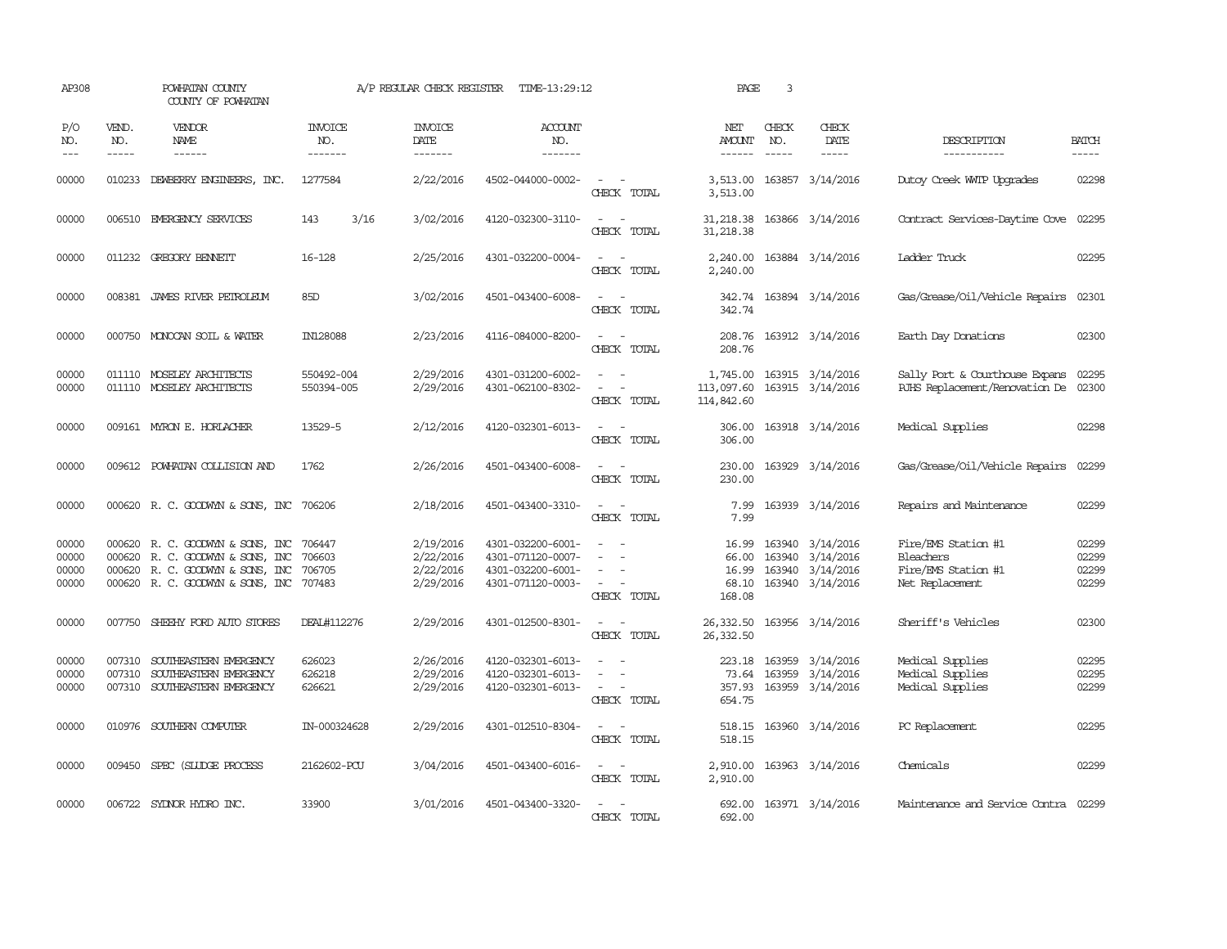| AP308                            |                             | POWHATAN COUNTY<br>COUNTY OF POWHATAN                                                                                                              |                            | A/P REGULAR CHECK REGISTER                       | TIME-13:29:12                                                                    |                                                                                                                             | PAGE                                 | 3                             |                                                                                    |                                                                            |                                  |
|----------------------------------|-----------------------------|----------------------------------------------------------------------------------------------------------------------------------------------------|----------------------------|--------------------------------------------------|----------------------------------------------------------------------------------|-----------------------------------------------------------------------------------------------------------------------------|--------------------------------------|-------------------------------|------------------------------------------------------------------------------------|----------------------------------------------------------------------------|----------------------------------|
| P/O<br>NO.<br>$\frac{1}{2}$      | VEND.<br>NO.<br>$- - - - -$ | VENDOR<br>NAME<br>------                                                                                                                           | INVOICE<br>NO.<br>-------  | <b>INVOICE</b><br>DATE<br>-------                | <b>ACCOUNT</b><br>NO.<br>-------                                                 |                                                                                                                             | NET<br>AMOUNT<br>------              | CHECK<br>NO.<br>$\frac{1}{2}$ | CHECK<br>DATE<br>$- - - - -$                                                       | DESCRIPTION<br>-----------                                                 | <b>BATCH</b><br>$- - - - -$      |
| 00000                            | 010233                      | DEWBERRY ENGINEERS, INC.                                                                                                                           | 1277584                    | 2/22/2016                                        | 4502-044000-0002-                                                                | $\equiv$<br>CHECK TOTAL                                                                                                     | 3,513.00<br>3,513.00                 |                               | 163857 3/14/2016                                                                   | Dutoy Creek WITP Upgrades                                                  | 02298                            |
| 00000                            |                             | 006510 EMERGENCY SERVICES                                                                                                                          | 3/16<br>143                | 3/02/2016                                        | 4120-032300-3110-                                                                | $\overline{\phantom{a}}$<br>CHECK TOTAL                                                                                     | 31,218.38<br>31,218.38               |                               | 163866 3/14/2016                                                                   | Contract Services-Daytime Cove                                             | 02295                            |
| 00000                            |                             | 011232 GREGORY BENNETT                                                                                                                             | $16 - 128$                 | 2/25/2016                                        | 4301-032200-0004-                                                                | $\sim$<br>CHECK TOTAL                                                                                                       | 2,240.00<br>2,240.00                 |                               | 163884 3/14/2016                                                                   | Ladder Truck                                                               | 02295                            |
| 00000                            |                             | 008381 JAMES RIVER PEIROLEUM                                                                                                                       | 85D                        | 3/02/2016                                        | 4501-043400-6008-                                                                | $\frac{1}{2} \left( \frac{1}{2} \right) \left( \frac{1}{2} \right) = \frac{1}{2} \left( \frac{1}{2} \right)$<br>CHECK TOTAL | 342.74<br>342.74                     |                               | 163894 3/14/2016                                                                   | Gas/Grease/Oil/Vehicle Repairs                                             | 02301                            |
| 00000                            |                             | 000750 MONOCAN SOIL & WATER                                                                                                                        | IN128088                   | 2/23/2016                                        | 4116-084000-8200-                                                                | $\frac{1}{2} \left( \frac{1}{2} \right) \left( \frac{1}{2} \right) = \frac{1}{2} \left( \frac{1}{2} \right)$<br>CHECK TOTAL | 208.76<br>208.76                     |                               | 163912 3/14/2016                                                                   | Earth Day Donations                                                        | 02300                            |
| 00000<br>00000                   |                             | 011110 MOSELEY ARCHITECTS<br>011110 MOSELEY ARCHITECTS                                                                                             | 550492-004<br>550394-005   | 2/29/2016<br>2/29/2016                           | 4301-031200-6002-<br>4301-062100-8302-                                           | $\sim$ $-$<br>$\overline{\phantom{a}}$<br>CHECK TOTAL                                                                       | 1,745.00<br>113,097.60<br>114,842.60 |                               | 163915 3/14/2016<br>163915 3/14/2016                                               | Sally Port & Courthouse Expans<br>RJHS Replacement/Renovation De           | 02295<br>02300                   |
| 00000                            |                             | 009161 MYRON E. HORLACHER                                                                                                                          | 13529-5                    | 2/12/2016                                        | 4120-032301-6013-                                                                | $\frac{1}{2} \left( \frac{1}{2} \right) \left( \frac{1}{2} \right) = \frac{1}{2} \left( \frac{1}{2} \right)$<br>CHECK TOTAL | 306.00<br>306.00                     |                               | 163918 3/14/2016                                                                   | Medical Supplies                                                           | 02298                            |
| 00000                            |                             | 009612 POWHATAN COLLISION AND                                                                                                                      | 1762                       | 2/26/2016                                        | 4501-043400-6008-                                                                | $\frac{1}{2} \left( \frac{1}{2} \right) \left( \frac{1}{2} \right) = \frac{1}{2} \left( \frac{1}{2} \right)$<br>CHECK TOTAL | 230.00<br>230.00                     |                               | 163929 3/14/2016                                                                   | Gas/Grease/Oil/Vehicle Repairs                                             | 02299                            |
| 00000                            |                             | 000620 R.C. GOODWYN & SONS, INC 706206                                                                                                             |                            | 2/18/2016                                        | 4501-043400-3310-                                                                | $\frac{1}{2} \left( \frac{1}{2} \right) \left( \frac{1}{2} \right) = \frac{1}{2} \left( \frac{1}{2} \right)$<br>CHECK TOTAL | 7.99<br>7.99                         |                               | 163939 3/14/2016                                                                   | Repairs and Maintenance                                                    | 02299                            |
| 00000<br>00000<br>00000<br>00000 |                             | 000620 R. C. GOODWYN & SONS, INC<br>000620 R. C. GOODWYN & SONS, INC<br>000620 R.C. GOODWYN & SONS, INC<br>000620 R. C. GOODWYN & SONS, INC 707483 | 706447<br>706603<br>706705 | 2/19/2016<br>2/22/2016<br>2/22/2016<br>2/29/2016 | 4301-032200-6001-<br>4301-071120-0007-<br>4301-032200-6001-<br>4301-071120-0003- | $\equiv$<br>CHECK TOTAL                                                                                                     | 16.99<br>66.00<br>68.10<br>168.08    |                               | 163940 3/14/2016<br>163940 3/14/2016<br>16.99 163940 3/14/2016<br>163940 3/14/2016 | Fire/EMS Station #1<br>Bleachers<br>Fire/EMS Station #1<br>Net Replacement | 02299<br>02299<br>02299<br>02299 |
| 00000                            | 007750                      | SHEEHY FORD AUTO STORES                                                                                                                            | DEAL#112276                | 2/29/2016                                        | 4301-012500-8301-                                                                | $\sim$ $ \sim$<br>CHECK TOTAL                                                                                               | 26,332.50<br>26,332.50               |                               | 163956 3/14/2016                                                                   | Sheriff's Vehicles                                                         | 02300                            |
| 00000<br>00000<br>00000          | 007310<br>007310            | SOUTHEASTERN EMERGENCY<br>SOUTHEASTERN EMERGENCY<br>007310 SOUTHEASTERN EMERGENCY                                                                  | 626023<br>626218<br>626621 | 2/26/2016<br>2/29/2016<br>2/29/2016              | 4120-032301-6013-<br>4120-032301-6013-<br>4120-032301-6013-                      | $\equiv$<br>$\sim$<br>CHECK TOTAL                                                                                           | 223.18<br>73.64<br>357.93<br>654.75  | 163959                        | 163959 3/14/2016<br>3/14/2016<br>163959 3/14/2016                                  | Medical Supplies<br>Medical Supplies<br>Medical Supplies                   | 02295<br>02295<br>02299          |
| 00000                            |                             | 010976 SOUTHERN COMPUTER                                                                                                                           | IN-000324628               | 2/29/2016                                        | 4301-012510-8304-                                                                | $\frac{1}{2} \left( \frac{1}{2} \right) \left( \frac{1}{2} \right) = \frac{1}{2} \left( \frac{1}{2} \right)$<br>CHECK TOTAL | 518.15<br>518.15                     |                               | 163960 3/14/2016                                                                   | PC Replacement                                                             | 02295                            |
| 00000                            |                             | 009450 SPEC (SLUDGE PROCESS                                                                                                                        | 2162602-PCU                | 3/04/2016                                        | 4501-043400-6016-                                                                | $\frac{1}{2} \left( \frac{1}{2} \right) \left( \frac{1}{2} \right) = \frac{1}{2} \left( \frac{1}{2} \right)$<br>CHECK TOTAL | 2,910.00<br>2,910.00                 |                               | 163963 3/14/2016                                                                   | Chemicals                                                                  | 02299                            |
| 00000                            |                             | 006722 SYLNOR HYDRO INC.                                                                                                                           | 33900                      | 3/01/2016                                        | 4501-043400-3320-                                                                | $\sim$<br>CHECK TOTAL                                                                                                       | 692.00<br>692.00                     |                               | 163971 3/14/2016                                                                   | Maintenance and Service Contra 02299                                       |                                  |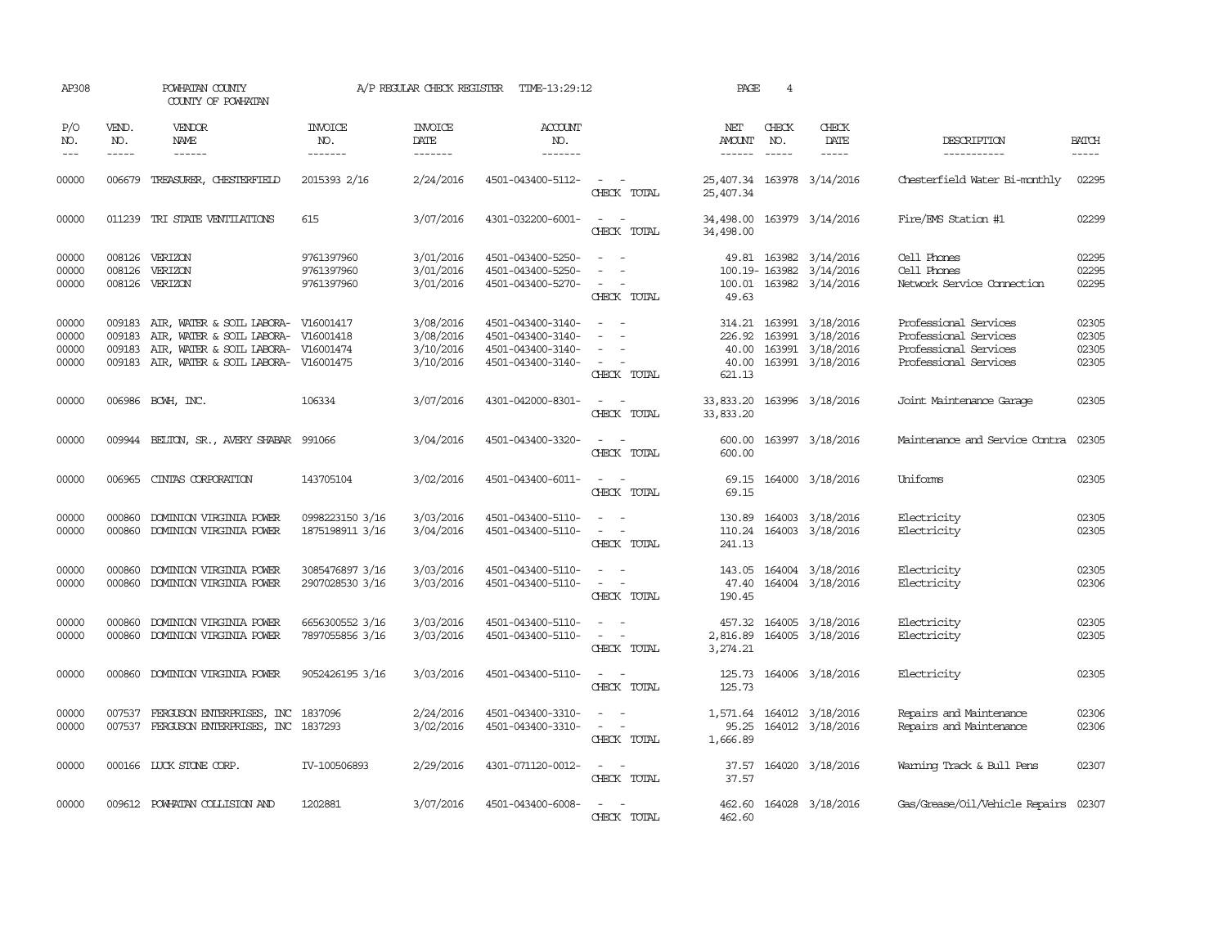| AP308                            |                                                                                                                                                                                                                                                                                                                                                                                                                                                                                                     | POWHATAN COUNTY<br>COUNTY OF POWHATAN                                                                                                                 |                                        | A/P REGULAR CHECK REGISTER                       | TIME-13:29:12                                                                                                                                                                                                                                                                                                                                                                                                                                                                                                       |                                                                                                                                                                     | PAGE                                         | $\overline{4}$                |                                                                              |                                                                                                  |                                  |
|----------------------------------|-----------------------------------------------------------------------------------------------------------------------------------------------------------------------------------------------------------------------------------------------------------------------------------------------------------------------------------------------------------------------------------------------------------------------------------------------------------------------------------------------------|-------------------------------------------------------------------------------------------------------------------------------------------------------|----------------------------------------|--------------------------------------------------|---------------------------------------------------------------------------------------------------------------------------------------------------------------------------------------------------------------------------------------------------------------------------------------------------------------------------------------------------------------------------------------------------------------------------------------------------------------------------------------------------------------------|---------------------------------------------------------------------------------------------------------------------------------------------------------------------|----------------------------------------------|-------------------------------|------------------------------------------------------------------------------|--------------------------------------------------------------------------------------------------|----------------------------------|
| P/O<br>NO.<br>$---$              | VEND.<br>NO.<br>$\begin{tabular}{ccccc} \multicolumn{2}{c}{} & \multicolumn{2}{c}{} & \multicolumn{2}{c}{} & \multicolumn{2}{c}{} & \multicolumn{2}{c}{} & \multicolumn{2}{c}{} & \multicolumn{2}{c}{} & \multicolumn{2}{c}{} & \multicolumn{2}{c}{} & \multicolumn{2}{c}{} & \multicolumn{2}{c}{} & \multicolumn{2}{c}{} & \multicolumn{2}{c}{} & \multicolumn{2}{c}{} & \multicolumn{2}{c}{} & \multicolumn{2}{c}{} & \multicolumn{2}{c}{} & \multicolumn{2}{c}{} & \multicolumn{2}{c}{} & \mult$ | VENDOR<br>NAME                                                                                                                                        | <b>INVOICE</b><br>NO.<br>-------       | <b>INVOICE</b><br><b>DATE</b><br>-------         | <b>ACCOUNT</b><br>NO.<br>$\begin{tabular}{ccccc} \multicolumn{2}{c} {\textbf{1}} & \multicolumn{2}{c} {\textbf{2}} & \multicolumn{2}{c} {\textbf{3}} & \multicolumn{2}{c} {\textbf{4}} & \multicolumn{2}{c} {\textbf{5}} & \multicolumn{2}{c} {\textbf{6}} & \multicolumn{2}{c} {\textbf{7}} & \multicolumn{2}{c} {\textbf{8}} & \multicolumn{2}{c} {\textbf{9}} & \multicolumn{2}{c} {\textbf{1}} & \multicolumn{2}{c} {\textbf{1}} & \multicolumn{2}{c} {\textbf{1}} & \multicolumn{2}{c} {\textbf{1}} & \multic$ |                                                                                                                                                                     | NET<br><b>AMOUNT</b><br>------               | CHECK<br>NO.<br>$\frac{1}{2}$ | CHECK<br>DATE<br>$\cdots \cdots \cdots$                                      | DESCRIPTION<br>-----------                                                                       | <b>BATCH</b><br>-----            |
| 00000                            | 006679                                                                                                                                                                                                                                                                                                                                                                                                                                                                                              | TREASURER, CHESTERFIELD                                                                                                                               | 2015393 2/16                           | 2/24/2016                                        | 4501-043400-5112-                                                                                                                                                                                                                                                                                                                                                                                                                                                                                                   | $\sim$<br>CHECK TOTAL                                                                                                                                               | 25,407.34 163978 3/14/2016<br>25,407.34      |                               |                                                                              | Chesterfield Water Bi-monthly                                                                    | 02295                            |
| 00000                            |                                                                                                                                                                                                                                                                                                                                                                                                                                                                                                     | 011239 TRI STATE VENTILATIONS                                                                                                                         | 615                                    | 3/07/2016                                        | 4301-032200-6001-                                                                                                                                                                                                                                                                                                                                                                                                                                                                                                   | $\overline{\phantom{a}}$<br>$\sim$<br>CHECK TOTAL                                                                                                                   | 34,498.00<br>34,498.00                       |                               | 163979 3/14/2016                                                             | Fire/EMS Station #1                                                                              | 02299                            |
| 00000<br>00000<br>00000          | 008126                                                                                                                                                                                                                                                                                                                                                                                                                                                                                              | 008126 VERIZON<br>VERIZON<br>008126 VERIZON                                                                                                           | 9761397960<br>9761397960<br>9761397960 | 3/01/2016<br>3/01/2016<br>3/01/2016              | 4501-043400-5250-<br>4501-043400-5250-<br>4501-043400-5270-                                                                                                                                                                                                                                                                                                                                                                                                                                                         | $\sim$<br>CHECK TOTAL                                                                                                                                               | 49.63                                        |                               | 49.81 163982 3/14/2016<br>100.19-163982 3/14/2016<br>100.01 163982 3/14/2016 | Cell Phones<br>Cell Phones<br>Network Service Connection                                         | 02295<br>02295<br>02295          |
| 00000<br>00000<br>00000<br>00000 | 009183<br>009183<br>009183                                                                                                                                                                                                                                                                                                                                                                                                                                                                          | AIR, WATER & SOIL LABORA- V16001417<br>AIR, WATER & SOIL LABORA- V16001418<br>AIR, WATER & SOIL LABORA-<br>009183 AIR, WATER & SOIL LABORA- V16001475 | V16001474                              | 3/08/2016<br>3/08/2016<br>3/10/2016<br>3/10/2016 | 4501-043400-3140-<br>4501-043400-3140-<br>4501-043400-3140-<br>4501-043400-3140-                                                                                                                                                                                                                                                                                                                                                                                                                                    | $\sim$ 100 $\mu$<br>$\sim$<br>$\sim$<br>$\frac{1}{2} \left( \frac{1}{2} \right) \left( \frac{1}{2} \right) = \frac{1}{2} \left( \frac{1}{2} \right)$<br>CHECK TOTAL | 314.21<br>226.92<br>40.00<br>40.00<br>621.13 |                               | 163991 3/18/2016<br>163991 3/18/2016<br>163991 3/18/2016<br>163991 3/18/2016 | Professional Services<br>Professional Services<br>Professional Services<br>Professional Services | 02305<br>02305<br>02305<br>02305 |
| 00000                            |                                                                                                                                                                                                                                                                                                                                                                                                                                                                                                     | 006986 BCWH, INC.                                                                                                                                     | 106334                                 | 3/07/2016                                        | 4301-042000-8301-                                                                                                                                                                                                                                                                                                                                                                                                                                                                                                   | $\sim$ $ \sim$<br>CHECK TOTAL                                                                                                                                       | 33,833.20 163996 3/18/2016<br>33,833.20      |                               |                                                                              | Joint Maintenance Garage                                                                         | 02305                            |
| 00000                            |                                                                                                                                                                                                                                                                                                                                                                                                                                                                                                     | 009944 BELTON, SR., AVERY SHABAR 991066                                                                                                               |                                        | 3/04/2016                                        | 4501-043400-3320-                                                                                                                                                                                                                                                                                                                                                                                                                                                                                                   | $\sim$ $ \sim$<br>CHECK TOTAL                                                                                                                                       | 600.00<br>600.00                             |                               | 163997 3/18/2016                                                             | Maintenance and Service Contra                                                                   | 02305                            |
| 00000                            | 006965                                                                                                                                                                                                                                                                                                                                                                                                                                                                                              | CINIAS CORPORATION                                                                                                                                    | 143705104                              | 3/02/2016                                        | 4501-043400-6011-                                                                                                                                                                                                                                                                                                                                                                                                                                                                                                   | $\sim$<br>$\sim$<br>CHECK TOTAL                                                                                                                                     | 69.15<br>69.15                               |                               | 164000 3/18/2016                                                             | Uniforms                                                                                         | 02305                            |
| 00000<br>00000                   | 000860                                                                                                                                                                                                                                                                                                                                                                                                                                                                                              | DOMINION VIRGINIA POWER<br>000860 DOMINION VIRGINIA POWER                                                                                             | 0998223150 3/16<br>1875198911 3/16     | 3/03/2016<br>3/04/2016                           | 4501-043400-5110-<br>4501-043400-5110-                                                                                                                                                                                                                                                                                                                                                                                                                                                                              | $\sim$ $\sim$<br>$\sim$ $ -$<br>CHECK TOTAL                                                                                                                         | 241.13                                       |                               | 130.89 164003 3/18/2016<br>110.24 164003 3/18/2016                           | Electricity<br>Electricity                                                                       | 02305<br>02305                   |
| 00000<br>00000                   | 000860                                                                                                                                                                                                                                                                                                                                                                                                                                                                                              | DOMINION VIRGINIA POWER<br>000860 DOMINION VIRGINIA POWER                                                                                             | 3085476897 3/16<br>2907028530 3/16     | 3/03/2016<br>3/03/2016                           | 4501-043400-5110-<br>4501-043400-5110-                                                                                                                                                                                                                                                                                                                                                                                                                                                                              | $\sim$<br>$\frac{1}{2} \left( \frac{1}{2} \right) \left( \frac{1}{2} \right) = \frac{1}{2} \left( \frac{1}{2} \right)$<br>CHECK TOTAL                               | 47.40<br>190.45                              |                               | 143.05 164004 3/18/2016<br>164004 3/18/2016                                  | Electricity<br>Electricity                                                                       | 02305<br>02306                   |
| 00000<br>00000                   | 000860                                                                                                                                                                                                                                                                                                                                                                                                                                                                                              | DOMINION VIRGINIA POWER<br>000860 DOMINION VIRGINIA POWER                                                                                             | 6656300552 3/16<br>7897055856 3/16     | 3/03/2016<br>3/03/2016                           | 4501-043400-5110-<br>4501-043400-5110-                                                                                                                                                                                                                                                                                                                                                                                                                                                                              | $\omega_{\rm{max}}$ and $\omega_{\rm{max}}$<br>CHECK TOTAL                                                                                                          | 3,274.21                                     |                               | 457.32 164005 3/18/2016<br>2,816.89 164005 3/18/2016                         | Electricity<br>Electricity                                                                       | 02305<br>02305                   |
| 00000                            |                                                                                                                                                                                                                                                                                                                                                                                                                                                                                                     | 000860 DOMINION VIRGINIA POWER                                                                                                                        | 9052426195 3/16                        | 3/03/2016                                        | 4501-043400-5110-                                                                                                                                                                                                                                                                                                                                                                                                                                                                                                   | $\omega_{\rm{max}}$ and $\omega_{\rm{max}}$<br>CHECK TOTAL                                                                                                          | 125.73                                       |                               | 125.73 164006 3/18/2016                                                      | Electricity                                                                                      | 02305                            |
| 00000<br>00000                   |                                                                                                                                                                                                                                                                                                                                                                                                                                                                                                     | 007537 FERGUSON ENTERPRISES, INC<br>007537 FERGUSON ENTERPRISES, INC 1837293                                                                          | 1837096                                | 2/24/2016<br>3/02/2016                           | 4501-043400-3310-<br>4501-043400-3310-                                                                                                                                                                                                                                                                                                                                                                                                                                                                              | $\sim$ $\sim$<br>$\omega_{\rm{max}}$ and $\omega_{\rm{max}}$<br>CHECK TOTAL                                                                                         | 95.25<br>1,666.89                            |                               | 1,571.64 164012 3/18/2016<br>164012 3/18/2016                                | Repairs and Maintenance<br>Repairs and Maintenance                                               | 02306<br>02306                   |
| 00000                            |                                                                                                                                                                                                                                                                                                                                                                                                                                                                                                     | 000166 LUCK STONE CORP.                                                                                                                               | IV-100506893                           | 2/29/2016                                        | 4301-071120-0012-                                                                                                                                                                                                                                                                                                                                                                                                                                                                                                   | $\sim$ $\sim$<br>CHECK TOTAL                                                                                                                                        | 37.57                                        |                               | 37.57 164020 3/18/2016                                                       | Warning Track & Bull Pens                                                                        | 02307                            |
| 00000                            |                                                                                                                                                                                                                                                                                                                                                                                                                                                                                                     | 009612 POWHATAN COLLISION AND                                                                                                                         | 1202881                                | 3/07/2016                                        | 4501-043400-6008-                                                                                                                                                                                                                                                                                                                                                                                                                                                                                                   | $\frac{1}{2} \left( \frac{1}{2} \right) \left( \frac{1}{2} \right) = \frac{1}{2} \left( \frac{1}{2} \right)$<br>CHECK TOTAL                                         | 462.60                                       |                               | 462.60 164028 3/18/2016                                                      | Gas/Grease/Oil/Vehicle Repairs 02307                                                             |                                  |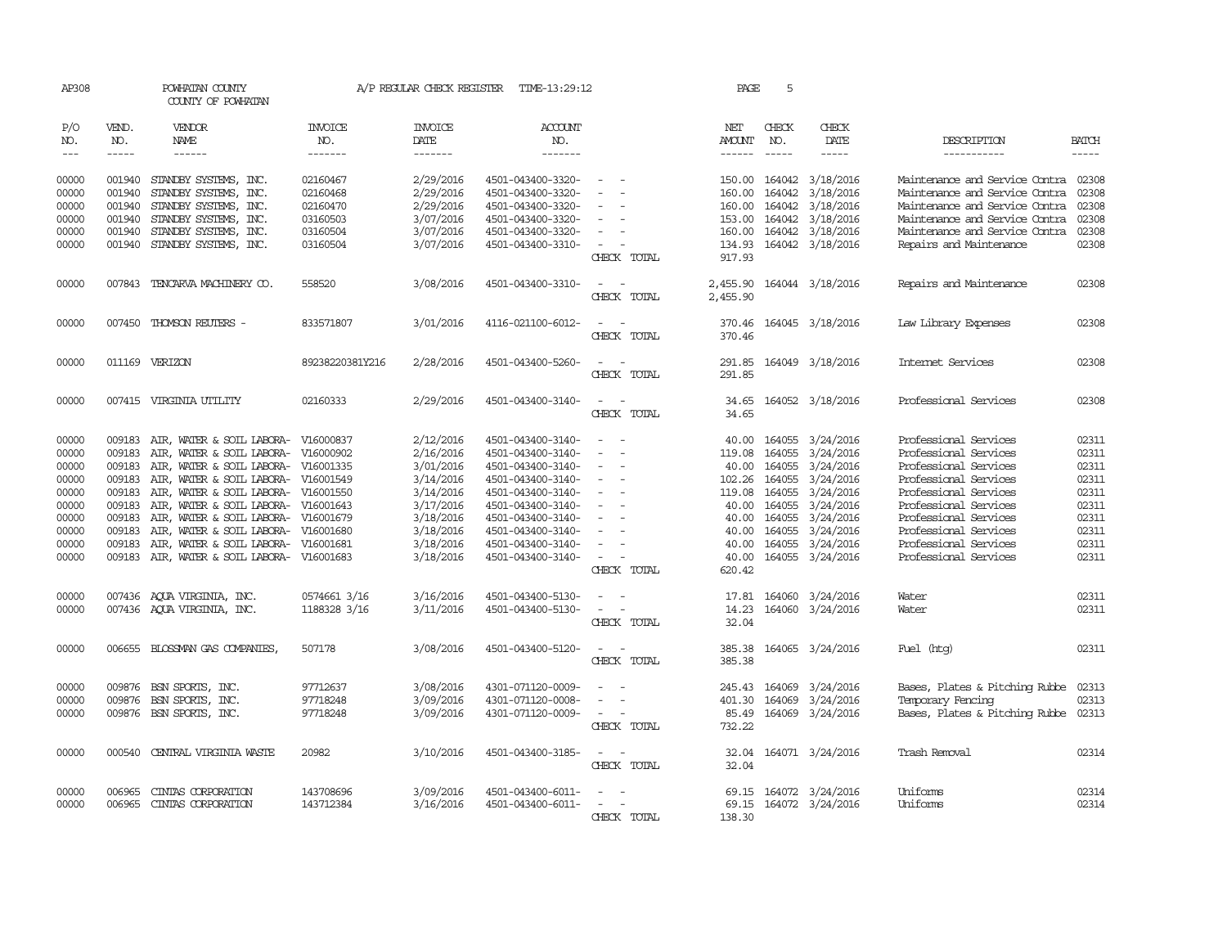| AP308                                                                                                                                                                                                                                                                                                                                                                                                      |                             | POWHATAN COUNTY<br>COUNTY OF POWHATAN  |                                  | A/P REGULAR CHECK REGISTER        | TIME-13:29:12                    |                                                                                                              | PAGE                           | 5                             |                              |                                      |                       |
|------------------------------------------------------------------------------------------------------------------------------------------------------------------------------------------------------------------------------------------------------------------------------------------------------------------------------------------------------------------------------------------------------------|-----------------------------|----------------------------------------|----------------------------------|-----------------------------------|----------------------------------|--------------------------------------------------------------------------------------------------------------|--------------------------------|-------------------------------|------------------------------|--------------------------------------|-----------------------|
| P/O<br>NO.<br>$\frac{1}{2} \frac{1}{2} \frac{1}{2} \frac{1}{2} \frac{1}{2} \frac{1}{2} \frac{1}{2} \frac{1}{2} \frac{1}{2} \frac{1}{2} \frac{1}{2} \frac{1}{2} \frac{1}{2} \frac{1}{2} \frac{1}{2} \frac{1}{2} \frac{1}{2} \frac{1}{2} \frac{1}{2} \frac{1}{2} \frac{1}{2} \frac{1}{2} \frac{1}{2} \frac{1}{2} \frac{1}{2} \frac{1}{2} \frac{1}{2} \frac{1}{2} \frac{1}{2} \frac{1}{2} \frac{1}{2} \frac{$ | VEND.<br>NO.<br>$- - - - -$ | <b>VENDOR</b><br>NAME<br>$- - - - - -$ | <b>INVOICE</b><br>NO.<br>------- | <b>INVOICE</b><br>DATE<br>------- | <b>ACCOUNT</b><br>NO.<br>------- |                                                                                                              | NET<br>AMOUNT<br>$- - - - - -$ | CHECK<br>NO.<br>$\frac{1}{2}$ | CHECK<br>DATE<br>$- - - - -$ | DESCRIPTION<br>-----------           | <b>BATCH</b><br>----- |
| 00000                                                                                                                                                                                                                                                                                                                                                                                                      | 001940                      | STANDBY SYSTEMS, INC.                  | 02160467                         | 2/29/2016                         | 4501-043400-3320-                | $\sim$                                                                                                       | 150.00                         |                               | 164042 3/18/2016             | Maintenance and Service Contra       | 02308                 |
| 00000                                                                                                                                                                                                                                                                                                                                                                                                      | 001940                      | STANDBY SYSTEMS, INC.                  | 02160468                         | 2/29/2016                         | 4501-043400-3320-                | $\sim$                                                                                                       | 160.00                         | 164042                        | 3/18/2016                    | Maintenance and Service Contra       | 02308                 |
| 00000                                                                                                                                                                                                                                                                                                                                                                                                      | 001940                      | STANDBY SYSTEMS, INC.                  | 02160470                         | 2/29/2016                         | 4501-043400-3320-                | $\overline{\phantom{a}}$                                                                                     | 160.00                         | 164042                        | 3/18/2016                    | Maintenance and Service Contra       | 02308                 |
| 00000                                                                                                                                                                                                                                                                                                                                                                                                      | 001940                      | STANDBY SYSTEMS, INC.                  | 03160503                         | 3/07/2016                         | 4501-043400-3320-                | $\overline{\phantom{a}}$                                                                                     | 153.00                         |                               | 164042 3/18/2016             | Maintenance and Service Contra       | 02308                 |
| 00000                                                                                                                                                                                                                                                                                                                                                                                                      | 001940                      | STANDBY SYSTEMS, INC.                  | 03160504                         | 3/07/2016                         | 4501-043400-3320-                |                                                                                                              | 160.00                         |                               | 164042 3/18/2016             | Maintenance and Service Contra       | 02308                 |
| 00000                                                                                                                                                                                                                                                                                                                                                                                                      | 001940                      | STANDBY SYSTEMS, INC.                  | 03160504                         | 3/07/2016                         | 4501-043400-3310-                | CHECK TOTAL                                                                                                  | 134.93<br>917.93               |                               | 164042 3/18/2016             | Repairs and Maintenance              | 02308                 |
| 00000                                                                                                                                                                                                                                                                                                                                                                                                      | 007843                      | TENCARVA MACHINERY CO.                 | 558520                           | 3/08/2016                         | 4501-043400-3310-                |                                                                                                              | 2,455.90                       |                               | 164044 3/18/2016             | Repairs and Maintenance              | 02308                 |
|                                                                                                                                                                                                                                                                                                                                                                                                            |                             |                                        |                                  |                                   |                                  | CHECK TOTAL                                                                                                  | 2,455.90                       |                               |                              |                                      |                       |
| 00000                                                                                                                                                                                                                                                                                                                                                                                                      |                             | 007450 THOMSON REUTERS -               | 833571807                        | 3/01/2016                         | 4116-021100-6012-                | CHECK TOTAL                                                                                                  | 370.46                         |                               | 370.46 164045 3/18/2016      | Law Library Expenses                 | 02308                 |
| 00000                                                                                                                                                                                                                                                                                                                                                                                                      |                             | 011169 VERIZON                         | 89238220381Y216                  | 2/28/2016                         | 4501-043400-5260-                |                                                                                                              |                                |                               | 291.85 164049 3/18/2016      | Internet Services                    | 02308                 |
|                                                                                                                                                                                                                                                                                                                                                                                                            |                             |                                        |                                  |                                   |                                  | CHECK TOTAL                                                                                                  | 291.85                         |                               |                              |                                      |                       |
| 00000                                                                                                                                                                                                                                                                                                                                                                                                      |                             | 007415 VIRGINIA UTILITY                | 02160333                         | 2/29/2016                         | 4501-043400-3140-                | CHECK TOTAL                                                                                                  | 34.65                          |                               | 34.65 164052 3/18/2016       | Professional Services                | 02308                 |
| 00000                                                                                                                                                                                                                                                                                                                                                                                                      | 009183                      | AIR, WATER & SOIL LABORA- V16000837    |                                  | 2/12/2016                         | 4501-043400-3140-                | $\sim$                                                                                                       | 40.00                          |                               | 164055 3/24/2016             | Professional Services                | 02311                 |
| 00000                                                                                                                                                                                                                                                                                                                                                                                                      | 009183                      | AIR, WATER & SOIL LABORA-              | V16000902                        | 2/16/2016                         | 4501-043400-3140-                |                                                                                                              | 119.08                         | 164055                        | 3/24/2016                    | Professional Services                | 02311                 |
| 00000                                                                                                                                                                                                                                                                                                                                                                                                      | 009183                      | AIR, WATER & SOIL LABORA-              | V16001335                        | 3/01/2016                         | 4501-043400-3140-                | $\sim$                                                                                                       | 40.00                          | 164055                        | 3/24/2016                    | Professional Services                | 02311                 |
| 00000                                                                                                                                                                                                                                                                                                                                                                                                      | 009183                      | AIR, WATER & SOIL LABORA- V16001549    |                                  | 3/14/2016                         | 4501-043400-3140-                | $\equiv$                                                                                                     | 102.26                         | 164055                        | 3/24/2016                    | Professional Services                | 02311                 |
| 00000                                                                                                                                                                                                                                                                                                                                                                                                      | 009183                      | AIR, WATER & SOIL LABORA-              | V16001550                        | 3/14/2016                         | 4501-043400-3140-                |                                                                                                              | 119.08                         | 164055                        | 3/24/2016                    | Professional Services                | 02311                 |
| 00000                                                                                                                                                                                                                                                                                                                                                                                                      | 009183                      | AIR, WATER & SOIL LABORA-              | V16001643                        | 3/17/2016                         | 4501-043400-3140-                |                                                                                                              | 40.00                          | 164055                        | 3/24/2016                    | Professional Services                | 02311                 |
| 00000                                                                                                                                                                                                                                                                                                                                                                                                      | 009183                      | AIR, WATER & SOIL LABORA- V16001679    |                                  | 3/18/2016                         | 4501-043400-3140-                |                                                                                                              | 40.00                          | 164055                        | 3/24/2016                    | Professional Services                | 02311                 |
| 00000                                                                                                                                                                                                                                                                                                                                                                                                      | 009183                      | AIR, WATER & SOIL LABORA-              | V16001680                        | 3/18/2016                         | 4501-043400-3140-                |                                                                                                              | 40.00                          | 164055                        | 3/24/2016                    | Professional Services                | 02311                 |
| 00000                                                                                                                                                                                                                                                                                                                                                                                                      | 009183                      | AIR, WATER & SOIL LABORA-              | V16001681                        | 3/18/2016                         | 4501-043400-3140-                |                                                                                                              | 40.00                          |                               | 164055 3/24/2016             | Professional Services                | 02311                 |
| 00000                                                                                                                                                                                                                                                                                                                                                                                                      |                             | 009183 AIR, WATER & SOIL LABORA-       | V16001683                        | 3/18/2016                         | 4501-043400-3140-                | $\equiv$                                                                                                     | 40.00                          |                               | 164055 3/24/2016             | Professional Services                | 02311                 |
|                                                                                                                                                                                                                                                                                                                                                                                                            |                             |                                        |                                  |                                   |                                  | CHECK TOTAL                                                                                                  | 620.42                         |                               |                              |                                      |                       |
| 00000                                                                                                                                                                                                                                                                                                                                                                                                      |                             | 007436 AQUA VIRGINIA, INC.             | 0574661 3/16                     | 3/16/2016                         | 4501-043400-5130-                | $\omega_{\rm{max}}$ and $\omega_{\rm{max}}$                                                                  |                                |                               | 17.81 164060 3/24/2016       | Water                                | 02311                 |
| 00000                                                                                                                                                                                                                                                                                                                                                                                                      |                             | 007436 AQUA VIRGINIA, INC.             | 1188328 3/16                     | 3/11/2016                         | 4501-043400-5130-                | $\overline{\phantom{a}}$                                                                                     | 14.23                          |                               | 164060 3/24/2016             | Water                                | 02311                 |
|                                                                                                                                                                                                                                                                                                                                                                                                            |                             |                                        |                                  |                                   |                                  | CHECK TOTAL                                                                                                  | 32.04                          |                               |                              |                                      |                       |
| 00000                                                                                                                                                                                                                                                                                                                                                                                                      |                             | 006655 BLOSSMAN GAS COMPANIES,         | 507178                           | 3/08/2016                         | 4501-043400-5120-                | $\sim$<br>CHECK TOTAL                                                                                        | 385.38<br>385.38               |                               | 164065 3/24/2016             | Fuel (htg)                           | 02311                 |
| 00000                                                                                                                                                                                                                                                                                                                                                                                                      | 009876                      | BSN SPORTS, INC.                       | 97712637                         | 3/08/2016                         | 4301-071120-0009-                | $\overline{\phantom{a}}$                                                                                     | 245.43                         | 164069                        | 3/24/2016                    | Bases, Plates & Pitching Rubbe       | 02313                 |
| 00000                                                                                                                                                                                                                                                                                                                                                                                                      | 009876                      | BSN SPORTS, INC.                       | 97718248                         | 3/09/2016                         | 4301-071120-0008-                | $\equiv$                                                                                                     | 401.30                         | 164069                        | 3/24/2016                    | Temporary Fencing                    | 02313                 |
| 00000                                                                                                                                                                                                                                                                                                                                                                                                      |                             | 009876 BSN SPORTS, INC.                | 97718248                         | 3/09/2016                         | 4301-071120-0009-                | $\sim$ 10 $\sim$                                                                                             | 85.49                          |                               | 164069 3/24/2016             | Bases, Plates & Pitching Rubbe 02313 |                       |
|                                                                                                                                                                                                                                                                                                                                                                                                            |                             |                                        |                                  |                                   |                                  | CHECK TOTAL                                                                                                  | 732.22                         |                               |                              |                                      |                       |
| 00000                                                                                                                                                                                                                                                                                                                                                                                                      | 000540                      | CENTRAL VIRGINIA WASTE                 | 20982                            | 3/10/2016                         | 4501-043400-3185-                | $\frac{1}{2} \left( \frac{1}{2} \right) \left( \frac{1}{2} \right) = \frac{1}{2} \left( \frac{1}{2} \right)$ | 32.04                          |                               | 164071 3/24/2016             | Trash Removal                        | 02314                 |
|                                                                                                                                                                                                                                                                                                                                                                                                            |                             |                                        |                                  |                                   |                                  | CHECK TOTAL                                                                                                  | 32.04                          |                               |                              |                                      |                       |
| 00000                                                                                                                                                                                                                                                                                                                                                                                                      | 006965                      | CINIAS CORPORATION                     | 143708696                        | 3/09/2016                         | 4501-043400-6011-                |                                                                                                              |                                |                               | 69.15 164072 3/24/2016       | Uniforms                             | 02314                 |
| 00000                                                                                                                                                                                                                                                                                                                                                                                                      | 006965                      | CINIAS CORPORATION                     | 143712384                        | 3/16/2016                         | 4501-043400-6011-                |                                                                                                              | 69.15                          |                               | 164072 3/24/2016             | Uniforms                             | 02314                 |
|                                                                                                                                                                                                                                                                                                                                                                                                            |                             |                                        |                                  |                                   |                                  | CHECK TOTAL                                                                                                  | 138.30                         |                               |                              |                                      |                       |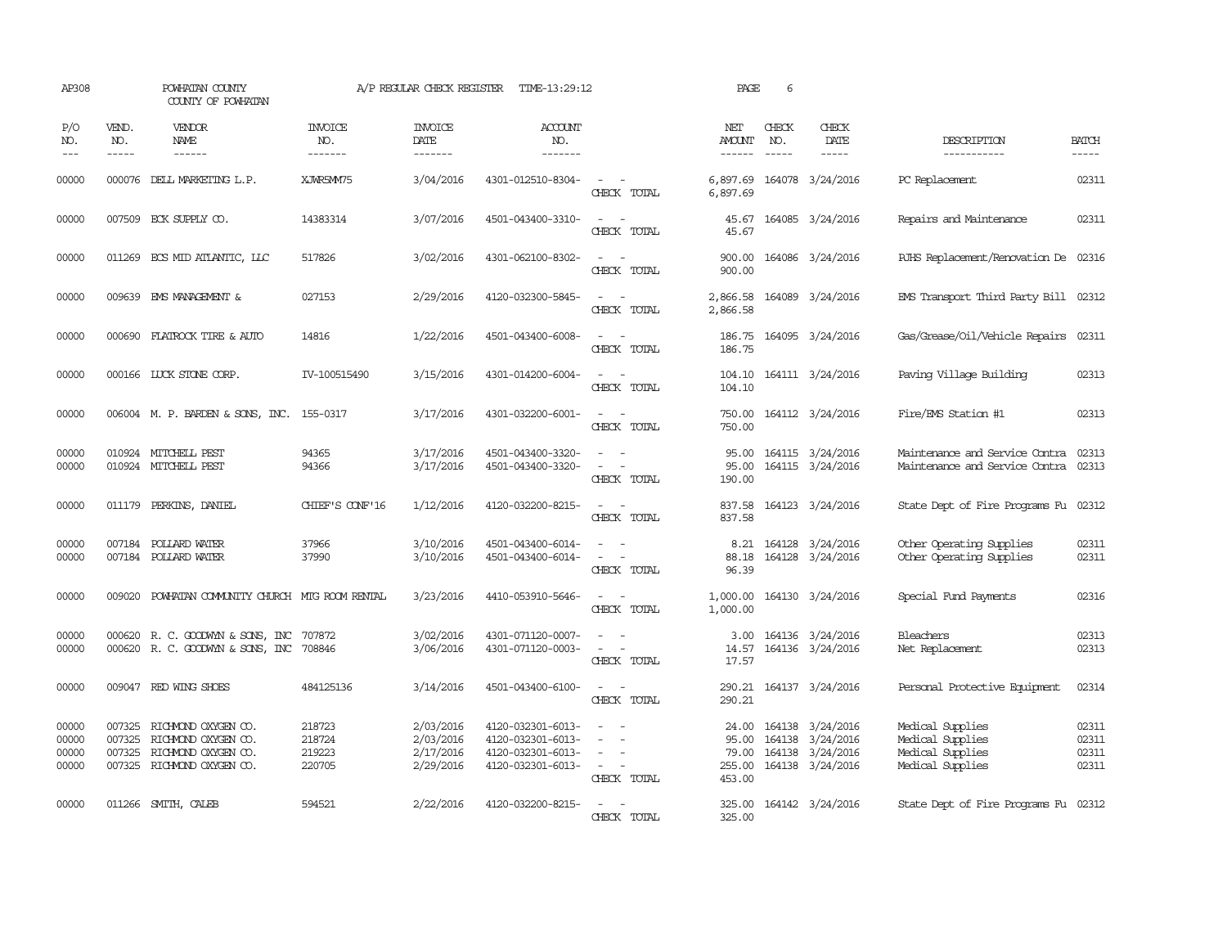| AP308                            |                             | POWHATAN COUNTY<br>COUNTY OF POWHATAN                                                                         |                                      | A/P REGULAR CHECK REGISTER                       | TIME-13:29:12                                                                    |                                                                                                                                               | PAGE                           | 6                           |                                                                                                 |                                                                              |                                  |
|----------------------------------|-----------------------------|---------------------------------------------------------------------------------------------------------------|--------------------------------------|--------------------------------------------------|----------------------------------------------------------------------------------|-----------------------------------------------------------------------------------------------------------------------------------------------|--------------------------------|-----------------------------|-------------------------------------------------------------------------------------------------|------------------------------------------------------------------------------|----------------------------------|
| P/O<br>NO.<br>$---$              | VEND.<br>NO.<br>$- - - - -$ | VENDOR<br>NAME                                                                                                | <b>INVOICE</b><br>NO.<br>--------    | <b>INVOICE</b><br>DATE<br>-------                | <b>ACCOUNT</b><br>NO.<br>-------                                                 |                                                                                                                                               | NET<br><b>AMOUNT</b><br>------ | CHECK<br>NO.<br>$- - - - -$ | CHECK<br>DATE                                                                                   | DESCRIPTION<br>-----------                                                   | <b>BATCH</b><br>$- - - - -$      |
| 00000                            |                             | 000076 DELL MARKETING L.P.                                                                                    | XJWR5MM75                            | 3/04/2016                                        | 4301-012510-8304-                                                                | CHECK TOTAL                                                                                                                                   | 6,897.69                       |                             | 6,897.69 164078 3/24/2016                                                                       | PC Replacement                                                               | 02311                            |
| 00000                            |                             | 007509 ECK SUPPLY CO.                                                                                         | 14383314                             | 3/07/2016                                        | 4501-043400-3310-                                                                | CHECK TOTAL                                                                                                                                   | 45.67<br>45.67                 |                             | 164085 3/24/2016                                                                                | Repairs and Maintenance                                                      | 02311                            |
| 00000                            |                             | 011269 ECS MID ATLANTIC, LLC                                                                                  | 517826                               | 3/02/2016                                        | 4301-062100-8302-                                                                | $\sim$<br>CHECK TOTAL                                                                                                                         | 900.00<br>900.00               |                             | 164086 3/24/2016                                                                                | RJHS Replacement/Renovation De 02316                                         |                                  |
| 00000                            |                             | 009639 EMS MANAGEMENT &                                                                                       | 027153                               | 2/29/2016                                        | 4120-032300-5845-                                                                | $\frac{1}{2} \left( \frac{1}{2} \right) \left( \frac{1}{2} \right) = \frac{1}{2} \left( \frac{1}{2} \right)$<br>CHECK TOTAL                   | 2,866.58<br>2,866.58           |                             | 164089 3/24/2016                                                                                | EMS Transport Third Party Bill 02312                                         |                                  |
| 00000                            |                             | 000690 FLATROCK TIRE & AUTO                                                                                   | 14816                                | 1/22/2016                                        | 4501-043400-6008-                                                                | $\frac{1}{2} \left( \frac{1}{2} \right) \left( \frac{1}{2} \right) = \frac{1}{2} \left( \frac{1}{2} \right)$<br>CHECK TOTAL                   | 186.75<br>186.75               |                             | 164095 3/24/2016                                                                                | Gas/Grease/Oil/Vehicle Repairs 02311                                         |                                  |
| 00000                            |                             | 000166 LUCK STONE CORP.                                                                                       | IV-100515490                         | 3/15/2016                                        | 4301-014200-6004-                                                                | $\sim$ $\sim$<br>CHECK TOTAL                                                                                                                  | 104.10<br>104.10               |                             | 164111 3/24/2016                                                                                | Paving Village Building                                                      | 02313                            |
| 00000                            |                             | 006004 M. P. BARDEN & SONS, INC. 155-0317                                                                     |                                      | 3/17/2016                                        | 4301-032200-6001-                                                                | $\sim$ 100 $\sim$<br>CHECK TOTAL                                                                                                              | 750.00<br>750.00               |                             | 164112 3/24/2016                                                                                | Fire/EMS Station #1                                                          | 02313                            |
| 00000<br>00000                   |                             | 010924 MITCHELL PEST<br>010924 MITCHELL PEST                                                                  | 94365<br>94366                       | 3/17/2016<br>3/17/2016                           | 4501-043400-3320-<br>4501-043400-3320-                                           | $\sim$ $ \sim$<br>$\frac{1}{2} \left( \frac{1}{2} \right) \left( \frac{1}{2} \right) = \frac{1}{2} \left( \frac{1}{2} \right)$<br>CHECK TOTAL | 95.00<br>190.00                |                             | 95.00 164115 3/24/2016<br>164115 3/24/2016                                                      | Maintenance and Service Contra<br>Maintenance and Service Contra             | 02313<br>02313                   |
| 00000                            |                             | 011179 PERKINS, DANIEL                                                                                        | CHIEF'S CONF'16                      | 1/12/2016                                        | 4120-032200-8215-                                                                | $\sim$<br>$\sim$<br>CHECK TOTAL                                                                                                               | 837.58<br>837.58               |                             | 164123 3/24/2016                                                                                | State Dept of Fire Programs Fu 02312                                         |                                  |
| 00000<br>00000                   |                             | 007184 POLLARD WATER<br>007184 POLLARD WATER                                                                  | 37966<br>37990                       | 3/10/2016<br>3/10/2016                           | 4501-043400-6014-<br>4501-043400-6014-                                           | CHECK TOTAL                                                                                                                                   | 8.21<br>88.18<br>96.39         |                             | 164128 3/24/2016<br>164128 3/24/2016                                                            | Other Operating Supplies<br>Other Operating Supplies                         | 02311<br>02311                   |
| 00000                            | 009020                      | POWHATAN COMMUNITY CHURCH MTG ROOM RENTAL                                                                     |                                      | 3/23/2016                                        | 4410-053910-5646-                                                                | $\frac{1}{2} \left( \frac{1}{2} \right) \left( \frac{1}{2} \right) = \frac{1}{2} \left( \frac{1}{2} \right)$<br>CHECK TOTAL                   | 1,000.00                       |                             | 1,000.00 164130 3/24/2016                                                                       | Special Fund Payments                                                        | 02316                            |
| 00000<br>00000                   |                             | 000620 R. C. GOODWYN & SONS, INC 707872<br>000620 R. C. GOODWYN & SONS, INC 708846                            |                                      | 3/02/2016<br>3/06/2016                           | 4301-071120-0007-<br>4301-071120-0003-                                           | $\sim$<br>$\sim$ $ -$<br>CHECK TOTAL                                                                                                          | 17.57                          |                             | 3.00 164136 3/24/2016<br>14.57 164136 3/24/2016                                                 | <b>Bleachers</b><br>Net Replacement                                          | 02313<br>02313                   |
| 00000                            |                             | 009047 RED WING SHOES                                                                                         | 484125136                            | 3/14/2016                                        | 4501-043400-6100-                                                                | $\omega_{\rm{max}}$ and $\omega_{\rm{max}}$<br>CHECK TOTAL                                                                                    | 290.21                         |                             | 290.21 164137 3/24/2016                                                                         | Personal Protective Equipment                                                | 02314                            |
| 00000<br>00000<br>00000<br>00000 | 007325                      | 007325 RICHMOND OXYGEN CO.<br>RICHMOND OXYGEN CO.<br>007325 RICHMOND OXYGEN CO.<br>007325 RICHMOND OXYGEN CO. | 218723<br>218724<br>219223<br>220705 | 2/03/2016<br>2/03/2016<br>2/17/2016<br>2/29/2016 | 4120-032301-6013-<br>4120-032301-6013-<br>4120-032301-6013-<br>4120-032301-6013- | $\sim$<br>$\overline{\phantom{a}}$<br>$\sim$<br>$\sim$ $ \sim$<br>CHECK TOTAL                                                                 | 79.00<br>453.00                |                             | 24.00 164138 3/24/2016<br>95.00 164138 3/24/2016<br>164138 3/24/2016<br>255.00 164138 3/24/2016 | Medical Supplies<br>Medical Supplies<br>Medical Supplies<br>Medical Supplies | 02311<br>02311<br>02311<br>02311 |
| 00000                            |                             | 011266 SMITH, CALEB                                                                                           | 594521                               | 2/22/2016                                        | 4120-032200-8215-                                                                | $\sim$<br>$\sim$<br>CHECK TOTAL                                                                                                               | 325.00                         |                             | 325.00 164142 3/24/2016                                                                         | State Dept of Fire Programs Fu 02312                                         |                                  |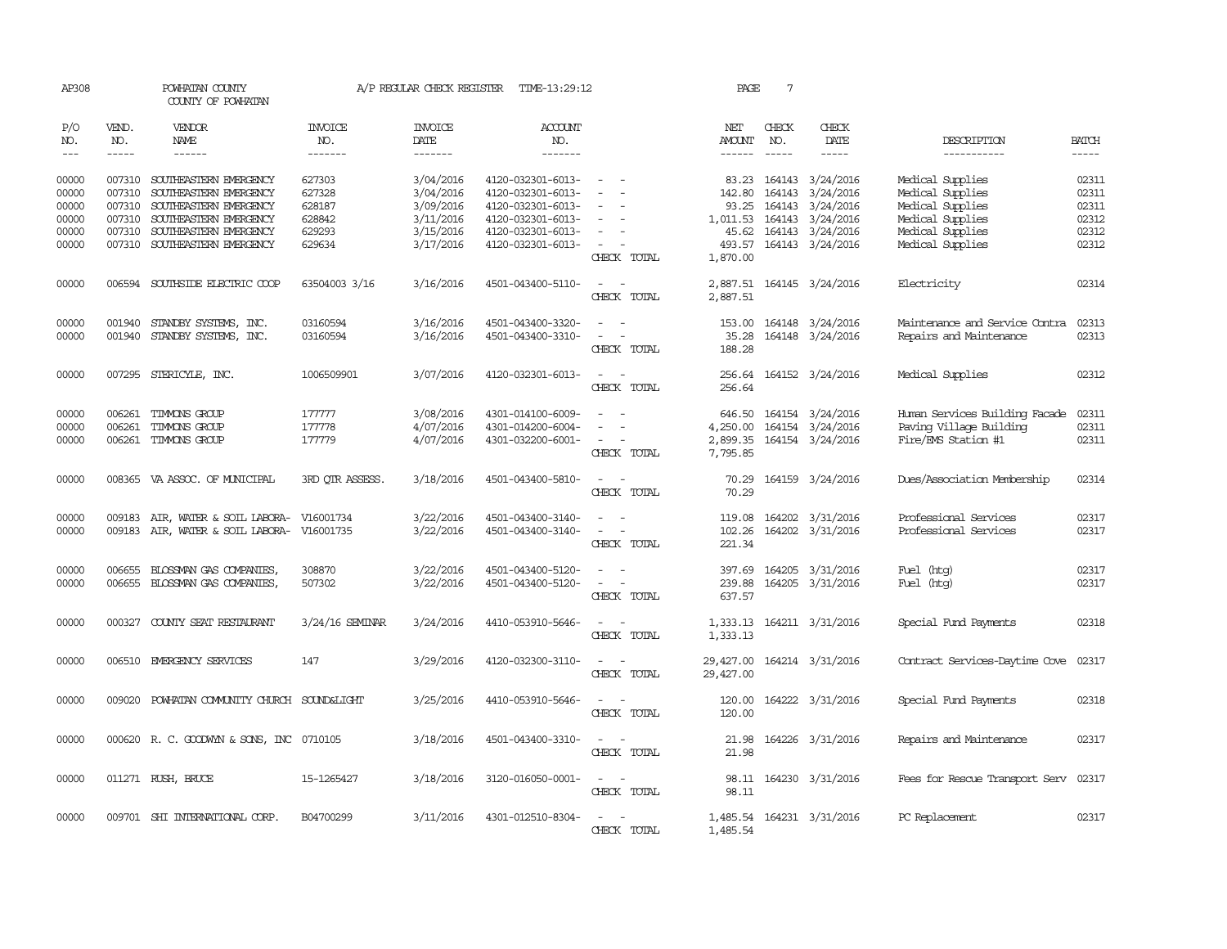| AP308          |               | POWHATAN COUNTY<br>COUNTY OF POWHATAN                   |                       | A/P REGULAR CHECK REGISTER | TIME-13:29:12                          |                                                                     | PAGE                   | 7                      |                           |                                      |                |
|----------------|---------------|---------------------------------------------------------|-----------------------|----------------------------|----------------------------------------|---------------------------------------------------------------------|------------------------|------------------------|---------------------------|--------------------------------------|----------------|
| P/O<br>NO.     | VEND.<br>NO.  | VENDOR<br>NAME                                          | <b>INVOICE</b><br>NO. | <b>INVOICE</b><br>DATE     | ACCOUNT<br>NO.                         |                                                                     | NET<br><b>AMOUNT</b>   | CHECK<br>NO.           | CHECK<br>DATE             | DESCRIPTION                          | <b>BATCH</b>   |
| $---$          | $\frac{1}{2}$ | $- - - - - -$                                           | -------               | $- - - - - - -$            | -------                                |                                                                     | ------                 | $\frac{1}{2}$          | $- - - - -$               | -----------                          | $\frac{1}{2}$  |
| 00000<br>00000 | 007310        | 007310 SOUTHEASTERN EMERGENCY<br>SOUTHEASTERN EMERGENCY | 627303<br>627328      | 3/04/2016<br>3/04/2016     | 4120-032301-6013-<br>4120-032301-6013- | $\sim$                                                              | 142.80                 | 83.23 164143<br>164143 | 3/24/2016<br>3/24/2016    | Medical Supplies<br>Medical Supplies | 02311<br>02311 |
| 00000          |               | 007310 SOUTHEASTERN EMERGENCY                           | 628187                | 3/09/2016                  | 4120-032301-6013-                      | $\equiv$                                                            | 93.25                  | 164143                 | 3/24/2016                 | Medical Supplies                     | 02311          |
| 00000          |               | 007310 SOUTHEASTERN EMERGENCY                           | 628842                | 3/11/2016                  | 4120-032301-6013-                      | $\sim$<br>$\overline{\phantom{a}}$                                  | 1,011.53 164143        |                        | 3/24/2016                 | Medical Supplies                     | 02312          |
| 00000          |               | 007310 SOUTHEASTERN EMERGENCY                           | 629293                | 3/15/2016                  | 4120-032301-6013-                      | $\sim$                                                              | 45.62                  |                        | 164143 3/24/2016          | Medical Supplies                     | 02312          |
| 00000          |               | 007310 SOUTHEASTERN EMERGENCY                           | 629634                | 3/17/2016                  | 4120-032301-6013-                      | $\sim$                                                              | 493.57                 |                        | 164143 3/24/2016          | Medical Supplies                     | 02312          |
|                |               |                                                         |                       |                            |                                        | CHECK TOTAL                                                         | 1,870.00               |                        |                           |                                      |                |
| 00000          |               | 006594 SOUTHSIDE ELECTRIC COOP                          | 63504003 3/16         | 3/16/2016                  | 4501-043400-5110-                      | CHECK TOTAL                                                         | 2,887.51               |                        | 2,887.51 164145 3/24/2016 | Electricity                          | 02314          |
| 00000          |               | 001940 STANDBY SYSTEMS, INC.                            | 03160594              | 3/16/2016                  | 4501-043400-3320-                      | $\sim$                                                              | 153.00                 |                        | 164148 3/24/2016          | Maintenance and Service Contra       | 02313          |
| 00000          |               | 001940 STANDBY SYSTEMS, INC.                            | 03160594              | 3/16/2016                  | 4501-043400-3310-                      | $\sim$<br>$\overline{\phantom{a}}$                                  | 35.28                  |                        | 164148 3/24/2016          | Repairs and Maintenance              | 02313          |
|                |               |                                                         |                       |                            |                                        | CHECK TOTAL                                                         | 188.28                 |                        |                           |                                      |                |
| 00000          |               | 007295 STERICYLE, INC.                                  | 1006509901            | 3/07/2016                  | 4120-032301-6013-                      | $\sim$<br>$\sim$<br>CHECK TOTAL                                     | 256.64                 |                        | 256.64 164152 3/24/2016   | Medical Supplies                     | 02312          |
| 00000          | 006261        | TIMMONS GROUP                                           | 177777                | 3/08/2016                  | 4301-014100-6009-                      | $\sim$                                                              | 646.50                 |                        | 164154 3/24/2016          | Human Services Building Facade       | 02311          |
| 00000          | 006261        | TIMMONS GROUP                                           | 177778                | 4/07/2016                  | 4301-014200-6004-                      |                                                                     | 4,250.00               |                        | 164154 3/24/2016          | Paving Village Building              | 02311          |
| 00000          |               | 006261 TIMMONS GROUP                                    | 177779                | 4/07/2016                  | 4301-032200-6001-                      | $\overline{\phantom{a}}$<br>CHECK TOTAL                             | 7,795.85               |                        | 2,899.35 164154 3/24/2016 | Fire/EMS Station #1                  | 02311          |
| 00000          |               | 008365 VA ASSOC. OF MUNICIPAL                           | 3RD QTR ASSESS.       | 3/18/2016                  | 4501-043400-5810-                      | $\sim$ $ \sim$<br>CHECK TOTAL                                       | 70.29                  |                        | 70.29 164159 3/24/2016    | Dues/Association Membership          | 02314          |
| 00000          | 009183        | AIR, WATER & SOIL LABORA-                               | V16001734             | 3/22/2016                  | 4501-043400-3140-                      |                                                                     | 119.08                 | 164202                 | 3/31/2016                 | Professional Services                | 02317          |
| 00000          |               | 009183 AIR, WATER & SOIL LABORA-                        | V16001735             | 3/22/2016                  | 4501-043400-3140-                      | $\overline{\phantom{a}}$<br>$\overline{\phantom{a}}$<br>CHECK TOTAL | 102.26<br>221.34       |                        | 164202 3/31/2016          | Professional Services                | 02317          |
|                |               |                                                         |                       |                            |                                        | $\sim$                                                              |                        |                        |                           |                                      |                |
| 00000          | 006655        | BLOSSMAN GAS COMPANIES                                  | 308870                | 3/22/2016                  | 4501-043400-5120-                      | $\sim$<br>$\overline{\phantom{a}}$                                  | 397.69                 | 164205                 | 3/31/2016                 | Fuel (htg)                           | 02317          |
| 00000          | 006655        | BLOSSMAN GAS COMPANIES                                  | 507302                | 3/22/2016                  | 4501-043400-5120-                      | CHECK TOTAL                                                         | 239.88<br>637.57       | 164205                 | 3/31/2016                 | Fuel (htg)                           | 02317          |
| 00000          |               | 000327 COUNTY SEAT RESTAURANT                           | $3/24/16$ SEMINAR     | 3/24/2016                  | 4410-053910-5646-                      | CHECK TOTAL                                                         | 1,333.13               |                        | 1,333.13 164211 3/31/2016 | Special Fund Payments                | 02318          |
| 00000          |               | 006510 EMERGENCY SERVICES                               | 147                   | 3/29/2016                  | 4120-032300-3110-                      | $\sim$ $ \sim$<br>CHECK TOTAL                                       | 29,427.00<br>29,427.00 |                        | 164214 3/31/2016          | Contract Services-Daytime Cove       | 02317          |
| 00000          |               | 009020 POWHATAN COMMUNITY CHURCH SOUND&LIGHT            |                       | 3/25/2016                  | 4410-053910-5646-                      | $\sim$<br>CHECK TOTAL                                               | 120.00<br>120.00       |                        | 164222 3/31/2016          | Special Fund Payments                | 02318          |
| 00000          |               | 000620 R. C. GOODWYN & SONS, INC 0710105                |                       | 3/18/2016                  | 4501-043400-3310-                      | $\sim$ $\sim$<br>$\overline{a}$<br>CHECK TOTAL                      | 21.98<br>21.98         |                        | 164226 3/31/2016          | Repairs and Maintenance              | 02317          |
| 00000          |               | 011271 RUSH, BRUCE                                      | 15-1265427            | 3/18/2016                  | 3120-016050-0001-                      | $\overline{\phantom{a}}$<br>$\sim$<br>CHECK TOTAL                   | 98.11                  |                        | 98.11 164230 3/31/2016    | Fees for Rescue Transport Serv 02317 |                |
| 00000          |               | 009701 SHI INTERNATIONAL CORP.                          | B04700299             | 3/11/2016                  | 4301-012510-8304-                      | $\sim$<br>CHECK TOTAL                                               | 1,485.54               |                        | 1,485.54 164231 3/31/2016 | PC Replacement                       | 02317          |